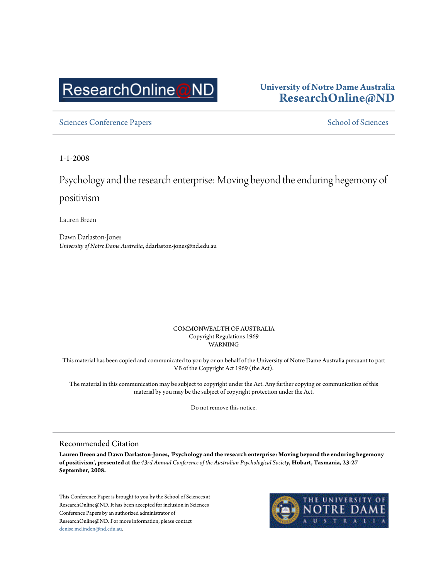# ResearchOnline@ND

## **University of Notre Dame Australia [ResearchOnline@ND](http://researchonline.nd.edu.au)**

[Sciences Conference Papers](http://researchonline.nd.edu.au/sci_conference) **[School of Sciences](http://researchonline.nd.edu.au/sci)** School of Sciences

1-1-2008

Psychology and the research enterprise: Moving beyond the enduring hegemony of positivism

Lauren Breen

Dawn Darlaston-Jones *University of Notre Dame Australia*, ddarlaston-jones@nd.edu.au

#### COMMONWEALTH OF AUSTRALIA Copyright Regulations 1969 WARNING

This material has been copied and communicated to you by or on behalf of the University of Notre Dame Australia pursuant to part VB of the Copyright Act 1969 (the Act).

The material in this communication may be subject to copyright under the Act. Any further copying or communication of this material by you may be the subject of copyright protection under the Act.

Do not remove this notice.

#### Recommended Citation

**Lauren Breen and Dawn Darlaston-Jones, 'Psychology and the research enterprise: Moving beyond the enduring hegemony of positivism', presented at the** *43rd Annual Conference of the Australian Psychological Society***, Hobart, Tasmania, 23-27 September, 2008.**

This Conference Paper is brought to you by the School of Sciences at ResearchOnline@ND. It has been accepted for inclusion in Sciences Conference Papers by an authorized administrator of ResearchOnline@ND. For more information, please contact [denise.mclinden@nd.edu.au.](mailto:denise.mclinden@nd.edu.au)

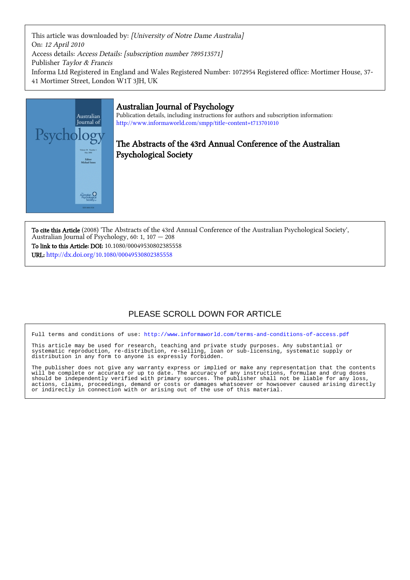This article was downloaded by: [University of Notre Dame Australia] On: 12 April 2010 Access details: Access Details: [subscription number 789513571] Publisher Taylor & Francis Informa Ltd Registered in England and Wales Registered Number: 1072954 Registered office: Mortimer House, 37- 41 Mortimer Street, London W1T 3JH, UK



To cite this Article (2008) 'The Abstracts of the 43rd Annual Conference of the Australian Psychological Society', Australian Journal of Psychology, 60: 1, 107 — 208 To link to this Article: DOI: 10.1080/00049530802385558 URL: <http://dx.doi.org/10.1080/00049530802385558>

### PLEASE SCROLL DOWN FOR ARTICLE

Full terms and conditions of use:<http://www.informaworld.com/terms-and-conditions-of-access.pdf>

This article may be used for research, teaching and private study purposes. Any substantial or systematic reproduction, re-distribution, re-selling, loan or sub-licensing, systematic supply or distribution in any form to anyone is expressly forbidden.

The publisher does not give any warranty express or implied or make any representation that the contents will be complete or accurate or up to date. The accuracy of any instructions, formulae and drug doses should be independently verified with primary sources. The publisher shall not be liable for any loss, actions, claims, proceedings, demand or costs or damages whatsoever or howsoever caused arising directly or indirectly in connection with or arising out of the use of this material.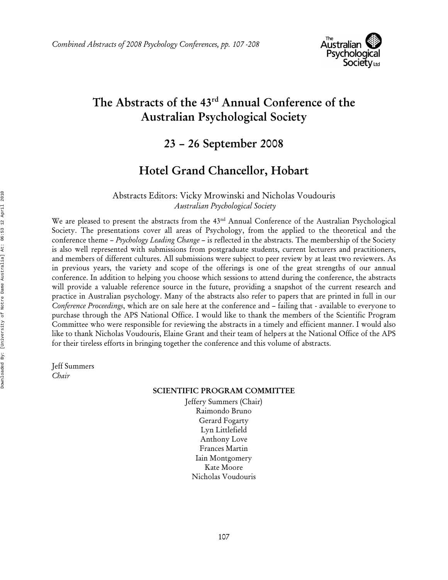

# **The Abstracts of the 43rd Annual Conference of the Australian Psychological Society**

# **23 – 26 September 2008**

# **Hotel Grand Chancellor, Hobart**

Abstracts Editors: Vicky Mrowinski and Nicholas Voudouris  *Australian Psychological Society* 

We are pleased to present the abstracts from the 43<sup>nd</sup> Annual Conference of the Australian Psychological Society. The presentations cover all areas of Psychology, from the applied to the theoretical and the conference theme – *Psychology Leading Change* – is reflected in the abstracts. The membership of the Society is also well represented with submissions from postgraduate students, current lecturers and practitioners, and members of different cultures. All submissions were subject to peer review by at least two reviewers. As in previous years, the variety and scope of the offerings is one of the great strengths of our annual conference. In addition to helping you choose which sessions to attend during the conference, the abstracts will provide a valuable reference source in the future, providing a snapshot of the current research and practice in Australian psychology. Many of the abstracts also refer to papers that are printed in full in our *Conference Proceedings*, which are on sale here at the conference and – failing that - available to everyone to purchase through the APS National Office. I would like to thank the members of the Scientific Program Committee who were responsible for reviewing the abstracts in a timely and efficient manner. I would also like to thank Nicholas Voudouris, Elaine Grant and their team of helpers at the National Office of the APS for their tireless efforts in bringing together the conference and this volume of abstracts.

Jeff Summers *Chair* 

#### **SCIENTIFIC PROGRAM COMMITTEE**

Jeffery Summers (Chair) Raimondo Bruno Gerard Fogarty Lyn Littlefield Anthony Love Frances Martin Iain Montgomery Kate Moore Nicholas Voudouris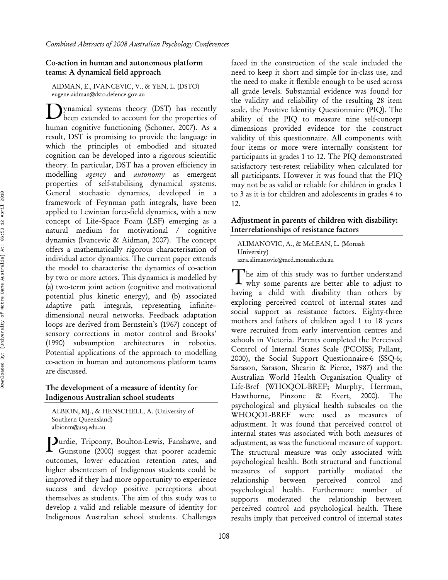#### **Co-action in human and autonomous platform teams: A dynamical field approach**

AIDMAN, E., IVANCEVIC, V., & YEN, L. (DSTO) eugene.aidman@dsto.defence.gov.au

ynamical systems theory (DST) has recently been extended to account for the properties of human cognitive functioning (Schoner, 2007). As a result, DST is promising to provide the language in which the principles of embodied and situated cognition can be developed into a rigorous scientific theory. In particular, DST has a proven efficiency in modelling *agency* and *autonomy* as emergent properties of self-stabilising dynamical systems. General stochastic dynamics, developed in a framework of Feynman path integrals, have been applied to Lewinian force-field dynamics, with a new concept of Life–Space Foam (LSF) emerging as a natural medium for motivational / cognitive dynamics (Ivancevic & Aidman, 2007). The concept offers a mathematically rigorous characterisation of individual actor dynamics. The current paper extends the model to characterise the dynamics of co-action by two or more actors. This dynamics is modelled by (a) two-term joint action (cognitive and motivational potential plus kinetic energy), and (b) associated adaptive path integrals, representing infinite– dimensional neural networks. Feedback adaptation loops are derived from Bernstein's (1967) concept of sensory corrections in motor control and Brooks' (1990) subsumption architectures in robotics. Potential applications of the approach to modelling co-action in human and autonomous platform teams are discussed. D

#### **The development of a measure of identity for Indigenous Australian school students**

ALBION, MJ., & HENSCHELL, A. (University of Southern Queensland) albionm@usq.edu.au

Durdie, Tripcony, Boulton-Lewis, Fanshawe, and **P**urdie, Tripcony, Boulton-Lewis, Fanshawe, and<br>Gunstone (2000) suggest that poorer academic outcomes, lower education retention rates, and higher absenteeism of Indigenous students could be improved if they had more opportunity to experience success and develop positive perceptions about themselves as students. The aim of this study was to develop a valid and reliable measure of identity for Indigenous Australian school students. Challenges

faced in the construction of the scale included the need to keep it short and simple for in-class use, and the need to make it flexible enough to be used across all grade levels. Substantial evidence was found for the validity and reliability of the resulting 28 item scale, the Positive Identity Questionnaire (PIQ). The ability of the PIQ to measure nine self-concept dimensions provided evidence for the construct validity of this questionnaire. All components with four items or more were internally consistent for participants in grades 1 to 12. The PIQ demonstrated satisfactory test-retest reliability when calculated for all participants. However it was found that the PIQ may not be as valid or reliable for children in grades 1 to 3 as it is for children and adolescents in grades 4 to 12.

#### **Adjustment in parents of children with disability: Interrelationships of resistance factors**

ALIMANOVIC, A., & McLEAN, L. (Monash University) azra.alimanovic@med.monash.edu.au

he aim of this study was to further understand why some parents are better able to adjust to having a child with disability than others by exploring perceived control of internal states and social support as resistance factors. Eighty-three mothers and fathers of children aged 1 to 18 years were recruited from early intervention centres and schools in Victoria. Parents completed the Perceived Control of Internal States Scale (PCOISS; Pallant, 2000), the Social Support Questionnaire-6 (SSQ-6; Sarason, Sarason, Shearin & Pierce, 1987) and the Australian World Health Organisation Quality of Life-Bref (WHOQOL-BREF; Murphy, Herrman, Hawthorne, Pinzone & Evert, 2000). The psychological and physical health subscales on the WHOQOL-BREF were used as measures of adjustment. It was found that perceived control of internal states was associated with both measures of adjustment, as was the functional measure of support. The structural measure was only associated with psychological health. Both structural and functional measures of support partially mediated the relationship between perceived control and psychological health. Furthermore number of supports moderated the relationship between perceived control and psychological health. These results imply that perceived control of internal states T

108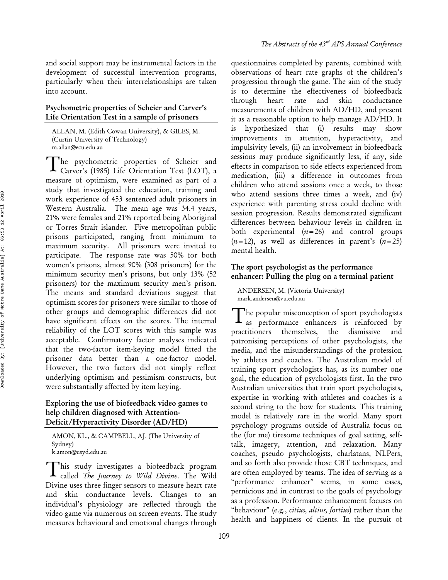and social support may be instrumental factors in the development of successful intervention programs, particularly when their interrelationships are taken into account.

#### **Psychometric properties of Scheier and Carver's Life Orientation Test in a sample of prisoners**

ALLAN, M. (Edith Cowan University), & GILES, M. (Curtin University of Technology) m.allan@ecu.edu.au

he psychometric properties of Scheier and The psychometric properties of Scheier and<br>Carver's (1985) Life Orientation Test (LOT), a measure of optimism, were examined as part of a study that investigated the education, training and work experience of 453 sentenced adult prisoners in Western Australia. The mean age was 34.4 years, 21% were females and 21% reported being Aboriginal or Torres Strait islander. Five metropolitan public prisons participated, ranging from minimum to maximum security. All prisoners were invited to participate. The response rate was 50% for both women's prisons, almost 90% (308 prisoners) for the minimum security men's prisons, but only 13% (52 prisoners) for the maximum security men's prison. The means and standard deviations suggest that optimism scores for prisoners were similar to those of other groups and demographic differences did not have significant effects on the scores. The internal reliability of the LOT scores with this sample was acceptable. Confirmatory factor analyses indicated that the two-factor item-keying model fitted the prisoner data better than a one-factor model. However, the two factors did not simply reflect underlying optimism and pessimism constructs, but were substantially affected by item keying.

#### **Exploring the use of biofeedback video games to help children diagnosed with Attention-Deficit/Hyperactivity Disorder (AD/HD)**

AMON, KL., & CAMPBELL, AJ. (The University of Sydney) k.amon@usyd.edu.au

his study investigates a biofeedback program called *The Journey to Wild Divine*. The Wild Divine uses three finger sensors to measure heart rate and skin conductance levels. Changes to an individual's physiology are reflected through the video game via numerous on screen events. The study measures behavioural and emotional changes through T

questionnaires completed by parents, combined with observations of heart rate graphs of the children's progression through the game. The aim of the study is to determine the effectiveness of biofeedback through heart rate and skin conductance measurements of children with AD/HD, and present it as a reasonable option to help manage AD/HD. It is hypothesized that (i) results may show improvements in attention, hyperactivity, and impulsivity levels, (ii) an involvement in biofeedback sessions may produce significantly less, if any, side effects in comparison to side effects experienced from medication, (iii) a difference in outcomes from children who attend sessions once a week, to those who attend sessions three times a week, and (iv) experience with parenting stress could decline with session progression. Results demonstrated significant differences between behaviour levels in children in both experimental (*n*=26) and control groups  $(n=12)$ , as well as differences in parent's  $(n=25)$ mental health.

#### **The sport psychologist as the performance enhancer: Pulling the plug on a terminal patient**

ANDERSEN, M. (Victoria University) mark.andersen@vu.edu.au

The popular misconception of sport psychologists<br>as performance enhancers is reinforced by as performance enhancers is reinforced by practitioners themselves, the dismissive and patronising perceptions of other psychologists, the media, and the misunderstandings of the profession by athletes and coaches. The Australian model of training sport psychologists has, as its number one goal, the education of psychologists first. In the two Australian universities that train sport psychologists, expertise in working with athletes and coaches is a second string to the bow for students. This training model is relatively rare in the world. Many sport psychology programs outside of Australia focus on the (for me) tiresome techniques of goal setting, selftalk, imagery, attention, and relaxation. Many coaches, pseudo psychologists, charlatans, NLPers, and so forth also provide those CBT techniques, and are often employed by teams. The idea of serving as a "performance enhancer" seems, in some cases, pernicious and in contrast to the goals of psychology as a profession. Performance enhancement focuses on "behaviour" (e.g., *citius, altius, fortius*) rather than the health and happiness of clients. In the pursuit of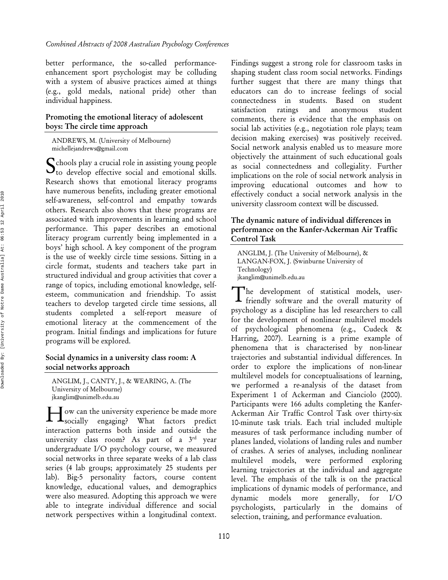better performance, the so-called performanceenhancement sport psychologist may be colluding with a system of abusive practices aimed at things (e.g., gold medals, national pride) other than individual happiness.

#### **Promoting the emotional literacy of adolescent boys: The circle time approach**

ANDREWS, M. (University of Melbourne) michellejandrews@gmail.com

chools play a crucial role in assisting young people  $S_{\text{to}}$  develop effective social and emotional skills. Research shows that emotional literacy programs have numerous benefits, including greater emotional self-awareness, self-control and empathy towards others. Research also shows that these programs are associated with improvements in learning and school performance. This paper describes an emotional literacy program currently being implemented in a boys' high school. A key component of the program is the use of weekly circle time sessions. Sitting in a circle format, students and teachers take part in structured individual and group activities that cover a range of topics, including emotional knowledge, selfesteem, communication and friendship. To assist teachers to develop targeted circle time sessions, all students completed a self-report measure of emotional literacy at the commencement of the program. Initial findings and implications for future programs will be explored.

#### **Social dynamics in a university class room: A social networks approach**

ANGLIM, J., CANTY, J., & WEARING, A. (The University of Melbourne) jkanglim@unimelb.edu.au

ow can the university experience be made more I ow can the university experience be made more<br>socially engaging? What factors predict interaction patterns both inside and outside the university class room? As part of a 3rd year undergraduate I/O psychology course, we measured social networks in three separate weeks of a lab class series (4 lab groups; approximately 25 students per lab). Big-5 personality factors, course content knowledge, educational values, and demographics were also measured. Adopting this approach we were able to integrate individual difference and social network perspectives within a longitudinal context.

Findings suggest a strong role for classroom tasks in shaping student class room social networks. Findings further suggest that there are many things that educators can do to increase feelings of social connectedness in students. Based on student satisfaction ratings and anonymous student comments, there is evidence that the emphasis on social lab activities (e.g., negotiation role plays; team decision making exercises) was positively received. Social network analysis enabled us to measure more objectively the attainment of such educational goals as social connectedness and collegiality. Further implications on the role of social network analysis in improving educational outcomes and how to effectively conduct a social network analysis in the university classroom context will be discussed.

#### **The dynamic nature of individual differences in performance on the Kanfer-Ackerman Air Traffic Control Task**

ANGLIM, J. (The University of Melbourne), & LANGAN-FOX, J. (Swinburne University of Technology) jkanglim@unimelb.edu.au

The development of statistical models, user-The development of statistical models, user-<br>friendly software and the overall maturity of psychology as a discipline has led researchers to call for the development of nonlinear multilevel models of psychological phenomena (e.g., Cudeck & Harring, 2007). Learning is a prime example of phenomena that is characterised by non-linear trajectories and substantial individual differences. In order to explore the implications of non-linear multilevel models for conceptualisations of learning, we performed a re-analysis of the dataset from Experiment 1 of Ackerman and Cianciolo (2000). Participants were 166 adults completing the Kanfer-Ackerman Air Traffic Control Task over thirty-six 10-minute task trials. Each trial included multiple measures of task performance including number of planes landed, violations of landing rules and number of crashes. A series of analyses, including nonlinear multilevel models, were performed exploring learning trajectories at the individual and aggregate level. The emphasis of the talk is on the practical implications of dynamic models of performance, and dynamic models more generally, for I/O psychologists, particularly in the domains of selection, training, and performance evaluation.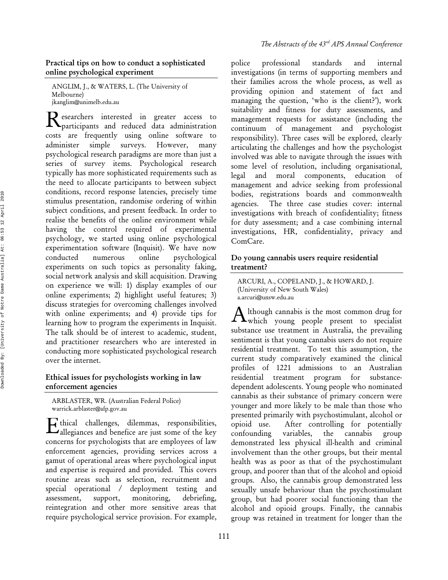**Practical tips on how to conduct a sophisticated online psychological experiment** 

ANGLIM, J., & WATERS, L. (The University of Melbourne) jkanglim@unimelb.edu.au

esearchers interested in greater access to Researchers interested in greater access to participants and reduced data administration costs are frequently using online software to administer simple surveys. However, many psychological research paradigms are more than just a series of survey items. Psychological research typically has more sophisticated requirements such as the need to allocate participants to between subject conditions, record response latencies, precisely time stimulus presentation, randomise ordering of within subject conditions, and present feedback. In order to realise the benefits of the online environment while having the control required of experimental psychology, we started using online psychological experimentation software (Inquisit). We have now conducted numerous online psychological experiments on such topics as personality faking, social network analysis and skill acquisition. Drawing on experience we will: 1) display examples of our online experiments; 2) highlight useful features; 3) discuss strategies for overcoming challenges involved with online experiments; and 4) provide tips for learning how to program the experiments in Inquisit. The talk should be of interest to academic, student, and practitioner researchers who are interested in conducting more sophisticated psychological research over the internet.

#### **Ethical issues for psychologists working in law enforcement agencies**

ARBLASTER, WR. (Australian Federal Police) warrick.arblaster@afp.gov.au

thical challenges, dilemmas, responsibilities, Ethical challenges, dilemmas, responsibilities,<br>allegiances and benefice are just some of the key concerns for psychologists that are employees of law enforcement agencies, providing services across a gamut of operational areas where psychological input and expertise is required and provided. This covers routine areas such as selection, recruitment and special operational / deployment testing and assessment, support, monitoring, debriefing, reintegration and other more sensitive areas that require psychological service provision. For example,

police professional standards and internal investigations (in terms of supporting members and their families across the whole process, as well as providing opinion and statement of fact and managing the question, 'who is the client?'), work suitability and fitness for duty assessments, and management requests for assistance (including the continuum of management and psychologist responsibility). Three cases will be explored, clearly articulating the challenges and how the psychologist involved was able to navigate through the issues with some level of resolution, including organisational, legal and moral components, education of management and advice seeking from professional bodies, registrations boards and commonwealth agencies. The three case studies cover: internal investigations with breach of confidentiality; fitness for duty assessment; and a case combining internal investigations, HR, confidentiality, privacy and ComCare.

#### **Do young cannabis users require residential treatment?**

ARCURI, A., COPELAND, J., & HOWARD, J. (University of New South Wales) a.arcuri@unsw.edu.au

lthough cannabis is the most common drug for Although cannabis is the most common drug for<br>which young people present to specialist substance use treatment in Australia, the prevailing sentiment is that young cannabis users do not require residential treatment. To test this assumption, the current study comparatively examined the clinical profiles of 1221 admissions to an Australian residential treatment program for substancedependent adolescents. Young people who nominated cannabis as their substance of primary concern were younger and more likely to be male than those who presented primarily with psychostimulant, alcohol or opioid use. After controlling for potentially confounding variables, the cannabis group demonstrated less physical ill-health and criminal involvement than the other groups, but their mental health was as poor as that of the psychostimulant group, and poorer than that of the alcohol and opioid groups. Also, the cannabis group demonstrated less sexually unsafe behaviour than the psychostimulant group, but had poorer social functioning than the alcohol and opioid groups. Finally, the cannabis group was retained in treatment for longer than the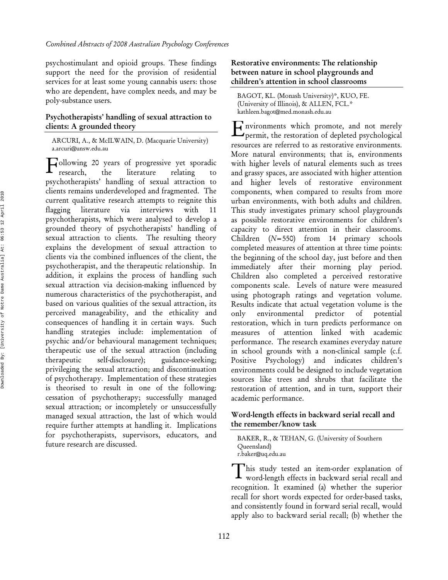psychostimulant and opioid groups. These findings support the need for the provision of residential services for at least some young cannabis users: those who are dependent, have complex needs, and may be poly-substance users.

#### **Psychotherapists' handling of sexual attraction to clients: A grounded theory**

ARCURI, A., & McILWAIN, D. (Macquarie University) a.arcuri@unsw.edu.au

ollowing 20 years of progressive yet sporadic Following 20 years of progressive yet sporadic<br>research, the literature relating to psychotherapists' handling of sexual attraction to clients remains underdeveloped and fragmented. The current qualitative research attempts to reignite this flagging literature via interviews with psychotherapists, which were analysed to develop a grounded theory of psychotherapists' handling of sexual attraction to clients. The resulting theory explains the development of sexual attraction to clients via the combined influences of the client, the psychotherapist, and the therapeutic relationship. In addition, it explains the process of handling such sexual attraction via decision-making influenced by numerous characteristics of the psychotherapist, and based on various qualities of the sexual attraction, its perceived manageability, and the ethicality and consequences of handling it in certain ways. Such handling strategies include: implementation of psychic and/or behavioural management techniques; therapeutic use of the sexual attraction (including therapeutic self-disclosure); guidance-seeking; privileging the sexual attraction; and discontinuation of psychotherapy. Implementation of these strategies is theorised to result in one of the following: cessation of psychotherapy; successfully managed sexual attraction; or incompletely or unsuccessfully managed sexual attraction, the last of which would require further attempts at handling it. Implications for psychotherapists, supervisors, educators, and future research are discussed.

**Restorative environments: The relationship between nature in school playgrounds and children's attention in school classrooms** 

BAGOT, KL. (Monash University)\*, KUO, FE. (University of Illinois), & ALLEN, FCL.\* kathleen.bagot@med.monash.edu.au

nvironments which promote, and not merely  $\mathbf{E}$  nvironments which promote, and not merely permit, the restoration of depleted psychological resources are referred to as restorative environments. More natural environments; that is, environments with higher levels of natural elements such as trees and grassy spaces, are associated with higher attention and higher levels of restorative environment components, when compared to results from more urban environments, with both adults and children. This study investigates primary school playgrounds as possible restorative environments for children's capacity to direct attention in their classrooms. Children (*N*=550) from 14 primary schools completed measures of attention at three time points: the beginning of the school day, just before and then immediately after their morning play period. Children also completed a perceived restorative components scale. Levels of nature were measured using photograph ratings and vegetation volume. Results indicate that actual vegetation volume is the only environmental predictor of potential restoration, which in turn predicts performance on measures of attention linked with academic performance. The research examines everyday nature in school grounds with a non-clinical sample (c.f. Positive Psychology) and indicates children's environments could be designed to include vegetation sources like trees and shrubs that facilitate the restoration of attention, and in turn, support their academic performance.

#### **Word-length effects in backward serial recall and the remember/know task**

BAKER, R., & TEHAN, G. (University of Southern Queensland) r.baker@uq.edu.au

This study tested an item-order explanation of This study tested an item-order explanation of word-length effects in backward serial recall and recognition. It examined (a) whether the superior recall for short words expected for order-based tasks, and consistently found in forward serial recall, would apply also to backward serial recall; (b) whether the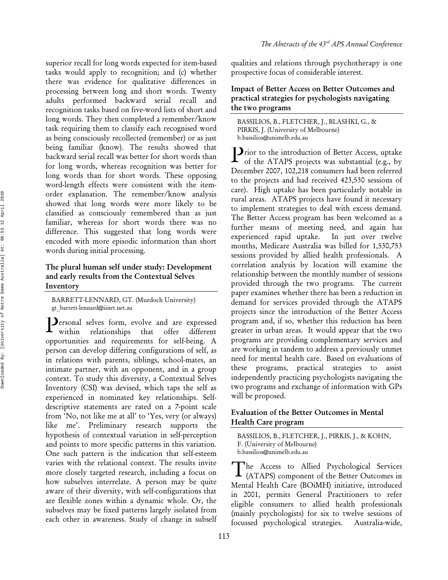superior recall for long words expected for item-based tasks would apply to recognition; and (c) whether there was evidence for qualitative differences in processing between long and short words. Twenty adults performed backward serial recall and recognition tasks based on five-word lists of short and long words. They then completed a remember/know task requiring them to classify each recognised word as being consciously recollected (remember) or as just being familiar (know). The results showed that backward serial recall was better for short words than for long words, whereas recognition was better for long words than for short words. These opposing word-length effects were consistent with the itemorder explanation. The remember/know analysis showed that long words were more likely to be classified as consciously remembered than as just familiar, whereas for short words there was no difference. This suggested that long words were encoded with more episodic information than short words during initial processing.

#### **The plural human self under study: Development and early results from the Contextual Selves Inventory**

BARRETT-LENNARD, GT. (Murdoch University) gt\_barrett-lennard@iinet.net.au

ersonal selves form, evolve and are expressed Personal selves form, evolve and are expressed<br>within relationships that offer different opportunities and requirements for self-being. A person can develop differing configurations of self, as in relations with parents, siblings, school-mates, an intimate partner, with an opponent, and in a group context. To study this diversity, a Contextual Selves Inventory (CSI) was devised, which taps the self as experienced in nominated key relationships. Selfdescriptive statements are rated on a 7-point scale from 'No, not like me at all' to 'Yes, very (or always) like me'. Preliminary research supports the hypothesis of contextual variation in self-perception and points to more specific patterns in this variation. One such pattern is the indication that self-esteem varies with the relational context. The results invite more closely targeted research, including a focus on how subselves interrelate. A person may be quite aware of their diversity, with self-configurations that are flexible zones within a dynamic whole. Or, the subselves may be fixed patterns largely isolated from each other in awareness. Study of change in subself

qualities and relations through psychotherapy is one prospective focus of considerable interest.

#### **Impact of Better Access on Better Outcomes and practical strategies for psychologists navigating the two programs**

BASSILIOS, B., FLETCHER, J., BLASHKI, G., & PIRKIS, J. (University of Melbourne) b.bassilios@unimelb.edu.au

**P**rior to the introduction of Better Access, uptake of the ATAPS projects was substantial (e.g., by of the ATAPS projects was substantial (e.g., by December 2007, 102,218 consumers had been referred to the projects and had received 423,530 sessions of care). High uptake has been particularly notable in rural areas. ATAPS projects have found it necessary to implement strategies to deal with excess demand. The Better Access program has been welcomed as a further means of meeting need, and again has experienced rapid uptake. In just over twelve months, Medicare Australia was billed for 1,530,753 sessions provided by allied health professionals. A correlation analysis by location will examine the relationship between the monthly number of sessions provided through the two programs. The current paper examines whether there has been a reduction in demand for services provided through the ATAPS projects since the introduction of the Better Access program and, if so, whether this reduction has been greater in urban areas. It would appear that the two programs are providing complementary services and are working in tandem to address a previously unmet need for mental health care. Based on evaluations of these programs, practical strategies to assist independently practicing psychologists navigating the two programs and exchange of information with GPs will be proposed.

#### **Evaluation of the Better Outcomes in Mental Health Care program**

BASSILIOS, B., FLETCHER, J., PIRKIS, J., & KOHN, F. (University of Melbourne) b.bassilios@unimelb.edu.au

he Access to Allied Psychological Services (ATAPS) component of the Better Outcomes in Mental Health Care (BOiMH) initiative, introduced in 2001, permits General Practitioners to refer eligible consumers to allied health professionals (mainly psychologists) for six to twelve sessions of focussed psychological strategies. Australia-wide,  $\mathbf 1$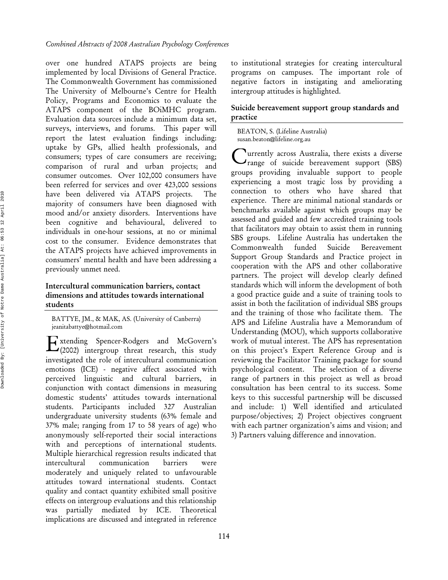over one hundred ATAPS projects are being implemented by local Divisions of General Practice. The Commonwealth Government has commissioned The University of Melbourne's Centre for Health Policy, Programs and Economics to evaluate the ATAPS component of the BOiMHC program. Evaluation data sources include a minimum data set, surveys, interviews, and forums. This paper will report the latest evaluation findings including: uptake by GPs, allied health professionals, and consumers; types of care consumers are receiving; comparison of rural and urban projects; and consumer outcomes. Over 102,000 consumers have been referred for services and over 423,000 sessions have been delivered via ATAPS projects. The majority of consumers have been diagnosed with mood and/or anxiety disorders. Interventions have been cognitive and behavioural, delivered to individuals in one-hour sessions, at no or minimal cost to the consumer. Evidence demonstrates that the ATAPS projects have achieved improvements in consumers' mental health and have been addressing a previously unmet need.

#### **Intercultural communication barriers, contact dimensions and attitudes towards international students**

BATTYE, JM., & MAK, AS. (University of Canberra) jeanitabattye@hotmail.com

xtending Spencer-Rodgers and McGovern's Extending Spencer-Rodgers and McGovern's<br>(2002) intergroup threat research, this study investigated the role of intercultural communication emotions (ICE) - negative affect associated with perceived linguistic and cultural barriers, in conjunction with contact dimensions in measuring domestic students' attitudes towards international students. Participants included 327 Australian undergraduate university students (63% female and 37% male; ranging from 17 to 58 years of age) who anonymously self-reported their social interactions with and perceptions of international students. Multiple hierarchical regression results indicated that intercultural communication barriers were moderately and uniquely related to unfavourable attitudes toward international students. Contact quality and contact quantity exhibited small positive effects on intergroup evaluations and this relationship was partially mediated by ICE. Theoretical implications are discussed and integrated in reference

to institutional strategies for creating intercultural programs on campuses. The important role of negative factors in instigating and ameliorating intergroup attitudes is highlighted.

#### **Suicide bereavement support group standards and practice**

BEATON, S. (Lifeline Australia) susan.beaton@lifeline.org.au

urrently across Australia, there exists a diverse Currently across Australia, there exists a diverse<br>
Crange of suicide bereavement support (SBS) groups providing invaluable support to people experiencing a most tragic loss by providing a connection to others who have shared that experience. There are minimal national standards or benchmarks available against which groups may be assessed and guided and few accredited training tools that facilitators may obtain to assist them in running SBS groups. Lifeline Australia has undertaken the Commonwealth funded Suicide Bereavement Support Group Standards and Practice project in cooperation with the APS and other collaborative partners. The project will develop clearly defined standards which will inform the development of both a good practice guide and a suite of training tools to assist in both the facilitation of individual SBS groups and the training of those who facilitate them. The APS and Lifeline Australia have a Memorandum of Understanding (MOU), which supports collaborative work of mutual interest. The APS has representation on this project's Expert Reference Group and is reviewing the Facilitator Training package for sound psychological content. The selection of a diverse range of partners in this project as well as broad consultation has been central to its success. Some keys to this successful partnership will be discussed and include: 1) Well identified and articulated purpose/objectives; 2) Project objectives congruent with each partner organization's aims and vision; and 3) Partners valuing difference and innovation.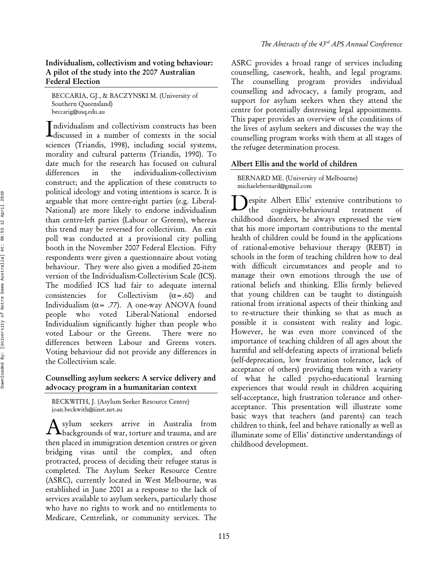#### **Individualism, collectivism and voting behaviour: A pilot of the study into the 2007 Australian Federal Election**

BECCARIA, GJ., & BACZYNSKI M. (University of Southern Queensland) beccarig@usq.edu.au

ndividualism and collectivism constructs has been Individualism and collectivism constructs has been<br>discussed in a number of contexts in the social sciences (Triandis, 1998), including social systems, morality and cultural patterns (Triandis, 1990). To date much for the research has focused on cultural differences in the individualism-collectivism construct; and the application of these constructs to political ideology and voting intentions is scarce. It is arguable that more centre-right parties (e.g. Liberal-National) are more likely to endorse individualism than centre-left parties (Labour or Greens), whereas this trend may be reversed for collectivism. An exit poll was conducted at a provisional city polling booth in the November 2007 Federal Election. Fifty respondents were given a questionnaire about voting behaviour. They were also given a modified 20-item version of the Individualism-Collectivism Scale (ICS). The modified ICS had fair to adequate internal consistencies for Collectivism  $(\alpha = .60)$  and Individualism ( $\alpha$ = .77). A one-way ANOVA found people who voted Liberal-National endorsed Individualism significantly higher than people who voted Labour or the Greens. There were no differences between Labour and Greens voters. Voting behaviour did not provide any differences in the Collectivism scale.

#### **Counselling asylum seekers: A service delivery and advocacy program in a humanitarian context**

BECKWITH, J. (Asylum Seeker Resource Centre) joan.beckwith@iinet.net.au

sylum seekers arrive in Australia from  $\bigwedge$  sylum seekers arrive in Australia from<br>backgrounds of war, torture and trauma, and are then placed in immigration detention centres or given bridging visas until the complex, and often protracted, process of deciding their refugee status is completed. The Asylum Seeker Resource Centre (ASRC), currently located in West Melbourne, was established in June 2001 as a response to the lack of services available to asylum seekers, particularly those who have no rights to work and no entitlements to Medicare, Centrelink, or community services. The

ASRC provides a broad range of services including counselling, casework, health, and legal programs. The counselling program provides individual counselling and advocacy, a family program, and support for asylum seekers when they attend the centre for potentially distressing legal appointments. This paper provides an overview of the conditions of the lives of asylum seekers and discusses the way the counselling program works with them at all stages of the refugee determination process.

#### **Albert Ellis and the world of children**

BERNARD ME. (University of Melbourne) michaelebernard@gmail.com

Despite Albert Ellis' extensive contributions to<br>
the cognitive-behavioural treatment of the cognitive-behavioural treatment of childhood disorders, he always expressed the view that his more important contributions to the mental health of children could be found in the applications of rational-emotive behaviour therapy (REBT) in schools in the form of teaching children how to deal with difficult circumstances and people and to manage their own emotions through the use of rational beliefs and thinking. Ellis firmly believed that young children can be taught to distinguish rational from irrational aspects of their thinking and to re-structure their thinking so that as much as possible it is consistent with reality and logic. However, he was even more convinced of the importance of teaching children of all ages about the harmful and self-defeating aspects of irrational beliefs (self-deprecation, low frustration tolerance, lack of acceptance of others) providing them with a variety of what he called psycho-educational learning experiences that would result in children acquiring self-acceptance, high frustration tolerance and otheracceptance. This presentation will illustrate some basic ways that teachers (and parents) can teach children to think, feel and behave rationally as well as illuminate some of Ellis' distinctive understandings of childhood development.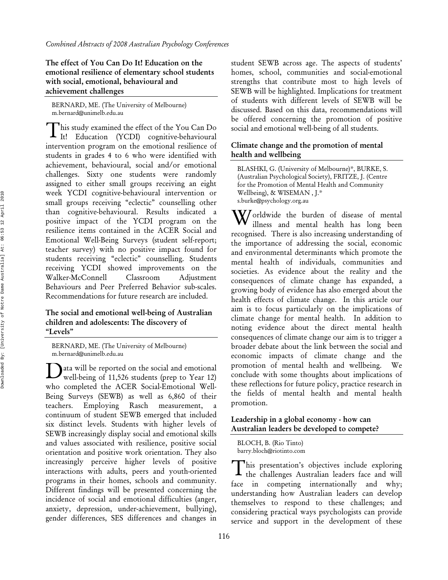**The effect of You Can Do It! Education on the emotional resilience of elementary school students with social, emotional, behavioural and achievement challenges** 

BERNARD, ME. (The University of Melbourne) m.bernard@unimelb.edu.au

his study examined the effect of the You Can Do It! Education (YCDI) cognitive-behavioural intervention program on the emotional resilience of students in grades 4 to 6 who were identified with achievement, behavioural, social and/or emotional challenges. Sixty one students were randomly assigned to either small groups receiving an eight week YCDI cognitive-behavioural intervention or small groups receiving "eclectic" counselling other than cognitive-behavioural. Results indicated a positive impact of the YCDI program on the resilience items contained in the ACER Social and Emotional Well-Being Surveys (student self-report; teacher survey) with no positive impact found for students receiving "eclectic" counselling. Students receiving YCDI showed improvements on the Walker-McConnell Classroom Adjustment Behaviours and Peer Preferred Behavior sub-scales. Recommendations for future research are included. T

#### **The social and emotional well-being of Australian children and adolescents: The discovery of "Levels"**

BERNARD, ME. (The University of Melbourne) m.bernard@unimelb.edu.au

ata will be reported on the social and emotional well-being of 11,526 students (prep to Year 12) who completed the ACER Social-Emotional Well-Being Surveys (SEWB) as well as 6,860 of their teachers. Employing Rasch measurement, a continuum of student SEWB emerged that included six distinct levels. Students with higher levels of SEWB increasingly display social and emotional skills and values associated with resilience, positive social orientation and positive work orientation. They also increasingly perceive higher levels of positive interactions with adults, peers and youth-oriented programs in their homes, schools and community. Different findings will be presented concerning the incidence of social and emotional difficulties (anger, anxiety, depression, under-achievement, bullying), gender differences, SES differences and changes in D

student SEWB across age. The aspects of students' homes, school, communities and social-emotional strengths that contribute most to high levels of SEWB will be highlighted. Implications for treatment of students with different levels of SEWB will be discussed. Based on this data, recommendations will be offered concerning the promotion of positive social and emotional well-being of all students.

#### **Climate change and the promotion of mental health and wellbeing**

BLASHKI, G. (University of Melbourne)\*, BURKE, S. (Australian Psychological Society), FRITZE, J. (Centre for the Promotion of Mental Health and Community Wellbeing), & WISEMAN , J.\* s.burke@psychology.org.au

Worldwide the burden of disease of mental<br>illness and mental health has long been illness and mental health has long been recognised. There is also increasing understanding of the importance of addressing the social, economic and environmental determinants which promote the mental health of individuals, communities and societies. As evidence about the reality and the consequences of climate change has expanded, a growing body of evidence has also emerged about the health effects of climate change. In this article our aim is to focus particularly on the implications of climate change for mental health. In addition to noting evidence about the direct mental health consequences of climate change our aim is to trigger a broader debate about the link between the social and economic impacts of climate change and the promotion of mental health and wellbeing. We conclude with some thoughts about implications of these reflections for future policy, practice research in the fields of mental health and mental health promotion.

#### **Leadership in a global economy - how can Australian leaders be developed to compete?**

BLOCH, B. (Rio Tinto) barry.bloch@riotinto.com

his presentation's objectives include exploring This presentation's objectives include exploring<br>the challenges Australian leaders face and will face in competing internationally and why; understanding how Australian leaders can develop themselves to respond to these challenges; and considering practical ways psychologists can provide service and support in the development of these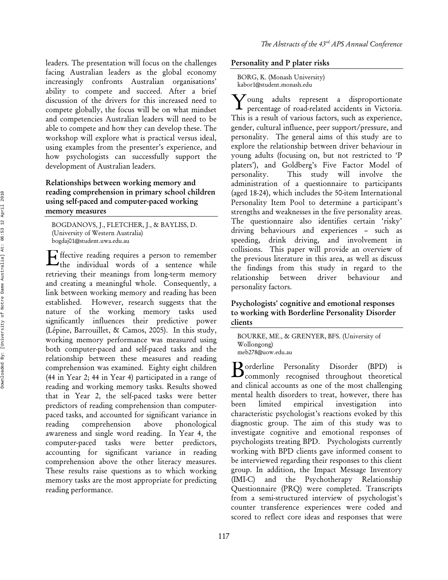leaders. The presentation will focus on the challenges facing Australian leaders as the global economy increasingly confronts Australian organisations' ability to compete and succeed. After a brief discussion of the drivers for this increased need to compete globally, the focus will be on what mindset and competencies Australian leaders will need to be able to compete and how they can develop these. The workshop will explore what is practical versus ideal, using examples from the presenter's experience, and how psychologists can successfully support the development of Australian leaders.

#### **Relationships between working memory and reading comprehension in primary school children using self-paced and computer-paced working memory measures**

BOGDANOVS, J., FLETCHER, J., & BAYLISS, D. (University of Western Australia) bogdaj01@student.uwa.edu.au

 $\Box$  ifective reading requires a person to remember Effective reading requires a person to remember<br>the individual words of a sentence while retrieving their meanings from long-term memory and creating a meaningful whole. Consequently, a link between working memory and reading has been established. However, research suggests that the nature of the working memory tasks used significantly influences their predictive power (Lépine, Barrouillet, & Camos, 2005). In this study, working memory performance was measured using both computer-paced and self-paced tasks and the relationship between these measures and reading comprehension was examined. Eighty eight children (44 in Year 2; 44 in Year 4) participated in a range of reading and working memory tasks. Results showed that in Year 2, the self-paced tasks were better predictors of reading comprehension than computerpaced tasks, and accounted for significant variance in reading comprehension above phonological awareness and single word reading. In Year 4, the computer-paced tasks were better predictors, accounting for significant variance in reading comprehension above the other literacy measures. These results raise questions as to which working memory tasks are the most appropriate for predicting reading performance.

#### **Personality and P plater risks**

BORG, K. (Monash University) kabor1@student.monash.edu

Young adults represent a disproportionate<br>percentage of road-related accidents in Victoria. percentage of road-related accidents in Victoria. This is a result of various factors, such as experience, gender, cultural influence, peer support/pressure, and personality. The general aims of this study are to explore the relationship between driver behaviour in young adults (focusing on, but not restricted to 'P platers'), and Goldberg's Five Factor Model of personality. This study will involve the administration of a questionnaire to participants (aged 18-24), which includes the 50-item International Personality Item Pool to determine a participant's strengths and weaknesses in the five personality areas. The questionnaire also identifies certain 'risky' driving behaviours and experiences – such as speeding, drink driving, and involvement in collisions. This paper will provide an overview of the previous literature in this area, as well as discuss the findings from this study in regard to the relationship between driver behaviour and personality factors.

#### **Psychologists' cognitive and emotional responses to working with Borderline Personality Disorder clients**

BOURKE, ME., & GRENYER, BFS. (University of Wollongong) meb278@uow.edu.au

orderline Personality Disorder (BPD) is Borderline Personality Disorder (BPD) is commonly recognised throughout theoretical and clinical accounts as one of the most challenging mental health disorders to treat, however, there has been limited empirical investigation into characteristic psychologist's reactions evoked by this diagnostic group. The aim of this study was to investigate cognitive and emotional responses of psychologists treating BPD. Psychologists currently working with BPD clients gave informed consent to be interviewed regarding their responses to this client group. In addition, the Impact Message Inventory (IMI-C) and the Psychotherapy Relationship Questionnaire (PRQ) were completed. Transcripts from a semi-structured interview of psychologist's counter transference experiences were coded and scored to reflect core ideas and responses that were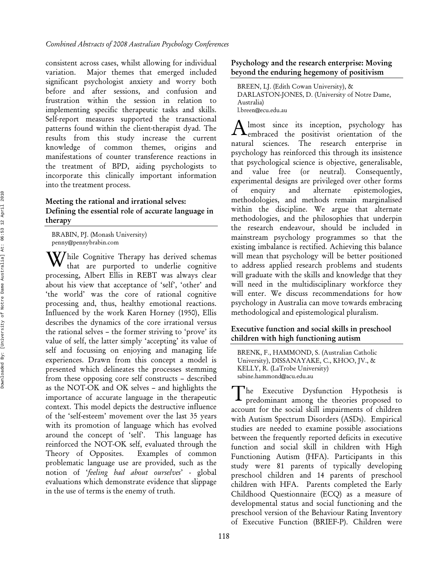consistent across cases, whilst allowing for individual variation. Major themes that emerged included significant psychologist anxiety and worry both before and after sessions, and confusion and frustration within the session in relation to implementing specific therapeutic tasks and skills. Self-report measures supported the transactional patterns found within the client-therapist dyad. The results from this study increase the current knowledge of common themes, origins and manifestations of counter transference reactions in the treatment of BPD, aiding psychologists to incorporate this clinically important information into the treatment process.

#### **Meeting the rational and irrational selves: Defining the essential role of accurate language in therapy**

BRABIN, PJ. (Monash University) penny@pennybrabin.com

While Cognitive Therapy has derived schemas<br>that are purported to underlie cognitive that are purported to underlie cognitive processing, Albert Ellis in REBT was always clear about his view that acceptance of 'self', 'other' and 'the world' was the core of rational cognitive processing and, thus, healthy emotional reactions. Influenced by the work Karen Horney (1950), Ellis describes the dynamics of the core irrational versus the rational selves – the former striving to 'prove' its value of self, the latter simply 'accepting' its value of self and focussing on enjoying and managing life experiences. Drawn from this concept a model is presented which delineates the processes stemming from these opposing core self constructs – described as the NOT-OK and OK selves – and highlights the importance of accurate language in the therapeutic context. This model depicts the destructive influence of the 'self-esteem' movement over the last 35 years with its promotion of language which has evolved around the concept of 'self'. This language has reinforced the NOT-OK self, evaluated through the Theory of Opposites. Examples of common problematic language use are provided, such as the notion of '*feeling bad about ourselves*' - global evaluations which demonstrate evidence that slippage in the use of terms is the enemy of truth.

#### **Psychology and the research enterprise: Moving beyond the enduring hegemony of positivism**

BREEN, LJ. (Edith Cowan University), & DARLASTON-JONES, D. (University of Notre Dame, Australia) l.breen@ecu.edu.au

lmost since its inception, psychology has  ${\rm A}$ lmost since its inception, psychology has embraced the positivist orientation of the natural sciences. The research enterprise in psychology has reinforced this through its insistence that psychological science is objective, generalisable, and value free (or neutral). Consequently, experimental designs are privileged over other forms of enquiry and alternate epistemologies, methodologies, and methods remain marginalised within the discipline. We argue that alternate methodologies, and the philosophies that underpin the research endeavour, should be included in mainstream psychology programmes so that the existing imbalance is rectified. Achieving this balance will mean that psychology will be better positioned to address applied research problems and students will graduate with the skills and knowledge that they will need in the multidisciplinary workforce they will enter. We discuss recommendations for how psychology in Australia can move towards embracing methodological and epistemological pluralism.

#### **Executive function and social skills in preschool children with high functioning autism**

BRENK, F., HAMMOND, S. (Australian Catholic University), DISSANAYAKE, C., KHOO, JV., & KELLY, R. (LaTrobe University) sabine.hammond@acu.edu.au

The Executive Dysfunction Hypothesis is predominant among the theories proposed to predominant among the theories proposed to account for the social skill impairments of children with Autism Spectrum Disorders (ASDs). Empirical studies are needed to examine possible associations between the frequently reported deficits in executive function and social skill in children with High Functioning Autism (HFA). Participants in this study were 81 parents of typically developing preschool children and 14 parents of preschool children with HFA. Parents completed the Early Childhood Questionnaire (ECQ) as a measure of developmental status and social functioning and the preschool version of the Behaviour Rating Inventory of Executive Function (BRIEF-P). Children were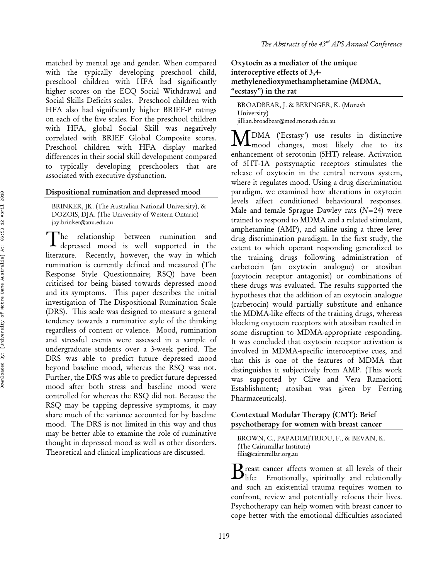matched by mental age and gender. When compared with the typically developing preschool child, preschool children with HFA had significantly higher scores on the ECQ Social Withdrawal and Social Skills Deficits scales. Preschool children with HFA also had significantly higher BRIEF-P ratings on each of the five scales. For the preschool children with HFA, global Social Skill was negatively correlated with BRIEF Global Composite scores. Preschool children with HFA display marked differences in their social skill development compared to typically developing preschoolers that are associated with executive dysfunction.

#### **Dispositional rumination and depressed mood**

BRINKER, JK. (The Australian National University), & DOZOIS, DJA. (The University of Western Ontario) jay.brinker@anu.edu.au

he relationship between rumination and The relationship between rumination and depressed mood is well supported in the literature. Recently, however, the way in which rumination is currently defined and measured (The Response Style Questionnaire; RSQ) have been criticised for being biased towards depressed mood and its symptoms. This paper describes the initial investigation of The Dispositional Rumination Scale (DRS). This scale was designed to measure a general tendency towards a ruminative style of the thinking regardless of content or valence. Mood, rumination and stressful events were assessed in a sample of undergraduate students over a 3-week period. The DRS was able to predict future depressed mood beyond baseline mood, whereas the RSQ was not. Further, the DRS was able to predict future depressed mood after both stress and baseline mood were controlled for whereas the RSQ did not. Because the RSQ may be tapping depressive symptoms, it may share much of the variance accounted for by baseline mood. The DRS is not limited in this way and thus may be better able to examine the role of ruminative thought in depressed mood as well as other disorders. Theoretical and clinical implications are discussed.

#### **Oxytocin as a mediator of the unique interoceptive effects of 3,4 methylenedioxymethamphetamine (MDMA, "ecstasy") in the rat**

BROADBEAR, J. & BERINGER, K. (Monash University) jillian.broadbear@med.monash.edu.au

DMA ('Ecstasy') use results in distinctive MDMA ('Ecstasy') use results in distinctive<br>mood changes, most likely due to its enhancement of serotonin (5HT) release. Activation of 5HT-1A postsynaptic receptors stimulates the release of oxytocin in the central nervous system, where it regulates mood. Using a drug discrimination paradigm, we examined how alterations in oxytocin levels affect conditioned behavioural responses. Male and female Sprague Dawley rats (*N*=24) were trained to respond to MDMA and a related stimulant, amphetamine (AMP), and saline using a three lever drug discrimination paradigm. In the first study, the extent to which operant responding generalized to the training drugs following administration of carbetocin (an oxytocin analogue) or atosiban (oxytocin receptor antagonist) or combinations of these drugs was evaluated. The results supported the hypotheses that the addition of an oxytocin analogue (carbetocin) would partially substitute and enhance the MDMA-like effects of the training drugs, whereas blocking oxytocin receptors with atosiban resulted in some disruption to MDMA-appropriate responding. It was concluded that oxytocin receptor activation is involved in MDMA-specific interoceptive cues, and that this is one of the features of MDMA that distinguishes it subjectively from AMP. (This work was supported by Clive and Vera Ramaciotti Establishment; atosiban was given by Ferring Pharmaceuticals).

#### **Contextual Modular Therapy (CMT): Brief psychotherapy for women with breast cancer**

BROWN, C., PAPADIMITRIOU, F., & BEVAN, K. (The Cairnmillar Institute) filia@cairnmillar.org.au

reast cancer affects women at all levels of their  $\mathbf{B}$ reast cancer affects women at all levels of their life: Emotionally, spiritually and relationally and such an existential trauma requires women to confront, review and potentially refocus their lives. Psychotherapy can help women with breast cancer to cope better with the emotional difficulties associated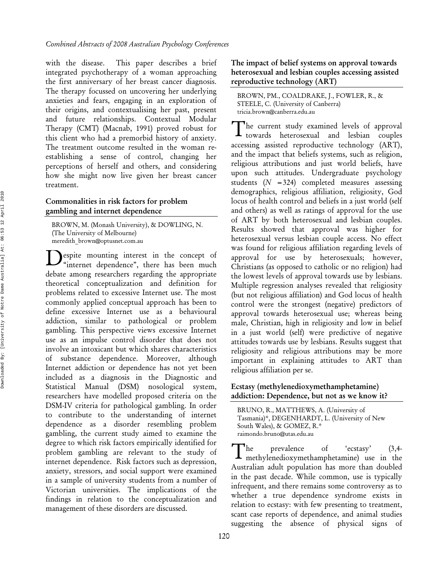with the disease. This paper describes a brief integrated psychotherapy of a woman approaching the first anniversary of her breast cancer diagnosis. The therapy focussed on uncovering her underlying anxieties and fears, engaging in an exploration of their origins, and contextualising her past, present and future relationships. Contextual Modular Therapy (CMT) (Macnab, 1991) proved robust for this client who had a premorbid history of anxiety. The treatment outcome resulted in the woman reestablishing a sense of control, changing her perceptions of herself and others, and considering how she might now live given her breast cancer treatment.

#### **Commonalities in risk factors for problem gambling and internet dependence**

BROWN, M. (Monash University), & DOWLING, N. (The University of Melbourne) meredith\_brown@optusnet.com.au

espite mounting interest in the concept of Despite mounting interest in the concept of "internet dependence", there has been much debate among researchers regarding the appropriate theoretical conceptualization and definition for problems related to excessive Internet use. The most commonly applied conceptual approach has been to define excessive Internet use as a behavioural addiction, similar to pathological or problem gambling. This perspective views excessive Internet use as an impulse control disorder that does not involve an intoxicant but which shares characteristics of substance dependence. Moreover, although Internet addiction or dependence has not yet been included as a diagnosis in the Diagnostic and Statistical Manual (DSM) nosological system, researchers have modelled proposed criteria on the DSM-IV criteria for pathological gambling. In order to contribute to the understanding of internet dependence as a disorder resembling problem gambling, the current study aimed to examine the degree to which risk factors empirically identified for problem gambling are relevant to the study of internet dependence. Risk factors such as depression, anxiety, stressors, and social support were examined in a sample of university students from a number of Victorian universities. The implications of the findings in relation to the conceptualization and management of these disorders are discussed.

**The impact of belief systems on approval towards heterosexual and lesbian couples accessing assisted reproductive technology (ART)** 

BROWN, PM., COALDRAKE, J., FOWLER, R., & STEELE, C. (University of Canberra) tricia.brown@canberra.edu.au

he current study examined levels of approval The current study examined levels of approval towards heterosexual and lesbian couples accessing assisted reproductive technology (ART), and the impact that beliefs systems, such as religion, religious attributions and just world beliefs, have upon such attitudes. Undergraduate psychology students  $(N = 324)$  completed measures assessing demographics, religious affiliation, religiosity, God locus of health control and beliefs in a just world (self and others) as well as ratings of approval for the use of ART by both heterosexual and lesbian couples. Results showed that approval was higher for heterosexual versus lesbian couple access. No effect was found for religious affiliation regarding levels of approval for use by heterosexuals; however, Christians (as opposed to catholic or no religion) had the lowest levels of approval towards use by lesbians. Multiple regression analyses revealed that religiosity (but not religious affiliation) and God locus of health control were the strongest (negative) predictors of approval towards heterosexual use; whereas being male, Christian, high in religiosity and low in belief in a just world (self) were predictive of negative attitudes towards use by lesbians. Results suggest that religiosity and religious attributions may be more important in explaining attitudes to ART than religious affiliation per se.

#### **Ecstasy (methylenedioxymethamphetamine) addiction: Dependence, but not as we know it?**

BRUNO, R., MATTHEWS, A. (University of Tasmania)\*, DEGENHARDT, L. (University of New South Wales), & GOMEZ, R.\* raimondo.bruno@utas.edu.au

he prevalence of 'ecstasy' (3,4- The prevalence of 'ecstasy' (3,4-<br>methylenedioxymethamphetamine) use in the Australian adult population has more than doubled in the past decade. While common, use is typically infrequent, and there remains some controversy as to whether a true dependence syndrome exists in relation to ecstasy: with few presenting to treatment, scant case reports of dependence, and animal studies suggesting the absence of physical signs of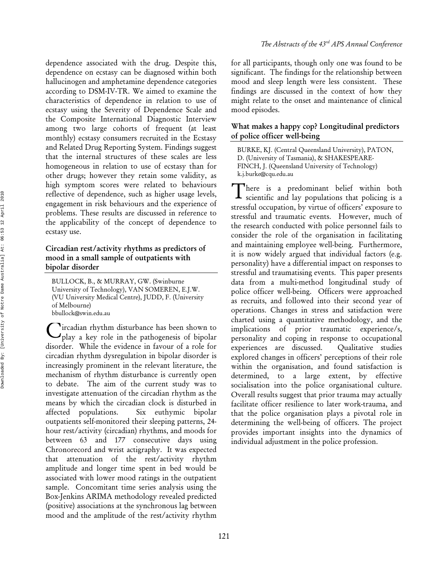dependence associated with the drug. Despite this, dependence on ecstasy can be diagnosed within both hallucinogen and amphetamine dependence categories according to DSM-IV-TR. We aimed to examine the characteristics of dependence in relation to use of ecstasy using the Severity of Dependence Scale and the Composite International Diagnostic Interview among two large cohorts of frequent (at least monthly) ecstasy consumers recruited in the Ecstasy and Related Drug Reporting System. Findings suggest that the internal structures of these scales are less homogeneous in relation to use of ecstasy than for other drugs; however they retain some validity, as high symptom scores were related to behaviours reflective of dependence, such as higher usage levels, engagement in risk behaviours and the experience of problems. These results are discussed in reference to the applicability of the concept of dependence to ecstasy use.

#### **Circadian rest/activity rhythms as predictors of mood in a small sample of outpatients with bipolar disorder**

BULLOCK, B., & MURRAY, GW. (Swinburne University of Technology), VAN SOMEREN, E.J.W. (VU University Medical Centre), JUDD, F. (University of Melbourne) bbullock@swin.edu.au

ircadian rhythm disturbance has been shown to  $C$ ircadian rhythm disturbance has been shown to play a key role in the pathogenesis of bipolar disorder. While the evidence in favour of a role for circadian rhythm dysregulation in bipolar disorder is increasingly prominent in the relevant literature, the mechanism of rhythm disturbance is currently open to debate. The aim of the current study was to investigate attenuation of the circadian rhythm as the means by which the circadian clock is disturbed in affected populations. Six euthymic bipolar outpatients self-monitored their sleeping patterns, 24 hour rest/activity (circadian) rhythms, and moods for between 63 and 177 consecutive days using Chronorecord and wrist actigraphy. It was expected that attenuation of the rest/activity rhythm amplitude and longer time spent in bed would be associated with lower mood ratings in the outpatient sample. Concomitant time series analysis using the Box-Jenkins ARIMA methodology revealed predicted (positive) associations at the synchronous lag between mood and the amplitude of the rest/activity rhythm

for all participants, though only one was found to be significant. The findings for the relationship between mood and sleep length were less consistent. These findings are discussed in the context of how they might relate to the onset and maintenance of clinical mood episodes.

#### **What makes a happy cop? Longitudinal predictors of police officer well-being**

BURKE, KJ. (Central Queensland University), PATON, D. (University of Tasmania), & SHAKESPEARE-FINCH, J. (Queensland University of Technology) k.j.burke@cqu.edu.au

There is a predominant belief within both scientific and lay populations that policing is a scientific and lay populations that policing is a stressful occupation, by virtue of officers' exposure to stressful and traumatic events. However, much of the research conducted with police personnel fails to consider the role of the organisation in facilitating and maintaining employee well-being. Furthermore, it is now widely argued that individual factors (e.g. personality) have a differential impact on responses to stressful and traumatising events. This paper presents data from a multi-method longitudinal study of police officer well-being. Officers were approached as recruits, and followed into their second year of operations. Changes in stress and satisfaction were charted using a quantitative methodology, and the implications of prior traumatic experience/s, personality and coping in response to occupational experiences are discussed. Qualitative studies explored changes in officers' perceptions of their role within the organisation, and found satisfaction is determined, to a large extent, by effective socialisation into the police organisational culture. Overall results suggest that prior trauma may actually facilitate officer resilience to later work-trauma, and that the police organisation plays a pivotal role in determining the well-being of officers. The project provides important insights into the dynamics of individual adjustment in the police profession.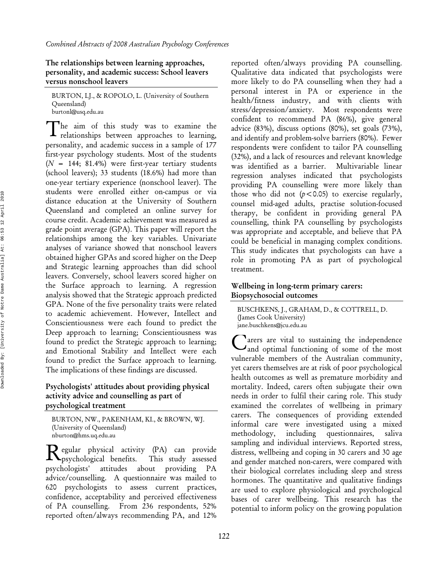#### **The relationships between learning approaches, personality, and academic success: School leavers versus nonschool leavers**

BURTON, LJ., & ROPOLO, L. (University of Southern Queensland) burtonl@usq.edu.au

he aim of this study was to examine the The aim of this study was to examine the relationships between approaches to learning, personality, and academic success in a sample of 177 first-year psychology students. Most of the students (*N* = 144; 81.4%) were first-year tertiary students (school leavers); 33 students (18.6%) had more than one-year tertiary experience (nonschool leaver). The students were enrolled either on-campus or via distance education at the University of Southern Queensland and completed an online survey for course credit. Academic achievement was measured as grade point average (GPA). This paper will report the relationships among the key variables. Univariate analyses of variance showed that nonschool leavers obtained higher GPAs and scored higher on the Deep and Strategic learning approaches than did school leavers. Conversely, school leavers scored higher on the Surface approach to learning. A regression analysis showed that the Strategic approach predicted GPA. None of the five personality traits were related to academic achievement. However, Intellect and Conscientiousness were each found to predict the Deep approach to learning; Conscientiousness was found to predict the Strategic approach to learning; and Emotional Stability and Intellect were each found to predict the Surface approach to learning. The implications of these findings are discussed.

#### **Psychologists' attitudes about providing physical activity advice and counselling as part of psychological treatment**

BURTON, NW., PAKENHAM, KI., & BROWN, WJ. (University of Queensland) nburton@hms.uq.edu.au

egular physical activity (PA) can provide Regular physical activity (PA) can provide<br>psychological benefits. This study assessed psychologists' attitudes about providing PA advice/counselling. A questionnaire was mailed to 620 psychologists to assess current practices, confidence, acceptability and perceived effectiveness of PA counselling. From 236 respondents, 52% reported often/always recommending PA, and 12%

reported often/always providing PA counselling. Qualitative data indicated that psychologists were more likely to do PA counselling when they had a personal interest in PA or experience in the health/fitness industry, and with clients with stress/depression/anxiety. Most respondents were confident to recommend PA (86%), give general advice (83%), discuss options (80%), set goals (73%), and identify and problem-solve barriers (80%). Fewer respondents were confident to tailor PA counselling (32%), and a lack of resources and relevant knowledge was identified as a barrier. Multivariable linear regression analyses indicated that psychologists providing PA counselling were more likely than those who did not  $(p<0.05)$  to exercise regularly, counsel mid-aged adults, practise solution-focused therapy, be confident in providing general PA counselling, think PA counselling by psychologists was appropriate and acceptable, and believe that PA could be beneficial in managing complex conditions. This study indicates that psychologists can have a role in promoting PA as part of psychological treatment.

#### **Wellbeing in long-term primary carers: Biopsychosocial outcomes**

BUSCHKENS, J., GRAHAM, D., & COTTRELL, D. (James Cook University) jane.buschkens@jcu.edu.au

arers are vital to sustaining the independence Carers are vital to sustaining the independence<br>Cand optimal functioning of some of the most vulnerable members of the Australian community, yet carers themselves are at risk of poor psychological health outcomes as well as premature morbidity and mortality. Indeed, carers often subjugate their own needs in order to fulfil their caring role. This study examined the correlates of wellbeing in primary carers. The consequences of providing extended informal care were investigated using a mixed methodology, including questionnaires, saliva sampling and individual interviews. Reported stress, distress, wellbeing and coping in 30 carers and 30 age and gender matched non-carers, were compared with their biological correlates including sleep and stress hormones. The quantitative and qualitative findings are used to explore physiological and psychological bases of carer wellbeing. This research has the potential to inform policy on the growing population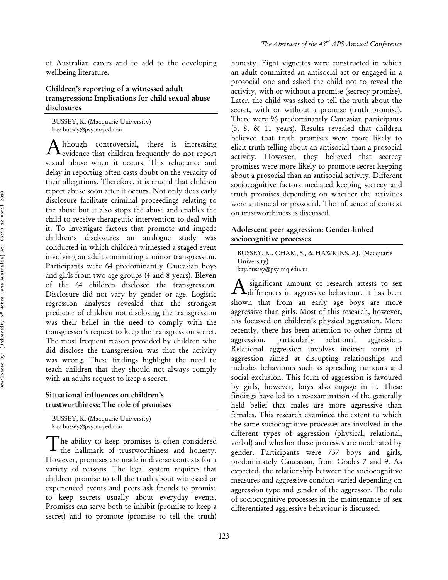of Australian carers and to add to the developing wellbeing literature.

#### **Children's reporting of a witnessed adult transgression: Implications for child sexual abuse disclosures**

BUSSEY, K. (Macquarie University) kay.bussey@psy.mq.edu.au

lthough controversial, there is increasing  $A$ lthough controversial, there is increasing evidence that children frequently do not report sexual abuse when it occurs. This reluctance and delay in reporting often casts doubt on the veracity of their allegations. Therefore, it is crucial that children report abuse soon after it occurs. Not only does early disclosure facilitate criminal proceedings relating to the abuse but it also stops the abuse and enables the child to receive therapeutic intervention to deal with it. To investigate factors that promote and impede children's disclosures an analogue study was conducted in which children witnessed a staged event involving an adult committing a minor transgression. Participants were 64 predominantly Caucasian boys and girls from two age groups (4 and 8 years). Eleven of the 64 children disclosed the transgression. Disclosure did not vary by gender or age. Logistic regression analyses revealed that the strongest predictor of children not disclosing the transgression was their belief in the need to comply with the transgressor's request to keep the transgression secret. The most frequent reason provided by children who did disclose the transgression was that the activity was wrong. These findings highlight the need to teach children that they should not always comply with an adults request to keep a secret.

#### **Situational influences on children's trustworthiness: The role of promises**

BUSSEY, K. (Macquarie University) kay.bussey@psy.mq.edu.au

he ability to keep promises is often considered The ability to keep promises is often considered<br>the hallmark of trustworthiness and honesty. However, promises are made in diverse contexts for a variety of reasons. The legal system requires that children promise to tell the truth about witnessed or experienced events and peers ask friends to promise to keep secrets usually about everyday events. Promises can serve both to inhibit (promise to keep a secret) and to promote (promise to tell the truth)

honesty. Eight vignettes were constructed in which an adult committed an antisocial act or engaged in a prosocial one and asked the child not to reveal the activity, with or without a promise (secrecy promise). Later, the child was asked to tell the truth about the secret, with or without a promise (truth promise). There were 96 predominantly Caucasian participants (5, 8, & 11 years). Results revealed that children believed that truth promises were more likely to elicit truth telling about an antisocial than a prosocial activity. However, they believed that secrecy promises were more likely to promote secret keeping about a prosocial than an antisocial activity. Different sociocognitive factors mediated keeping secrecy and truth promises depending on whether the activities were antisocial or prosocial. The influence of context on trustworthiness is discussed.

#### **Adolescent peer aggression: Gender-linked sociocognitive processes**

BUSSEY, K., CHAM, S., & HAWKINS, AJ. (Macquarie University)

kay.bussey@psy.mq.edu.au

 significant amount of research attests to sex differences in aggressive behaviour. It has been shown that from an early age boys are more aggressive than girls. Most of this research, however, has focussed on children's physical aggression. More recently, there has been attention to other forms of aggression, particularly relational aggression. Relational aggression involves indirect forms of aggression aimed at disrupting relationships and includes behaviours such as spreading rumours and social exclusion. This form of aggression is favoured by girls, however, boys also engage in it. These findings have led to a re-examination of the generally held belief that males are more aggressive than females. This research examined the extent to which the same sociocognitive processes are involved in the different types of aggression (physical, relational, verbal) and whether these processes are moderated by gender. Participants were 737 boys and girls, predominately Caucasian, from Grades 7 and 9. As expected, the relationship between the sociocognitive measures and aggressive conduct varied depending on aggression type and gender of the aggressor. The role of sociocognitive processes in the maintenance of sex differentiated aggressive behaviour is discussed. A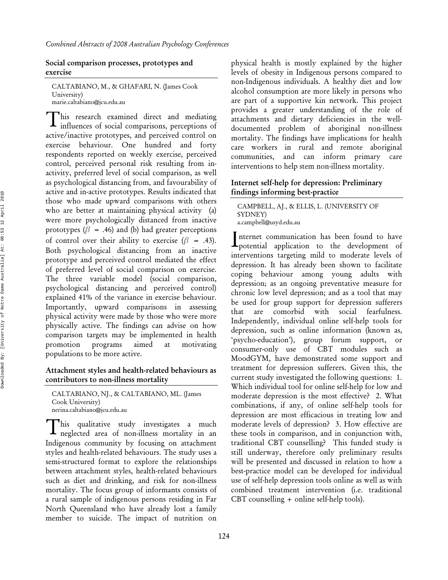#### **Social comparison processes, prototypes and exercise**

CALTABIANO, M., & GHAFARI, N. (James Cook University) marie.caltabiano@jcu.edu.au

his research examined direct and mediating influences of social comparisons, perceptions of active/inactive prototypes, and perceived control on exercise behaviour. One hundred and forty respondents reported on weekly exercise, perceived control, perceived personal risk resulting from inactivity, preferred level of social comparison, as well as psychological distancing from, and favourability of active and in-active prototypes. Results indicated that those who made upward comparisons with others who are better at maintaining physical activity (a) were more psychologically distanced from inactive prototypes ( $\beta$  = .46) and (b) had greater perceptions of control over their ability to exercise ( $\beta$  = .43). Both psychological distancing from an inactive prototype and perceived control mediated the effect of preferred level of social comparison on exercise. The three variable model (social comparison, psychological distancing and perceived control) explained 41% of the variance in exercise behaviour. Importantly, upward comparisons in assessing physical activity were made by those who were more physically active. The findings can advise on how comparison targets may be implemented in health promotion programs aimed at motivating populations to be more active. T

#### **Attachment styles and health-related behaviours as contributors to non-illness mortality**

CALTABIANO, NJ., & CALTABIANO, ML. (James Cook University) nerina.caltabiano@jcu.edu.au

his qualitative study investigates a much This qualitative study investigates a much neglected area of non-illness mortality in an Indigenous community by focusing on attachment styles and health-related behaviours. The study uses a semi-structured format to explore the relationships between attachment styles, health-related behaviours such as diet and drinking, and risk for non-illness mortality. The focus group of informants consists of a rural sample of indigenous persons residing in Far North Queensland who have already lost a family member to suicide. The impact of nutrition on

physical health is mostly explained by the higher levels of obesity in Indigenous persons compared to non-Indigenous individuals. A healthy diet and low alcohol consumption are more likely in persons who are part of a supportive kin network. This project provides a greater understanding of the role of attachments and dietary deficiencies in the welldocumented problem of aboriginal non-illness mortality. The findings have implications for health care workers in rural and remote aboriginal communities, and can inform primary care interventions to help stem non-illness mortality.

#### **Internet self-help for depression: Preliminary findings informing best-practice**

CAMPBELL, AJ., & ELLIS, L. (UNIVERSITY OF SYDNEY) a.campbell@usyd.edu.au

nternet communication has been found to have Internet communication has been found to have<br>potential application to the development of interventions targeting mild to moderate levels of depression. It has already been shown to facilitate coping behaviour among young adults with depression; as an ongoing preventative measure for chronic low level depression; and as a tool that may be used for group support for depression sufferers that are comorbid with social fearfulness. Independently, individual online self-help tools for depression, such as online information (known as, 'psycho-education'), group forum support, or consumer-only use of CBT modules such as MoodGYM, have demonstrated some support and treatment for depression sufferers. Given this, the current study investigated the following questions: 1. Which individual tool for online self-help for low and moderate depression is the most effective? 2. What combinations, if any, of online self-help tools for depression are most efficacious in treating low and moderate levels of depression? 3. How effective are these tools in comparison, and in conjunction with, traditional CBT counselling? This funded study is still underway, therefore only preliminary results will be presented and discussed in relation to how a best-practice model can be developed for individual use of self-help depression tools online as well as with combined treatment intervention (i.e. traditional CBT counselling + online self-help tools).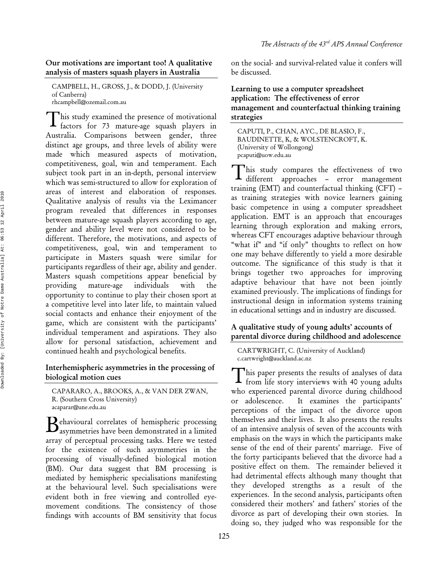#### **Our motivations are important too! A qualitative analysis of masters squash players in Australia**

CAMPBELL, H., GROSS, J., & DODD, J. (University of Canberra) rhcampbell@ozemail.com.au

his study examined the presence of motivational factors for 73 mature-age squash players in Australia. Comparisons between gender, three distinct age groups, and three levels of ability were made which measured aspects of motivation, competitiveness, goal, win and temperament. Each subject took part in an in-depth, personal interview which was semi-structured to allow for exploration of areas of interest and elaboration of responses. Qualitative analysis of results via the Leximancer program revealed that differences in responses between mature-age squash players according to age, gender and ability level were not considered to be different. Therefore, the motivations, and aspects of competitiveness, goal, win and temperament to participate in Masters squash were similar for participants regardless of their age, ability and gender. Masters squash competitions appear beneficial by providing mature-age individuals with the opportunity to continue to play their chosen sport at a competitive level into later life, to maintain valued social contacts and enhance their enjoyment of the game, which are consistent with the participants' individual temperament and aspirations. They also allow for personal satisfaction, achievement and continued health and psychological benefits. T

#### **Interhemispheric asymmetries in the processing of biological motion cues**

CAPARARO, A., BROOKS, A., & VAN DER ZWAN, R. (Southern Cross University) acaparar@une.edu.au

ehavioural correlates of hemispheric processing  $\mathbf{B}$ ehavioural correlates of hemispheric processing<br>asymmetries have been demonstrated in a limited array of perceptual processing tasks. Here we tested for the existence of such asymmetries in the processing of visually-defined biological motion (BM). Our data suggest that BM processing is mediated by hemispheric specialisations manifesting at the behavioural level. Such specialisations were evident both in free viewing and controlled eyemovement conditions. The consistency of those findings with accounts of BM sensitivity that focus

on the social- and survival-related value it confers will be discussed.

#### **Learning to use a computer spreadsheet application: The effectiveness of error management and counterfactual thinking training strategies**

| CAPUTI, P., CHAN, AYC., DE BLASIO, F., |
|----------------------------------------|
| BAUDINETTE, K, & WOLSTENCROFT, K.      |
| (University of Wollongong)             |
| pcaputi@uow.edu.au                     |

his study compares the effectiveness of two This study compares the effectiveness of two different approaches - error management training (EMT) and counterfactual thinking (CFT) – as training strategies with novice learners gaining basic competence in using a computer spreadsheet application. EMT is an approach that encourages learning through exploration and making errors, whereas CFT encourages adaptive behaviour through "what if" and "if only" thoughts to reflect on how one may behave differently to yield a more desirable outcome. The significance of this study is that it brings together two approaches for improving adaptive behaviour that have not been jointly examined previously. The implications of findings for instructional design in information systems training in educational settings and in industry are discussed.

#### **A qualitative study of young adults' accounts of parental divorce during childhood and adolescence**

CARTWRIGHT, C. (University of Auckland) c.cartwright@auckland.ac.nz

his paper presents the results of analyses of data This paper presents the results of analyses of data<br>from life story interviews with 40 young adults who experienced parental divorce during childhood or adolescence. It examines the participants' perceptions of the impact of the divorce upon themselves and their lives. It also presents the results of an intensive analysis of seven of the accounts with emphasis on the ways in which the participants make sense of the end of their parents' marriage. Five of the forty participants believed that the divorce had a positive effect on them. The remainder believed it had detrimental effects although many thought that they developed strengths as a result of the experiences. In the second analysis, participants often considered their mothers' and fathers' stories of the divorce as part of developing their own stories. In doing so, they judged who was responsible for the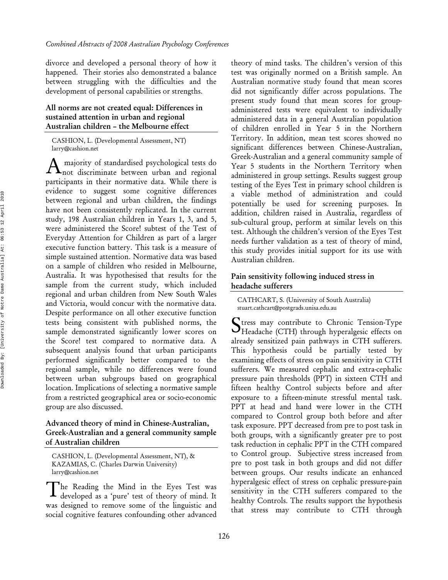divorce and developed a personal theory of how it happened. Their stories also demonstrated a balance between struggling with the difficulties and the development of personal capabilities or strengths.

#### **All norms are not created equal: Differences in sustained attention in urban and regional Australian children – the Melbourne effect**

CASHION, L. (Developmental Assessment, NT) larry@cashion.net

 majority of standardised psychological tests do  $\mathrm{A}_{\mathrm{not}}$  majority of standardised psychological tests do  $_{\mathrm{not}}$ participants in their normative data. While there is evidence to suggest some cognitive differences between regional and urban children, the findings have not been consistently replicated. In the current study, 198 Australian children in Years 1, 3, and 5, were administered the Score! subtest of the Test of Everyday Attention for Children as part of a larger executive function battery. This task is a measure of simple sustained attention. Normative data was based on a sample of children who resided in Melbourne, Australia. It was hypothesised that results for the sample from the current study, which included regional and urban children from New South Wales and Victoria, would concur with the normative data. Despite performance on all other executive function tests being consistent with published norms, the sample demonstrated significantly lower scores on the Score! test compared to normative data. A subsequent analysis found that urban participants performed significantly better compared to the regional sample, while no differences were found between urban subgroups based on geographical location. Implications of selecting a normative sample from a restricted geographical area or socio-economic group are also discussed.

#### **Advanced theory of mind in Chinese-Australian, Greek-Australian and a general community sample of Australian children**

he Reading the Mind in the Eyes Test was The Reading the Mind in the Eyes Test was<br>developed as a 'pure' test of theory of mind. It was designed to remove some of the linguistic and social cognitive features confounding other advanced

theory of mind tasks. The children's version of this test was originally normed on a British sample. An Australian normative study found that mean scores did not significantly differ across populations. The present study found that mean scores for groupadministered tests were equivalent to individually administered data in a general Australian population of children enrolled in Year 5 in the Northern Territory. In addition, mean test scores showed no significant differences between Chinese-Australian, Greek-Australian and a general community sample of Year 5 students in the Northern Territory when administered in group settings. Results suggest group testing of the Eyes Test in primary school children is a viable method of administration and could potentially be used for screening purposes. In addition, children raised in Australia, regardless of sub-cultural group, perform at similar levels on this test. Although the children's version of the Eyes Test needs further validation as a test of theory of mind, this study provides initial support for its use with Australian children.

#### **Pain sensitivity following induced stress in headache sufferers**

CATHCART, S. (University of South Australia) stuart.cathcart@postgrads.unisa.edu.au

Stress may contribute to Chronic Tension-Type<br>Headache (CTH) through hyperalgesic effects on Headache (CTH) through hyperalgesic effects on already sensitized pain pathways in CTH sufferers. This hypothesis could be partially tested by examining effects of stress on pain sensitivity in CTH sufferers. We measured cephalic and extra-cephalic pressure pain thresholds (PPT) in sixteen CTH and fifteen healthy Control subjects before and after exposure to a fifteen-minute stressful mental task. PPT at head and hand were lower in the CTH compared to Control group both before and after task exposure. PPT decreased from pre to post task in both groups, with a significantly greater pre to post task reduction in cephalic PPT in the CTH compared to Control group. Subjective stress increased from pre to post task in both groups and did not differ between groups. Our results indicate an enhanced hyperalgesic effect of stress on cephalic pressure-pain sensitivity in the CTH sufferers compared to the healthy Controls. The results support the hypothesis that stress may contribute to CTH through

CASHION, L. (Developmental Assessment, NT), & KAZAMIAS, C. (Charles Darwin University) larry@cashion.net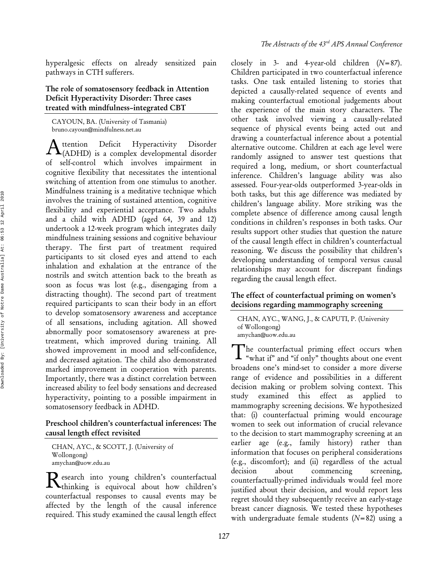hyperalgesic effects on already sensitized pain pathways in CTH sufferers.

#### **The role of somatosensory feedback in Attention Deficit Hyperactivity Disorder: Three cases treated with mindfulness–integrated CBT**

CAYOUN, BA. (University of Tasmania) bruno.cayoun@mindfulness.net.au

ttention Deficit Hyperactivity Disorder Attention Deficit Hyperactivity Disorder<br>(ADHD) is a complex developmental disorder of self-control which involves impairment in cognitive flexibility that necessitates the intentional switching of attention from one stimulus to another. Mindfulness training is a meditative technique which involves the training of sustained attention, cognitive flexibility and experiential acceptance. Two adults and a child with ADHD (aged 64, 39 and 12) undertook a 12-week program which integrates daily mindfulness training sessions and cognitive behaviour therapy. The first part of treatment required participants to sit closed eyes and attend to each inhalation and exhalation at the entrance of the nostrils and switch attention back to the breath as soon as focus was lost (e.g., disengaging from a distracting thought). The second part of treatment required participants to scan their body in an effort to develop somatosensory awareness and acceptance of all sensations, including agitation. All showed abnormally poor somatosensory awareness at pretreatment, which improved during training. All showed improvement in mood and self-confidence, and decreased agitation. The child also demonstrated marked improvement in cooperation with parents. Importantly, there was a distinct correlation between increased ability to feel body sensations and decreased hyperactivity, pointing to a possible impairment in somatosensory feedback in ADHD.

#### **Preschool children's counterfactual inferences: The causal length effect revisited**

CHAN, AYC., & SCOTT, J. (University of Wollongong) amychan@uow.edu.au

 $\mathbf \Theta$  esearch into young children's counterfactual Research into young children's counterfactual<br>thinking is equivocal about how children's counterfactual responses to causal events may be affected by the length of the causal inference required. This study examined the causal length effect

closely in 3- and 4-year-old children (*N*=87). Children participated in two counterfactual inference tasks. One task entailed listening to stories that depicted a causally-related sequence of events and making counterfactual emotional judgements about the experience of the main story characters. The other task involved viewing a causally-related sequence of physical events being acted out and drawing a counterfactual inference about a potential alternative outcome. Children at each age level were randomly assigned to answer test questions that required a long, medium, or short counterfactual inference. Children's language ability was also assessed. Four-year-olds outperformed 3-year-olds in both tasks, but this age difference was mediated by children's language ability. More striking was the complete absence of difference among causal length conditions in children's responses in both tasks. Our results support other studies that question the nature of the causal length effect in children's counterfactual reasoning. We discuss the possibility that children's developing understanding of temporal versus causal relationships may account for discrepant findings regarding the causal length effect.

#### **The effect of counterfactual priming on women's decisions regarding mammography screening**

CHAN, AYC., WANG, J., & CAPUTI, P. (University of Wollongong) amychan@uow.edu.au

he counterfactual priming effect occurs when The counterfactual priming effect occurs when<br>"what if" and "if only" thoughts about one event broadens one's mind-set to consider a more diverse range of evidence and possibilities in a different decision making or problem solving context. This study examined this effect as applied to mammography screening decisions. We hypothesized that: (i) counterfactual priming would encourage women to seek out information of crucial relevance to the decision to start mammography screening at an earlier age (e.g., family history) rather than information that focuses on peripheral considerations (e.g., discomfort); and (ii) regardless of the actual decision about commencing screening, counterfactually-primed individuals would feel more justified about their decision, and would report less regret should they subsequently receive an early-stage breast cancer diagnosis. We tested these hypotheses with undergraduate female students (*N*=82) using a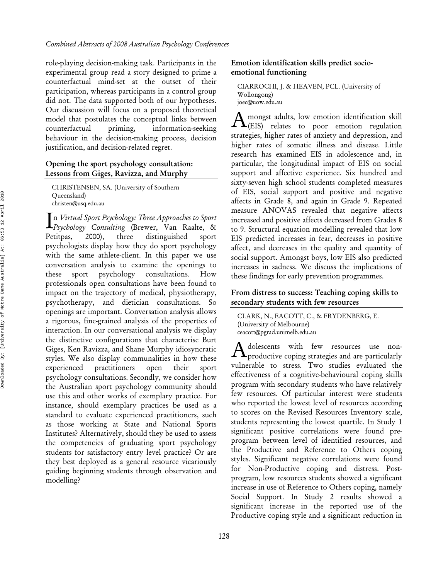role-playing decision-making task. Participants in the experimental group read a story designed to prime a counterfactual mind-set at the outset of their participation, whereas participants in a control group did not. The data supported both of our hypotheses. Our discussion will focus on a proposed theoretical model that postulates the conceptual links between counterfactual priming, information-seeking behaviour in the decision-making process, decision justification, and decision-related regret.

#### **Opening the sport psychology consultation: Lessons from Giges, Ravizza, and Murphy**

CHRISTENSEN, SA. (University of Southern Queensland) christen@usq.edu.au

n *Virtual Sport Psychology: Three Approaches to Sport Psychology Consulting* (Brewer, Van Raalte, & I Petitpas, 2000), three distinguished sport psychologists display how they do sport psychology with the same athlete-client. In this paper we use conversation analysis to examine the openings to these sport psychology consultations. How professionals open consultations have been found to impact on the trajectory of medical, physiotherapy, psychotherapy, and dietician consultations. So openings are important. Conversation analysis allows a rigorous, fine-grained analysis of the properties of interaction. In our conversational analysis we display the distinctive configurations that characterise Burt Giges, Ken Ravizza, and Shane Murphy idiosyncratic styles. We also display communalities in how these experienced practitioners open their sport psychology consultations. Secondly, we consider how the Australian sport psychology community should use this and other works of exemplary practice. For instance, should exemplary practices be used as a standard to evaluate experienced practitioners, such as those working at State and National Sports Institutes? Alternatively, should they be used to assess the competencies of graduating sport psychology students for satisfactory entry level practice? Or are they best deployed as a general resource vicariously guiding beginning students through observation and modelling?

#### **Emotion identification skills predict socioemotional functioning**

CIARROCHI, J. & HEAVEN, PCL. (University of Wollongong) joec@uow.edu.au

mongst adults, low emotion identification skill  ${\bf A}^{\rm mongst \; adults, \; low \; emotion \; identification \; skill} _{\rm (EIS) \;\; relates \;\; to \;\; poor \;\; emotion \;\; regulation}$ strategies, higher rates of anxiety and depression, and higher rates of somatic illness and disease. Little research has examined EIS in adolescence and, in particular, the longitudinal impact of EIS on social support and affective experience. Six hundred and sixty-seven high school students completed measures of EIS, social support and positive and negative affects in Grade 8, and again in Grade 9. Repeated measure ANOVAS revealed that negative affects increased and positive affects decreased from Grades 8 to 9. Structural equation modelling revealed that low EIS predicted increases in fear, decreases in positive affect, and decreases in the quality and quantity of social support. Amongst boys, low EIS also predicted increases in sadness. We discuss the implications of these findings for early prevention programmes.

#### **From distress to success: Teaching coping skills to secondary students with few resources**

CLARK, N., EACOTT, C., & FRYDENBERG, E. (University of Melbourne) ceacott@pgrad.unimelb.edu.au

dolescents with few resources use non-A dolescents with few resources use non-<br>productive coping strategies and are particularly vulnerable to stress. Two studies evaluated the effectiveness of a cognitive-behavioural coping skills program with secondary students who have relatively few resources. Of particular interest were students who reported the lowest level of resources according to scores on the Revised Resources Inventory scale, students representing the lowest quartile. In Study 1 significant positive correlations were found preprogram between level of identified resources, and the Productive and Reference to Others coping styles. Significant negative correlations were found for Non-Productive coping and distress. Postprogram, low resources students showed a significant increase in use of Reference to Others coping, namely Social Support. In Study 2 results showed a significant increase in the reported use of the Productive coping style and a significant reduction in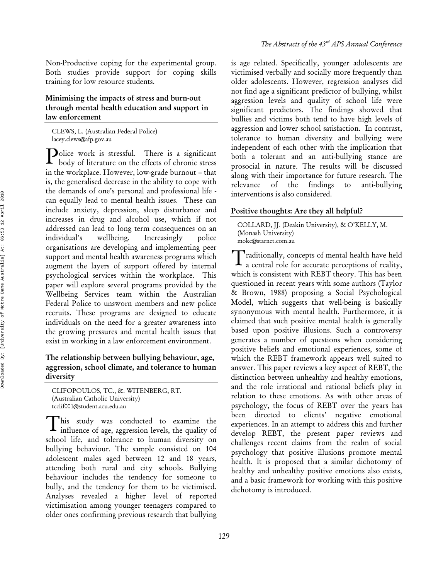Downloaded By:

Non-Productive coping for the experimental group. Both studies provide support for coping skills training for low resource students.

#### **Minimising the impacts of stress and burn-out through mental health education and support in law enforcement**

CLEWS, L. (Australian Federal Police) lacey.clews@afp.gov.au

Dolice work is stressful. There is a significant **P**olice work is stressful. There is a significant body of literature on the effects of chronic stress in the workplace. However, low-grade burnout – that is, the generalised decrease in the ability to cope with the demands of one's personal and professional life can equally lead to mental health issues. These can include anxiety, depression, sleep disturbance and increases in drug and alcohol use, which if not addressed can lead to long term consequences on an individual's wellbeing. Increasingly police organisations are developing and implementing peer support and mental health awareness programs which augment the layers of support offered by internal psychological services within the workplace. This paper will explore several programs provided by the Wellbeing Services team within the Australian Federal Police to unsworn members and new police recruits. These programs are designed to educate individuals on the need for a greater awareness into the growing pressures and mental health issues that exist in working in a law enforcement environment.

#### **The relationship between bullying behaviour, age, aggression, school climate, and tolerance to human diversity**

CLIFOPOULOS, TC., &. WITENBERG, RT. (Australian Catholic University) tcclif001@student.acu.edu.au

his study was conducted to examine the influence of age, aggression levels, the quality of school life, and tolerance to human diversity on bullying behaviour. The sample consisted on 104 adolescent males aged between 12 and 18 years, attending both rural and city schools. Bullying behaviour includes the tendency for someone to bully, and the tendency for them to be victimised. Analyses revealed a higher level of reported victimisation among younger teenagers compared to older ones confirming previous research that bullying  $\mathbf{I}$ 

is age related. Specifically, younger adolescents are victimised verbally and socially more frequently than older adolescents. However, regression analyses did not find age a significant predictor of bullying, whilst aggression levels and quality of school life were significant predictors. The findings showed that bullies and victims both tend to have high levels of aggression and lower school satisfaction. In contrast, tolerance to human diversity and bullying were independent of each other with the implication that both a tolerant and an anti-bullying stance are prosocial in nature. The results will be discussed along with their importance for future research. The relevance of the findings to anti-bullying interventions is also considered.

#### **Positive thoughts: Are they all helpful?**

COLLARD, JJ. (Deakin University), & O'KELLY, M. (Monash University) mokc@starnet.com.au

raditionally, concepts of mental health have held Traditionally, concepts of mental health have held<br>a central role for accurate perceptions of reality, which is consistent with REBT theory. This has been questioned in recent years with some authors (Taylor & Brown, 1988) proposing a Social Psychological Model, which suggests that well-being is basically synonymous with mental health. Furthermore, it is claimed that such positive mental health is generally based upon positive illusions. Such a controversy generates a number of questions when considering positive beliefs and emotional experiences, some of which the REBT framework appears well suited to answer. This paper reviews a key aspect of REBT, the distinction between unhealthy and healthy emotions, and the role irrational and rational beliefs play in relation to these emotions. As with other areas of psychology, the focus of REBT over the years has been directed to clients' negative emotional experiences. In an attempt to address this and further develop REBT, the present paper reviews and challenges recent claims from the realm of social psychology that positive illusions promote mental health. It is proposed that a similar dichotomy of healthy and unhealthy positive emotions also exists, and a basic framework for working with this positive dichotomy is introduced.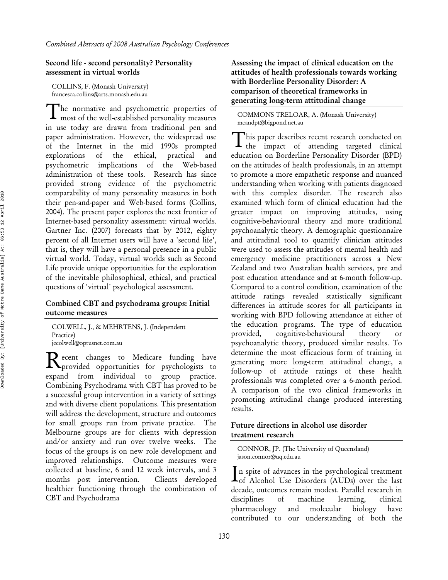#### **Second life - second personality? Personality assessment in virtual worlds**

COLLINS, F. (Monash University) francesca.collins@arts.monash.edu.au

The normative and psychometric properties of most of the well-established personality measures in use today are drawn from traditional pen and paper administration. However, the widespread use of the Internet in the mid 1990s prompted explorations of the ethical, practical and psychometric implications of the Web-based administration of these tools. Research has since provided strong evidence of the psychometric comparability of many personality measures in both their pen-and-paper and Web-based forms (Collins, 2004). The present paper explores the next frontier of Internet-based personality assessment: virtual worlds. Gartner Inc. (2007) forecasts that by 2012, eighty percent of all Internet users will have a 'second life', that is, they will have a personal presence in a public virtual world. Today, virtual worlds such as Second Life provide unique opportunities for the exploration of the inevitable philosophical, ethical, and practical questions of 'virtual' psychological assessment. T

#### **Combined CBT and psychodrama groups: Initial outcome measures**

COLWELL, J., & MEHRTENS, J. (Independent Practice) jecolwell@optusnet.com.au

ecent changes to Medicare funding have  $\mathbf R$  ecent changes to Medicare funding have provided opportunities for psychologists to expand from individual to group practice. Combining Psychodrama with CBT has proved to be a successful group intervention in a variety of settings and with diverse client populations. This presentation will address the development, structure and outcomes for small groups run from private practice. The Melbourne groups are for clients with depression and/or anxiety and run over twelve weeks. The focus of the groups is on new role development and improved relationships. Outcome measures were collected at baseline, 6 and 12 week intervals, and 3 months post intervention. Clients developed healthier functioning through the combination of CBT and Psychodrama

**Assessing the impact of clinical education on the attitudes of health professionals towards working with Borderline Personality Disorder: A comparison of theoretical frameworks in generating long-term attitudinal change** 

COMMONS TRELOAR, A. (Monash University) mcandpt@bigpond.net.au

his paper describes recent research conducted on This paper describes recent research conducted on<br>the impact of attending targeted clinical education on Borderline Personality Disorder (BPD) on the attitudes of health professionals, in an attempt to promote a more empathetic response and nuanced understanding when working with patients diagnosed with this complex disorder. The research also examined which form of clinical education had the greater impact on improving attitudes, using cognitive-behavioural theory and more traditional psychoanalytic theory. A demographic questionnaire and attitudinal tool to quantify clinician attitudes were used to assess the attitudes of mental health and emergency medicine practitioners across a New Zealand and two Australian health services, pre and post education attendance and at 6-month follow-up. Compared to a control condition, examination of the attitude ratings revealed statistically significant differences in attitude scores for all participants in working with BPD following attendance at either of the education programs. The type of education provided, cognitive-behavioural theory or psychoanalytic theory, produced similar results. To determine the most efficacious form of training in generating more long-term attitudinal change, a follow-up of attitude ratings of these health professionals was completed over a 6-month period. A comparison of the two clinical frameworks in promoting attitudinal change produced interesting results.

#### **Future directions in alcohol use disorder treatment research**

CONNOR, JP. (The University of Queensland) jason.connor@uq.edu.au

n spite of advances in the psychological treatment In spite of advances in the psychological treatment<br>of Alcohol Use Disorders (AUDs) over the last decade, outcomes remain modest. Parallel research in disciplines of machine learning, clinical pharmacology and molecular biology have contributed to our understanding of both the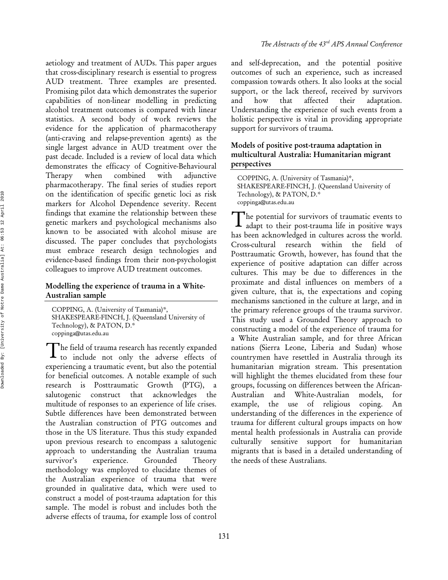aetiology and treatment of AUDs. This paper argues that cross-disciplinary research is essential to progress AUD treatment. Three examples are presented. Promising pilot data which demonstrates the superior capabilities of non-linear modelling in predicting alcohol treatment outcomes is compared with linear statistics. A second body of work reviews the evidence for the application of pharmacotherapy (anti-craving and relapse-prevention agents) as the single largest advance in AUD treatment over the past decade. Included is a review of local data which demonstrates the efficacy of Cognitive-Behavioural Therapy when combined with adjunctive pharmacotherapy. The final series of studies report on the identification of specific genetic loci as risk markers for Alcohol Dependence severity. Recent findings that examine the relationship between these genetic markers and psychological mechanisms also known to be associated with alcohol misuse are discussed. The paper concludes that psychologists must embrace research design technologies and evidence-based findings from their non-psychologist colleagues to improve AUD treatment outcomes.

#### **Modelling the experience of trauma in a White-Australian sample**

COPPING, A. (University of Tasmania)\*, SHAKESPEARE-FINCH, J. (Queensland University of Technology), & PATON, D.\* coppinga@utas.edu.au

he field of trauma research has recently expanded The field of trauma research has recently expanded<br>to include not only the adverse effects of experiencing a traumatic event, but also the potential for beneficial outcomes. A notable example of such research is Posttraumatic Growth (PTG), a salutogenic construct that acknowledges the multitude of responses to an experience of life crises. Subtle differences have been demonstrated between the Australian construction of PTG outcomes and those in the US literature. Thus this study expanded upon previous research to encompass a salutogenic approach to understanding the Australian trauma survivor's experience. Grounded Theory methodology was employed to elucidate themes of the Australian experience of trauma that were grounded in qualitative data, which were used to construct a model of post-trauma adaptation for this sample. The model is robust and includes both the adverse effects of trauma, for example loss of control

and self-deprecation, and the potential positive outcomes of such an experience, such as increased compassion towards others. It also looks at the social support, or the lack thereof, received by survivors and how that affected their adaptation. Understanding the experience of such events from a holistic perspective is vital in providing appropriate support for survivors of trauma.

#### **Models of positive post-trauma adaptation in multicultural Australia: Humanitarian migrant perspectives**

COPPING, A. (University of Tasmania)\*, SHAKESPEARE-FINCH, J. (Queensland University of Technology), & PATON, D.\* coppinga@utas.edu.au

The potential for survivors of traumatic events to adapt to their post-trauma life in positive ways **1** adapt to their post-trauma life in positive ways has been acknowledged in cultures across the world. Cross-cultural research within the field Posttraumatic Growth, however, has found that the experience of positive adaptation can differ across cultures. This may be due to differences in the proximate and distal influences on members of a given culture, that is, the expectations and coping mechanisms sanctioned in the culture at large, and in the primary reference groups of the trauma survivor. This study used a Grounded Theory approach to constructing a model of the experience of trauma for a White Australian sample, and for three African nations (Sierra Leone, Liberia and Sudan) whose countrymen have resettled in Australia through its humanitarian migration stream. This presentation will highlight the themes elucidated from these four groups, focussing on differences between the African-Australian and White-Australian models, for example, the use of religious coping. An understanding of the differences in the experience of trauma for different cultural groups impacts on how mental health professionals in Australia can provide culturally sensitive support for humanitarian migrants that is based in a detailed understanding of the needs of these Australians.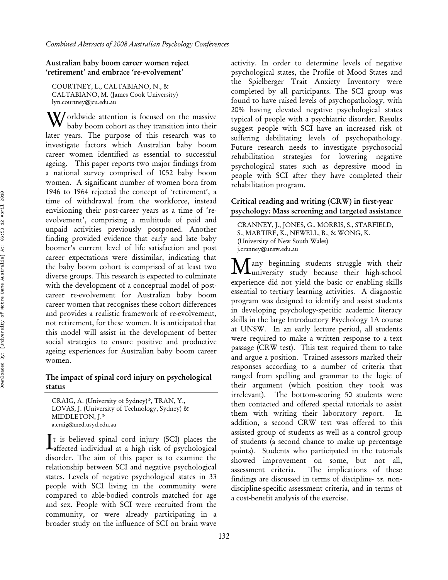#### **Australian baby boom career women reject 'retirement' and embrace 're-evolvement'**

COURTNEY, L., CALTABIANO, N., & CALTABIANO, M. (James Cook University) lyn.courtney@jcu.edu.au

Worldwide attention is focused on the massive<br>baby boom cohort as they transition into their baby boom cohort as they transition into their later years. The purpose of this research was to investigate factors which Australian baby boom career women identified as essential to successful ageing. This paper reports two major findings from a national survey comprised of 1052 baby boom women. A significant number of women born from 1946 to 1964 rejected the concept of 'retirement', a time of withdrawal from the workforce, instead envisioning their post-career years as a time of 'reevolvement', comprising a multitude of paid and unpaid activities previously postponed. Another finding provided evidence that early and late baby boomer's current level of life satisfaction and post career expectations were dissimilar, indicating that the baby boom cohort is comprised of at least two diverse groups. This research is expected to culminate with the development of a conceptual model of postcareer re-evolvement for Australian baby boom career women that recognises these cohort differences and provides a realistic framework of re-evolvement, not retirement, for these women. It is anticipated that this model will assist in the development of better social strategies to ensure positive and productive ageing experiences for Australian baby boom career women.

#### **The impact of spinal cord injury on psychological status**

CRAIG, A. (University of Sydney)\*, TRAN, Y., LOVAS, J. (University of Technology, Sydney) & MIDDLETON, J.\* a.craig@med.usyd.edu.au

t is believed spinal cord injury (SCI) places the It is believed spinal cord injury (SCI) places the affected individual at a high risk of psychological disorder. The aim of this paper is to examine the relationship between SCI and negative psychological states. Levels of negative psychological states in 33 people with SCI living in the community were compared to able-bodied controls matched for age and sex. People with SCI were recruited from the community, or were already participating in a broader study on the influence of SCI on brain wave

activity. In order to determine levels of negative psychological states, the Profile of Mood States and the Spielberger Trait Anxiety Inventory were completed by all participants. The SCI group was found to have raised levels of psychopathology, with 20% having elevated negative psychological states typical of people with a psychiatric disorder. Results suggest people with SCI have an increased risk of suffering debilitating levels of psychopathology. Future research needs to investigate psychosocial rehabilitation strategies for lowering negative psychological states such as depressive mood in people with SCI after they have completed their rehabilitation program.

#### **Critical reading and writing (CRW) in first-year psychology: Mass screening and targeted assistance**

CRANNEY, J., JONES, G., MORRIS, S., STARFIELD, S., MARTIRE, K., NEWELL, B., & WONG, K. (University of New South Wales) j.cranney@unsw.edu.au

any beginning students struggle with their Many beginning students struggle with their<br>university study because their high-school experience did not yield the basic or enabling skills essential to tertiary learning activities. A diagnostic program was designed to identify and assist students in developing psychology-specific academic literacy skills in the large Introductory Psychology 1A course at UNSW. In an early lecture period, all students were required to make a written response to a text passage (CRW test). This test required them to take and argue a position. Trained assessors marked their responses according to a number of criteria that ranged from spelling and grammar to the logic of their argument (which position they took was irrelevant). The bottom-scoring 50 students were then contacted and offered special tutorials to assist them with writing their laboratory report. In addition, a second CRW test was offered to this assisted group of students as well as a control group of students (a second chance to make up percentage points). Students who participated in the tutorials showed improvement on some, but not all, assessment criteria. The implications of these findings are discussed in terms of discipline- *vs.* nondiscipline-specific assessment criteria, and in terms of a cost-benefit analysis of the exercise.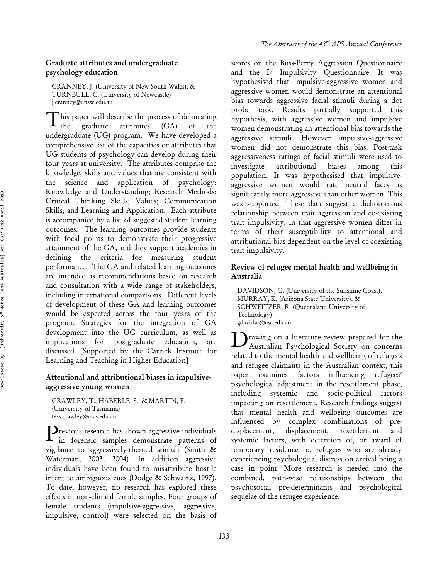CRANNEY, J. (University of New South Wales), & TURNBULL, C. (University of Newcastle) j.cranney@unsw.edu.au

his paper will describe the process of delineating the graduate attributes (GA) of the undergraduate (UG) program. We have developed a comprehensive list of the capacities or attributes that UG students of psychology can develop during their four years at university. The attributes comprise the knowledge, skills and values that are consistent with the science and application of psychology: Knowledge and Understanding; Research Methods; Critical Thinking Skills; Values; Communication Skills; and Learning and Application. Each attribute is accompanied by a list of suggested student learning outcomes. The learning outcomes provide students with focal points to demonstrate their progressive attainment of the GA, and they support academics in defining the criteria for measuring student performance. The GA and related learning outcomes are intended as recommendations based on research and consultation with a wide range of stakeholders, including international comparisons. Different levels of development of these GA and learning outcomes would be expected across the four years of the program. Strategies for the integration of GA development into the UG curriculum, as well as implications for postgraduate education, are discussed. [Supported by the Carrick Institute for Learning and Teaching in Higher Education] T

#### **Attentional and attributional biases in impulsiveaggressive young women**

CRAWLEY, T., HABERLE, S., & MARTIN, F. (University of Tasmania) tess.crawley@utas.edu.au

**D** revious research has shown aggressive individuals Previous research has shown aggressive individuals<br>in forensic samples demonstrate patterns of vigilance to aggressively-themed stimuli (Smith & Waterman, 2003; 2004). In addition aggressive individuals have been found to misattribute hostile intent to ambiguous cues (Dodge & Schwartz, 1997). To date, however, no research has explored these effects in non-clinical female samples. Four groups of female students (impulsive-aggressive, aggressive, impulsive, control) were selected on the basis of

scores on the Buss-Perry Aggression Questionnaire and the I7 Impulsivity Questionnaire. It was hypothesised that impulsive-aggressive women and aggressive women would demonstrate an attentional bias towards aggressive facial stimuli during a dot probe task. Results partially supported this hypothesis, with aggressive women and impulsive women demonstrating an attentional bias towards the aggressive stimuli. However impulsive-aggressive women did not demonstrate this bias. Post-task aggressiveness ratings of facial stimuli were used to investigate attributional biases among this population. It was hypothesised that impulsiveaggressive women would rate neutral faces as significantly more aggressive than other women. This was supported. These data suggest a dichotomous relationship between trait aggression and co-existing trait impulsivity, in that aggressive women differ in terms of their susceptibility to attentional and attributional bias dependent on the level of coexisting trait impulsivity.

#### **Review of refugee mental health and wellbeing in Australia**

DAVIDSON, G. (University of the Sunshine Coast), MURRAY, K. (Arizona State University), & SCHWEITZER, R. (Queensland University of Technology) gdavidso@usc.edu.au

Drawing on a literature review prepared for the Australian Psychological Society on concerns Australian Psychological Society on concerns related to the mental health and wellbeing of refugees and refugee claimants in the Australian context, this paper examines factors influencing refugees' psychological adjustment in the resettlement phase, including systemic and socio-political factors impacting on resettlement. Research findings suggest that mental health and wellbeing outcomes are influenced by complex combinations of predisplacement, displacement, resettlement and systemic factors, with detention of, or award of temporary residence to, refugees who are already experiencing psychological distress on arrival being a case in point. More research is needed into the combined, path-wise relationships between the psychosocial pre-determinants and psychological sequelae of the refugee experience.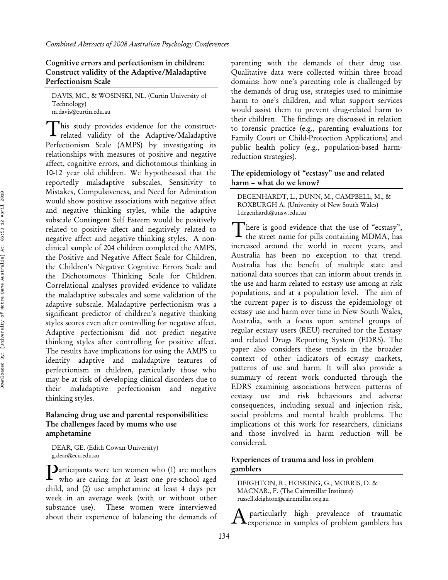#### **Cognitive errors and perfectionism in children: Construct validity of the Adaptive/Maladaptive Perfectionism Scale**

DAVIS, MC., & WOSINSKI, NL. (Curtin University of Technology) m.davis@curtin.edu.au

his study provides evidence for the constructrelated validity of the Adaptive/Maladaptive Perfectionism Scale (AMPS) by investigating its relationships with measures of positive and negative affect, cognitive errors, and dichotomous thinking in 10-12 year old children. We hypothesised that the reportedly maladaptive subscales, Sensitivity to Mistakes, Compulsiveness, and Need for Admiration would show positive associations with negative affect and negative thinking styles, while the adaptive subscale Contingent Self Esteem would be positively related to positive affect and negatively related to negative affect and negative thinking styles. A nonclinical sample of 204 children completed the AMPS, the Positive and Negative Affect Scale for Children, the Children's Negative Cognitive Errors Scale and the Dichotomous Thinking Scale for Children. Correlational analyses provided evidence to validate the maladaptive subscales and some validation of the adaptive subscale. Maladaptive perfectionism was a significant predictor of children's negative thinking styles scores even after controlling for negative affect. Adaptive perfectionism did not predict negative thinking styles after controlling for positive affect. The results have implications for using the AMPS to identify adaptive and maladaptive features of perfectionism in children, particularly those who may be at risk of developing clinical disorders due to their maladaptive perfectionism and negative thinking styles. T

#### **Balancing drug use and parental responsibilities: The challenges faced by mums who use amphetamine**

DEAR, GE. (Edith Cowan University) g.dear@ecu.edu.au

articipants were ten women who (1) are mothers who are caring for at least one pre-school aged P child, and (2) use amphetamine at least 4 days per week in an average week (with or without other substance use). These women were interviewed about their experience of balancing the demands of

parenting with the demands of their drug use. Qualitative data were collected within three broad domains: how one's parenting role is challenged by the demands of drug use, strategies used to minimise harm to one's children, and what support services would assist them to prevent drug-related harm to their children. The findings are discussed in relation to forensic practice (e.g., parenting evaluations for Family Court or Child-Protection Applications) and public health policy (e.g., population-based harmreduction strategies).

#### **The epidemiology of "ecstasy" use and related harm – what do we know?**

DEGENHARDT, L., DUNN, M., CAMPBELL, M., & ROXBURGH A. (University of New South Wales) l.degenhardt@unsw.edu.au

here is good evidence that the use of "ecstasy", There is good evidence that the use of "ecstasy", the street name for pills containing MDMA, has increased around the world in recent years, and Australia has been no exception to that trend. Australia has the benefit of multiple state and national data sources that can inform about trends in the use and harm related to ecstasy use among at risk populations, and at a population level. The aim of the current paper is to discuss the epidemiology of ecstasy use and harm over time in New South Wales, Australia, with a focus upon sentinel groups of regular ecstasy users (REU) recruited for the Ecstasy and related Drugs Reporting System (EDRS). The paper also considers these trends in the broader context of other indicators of ecstasy markets, patterns of use and harm. It will also provide a summary of recent work conducted through the EDRS examining associations between patterns of ecstasy use and risk behaviours and adverse consequences, including sexual and injection risk, social problems and mental health problems. The implications of this work for researchers, clinicians and those involved in harm reduction will be considered.

#### **Experiences of trauma and loss in problem gamblers**

DEIGHTON, R., HOSKING, G., MORRIS, D. & MACNAB., F. (The Cairnmillar Institute) russell.deighton@cairnmillar.org.au

 particularly high prevalence of traumatic  $\mathrm{A}_{\mathrm{experience}}$  in samples of problem gamblers has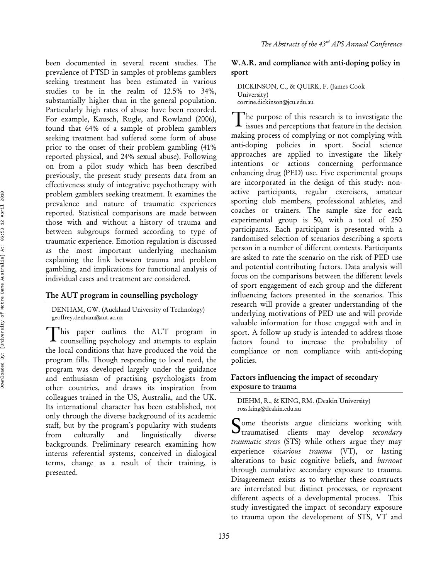been documented in several recent studies. The prevalence of PTSD in samples of problems gamblers seeking treatment has been estimated in various studies to be in the realm of 12.5% to 34%, substantially higher than in the general population. Particularly high rates of abuse have been recorded. For example, Kausch, Rugle, and Rowland (2006), found that 64% of a sample of problem gamblers seeking treatment had suffered some form of abuse prior to the onset of their problem gambling (41% reported physical, and 24% sexual abuse). Following on from a pilot study which has been described previously, the present study presents data from an effectiveness study of integrative psychotherapy with problem gamblers seeking treatment. It examines the prevalence and nature of traumatic experiences reported. Statistical comparisons are made between those with and without a history of trauma and between subgroups formed according to type of traumatic experience. Emotion regulation is discussed as the most important underlying mechanism explaining the link between trauma and problem gambling, and implications for functional analysis of individual cases and treatment are considered.

#### **The AUT program in counselling psychology**

DENHAM, GW. (Auckland University of Technology) geoffrey.denham@aut.ac.nz

his paper outlines the AUT program in This paper outlines the AUT program in counselling psychology and attempts to explain the local conditions that have produced the void the program fills. Though responding to local need, the program was developed largely under the guidance and enthusiasm of practising psychologists from other countries, and draws its inspiration from colleagues trained in the US, Australia, and the UK. Its international character has been established, not only through the diverse background of its academic staff, but by the program's popularity with students from culturally and linguistically diverse backgrounds. Preliminary research examining how interns referential systems, conceived in dialogical terms, change as a result of their training, is presented.

**W.A.R. and compliance with anti-doping policy in sport** 

DICKINSON, C., & QUIRK, F. (James Cook University) corrine.dickinson@jcu.edu.au

he purpose of this research is to investigate the The purpose of this research is to investigate the issues and perceptions that feature in the decision making process of complying or not complying with anti-doping policies in sport. Social science approaches are applied to investigate the likely intentions or actions concerning performance enhancing drug (PED) use. Five experimental groups are incorporated in the design of this study: nonactive participants, regular exercisers, amateur sporting club members, professional athletes, and coaches or trainers. The sample size for each experimental group is 50, with a total of 250 participants. Each participant is presented with a randomised selection of scenarios describing a sports person in a number of different contexts. Participants are asked to rate the scenario on the risk of PED use and potential contributing factors. Data analysis will focus on the comparisons between the different levels of sport engagement of each group and the different influencing factors presented in the scenarios. This research will provide a greater understanding of the underlying motivations of PED use and will provide valuable information for those engaged with and in sport. A follow up study is intended to address those factors found to increase the probability of compliance or non compliance with anti-doping policies.

#### **Factors influencing the impact of secondary exposure to trauma**

DIEHM, R., & KING, RM. (Deakin University) ross.king@deakin.edu.au

Some theorists argue clinicians working with<br>traumatised clients may develop *secondary* traumatised clients may develop *secondary traumatic stress* (STS) while others argue they may experience *vicarious trauma* (VT), or lasting alterations to basic cognitive beliefs, and *burnout* through cumulative secondary exposure to trauma. Disagreement exists as to whether these constructs are interrelated but distinct processes, or represent different aspects of a developmental process. This study investigated the impact of secondary exposure to trauma upon the development of STS, VT and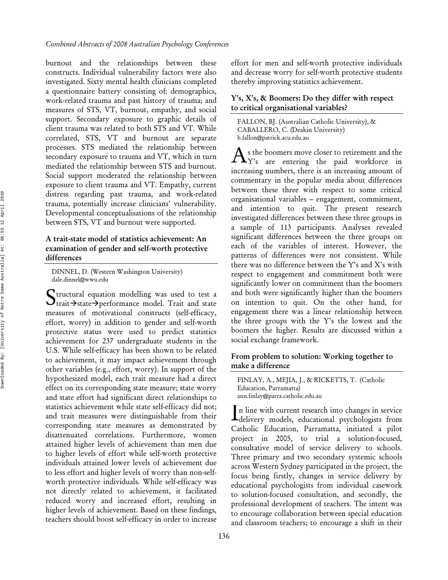burnout and the relationships between these constructs. Individual vulnerability factors were also investigated. Sixty mental health clinicians completed a questionnaire battery consisting of: demographics, work-related trauma and past history of trauma; and measures of STS, VT, burnout, empathy, and social support. Secondary exposure to graphic details of client trauma was related to both STS and VT. While correlated, STS, VT and burnout are separate processes. STS mediated the relationship between secondary exposure to trauma and VT, which in turn mediated the relationship between STS and burnout. Social support moderated the relationship between exposure to client trauma and VT. Empathy, current distress regarding past trauma, and work-related trauma, potentially increase clinicians' vulnerability. Developmental conceptualisations of the relationship between STS, VT and burnout were supported.

#### **A trait-state model of statistics achievement: An examination of gender and self-worth protective differences**

DINNEL, D. (Western Washington University) dale.dinnel@wwu.edu

tructural equation modelling was used to test a  $\mathbf{S}$ tructural equation modelling was used to test a trait $\rightarrow$ state $\rightarrow$ performance model. Trait and state measures of motivational constructs (self-efficacy, effort, worry) in addition to gender and self-worth protective status were used to predict statistics achievement for 237 undergraduate students in the U.S. While self-efficacy has been shown to be related to achievement, it may impact achievement through other variables (e.g., effort, worry). In support of the hypothesized model, each trait measure had a direct effect on its corresponding state measure; state worry and state effort had significant direct relationships to statistics achievement while state self-efficacy did not; and trait measures were distinguishable from their corresponding state measures as demonstrated by disattenuated correlations. Furthermore, women attained higher levels of achievement than men due to higher levels of effort while self-worth protective individuals attained lower levels of achievement due to less effort and higher levels of worry than non-selfworth protective individuals. While self-efficacy was not directly related to achievement, it facilitated reduced worry and increased effort, resulting in higher levels of achievement. Based on these findings, teachers should boost self-efficacy in order to increase

effort for men and self-worth protective individuals and decrease worry for self-worth protective students thereby improving statistics achievement.

#### **Y's, X's, & Boomers: Do they differ with respect to critical organisational variables?**

FALLON, BJ. (Australian Catholic University), & CABALLERO, C. (Deakin University) b.fallon@patrick.acu.edu.au

s the boomers move closer to retirement and the  $\mathbf{A}^{\text{s}}$  the boomers move closer to retirement and the  $_{\text{Y's}}$  are entering the paid workforce in increasing numbers, there is an increasing amount of commentary in the popular media about differences between these three with respect to some critical organisational variables – engagement, commitment, and intention to quit. The present research investigated differences between these three groups in a sample of 113 participants. Analyses revealed significant differences between the three groups on each of the variables of interest. However, the patterns of differences were not consistent. While there was no difference between the Y's and X's with respect to engagement and commitment both were significantly lower on commitment than the boomers and both were significantly higher than the boomers on intention to quit. On the other hand, for engagement there was a linear relationship between the three groups with the Y's the lowest and the boomers the higher. Results are discussed within a social exchange framework.

#### **From problem to solution: Working together to make a difference**

FINLAY, A., MEJIA, J., & RICKETTS, T. (Catholic Education, Parramatta) ann.finlay@parra.catholic.edu.au

n line with current research into changes in service In line with current research into changes in service<br>delivery models, educational psychologists from Catholic Education, Parramatta, initiated a pilot project in 2005, to trial a solution-focused, consultative model of service delivery to schools. Three primary and two secondary systemic schools across Western Sydney participated in the project, the focus being firstly, changes in service delivery by educational psychologists from individual casework to solution-focused consultation, and secondly, the professional development of teachers. The intent was to encourage collaboration between special education and classroom teachers; to encourage a shift in their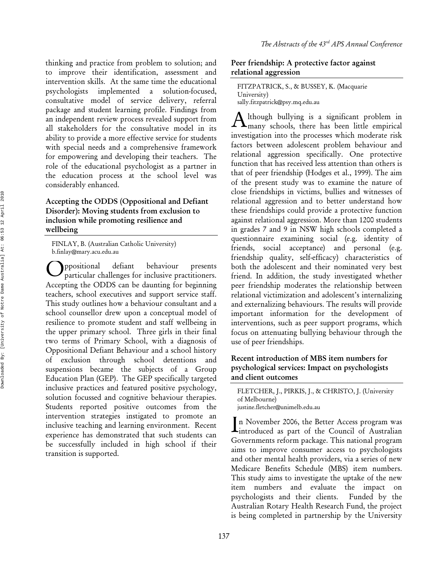thinking and practice from problem to solution; and to improve their identification, assessment and intervention skills. At the same time the educational psychologists implemented a solution-focused, consultative model of service delivery, referral package and student learning profile. Findings from an independent review process revealed support from all stakeholders for the consultative model in its ability to provide a more effective service for students with special needs and a comprehensive framework for empowering and developing their teachers. The role of the educational psychologist as a partner in the education process at the school level was considerably enhanced.

#### **Accepting the ODDS (Oppositional and Defiant Disorder): Moving students from exclusion to inclusion while promoting resilience and wellbeing**

FINLAY, B. (Australian Catholic University) b.finlay@mary.acu.edu.au

ppositional defiant behaviour presents O particular challenges for inclusive practitioners. Accepting the ODDS can be daunting for beginning teachers, school executives and support service staff. This study outlines how a behaviour consultant and a school counsellor drew upon a conceptual model of resilience to promote student and staff wellbeing in the upper primary school. Three girls in their final two terms of Primary School, with a diagnosis of Oppositional Defiant Behaviour and a school history of exclusion through school detentions and suspensions became the subjects of a Group Education Plan (GEP). The GEP specifically targeted inclusive practices and featured positive psychology, solution focussed and cognitive behaviour therapies. Students reported positive outcomes from the intervention strategies instigated to promote an inclusive teaching and learning environment. Recent experience has demonstrated that such students can be successfully included in high school if their transition is supported.

#### **Peer friendship: A protective factor against relational aggression**

FITZPATRICK, S., & BUSSEY, K. (Macquarie University) sally.fitzpatrick@psy.mq.edu.au

lthough bullying is a significant problem in  $A$ lthough bullying is a significant problem in  $A$ many schools, there has been little empirical investigation into the processes which moderate risk factors between adolescent problem behaviour and relational aggression specifically. One protective function that has received less attention than others is that of peer friendship (Hodges et al., 1999). The aim of the present study was to examine the nature of close friendships in victims, bullies and witnesses of relational aggression and to better understand how these friendships could provide a protective function against relational aggression. More than 1200 students in grades 7 and 9 in NSW high schools completed a questionnaire examining social (e.g. identity of friends, social acceptance) and personal (e.g. friendship quality, self-efficacy) characteristics of both the adolescent and their nominated very best friend. In addition, the study investigated whether peer friendship moderates the relationship between relational victimization and adolescent's internalizing and externalizing behaviours. The results will provide important information for the development of interventions, such as peer support programs, which focus on attenuating bullying behaviour through the use of peer friendships.

#### **Recent introduction of MBS item numbers for psychological services: Impact on psychologists and client outcomes**

FLETCHER, J., PIRKIS, J., & CHRISTO, J. (University of Melbourne) justine.fletcher@unimelb.edu.au

n November 2006, the Better Access program was In November 2006, the Better Access program was<br>introduced as part of the Council of Australian Governments reform package. This national program aims to improve consumer access to psychologists and other mental health providers, via a series of new Medicare Benefits Schedule (MBS) item numbers. This study aims to investigate the uptake of the new item numbers and evaluate the impact on psychologists and their clients. Funded by the Australian Rotary Health Research Fund, the project is being completed in partnership by the University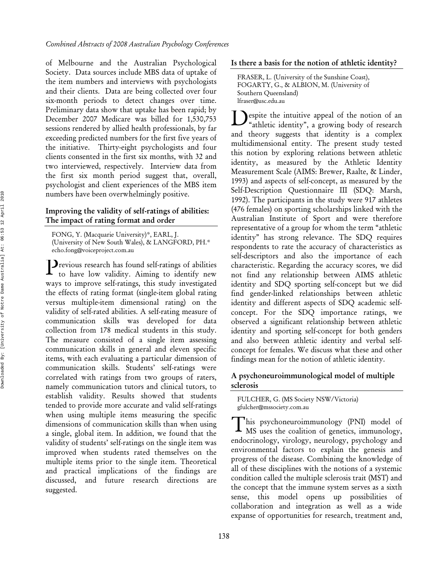of Melbourne and the Australian Psychological Society. Data sources include MBS data of uptake of the item numbers and interviews with psychologists and their clients. Data are being collected over four six-month periods to detect changes over time. Preliminary data show that uptake has been rapid; by December 2007 Medicare was billed for 1,530,753 sessions rendered by allied health professionals, by far exceeding predicted numbers for the first five years of the initiative. Thirty-eight psychologists and four clients consented in the first six months, with 32 and two interviewed, respectively. Interview data from the first six month period suggest that, overall, psychologist and client experiences of the MBS item numbers have been overwhelmingly positive.

#### **Improving the validity of self-ratings of abilities: The impact of rating format and order**

FONG, Y. (Macquarie University)\*, EARL, J. (University of New South Wales), & LANGFORD, PH.\* echo.fong@voiceproject.com.au

Previous research has found self-ratings of abilities<br>to have low validity. Aiming to identify new to have low validity. Aiming to identify new ways to improve self-ratings, this study investigated the effects of rating format (single-item global rating versus multiple-item dimensional rating) on the validity of self-rated abilities. A self-rating measure of communication skills was developed for data collection from 178 medical students in this study. The measure consisted of a single item assessing communication skills in general and eleven specific items, with each evaluating a particular dimension of communication skills. Students' self-ratings were correlated with ratings from two groups of raters, namely communication tutors and clinical tutors, to establish validity. Results showed that students tended to provide more accurate and valid self-ratings when using multiple items measuring the specific dimensions of communication skills than when using a single, global item. In addition, we found that the validity of students' self-ratings on the single item was improved when students rated themselves on the multiple items prior to the single item. Theoretical and practical implications of the findings are discussed, and future research directions are suggested.

#### **Is there a basis for the notion of athletic identity?**

FRASER, L. (University of the Sunshine Coast), FOGARTY, G., & ALBION, M. (University of Southern Queensland) lfraser@usc.edu.au

espite the intuitive appeal of the notion of an "athletic identity", a growing body of research and theory suggests that identity is a complex multidimensional entity. The present study tested this notion by exploring relations between athletic identity, as measured by the Athletic Identity Measurement Scale (AIMS: Brewer, Raalte, & Linder, 1993) and aspects of self-concept, as measured by the Self-Description Questionnaire III (SDQ: Marsh, 1992). The participants in the study were 917 athletes (476 females) on sporting scholarships linked with the Australian Institute of Sport and were therefore representative of a group for whom the term "athletic identity" has strong relevance. The SDQ requires respondents to rate the accuracy of characteristics as self-descriptors and also the importance of each characteristic. Regarding the accuracy scores, we did not find any relationship between AIMS athletic identity and SDQ sporting self-concept but we did find gender-linked relationships between athletic identity and different aspects of SDQ academic selfconcept. For the SDQ importance ratings, we observed a significant relationship between athletic identity and sporting self-concept for both genders and also between athletic identity and verbal selfconcept for females. We discuss what these and other findings mean for the notion of athletic identity. D

#### **A psychoneuroimmunological model of multiple sclerosis**

FULCHER, G. (MS Society NSW/Victoria) gfulcher@mssociety.com.au

his psychoneuroimmunology (PNI) model of This psychoneuroimmunology (PNI) model of MS uses the coalition of genetics, immunology, endocrinology, virology, neurology, psychology and environmental factors to explain the genesis and progress of the disease. Combining the knowledge of all of these disciplines with the notions of a systemic condition called the multiple sclerosis trait (MST) and the concept that the immune system serves as a sixth sense, this model opens up possibilities of collaboration and integration as well as a wide expanse of opportunities for research, treatment and,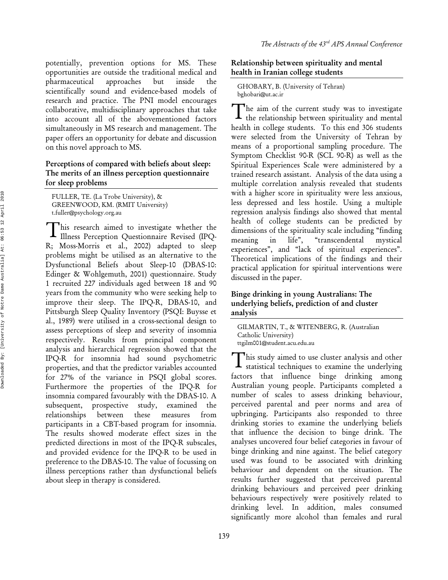potentially, prevention options for MS. These opportunities are outside the traditional medical and pharmaceutical approaches but inside the scientifically sound and evidence-based models of research and practice. The PNI model encourages collaborative, multidisciplinary approaches that take into account all of the abovementioned factors simultaneously in MS research and management. The paper offers an opportunity for debate and discussion on this novel approach to MS.

#### **Perceptions of compared with beliefs about sleep: The merits of an illness perception questionnaire for sleep problems**

FULLER, TE. (La Trobe University), & GREENWOOD, KM. (RMIT University) t.fuller@psychology.org.au

his research aimed to investigate whether the This research aimed to investigate whether the Illness Perception Questionnaire Revised (IPQ-R; Moss-Morris et al., 2002) adapted to sleep problems might be utilised as an alternative to the Dysfunctional Beliefs about Sleep-10 (DBAS-10: Edinger & Wohlgemuth, 2001) questionnaire. Study 1 recruited 227 individuals aged between 18 and 90 years from the community who were seeking help to improve their sleep. The IPQ-R, DBAS-10, and Pittsburgh Sleep Quality Inventory (PSQI: Buysse et al., 1989) were utilised in a cross-sectional design to assess perceptions of sleep and severity of insomnia respectively. Results from principal component analysis and hierarchical regression showed that the IPQ-R for insomnia had sound psychometric properties, and that the predictor variables accounted for 27% of the variance in PSQI global scores. Furthermore the properties of the IPQ-R for insomnia compared favourably with the DBAS-10. A subsequent, prospective study, examined the relationships between these measures from participants in a CBT-based program for insomnia. The results showed moderate effect sizes in the predicted directions in most of the IPQ-R subscales, and provided evidence for the IPQ-R to be used in preference to the DBAS-10. The value of focussing on illness perceptions rather than dysfunctional beliefs about sleep in therapy is considered.

#### **Relationship between spirituality and mental health in Iranian college students**

GHOBARY, B. (University of Tehran) bghobari@ut.ac.ir

The aim of the current study was to investigate<br>the relationship between spirituality and mental the relationship between spirituality and mental health in college students. To this end 306 students were selected from the University of Tehran by means of a proportional sampling procedure. The Symptom Checklist 90-R (SCL 90-R) as well as the Spiritual Experiences Scale were administered by a trained research assistant. Analysis of the data using a multiple correlation analysis revealed that students with a higher score in spirituality were less anxious, less depressed and less hostile. Using a multiple regression analysis findings also showed that mental health of college students can be predicted by dimensions of the spirituality scale including "finding meaning in life", "transcendental mystical experiences", and "lack of spiritual experiences". Theoretical implications of the findings and their practical application for spiritual interventions were discussed in the paper.

#### **Binge drinking in young Australians: The underlying beliefs, prediction of and cluster analysis**

GILMARTIN, T., & WITENBERG, R. (Australian Catholic University) ttgilm001@student.acu.edu.au

This study aimed to use cluster analysis and other statistical techniques to examine the underlying statistical techniques to examine the underlying factors that influence binge drinking among Australian young people. Participants completed a number of scales to assess drinking behaviour, perceived parental and peer norms and area of upbringing. Participants also responded to three drinking stories to examine the underlying beliefs that influence the decision to binge drink. The analyses uncovered four belief categories in favour of binge drinking and nine against. The belief category used was found to be associated with drinking behaviour and dependent on the situation. The results further suggested that perceived parental drinking behaviours and perceived peer drinking behaviours respectively were positively related to drinking level. In addition, males consumed significantly more alcohol than females and rural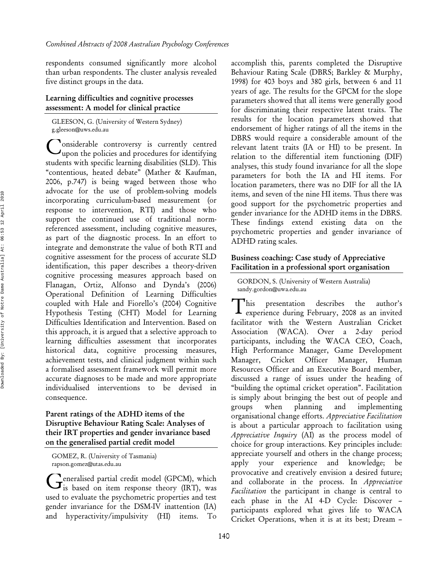respondents consumed significantly more alcohol than urban respondents. The cluster analysis revealed five distinct groups in the data.

#### **Learning difficulties and cognitive processes assessment: A model for clinical practice**

GLEESON, G. (University of Western Sydney) g.gleeson@uws.edu.au

onsiderable controversy is currently centred Considerable controversy is currently centred<br>
Uupon the policies and procedures for identifying students with specific learning disabilities (SLD). This "contentious, heated debate" (Mather & Kaufman, 2006, p.747) is being waged between those who advocate for the use of problem-solving models incorporating curriculum-based measurement (or response to intervention, RTI) and those who support the continued use of traditional normreferenced assessment, including cognitive measures, as part of the diagnostic process. In an effort to integrate and demonstrate the value of both RTI and cognitive assessment for the process of accurate SLD identification, this paper describes a theory-driven cognitive processing measures approach based on Flanagan, Ortiz, Alfonso and Dynda's (2006) Operational Definition of Learning Difficulties coupled with Hale and Fiorello's (2004) Cognitive Hypothesis Testing (CHT) Model for Learning Difficulties Identification and Intervention. Based on this approach, it is argued that a selective approach to learning difficulties assessment that incorporates historical data, cognitive processing measures, achievement tests, and clinical judgment within such a formalised assessment framework will permit more accurate diagnoses to be made and more appropriate individualised interventions to be devised in consequence.

#### **Parent ratings of the ADHD items of the Disruptive Behaviour Rating Scale: Analyses of their IRT properties and gender invariance based on the generalised partial credit model**

GOMEZ, R. (University of Tasmania) rapson.gomez@utas.edu.au

eneralised partial credit model (GPCM), which Generalised partial credit model (GPCM), which<br>is based on item response theory (IRT), was used to evaluate the psychometric properties and test gender invariance for the DSM-IV inattention (IA) and hyperactivity/impulsivity (HI) items. To

accomplish this, parents completed the Disruptive Behaviour Rating Scale (DBRS; Barkley & Murphy, 1998) for 403 boys and 380 girls, between 6 and 11 years of age. The results for the GPCM for the slope parameters showed that all items were generally good for discriminating their respective latent traits. The results for the location parameters showed that endorsement of higher ratings of all the items in the DBRS would require a considerable amount of the relevant latent traits (IA or HI) to be present. In relation to the differential item functioning (DIF) analyses, this study found invariance for all the slope parameters for both the IA and HI items. For location parameters, there was no DIF for all the IA items, and seven of the nine HI items. Thus there was good support for the psychometric properties and gender invariance for the ADHD items in the DBRS. These findings extend existing data on the psychometric properties and gender invariance of ADHD rating scales.

#### **Business coaching: Case study of Appreciative Facilitation in a professional sport organisation**

GORDON, S. (University of Western Australia) sandy.gordon@uwa.edu.au

his presentation describes the author's experience during February, 2008 as an invited facilitator with the Western Australian Cricket Association (WACA). Over a 2-day period participants, including the WACA CEO, Coach, High Performance Manager, Game Development Manager, Cricket Officer Manager, Human Resources Officer and an Executive Board member, discussed a range of issues under the heading of "building the optimal cricket operation". Facilitation is simply about bringing the best out of people and groups when planning and implementing organisational change efforts. *Appreciative Facilitation* is about a particular approach to facilitation using *Appreciative Inquiry* (AI) as the process model of choice for group interactions. Key principles include: appreciate yourself and others in the change process; apply your experience and knowledge; be provocative and creatively envision a desired future; and collaborate in the process. In *Appreciative Facilitation* the participant in change is central to each phase in the AI 4-D Cycle: Discover – participants explored what gives life to WACA Cricket Operations, when it is at its best; Dream –  $\mathbf 1$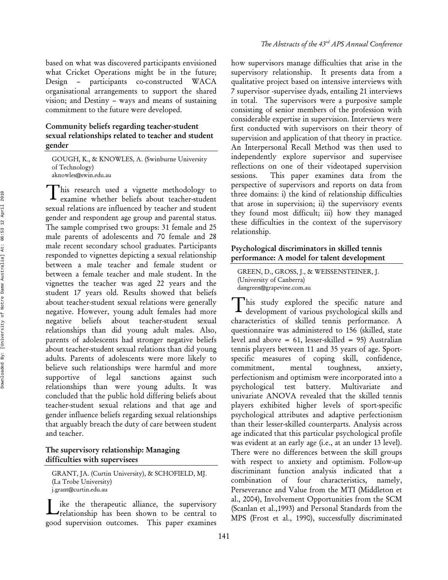Downloaded By: [University of Notre Dame Australia] At: 06:53 12 April 2010

Downloaded By: [University

Dame Notre  $\overline{a}$ 

Australia] At:

06:53 12 April 2010

based on what was discovered participants envisioned what Cricket Operations might be in the future; Design – participants co-constructed WACA organisational arrangements to support the shared vision; and Destiny – ways and means of sustaining commitment to the future were developed.

# **Community beliefs regarding teacher-student sexual relationships related to teacher and student gender**

GOUGH, K., & KNOWLES, A. (Swinburne University of Technology) aknowles@swin.edu.au

This research used a vignette methodology to examine whether beliefs about teacher-student examine whether beliefs about teacher-student sexual relations are influenced by teacher and student gender and respondent age group and parental status. The sample comprised two groups: 31 female and 25 male parents of adolescents and 70 female and 28 male recent secondary school graduates. Participants responded to vignettes depicting a sexual relationship between a male teacher and female student or between a female teacher and male student. In the vignettes the teacher was aged 22 years and the student 17 years old. Results showed that beliefs about teacher-student sexual relations were generally negative. However, young adult females had more negative beliefs about teacher-student sexual relationships than did young adult males. Also, parents of adolescents had stronger negative beliefs about teacher-student sexual relations than did young adults. Parents of adolescents were more likely to believe such relationships were harmful and more supportive of legal sanctions against such relationships than were young adults. It was concluded that the public hold differing beliefs about teacher-student sexual relations and that age and gender influence beliefs regarding sexual relationships that arguably breach the duty of care between student and teacher.

## **The supervisory relationship: Managing difficulties with supervisees**

GRANT, JA. (Curtin University), & SCHOFIELD, MJ. (La Trobe University) j.grant@curtin.edu.au

ike the therapeutic alliance, the supervisory relationship has been shown to be central to good supervision outcomes. This paper examines L

how supervisors manage difficulties that arise in the supervisory relationship. It presents data from a qualitative project based on intensive interviews with 7 supervisor -supervisee dyads, entailing 21 interviews in total. The supervisors were a purposive sample consisting of senior members of the profession with considerable expertise in supervision. Interviews were first conducted with supervisors on their theory of supervision and application of that theory in practice. An Interpersonal Recall Method was then used to independently explore supervisor and supervisee reflections on one of their videotaped supervision sessions. This paper examines data from the perspective of supervisors and reports on data from three domains: i) the kind of relationship difficulties that arose in supervision; ii) the supervisory events they found most difficult; iii) how they managed these difficulties in the context of the supervisory relationship.

## **Psychological discriminators in skilled tennis performance: A model for talent development**

GREEN, D., GROSS, J., & WEISSENSTEINER, J. (University of Canberra) dangreen@grapevine.com.au

his study explored the specific nature and This study explored the specific nature and development of various psychological skills and characteristics of skilled tennis performance. A questionnaire was administered to 156 (skilled, state level and above  $= 61$ , lesser-skilled  $= 95$ ) Australian tennis players between 11 and 35 years of age. Sportspecific measures of coping skill, confidence, commitment, mental toughness, anxiety, perfectionism and optimism were incorporated into a psychological test battery. Multivariate and univariate ANOVA revealed that the skilled tennis players exhibited higher levels of sport-specific psychological attributes and adaptive perfectionism than their lesser-skilled counterparts. Analysis across age indicated that this particular psychological profile was evident at an early age (i.e., at an under 13 level). There were no differences between the skill groups with respect to anxiety and optimism. Follow-up discriminant function analysis indicated that a combination of four characteristics, namely, Perseverance and Value from the MTI (Middleton et al., 2004), Involvement Opportunities from the SCM (Scanlan et al.,1993) and Personal Standards from the MPS (Frost et al., 1990), successfully discriminated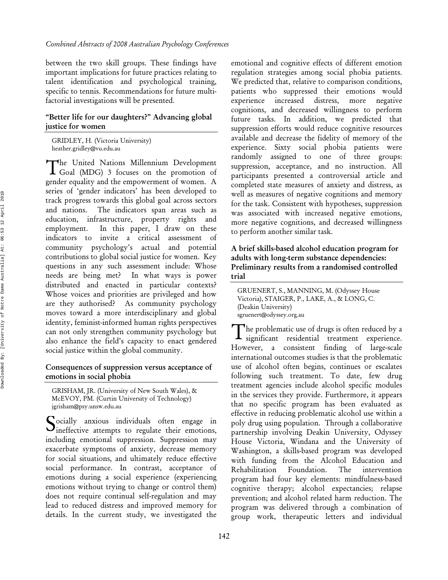between the two skill groups. These findings have important implications for future practices relating to talent identification and psychological training, specific to tennis. Recommendations for future multifactorial investigations will be presented.

# **"Better life for our daughters?" Advancing global justice for women**

GRIDLEY, H. (Victoria University) heather.gridley@vu.edu.au

The United Nations Millennium Development<br>
Goal (MDG) 3 focuses on the promotion of Goal (MDG) 3 focuses on the promotion of gender equality and the empowerment of women. A series of 'gender indicators' has been developed to track progress towards this global goal across sectors and nations. The indicators span areas such as education, infrastructure, property rights and employment. In this paper, I draw on these indicators to invite a critical assessment of community psychology's actual and potential contributions to global social justice for women. Key questions in any such assessment include: Whose needs are being met? In what ways is power distributed and enacted in particular contexts? Whose voices and priorities are privileged and how are they authorised? As community psychology moves toward a more interdisciplinary and global identity, feminist-informed human rights perspectives can not only strengthen community psychology but also enhance the field's capacity to enact gendered social justice within the global community.

#### **Consequences of suppression versus acceptance of emotions in social phobia**

GRISHAM, JR. (University of New South Wales), & McEVOY, PM. (Curtin University of Technology) jgrisham@psy.unsw.edu.au

ocially anxious individuals often engage in Socially anxious individuals often engage in ineffective attempts to regulate their emotions, including emotional suppression. Suppression may exacerbate symptoms of anxiety, decrease memory for social situations, and ultimately reduce effective social performance. In contrast, acceptance of emotions during a social experience (experiencing emotions without trying to change or control them) does not require continual self-regulation and may lead to reduced distress and improved memory for details. In the current study, we investigated the

emotional and cognitive effects of different emotion regulation strategies among social phobia patients. We predicted that, relative to comparison conditions, patients who suppressed their emotions would experience increased distress, more negative cognitions, and decreased willingness to perform future tasks. In addition, we predicted that suppression efforts would reduce cognitive resources available and decrease the fidelity of memory of the experience. Sixty social phobia patients were randomly assigned to one of three groups: suppression, acceptance, and no instruction. All participants presented a controversial article and completed state measures of anxiety and distress, as well as measures of negative cognitions and memory for the task. Consistent with hypotheses, suppression was associated with increased negative emotions, more negative cognitions, and decreased willingness to perform another similar task.

**A brief skills-based alcohol education program for adults with long-term substance dependencies: Preliminary results from a randomised controlled trial** 

GRUENERT, S., MANNING, M. (Odyssey House Victoria), STAIGER, P., LAKE, A., & LONG, C. (Deakin University) sgruenert@odyssey.org.au

he problematic use of drugs is often reduced by a significant residential treatment experience. However, a consistent finding of large-scale international outcomes studies is that the problematic use of alcohol often begins, continues or escalates following such treatment. To date, few drug treatment agencies include alcohol specific modules in the services they provide. Furthermore, it appears that no specific program has been evaluated as effective in reducing problematic alcohol use within a poly drug using population. Through a collaborative partnership involving Deakin University, Odyssey House Victoria, Windana and the University of Washington, a skills-based program was developed with funding from the Alcohol Education and Rehabilitation Foundation. The intervention program had four key elements: mindfulness-based cognitive therapy; alcohol expectancies; relapse prevention; and alcohol related harm reduction. The program was delivered through a combination of group work, therapeutic letters and individual  $\mathbf{I}$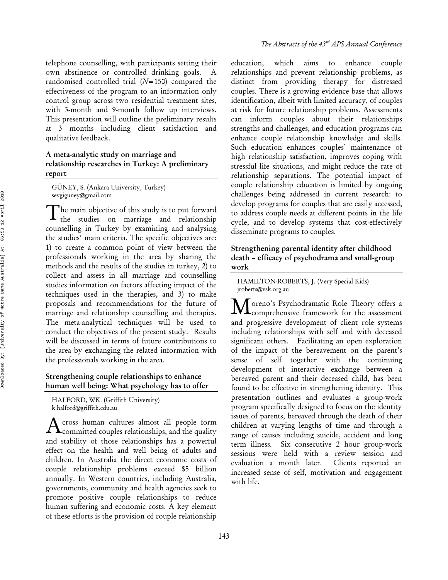telephone counselling, with participants setting their own abstinence or controlled drinking goals. A randomised controlled trial (*N*=150) compared the effectiveness of the program to an information only control group across two residential treatment sites, with 3-month and 9-month follow up interviews. This presentation will outline the preliminary results at 3 months including client satisfaction and qualitative feedback.

# **A meta-analytic study on marriage and relationship researches in Turkey: A preliminary report**

GÜNEY, S. (Ankara University, Turkey) sevgiguney@gmail.com

he main objective of this study is to put forward the studies on marriage and relationship counselling in Turkey by examining and analysing the studies' main criteria. The specific objectives are: 1) to create a common point of view between the professionals working in the area by sharing the methods and the results of the studies in turkey, 2) to collect and assess in all marriage and counselling studies information on factors affecting impact of the techniques used in the therapies, and 3) to make proposals and recommendations for the future of marriage and relationship counselling and therapies. The meta-analytical techniques will be used to conduct the objectives of the present study. Results will be discussed in terms of future contributions to the area by exchanging the related information with the professionals working in the area. T

#### **Strengthening couple relationships to enhance human well being: What psychology has to offer**

HALFORD, WK. (Griffith University) k.halford@griffith.edu.au

cross human cultures almost all people form  $\bigwedge$  cross human cultures almost all people form committed couples relationships, and the quality and stability of those relationships has a powerful effect on the health and well being of adults and children. In Australia the direct economic costs of couple relationship problems exceed \$5 billion annually. In Western countries, including Australia, governments, community and health agencies seek to promote positive couple relationships to reduce human suffering and economic costs. A key element of these efforts is the provision of couple relationship

education, which aims to enhance couple relationships and prevent relationship problems, as distinct from providing therapy for distressed couples. There is a growing evidence base that allows identification, albeit with limited accuracy, of couples at risk for future relationship problems. Assessments can inform couples about their relationships strengths and challenges, and education programs can enhance couple relationship knowledge and skills. Such education enhances couples' maintenance of high relationship satisfaction, improves coping with stressful life situations, and might reduce the rate of relationship separations. The potential impact of couple relationship education is limited by ongoing challenges being addressed in current research: to develop programs for couples that are easily accessed, to address couple needs at different points in the life cycle, and to develop systems that cost-effectively disseminate programs to couples.

# **Strengthening parental identity after childhood death – efficacy of psychodrama and small-group work**

HAMILTON-ROBERTS, J. (Very Special Kids) jroberts@vsk.org.au

oreno's Psychodramatic Role Theory offers a  $\rm\bf M$ oreno's Psychodramatic Role Theory offers a comprehensive framework for the assessment and progressive development of client role systems including relationships with self and with deceased significant others. Facilitating an open exploration of the impact of the bereavement on the parent's sense of self together with the continuing development of interactive exchange between a bereaved parent and their deceased child, has been found to be effective in strengthening identity. This presentation outlines and evaluates a group-work program specifically designed to focus on the identity issues of parents, bereaved through the death of their children at varying lengths of time and through a range of causes including suicide, accident and long term illness. Six consecutive 2 hour group-work sessions were held with a review session and evaluation a month later. Clients reported an increased sense of self, motivation and engagement with life.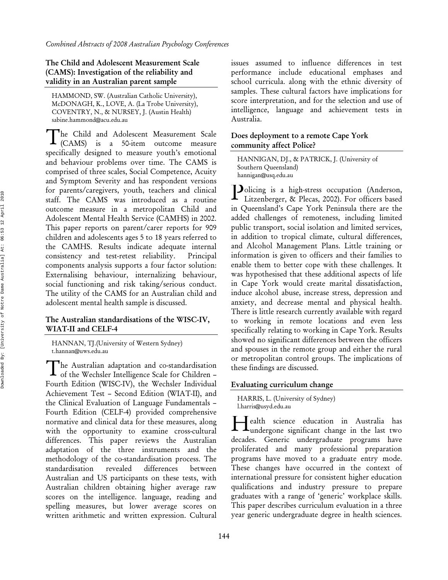### **The Child and Adolescent Measurement Scale (CAMS): Investigation of the reliability and validity in an Australian parent sample**

HAMMOND, SW. (Australian Catholic University), McDONAGH, K., LOVE, A. (La Trobe University), COVENTRY, N., & NURSEY, J. (Austin Health) sabine.hammond@acu.edu.au

The Child and Adolescent Measurement Scale<br>(CAMS) is a 50-item outcome measure (CAMS) is a 50-item outcome measure specifically designed to measure youth's emotional and behaviour problems over time. The CAMS is comprised of three scales, Social Competence, Acuity and Symptom Severity and has respondent versions for parents/caregivers, youth, teachers and clinical staff. The CAMS was introduced as a routine outcome measure in a metropolitan Child and Adolescent Mental Health Service (CAMHS) in 2002. This paper reports on parent/carer reports for 909 children and adolescents ages 5 to 18 years referred to the CAMHS. Results indicate adequate internal consistency and test-retest reliability. Principal components analysis supports a four factor solution: Externalising behaviour, internalizing behaviour, social functioning and risk taking/serious conduct. The utility of the CAMS for an Australian child and adolescent mental health sample is discussed.

## **The Australian standardisations of the WISC-IV, WIAT-II and CELF-4**

HANNAN, TJ.(University of Western Sydney) t.hannan@uws.edu.au

he Australian adaptation and co-standardisation of the Wechsler Intelligence Scale for Children – Fourth Edition (WISC-IV), the Wechsler Individual Achievement Test – Second Edition (WIAT-II), and the Clinical Evaluation of Language Fundamentals – Fourth Edition (CELF-4) provided comprehensive normative and clinical data for these measures, along with the opportunity to examine cross-cultural differences. This paper reviews the Australian adaptation of the three instruments and the methodology of the co-standardisation process. The standardisation revealed differences between Australian and US participants on these tests, with Australian children obtaining higher average raw scores on the intelligence. language, reading and spelling measures, but lower average scores on written arithmetic and written expression. Cultural  $\mathbf I$ 

issues assumed to influence differences in test performance include educational emphases and school curricula. along with the ethnic diversity of samples. These cultural factors have implications for score interpretation, and for the selection and use of intelligence, language and achievement tests in Australia.

#### **Does deployment to a remote Cape York community affect Police?**

HANNIGAN, DJ., & PATRICK, J. (University of Southern Queensland) hannigan@usq.edu.au

olicing is a high-stress occupation (Anderson, Litzenberger, & Plecas, 2002). For officers based P in Queensland's Cape York Peninsula there are the added challenges of remoteness, including limited public transport, social isolation and limited services, in addition to tropical climate, cultural differences, and Alcohol Management Plans. Little training or information is given to officers and their families to enable them to better cope with these challenges. It was hypothesised that these additional aspects of life in Cape York would create marital dissatisfaction, induce alcohol abuse, increase stress, depression and anxiety, and decrease mental and physical health. There is little research currently available with regard to working in remote locations and even less specifically relating to working in Cape York. Results showed no significant differences between the officers and spouses in the remote group and either the rural or metropolitan control groups. The implications of these findings are discussed.

#### **Evaluating curriculum change**

HARRIS, L. (University of Sydney) l.harris@usyd.edu.au

ealth science education in Australia has Health science education in Australia has<br>undergone significant change in the last two decades. Generic undergraduate programs have proliferated and many professional preparation programs have moved to a graduate entry mode. These changes have occurred in the context of international pressure for consistent higher education qualifications and industry pressure to prepare graduates with a range of 'generic' workplace skills. This paper describes curriculum evaluation in a three year generic undergraduate degree in health sciences.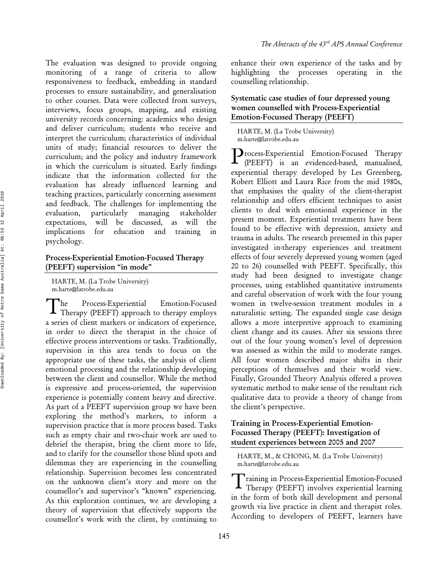The evaluation was designed to provide ongoing monitoring of a range of criteria to allow responsiveness to feedback, embedding in standard processes to ensure sustainability, and generalisation to other courses. Data were collected from surveys, interviews, focus groups, mapping, and existing university records concerning: academics who design and deliver curriculum; students who receive and interpret the curriculum; characteristics of individual units of study; financial resources to deliver the curriculum; and the policy and industry framework in which the curriculum is situated. Early findings indicate that the information collected for the evaluation has already influenced learning and teaching practices, particularly concerning assessment and feedback. The challenges for implementing the evaluation, particularly managing stakeholder expectations, will be discussed, as will the implications for education and training in psychology.

## **Process-Experiential Emotion-Focused Therapy (PEEFT) supervision "in mode"**

HARTE, M. (La Trobe University) m.harte@latrobe.edu.au

he Process-Experiential Emotion-Focused The Process-Experiential Emotion-Focused<br>Therapy (PEEFT) approach to therapy employs a series of client markers or indicators of experience, in order to direct the therapist in the choice of effective process interventions or tasks. Traditionally, supervision in this area tends to focus on the appropriate use of these tasks, the analysis of client emotional processing and the relationship developing between the client and counsellor. While the method is expressive and process-oriented, the supervision experience is potentially content heavy and directive. As part of a PEEFT supervision group we have been exploring the method's markers, to inform a supervision practice that is more process based. Tasks such as empty chair and two-chair work are used to debrief the therapist, bring the client more to life, and to clarify for the counsellor those blind spots and dilemmas they are experiencing in the counselling relationship. Supervision becomes less concentrated on the unknown client's story and more on the counsellor's and supervisor's "known" experiencing. As this exploration continues, we are developing a theory of supervision that effectively supports the counsellor's work with the client, by continuing to

enhance their own experience of the tasks and by highlighting the processes operating in the counselling relationship.

### **Systematic case studies of four depressed young women counselled with Process-Experiential Emotion-Focussed Therapy (PEEFT)**

HARTE, M. (La Trobe University) m.harte@latrobe.edu.au

Process-Experiential Emotion-Focused Therapy<br>(PEEFT) is an evidenced-based, manualised, (PEEFT) is an evidenced-based, manualised, experiential therapy developed by Les Greenberg, Robert Elliott and Laura Rice from the mid 1980s, that emphasises the quality of the client-therapist relationship and offers efficient techniques to assist clients to deal with emotional experience in the present moment. Experiential treatments have been found to be effective with depression, anxiety and trauma in adults. The research presented in this paper investigated in-therapy experiences and treatment effects of four severely depressed young women (aged 20 to 26) counselled with PEEFT. Specifically, this study had been designed to investigate change processes, using established quantitative instruments and careful observation of work with the four young women in twelve-session treatment modules in a naturalistic setting. The expanded single case design allows a more interpretive approach to examining client change and its causes. After six sessions three out of the four young women's level of depression was assessed as within the mild to moderate ranges. All four women described major shifts in their perceptions of themselves and their world view. Finally, Grounded Theory Analysis offered a proven systematic method to make sense of the resultant rich qualitative data to provide a theory of change from the client's perspective.

# **Training in Process-Experiential Emotion-Focussed Therapy (PEEFT): Investigation of student experiences between 2005 and 2007**

HARTE, M., & CHONG, M. (La Trobe University) m.harte@latrobe.edu.au

raining in Process-Experiential Emotion-Focused Training in Process-Experiential Emotion-Focused<br>Therapy (PEEFT) involves experiential learning in the form of both skill development and personal growth via live practice in client and therapist roles. According to developers of PEEFT, learners have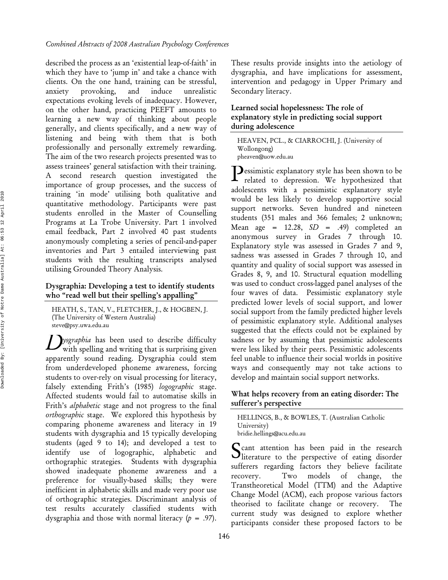described the process as an 'existential leap-of-faith' in which they have to 'jump in' and take a chance with clients. On the one hand, training can be stressful, anxiety provoking, and induce unrealistic expectations evoking levels of inadequacy. However, on the other hand, practicing PEEFT amounts to learning a new way of thinking about people generally, and clients specifically, and a new way of listening and being with them that is both professionally and personally extremely rewarding. The aim of the two research projects presented was to assess trainees' general satisfaction with their training. A second research question investigated the importance of group processes, and the success of training 'in mode' utilising both qualitative and quantitative methodology. Participants were past students enrolled in the Master of Counselling Programs at La Trobe University. Part 1 involved email feedback, Part 2 involved 40 past students anonymously completing a series of pencil-and-paper inventories and Part 3 entailed interviewing past students with the resulting transcripts analysed utilising Grounded Theory Analysis.

# **Dysgraphia: Developing a test to identify students who "read well but their spelling's appalling"**

HEATH, S., TAN, V., FLETCHER, J., & HOGBEN, J. (The University of Western Australia) steve@psy.uwa.edu.au

*ysgraphia* has been used to describe difficulty Dysgraphia has been used to describe difficulty with spelling and writing that is surprising given apparently sound reading. Dysgraphia could stem from underdeveloped phoneme awareness, forcing students to over-rely on visual processing for literacy, falsely extending Frith's (1985) *logographic* stage. Affected students would fail to automatise skills in Frith's *alphabetic* stage and not progress to the final *orthographic* stage. We explored this hypothesis by comparing phoneme awareness and literacy in 19 students with dysgraphia and 15 typically developing students (aged 9 to 14); and developed a test to identify use of logographic, alphabetic and orthographic strategies. Students with dysgraphia showed inadequate phoneme awareness and a preference for visually-based skills; they were inefficient in alphabetic skills and made very poor use of orthographic strategies. Discriminant analysis of test results accurately classified students with dysgraphia and those with normal literacy (*p* = .97).

These results provide insights into the aetiology of dysgraphia, and have implications for assessment, intervention and pedagogy in Upper Primary and Secondary literacy.

# **Learned social hopelessness: The role of explanatory style in predicting social support during adolescence**

HEAVEN, PCL., & CIARROCHI, J. (University of Wollongong) pheaven@uow.edu.au

Jessimistic explanatory style has been shown to be Pessimistic explanatory style has been shown to be related to depression. We hypothesized that adolescents with a pessimistic explanatory style would be less likely to develop supportive social support networks. Seven hundred and nineteen students (351 males and 366 females; 2 unknown; Mean age = 12.28, *SD* = .49) completed an anonymous survey in Grades 7 through 10. Explanatory style was assessed in Grades 7 and 9, sadness was assessed in Grades 7 through 10, and quantity and quality of social support was assessed in Grades 8, 9, and 10. Structural equation modelling was used to conduct cross-lagged panel analyses of the four waves of data. Pessimistic explanatory style predicted lower levels of social support, and lower social support from the family predicted higher levels of pessimistic explanatory style. Additional analyses suggested that the effects could not be explained by sadness or by assuming that pessimistic adolescents were less liked by their peers. Pessimistic adolescents feel unable to influence their social worlds in positive ways and consequently may not take actions to develop and maintain social support networks.

#### **What helps recovery from an eating disorder: The sufferer's perspective**

HELLINGS, B., & BOWLES, T. (Australian Catholic University) bridie.hellings@acu.edu.au

Scant attention has been paid in the research<br>diterature to the perspective of eating disorder Uliterature to the perspective of eating disorder sufferers regarding factors they believe facilitate recovery. Two models of change, the Transtheoretical Model (TTM) and the Adaptive Change Model (ACM), each propose various factors theorised to facilitate change or recovery. The current study was designed to explore whether participants consider these proposed factors to be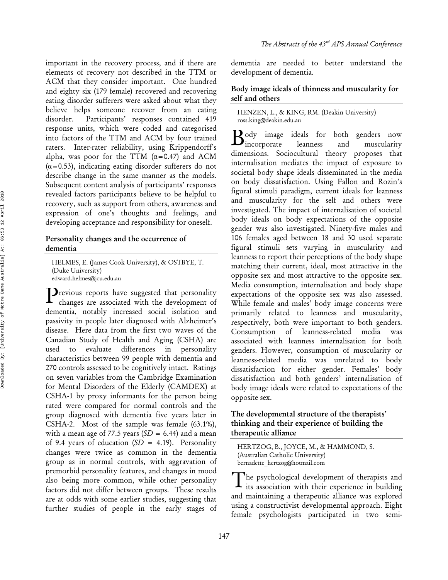important in the recovery process, and if there are elements of recovery not described in the TTM or ACM that they consider important. One hundred and eighty six (179 female) recovered and recovering eating disorder sufferers were asked about what they believe helps someone recover from an eating disorder. Participants' responses contained 419 response units, which were coded and categorised into factors of the TTM and ACM by four trained raters. Inter-rater reliability, using Krippendorff's alpha, was poor for the TTM  $(\alpha=0.47)$  and ACM  $(\alpha=0.53)$ , indicating eating disorder sufferers do not describe change in the same manner as the models. Subsequent content analysis of participants' responses revealed factors participants believe to be helpful to recovery, such as support from others, awareness and expression of one's thoughts and feelings, and developing acceptance and responsibility for oneself.

#### **Personality changes and the occurrence of dementia**

HELMES, E. (James Cook University), & OSTBYE, T. (Duke University) edward.helmes@jcu.edu.au

Previous reports have suggested that personality<br>changes are associated with the development of changes are associated with the development of dementia, notably increased social isolation and passivity in people later diagnosed with Alzheimer's disease. Here data from the first two waves of the Canadian Study of Health and Aging (CSHA) are used to evaluate differences in personality characteristics between 99 people with dementia and 270 controls assessed to be cognitively intact. Ratings on seven variables from the Cambridge Examination for Mental Disorders of the Elderly (CAMDEX) at CSHA-1 by proxy informants for the person being rated were compared for normal controls and the group diagnosed with dementia five years later in CSHA-2. Most of the sample was female (63.1%), with a mean age of 77.5 years  $(SD = 6.44)$  and a mean of 9.4 years of education (*SD* = 4.19). Personality changes were twice as common in the dementia group as in normal controls, with aggravation of premorbid personality features, and changes in mood also being more common, while other personality factors did not differ between groups. These results are at odds with some earlier studies, suggesting that further studies of people in the early stages of

dementia are needed to better understand the development of dementia.

## **Body image ideals of thinness and muscularity for self and others**

HENZEN, L., & KING, RM. (Deakin University) ross.king@deakin.edu.au

ody image ideals for both genders now Body image ideals for both genders now<br>incorporate leanness and muscularity dimensions. Sociocultural theory proposes that internalisation mediates the impact of exposure to societal body shape ideals disseminated in the media on body dissatisfaction. Using Fallon and Rozin's figural stimuli paradigm, current ideals for leanness and muscularity for the self and others were investigated. The impact of internalisation of societal body ideals on body expectations of the opposite gender was also investigated. Ninety-five males and 106 females aged between 18 and 30 used separate figural stimuli sets varying in muscularity and leanness to report their perceptions of the body shape matching their current, ideal, most attractive in the opposite sex and most attractive to the opposite sex. Media consumption, internalisation and body shape expectations of the opposite sex was also assessed. While female and males' body image concerns were primarily related to leanness and muscularity, respectively, both were important to both genders. Consumption of leanness-related media associated with leanness internalisation for both genders. However, consumption of muscularity or leanness-related media was unrelated to body dissatisfaction for either gender. Females' body dissatisfaction and both genders' internalisation of body image ideals were related to expectations of the opposite sex.

# **The developmental structure of the therapists' thinking and their experience of building the therapeutic alliance**

HERTZOG, B., JOYCE, M., & HAMMOND, S. (Australian Catholic University) bernadette\_hertzog@hotmail.com

he psychological development of therapists and  $\prod$ he psychological development of therapists and<br>its association with their experience in building and maintaining a therapeutic alliance was explored using a constructivist developmental approach. Eight female psychologists participated in two semi-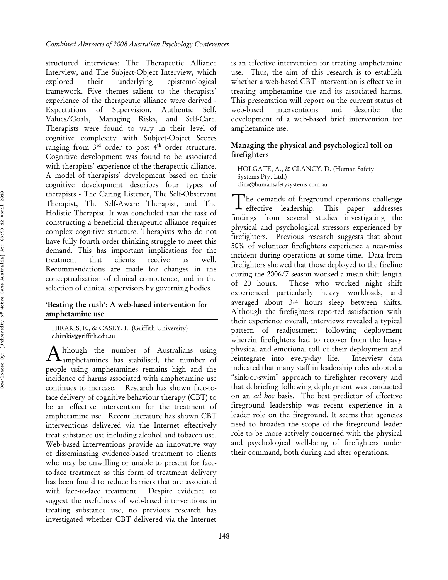structured interviews: The Therapeutic Alliance Interview, and The Subject-Object Interview, which explored their underlying epistemological framework. Five themes salient to the therapists' experience of the therapeutic alliance were derived - Expectations of Supervision, Authentic Self, Values/Goals, Managing Risks, and Self-Care. Therapists were found to vary in their level of cognitive complexity with Subject-Object Scores ranging from 3<sup>rd</sup> order to post 4<sup>th</sup> order structure. Cognitive development was found to be associated with therapists' experience of the therapeutic alliance. A model of therapists' development based on their cognitive development describes four types of therapists - The Caring Listener, The Self-Observant Therapist, The Self-Aware Therapist, and The Holistic Therapist. It was concluded that the task of constructing a beneficial therapeutic alliance requires complex cognitive structure. Therapists who do not have fully fourth order thinking struggle to meet this demand. This has important implications for the treatment that clients receive as well. Recommendations are made for changes in the conceptualisation of clinical competence, and in the selection of clinical supervisors by governing bodies.

# **'Beating the rush': A web-based intervention for amphetamine use**

HIRAKIS, E., & CASEY, L. (Griffith University) e.hirakis@griffith.edu.au

lthough the number of Australians using  $\bigwedge$ lthough the number of Australians using<br>Aamphetamines has stabilised, the number of people using amphetamines remains high and the incidence of harms associated with amphetamine use continues to increase. Research has shown face-toface delivery of cognitive behaviour therapy (CBT) to be an effective intervention for the treatment of amphetamine use. Recent literature has shown CBT interventions delivered via the Internet effectively treat substance use including alcohol and tobacco use. Web-based interventions provide an innovative way of disseminating evidence-based treatment to clients who may be unwilling or unable to present for faceto-face treatment as this form of treatment delivery has been found to reduce barriers that are associated with face-to-face treatment. Despite evidence to suggest the usefulness of web-based interventions in treating substance use, no previous research has investigated whether CBT delivered via the Internet

is an effective intervention for treating amphetamine use. Thus, the aim of this research is to establish whether a web-based CBT intervention is effective in treating amphetamine use and its associated harms. This presentation will report on the current status of web-based interventions and describe the development of a web-based brief intervention for amphetamine use.

# **Managing the physical and psychological toll on firefighters**

HOLGATE, A., & CLANCY, D. (Human Safety Systems Pty. Ltd.) alina@humansafetysystems.com.au

he demands of fireground operations challenge The demands of fireground operations challenge<br>effective leadership. This paper addresses findings from several studies investigating the physical and psychological stressors experienced by firefighters. Previous research suggests that about 50% of volunteer firefighters experience a near-miss incident during operations at some time. Data from firefighters showed that those deployed to the fireline during the 2006/7 season worked a mean shift length of 20 hours. Those who worked night shift experienced particularly heavy workloads, and averaged about 3-4 hours sleep between shifts. Although the firefighters reported satisfaction with their experience overall, interviews revealed a typical pattern of readjustment following deployment wherein firefighters had to recover from the heavy physical and emotional toll of their deployment and reintegrate into every-day life. Interview data indicated that many staff in leadership roles adopted a "sink-or-swim" approach to firefighter recovery and that debriefing following deployment was conducted on an *ad hoc* basis. The best predictor of effective fireground leadership was recent experience in a leader role on the fireground. It seems that agencies need to broaden the scope of the fireground leader role to be more actively concerned with the physical and psychological well-being of firefighters under their command, both during and after operations.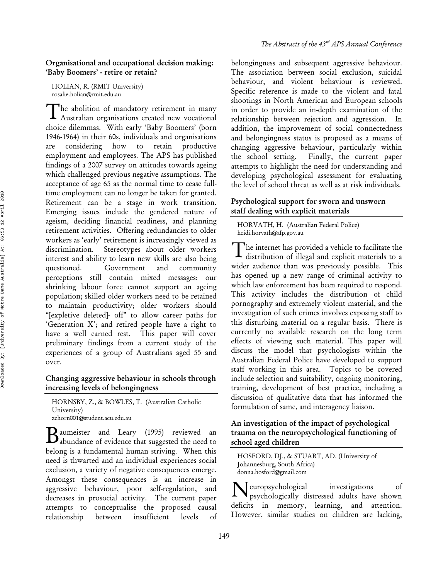#### **Organisational and occupational decision making: 'Baby Boomers' - retire or retain?**

HOLIAN, R. (RMIT University) rosalie.holian@rmit.edu.au

The abolition of mandatory retirement in many<br>Australian organisations created new vocational Australian organisations created new vocational choice dilemmas. With early 'Baby Boomers' (born 1946-1964) in their 60s, individuals and organisations are considering how to retain productive employment and employees. The APS has published findings of a 2007 survey on attitudes towards ageing which challenged previous negative assumptions. The acceptance of age 65 as the normal time to cease fulltime employment can no longer be taken for granted. Retirement can be a stage in work transition. Emerging issues include the gendered nature of ageism, deciding financial readiness, and planning retirement activities. Offering redundancies to older workers as 'early' retirement is increasingly viewed as discrimination. Stereotypes about older workers interest and ability to learn new skills are also being questioned. Government and community perceptions still contain mixed messages: our shrinking labour force cannot support an ageing population; skilled older workers need to be retained to maintain productivity; older workers should "[expletive deleted]- off" to allow career paths for 'Generation X'; and retired people have a right to have a well earned rest. This paper will cover preliminary findings from a current study of the experiences of a group of Australians aged 55 and over.

#### **Changing aggressive behaviour in schools through increasing levels of belongingness**

HORNSBY, Z., & BOWLES, T. (Australian Catholic University) zchorn001@student.acu.edu.au

aumeister and Leary (1995) reviewed an Baumeister and Leary (1995) reviewed an abundance of evidence that suggested the need to belong is a fundamental human striving. When this need is thwarted and an individual experiences social exclusion, a variety of negative consequences emerge. Amongst these consequences is an increase in aggressive behaviour, poor self-regulation, and decreases in prosocial activity. The current paper attempts to conceptualise the proposed causal relationship between insufficient levels of

belongingness and subsequent aggressive behaviour. The association between social exclusion, suicidal behaviour, and violent behaviour is reviewed. Specific reference is made to the violent and fatal shootings in North American and European schools in order to provide an in-depth examination of the relationship between rejection and aggression. In addition, the improvement of social connectedness and belongingness status is proposed as a means of changing aggressive behaviour, particularly within the school setting. Finally, the current paper attempts to highlight the need for understanding and developing psychological assessment for evaluating the level of school threat as well as at risk individuals.

# **Psychological support for sworn and unsworn staff dealing with explicit materials**

HORVATH, H. (Australian Federal Police) heidi.horvath@afp.gov.au

he internet has provided a vehicle to facilitate the The internet has provided a vehicle to facilitate the distribution of illegal and explicit materials to a wider audience than was previously possible. This has opened up a new range of criminal activity to which law enforcement has been required to respond. This activity includes the distribution of child pornography and extremely violent material, and the investigation of such crimes involves exposing staff to this disturbing material on a regular basis. There is currently no available research on the long term effects of viewing such material. This paper will discuss the model that psychologists within the Australian Federal Police have developed to support staff working in this area. Topics to be covered include selection and suitability, ongoing monitoring, training, development of best practice, including a discussion of qualitative data that has informed the formulation of same, and interagency liaison.

# **An investigation of the impact of psychological trauma on the neuropsychological functioning of school aged children**

HOSFORD, DJ., & STUART, AD. (University of Johannesburg, South Africa) donna.hosford@gmail.com

Neuropsychological investigations of psychologically distressed adults have shown psychologically distressed adults have shown deficits in memory, learning, and attention. However, similar studies on children are lacking,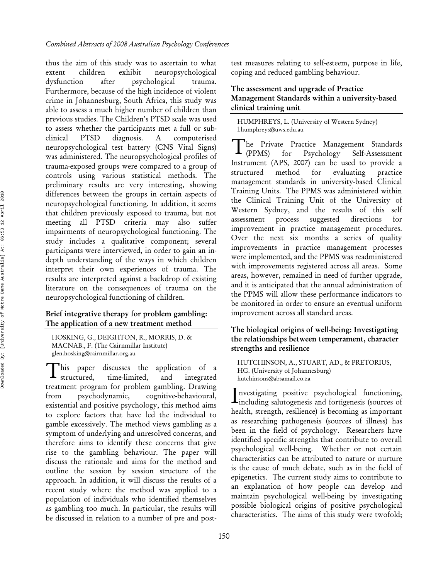thus the aim of this study was to ascertain to what extent children exhibit neuropsychological dysfunction after psychological trauma. Furthermore, because of the high incidence of violent crime in Johannesburg, South Africa, this study was able to assess a much higher number of children than previous studies. The Children's PTSD scale was used to assess whether the participants met a full or subclinical PTSD diagnosis. A computerised neuropsychological test battery (CNS Vital Signs) was administered. The neuropsychological profiles of trauma-exposed groups were compared to a group of controls using various statistical methods. The preliminary results are very interesting, showing differences between the groups in certain aspects of neuropsychological functioning. In addition, it seems that children previously exposed to trauma, but not meeting all PTSD criteria may also suffer impairments of neuropsychological functioning. The study includes a qualitative component; several participants were interviewed, in order to gain an indepth understanding of the ways in which children interpret their own experiences of trauma. The results are interpreted against a backdrop of existing literature on the consequences of trauma on the neuropsychological functioning of children.

#### **Brief integrative therapy for problem gambling: The application of a new treatment method**

HOSKING, G., DEIGHTON, R., MORRIS, D. & MACNAB., F. (The Cairnmillar Institute) glen.hosking@cairnmillar.org.au

This paper discusses the application of a structured, time-limited, and integrated structured, time-limited, and integrated treatment program for problem gambling. Drawing from psychodynamic, cognitive-behavioural, existential and positive psychology, this method aims to explore factors that have led the individual to gamble excessively. The method views gambling as a symptom of underlying and unresolved concerns, and therefore aims to identify these concerns that give rise to the gambling behaviour. The paper will discuss the rationale and aims for the method and outline the session by session structure of the approach. In addition, it will discuss the results of a recent study where the method was applied to a population of individuals who identified themselves as gambling too much. In particular, the results will be discussed in relation to a number of pre and posttest measures relating to self-esteem, purpose in life, coping and reduced gambling behaviour.

# **The assessment and upgrade of Practice Management Standards within a university-based clinical training unit**

HUMPHREYS, L. (University of Western Sydney) l.humphreys@uws.edu.au

The Private Practice Management Standards<br>(PPMS) for Psychology Self-Assessment (PPMS) for Psychology Self-Assessment Instrument (APS, 2007) can be used to provide a structured method for evaluating practice management standards in university-based Clinical Training Units. The PPMS was administered within the Clinical Training Unit of the University of Western Sydney, and the results of this self assessment process suggested directions for improvement in practice management procedures. Over the next six months a series of quality improvements in practice management processes were implemented, and the PPMS was readministered with improvements registered across all areas. Some areas, however, remained in need of further upgrade, and it is anticipated that the annual administration of the PPMS will allow these performance indicators to be monitored in order to ensure an eventual uniform improvement across all standard areas.

# **The biological origins of well-being: Investigating the relationships between temperament, character strengths and resilience**

HUTCHINSON, A., STUART, AD., & PRETORIUS, HG. (University of Johannesburg) hutchinsons@absamail.co.za

nvestigating positive psychological functioning, Investigating positive psychological functioning,<br>including salutogenesis and fortigenesis (sources of health, strength, resilience) is becoming as important as researching pathogenesis (sources of illness) has been in the field of psychology. Researchers have identified specific strengths that contribute to overall psychological well-being. Whether or not certain characteristics can be attributed to nature or nurture is the cause of much debate, such as in the field of epigenetics. The current study aims to contribute to an explanation of how people can develop and maintain psychological well-being by investigating possible biological origins of positive psychological characteristics. The aims of this study were twofold;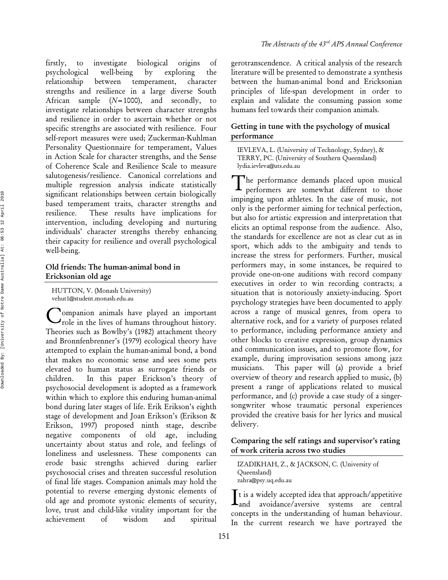firstly, to investigate biological origins of psychological well-being by exploring the relationship between temperament, character strengths and resilience in a large diverse South African sample (*N*=1000), and secondly, to investigate relationships between character strengths and resilience in order to ascertain whether or not specific strengths are associated with resilience. Four self-report measures were used; Zuckerman-Kuhlman Personality Questionnaire for temperament, Values in Action Scale for character strengths, and the Sense of Coherence Scale and Resilience Scale to measure salutogenesis/resilience. Canonical correlations and multiple regression analysis indicate statistically significant relationships between certain biologically based temperament traits, character strengths and resilience. These results have implications for intervention, including developing and nurturing individuals' character strengths thereby enhancing their capacity for resilience and overall psychological well-being.

# **Old friends: The human-animal bond in Ericksonian old age**

HUTTON, V. (Monash University) vehut1@student.monash.edu.au

ompanion animals have played an important Companion animals have played an important role in the lives of humans throughout history. Theories such as Bowlby's (1982) attachment theory and Bronnfenbrenner's (1979) ecological theory have attempted to explain the human-animal bond, a bond that makes no economic sense and sees some pets elevated to human status as surrogate friends or children. In this paper Erickson's theory of psychosocial development is adopted as a framework within which to explore this enduring human-animal bond during later stages of life. Erik Erikson's eighth stage of development and Joan Erikson's (Erikson & Erikson, 1997) proposed ninth stage, describe negative components of old age, including uncertainty about status and role, and feelings of loneliness and uselessness. These components can erode basic strengths achieved during earlier psychosocial crises and threaten successful resolution of final life stages. Companion animals may hold the potential to reverse emerging dystonic elements of old age and promote systonic elements of security, love, trust and child-like vitality important for the achievement of wisdom and spiritual

gerotranscendence. A critical analysis of the research literature will be presented to demonstrate a synthesis between the human-animal bond and Ericksonian principles of life-span development in order to explain and validate the consuming passion some humans feel towards their companion animals.

# **Getting in tune with the psychology of musical performance**

IEVLEVA, L. (University of Technology, Sydney), & TERRY, PC. (University of Southern Queensland) lydia.ievleva@uts.edu.au

The performance demands placed upon musical<br>performers are somewhat different to those performers are somewhat different to those impinging upon athletes. In the case of music, not only is the performer aiming for technical perfection, but also for artistic expression and interpretation that elicits an optimal response from the audience. Also, the standards for excellence are not as clear cut as in sport, which adds to the ambiguity and tends to increase the stress for performers. Further, musical performers may, in some instances, be required to provide one-on-one auditions with record company executives in order to win recording contracts; a situation that is notoriously anxiety-inducing. Sport psychology strategies have been documented to apply across a range of musical genres, from opera to alternative rock, and for a variety of purposes related to performance, including performance anxiety and other blocks to creative expression, group dynamics and communication issues, and to promote flow, for example, during improvisation sessions among jazz musicians. This paper will (a) provide a brief overview of theory and research applied to music, (b) present a range of applications related to musical performance, and (c) provide a case study of a singersongwriter whose traumatic personal experiences provided the creative basis for her lyrics and musical delivery.

**Comparing the self ratings and supervisor's rating of work criteria across two studies** 

IZADIKHAH, Z., & JACKSON, C. (University of Queensland) zahra@psy.uq.edu.au

t is a widely accepted idea that approach/appetitive  $\int$ t is a widely accepted idea that approach/appetitive<br>and avoidance/aversive systems are central concepts in the understanding of human behaviour. In the current research we have portrayed the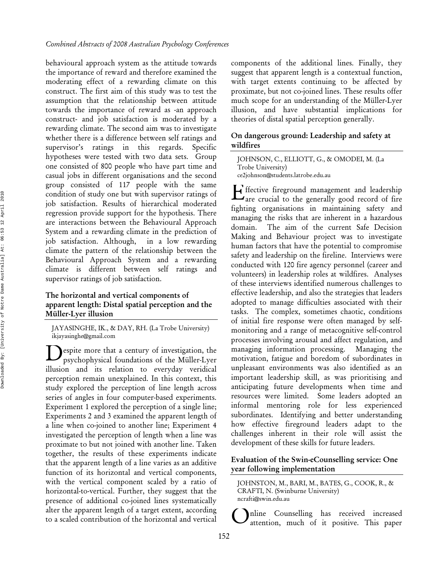behavioural approach system as the attitude towards the importance of reward and therefore examined the moderating effect of a rewarding climate on this construct. The first aim of this study was to test the assumption that the relationship between attitude towards the importance of reward as -an approach construct- and job satisfaction is moderated by a rewarding climate. The second aim was to investigate whether there is a difference between self ratings and supervisor's ratings in this regards. Specific hypotheses were tested with two data sets. Group one consisted of 800 people who have part time and casual jobs in different organisations and the second group consisted of 117 people with the same condition of study one but with supervisor ratings of job satisfaction. Results of hierarchical moderated regression provide support for the hypothesis. There are interactions between the Behavioural Approach System and a rewarding climate in the prediction of job satisfaction. Although, in a low rewarding climate the pattern of the relationship between the Behavioural Approach System and a rewarding climate is different between self ratings and supervisor ratings of job satisfaction.

# **The horizontal and vertical components of apparent length: Distal spatial perception and the Müller-Lyer illusion**

JAYASINGHE, IK., & DAY, RH. (La Trobe University) ikjayasinghe@gmail.com

Despite more that a century of investigation, the psychophysical foundations of the Müller-Lyer psychophysical foundations of the Müller-Lyer illusion and its relation to everyday veridical perception remain unexplained. In this context, this study explored the perception of line length across series of angles in four computer-based experiments. Experiment 1 explored the perception of a single line; Experiments 2 and 3 examined the apparent length of a line when co-joined to another line; Experiment 4 investigated the perception of length when a line was proximate to but not joined with another line. Taken together, the results of these experiments indicate that the apparent length of a line varies as an additive function of its horizontal and vertical components, with the vertical component scaled by a ratio of horizontal-to-vertical. Further, they suggest that the presence of additional co-joined lines systematically alter the apparent length of a target extent, according to a scaled contribution of the horizontal and vertical

components of the additional lines. Finally, they suggest that apparent length is a contextual function, with target extents continuing to be affected by proximate, but not co-joined lines. These results offer much scope for an understanding of the Müller-Lyer illusion, and have substantial implications for theories of distal spatial perception generally.

#### **On dangerous ground: Leadership and safety at wildfires**

JOHNSON, C., ELLIOTT, G., & OMODEI, M. (La Trobe University) ce2johnson@students.latrobe.edu.au

ffective fireground management and leadership Effective fireground management and leadership<br>are crucial to the generally good record of fire fighting organisations in maintaining safety and managing the risks that are inherent in a hazardous domain. The aim of the current Safe Decision Making and Behaviour project was to investigate human factors that have the potential to compromise safety and leadership on the fireline. Interviews were conducted with 120 fire agency personnel (career and volunteers) in leadership roles at wildfires. Analyses of these interviews identified numerous challenges to effective leadership, and also the strategies that leaders adopted to manage difficulties associated with their tasks. The complex, sometimes chaotic, conditions of initial fire response were often managed by selfmonitoring and a range of metacognitive self-control processes involving arousal and affect regulation, and managing information processing. Managing the motivation, fatigue and boredom of subordinates in unpleasant environments was also identified as an important leadership skill, as was prioritising and anticipating future developments when time and resources were limited. Some leaders adopted an informal mentoring role for less experienced subordinates. Identifying and better understanding how effective fireground leaders adapt to the challenges inherent in their role will assist the development of these skills for future leaders.

# **Evaluation of the Swin-eCounselling service: One year following implementation**

JOHNSTON, M., BARI, M., BATES, G., COOK, R., & CRAFTI, N. (Swinburne University) ncrafti@swin.edu.au

nline Counselling has received increased attention, much of it positive. This paper O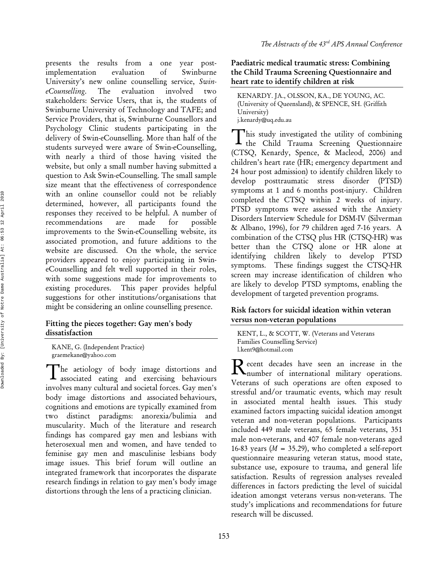presents the results from a one year postimplementation evaluation of Swinburne University's new online counselling service, *SwineCounselling*. The evaluation involved two stakeholders: Service Users, that is, the students of Swinburne University of Technology and TAFE; and Service Providers, that is, Swinburne Counsellors and Psychology Clinic students participating in the delivery of Swin-eCounselling. More than half of the students surveyed were aware of Swin-eCounselling, with nearly a third of those having visited the website, but only a small number having submitted a question to Ask Swin-eCounselling. The small sample size meant that the effectiveness of correspondence with an online counsellor could not be reliably determined, however, all participants found the responses they received to be helpful. A number of recommendations are made for possible improvements to the Swin-eCounselling website, its associated promotion, and future additions to the website are discussed. On the whole, the service providers appeared to enjoy participating in SwineCounselling and felt well supported in their roles, with some suggestions made for improvements to existing procedures. This paper provides helpful suggestions for other institutions/organisations that might be considering an online counselling presence.

## **Fitting the pieces together: Gay men's body dissatisfaction**

KANE, G. (Independent Practice) graemekane@yahoo.com

he aetiology of body image distortions and The aetiology of body image distortions and associated eating and exercising behaviours involves many cultural and societal forces. Gay men's body image distortions and associated behaviours, cognitions and emotions are typically examined from two distinct paradigms: anorexia/bulimia and muscularity. Much of the literature and research findings has compared gay men and lesbians with heterosexual men and women, and have tended to feminise gay men and masculinise lesbians body image issues. This brief forum will outline an integrated framework that incorporates the disparate research findings in relation to gay men's body image distortions through the lens of a practicing clinician.

**Paediatric medical traumatic stress: Combining the Child Trauma Screening Questionnaire and heart rate to identify children at risk** 

KENARDY. JA., OLSSON, KA., DE YOUNG, AC. (University of Queensland), & SPENCE, SH. (Griffith University) j.kenardy@uq.edu.au

his study investigated the utility of combining This study investigated the utility of combining<br>the Child Trauma Screening Questionnaire (CTSQ, Kenardy, Spence, & Macleod, 2006) and children's heart rate (HR; emergency department and 24 hour post admission) to identify children likely to develop posttraumatic stress disorder (PTSD) symptoms at 1 and 6 months post-injury. Children completed the CTSQ within 2 weeks of injury. PTSD symptoms were assessed with the Anxiety Disorders Interview Schedule for DSM-IV (Silverman & Albano, 1996), for 79 children aged 7-16 years. A combination of the CTSQ plus HR (CTSQ-HR) was better than the CTSQ alone or HR alone at identifying children likely to develop PTSD symptoms. These findings suggest the CTSQ-HR screen may increase identification of children who are likely to develop PTSD symptoms, enabling the development of targeted prevention programs.

# **Risk factors for suicidal ideation within veteran versus non-veteran populations**

KENT, L., & SCOTT, W. (Veterans and Veterans Families Counselling Service) l.kent9@hotmail.com

ecent decades have seen an increase in the Recent decades have seen an increase in the number of international military operations. Veterans of such operations are often exposed to stressful and/or traumatic events, which may result in associated mental health issues. This study examined factors impacting suicidal ideation amongst veteran and non-veteran populations. Participants included 449 male veterans, 65 female veterans, 351 male non-veterans, and 407 female non-veterans aged 16-83 years (*M =* 35.29), who completed a self-report questionnaire measuring veteran status, mood state, substance use, exposure to trauma, and general life satisfaction. Results of regression analyses revealed differences in factors predicting the level of suicidal ideation amongst veterans versus non-veterans. The study's implications and recommendations for future research will be discussed.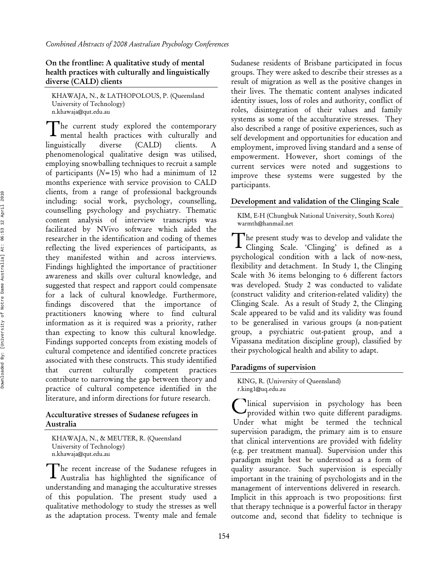# **On the frontline: A qualitative study of mental health practices with culturally and linguistically diverse (CALD) clients**

KHAWAJA, N., & LATHOPOLOUS, P. (Queensland University of Technology) n.khawaja@qut.edu.au

The current study explored the contemporary<br>mental health practices with culturally and mental health practices with culturally and linguistically diverse (CALD) clients. A phenomenological qualitative design was utilised, employing snowballing techniques to recruit a sample of participants (*N*=15) who had a minimum of 12 months experience with service provision to CALD clients, from a range of professional backgrounds including: social work, psychology, counselling, counselling psychology and psychiatry. Thematic content analysis of interview transcripts was facilitated by NVivo software which aided the researcher in the identification and coding of themes reflecting the lived experiences of participants, as they manifested within and across interviews. Findings highlighted the importance of practitioner awareness and skills over cultural knowledge, and suggested that respect and rapport could compensate for a lack of cultural knowledge. Furthermore, findings discovered that the importance of practitioners knowing where to find cultural information as it is required was a priority, rather than expecting to know this cultural knowledge. Findings supported concepts from existing models of cultural competence and identified concrete practices associated with these constructs. This study identified that current culturally competent practices contribute to narrowing the gap between theory and practice of cultural competence identified in the literature, and inform directions for future research.

# **Acculturative stresses of Sudanese refugees in Australia**

KHAWAJA, N., & MEUTER, R. (Queensland University of Technology) n.khawaja@qut.edu.au

he recent increase of the Sudanese refugees in The recent increase of the Sudanese refugees in Australia has highlighted the significance of understanding and managing the acculturative stresses of this population. The present study used a qualitative methodology to study the stresses as well as the adaptation process. Twenty male and female

Sudanese residents of Brisbane participated in focus groups. They were asked to describe their stresses as a result of migration as well as the positive changes in their lives. The thematic content analyses indicated identity issues, loss of roles and authority, conflict of roles, disintegration of their values and family systems as some of the acculturative stresses. They also described a range of positive experiences, such as self development and opportunities for education and employment, improved living standard and a sense of empowerment. However, short comings of the current services were noted and suggestions to improve these systems were suggested by the participants.

# **Development and validation of the Clinging Scale**

KIM, E-H (Chungbuk National University, South Korea) warmth@hanmail.net

The present study was to develop and validate the Clinging Scale. 'Clinging' is defined as a Clinging Scale. 'Clinging' is defined as a psychological condition with a lack of now-ness, flexibility and detachment. In Study 1, the Clinging Scale with 36 items belonging to 6 different factors was developed. Study 2 was conducted to validate (construct validity and criterion-related validity) the Clinging Scale. As a result of Study 2, the Clinging Scale appeared to be valid and its validity was found to be generalised in various groups (a non-patient group, a psychiatric out-patient group, and a Vipassana meditation discipline group), classified by their psychological health and ability to adapt.

# **Paradigms of supervision**

KING, R. (University of Queensland) r.king1@uq.edu.au

linical supervision in psychology has been Clinical supervision in psychology has been<br>provided within two quite different paradigms. Under what might be termed the technical supervision paradigm, the primary aim is to ensure that clinical interventions are provided with fidelity (e.g. per treatment manual). Supervision under this paradigm might best be understood as a form of quality assurance. Such supervision is especially important in the training of psychologists and in the management of interventions delivered in research. Implicit in this approach is two propositions: first that therapy technique is a powerful factor in therapy outcome and, second that fidelity to technique is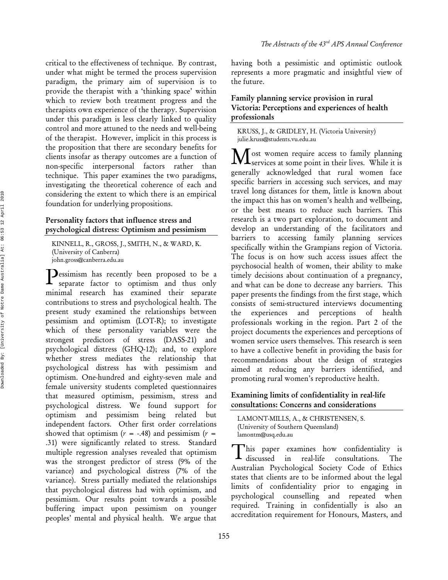critical to the effectiveness of technique. By contrast, under what might be termed the process supervision paradigm, the primary aim of supervision is to provide the therapist with a 'thinking space' within which to review both treatment progress and the therapists own experience of the therapy. Supervision under this paradigm is less clearly linked to quality control and more attuned to the needs and well-being of the therapist. However, implicit in this process is the proposition that there are secondary benefits for clients insofar as therapy outcomes are a function of non-specific interpersonal factors rather than technique. This paper examines the two paradigms, investigating the theoretical coherence of each and considering the extent to which there is an empirical foundation for underlying propositions.

# **Personality factors that influence stress and psychological distress: Optimism and pessimism**

KINNELL, R., GROSS, J., SMITH, N., & WARD, K. (University of Canberra) john.gross@canberra.edu.au

Pessimism has recently been proposed to be a separate factor to optimism and thus only separate factor to optimism and thus only minimal research has examined their separate contributions to stress and psychological health. The present study examined the relationships between pessimism and optimism (LOT-R); to investigate which of these personality variables were the strongest predictors of stress (DASS-21) and psychological distress (GHQ-12); and, to explore whether stress mediates the relationship that psychological distress has with pessimism and optimism. One-hundred and eighty-seven male and female university students completed questionnaires that measured optimism, pessimism, stress and psychological distress. We found support for optimism and pessimism being related but independent factors. Other first order correlations showed that optimism  $(r = -.48)$  and pessimism  $(r =$ .31) were significantly related to stress. Standard multiple regression analyses revealed that optimism was the strongest predictor of stress (9% of the variance) and psychological distress (7% of the variance). Stress partially mediated the relationships that psychological distress had with optimism, and pessimism. Our results point towards a possible buffering impact upon pessimism on younger peoples' mental and physical health. We argue that

having both a pessimistic and optimistic outlook represents a more pragmatic and insightful view of the future.

# **Family planning service provision in rural Victoria: Perceptions and experiences of health professionals**

KRUSS, J., & GRIDLEY, H. (Victoria University) julie.kruss@students.vu.edu.au

ost women require access to family planning  $\mathbf M$  ost women require access to family planning services at some point in their lives. While it is generally acknowledged that rural women face specific barriers in accessing such services, and may travel long distances for them, little is known about the impact this has on women's health and wellbeing, or the best means to reduce such barriers. This research is a two part exploration, to document and develop an understanding of the facilitators and barriers to accessing family planning services specifically within the Grampians region of Victoria. The focus is on how such access issues affect the psychosocial health of women, their ability to make timely decisions about continuation of a pregnancy, and what can be done to decrease any barriers. This paper presents the findings from the first stage, which consists of semi-structured interviews documenting the experiences and perceptions of health professionals working in the region. Part 2 of the project documents the experiences and perceptions of women service users themselves. This research is seen to have a collective benefit in providing the basis for recommendations about the design of strategies aimed at reducing any barriers identified, and promoting rural women's reproductive health.

#### **Examining limits of confidentiality in real-life consultations: Concerns and considerations**

LAMONT-MILLS, A., & CHRISTENSEN, S. (University of Southern Queensland) lamontm@usq.edu.au

his paper examines how confidentiality is This paper examines how confidentiality is discussed in real-life consultations. The Australian Psychological Society Code of Ethics states that clients are to be informed about the legal limits of confidentiality prior to engaging in psychological counselling and repeated when required. Training in confidentially is also an accreditation requirement for Honours, Masters, and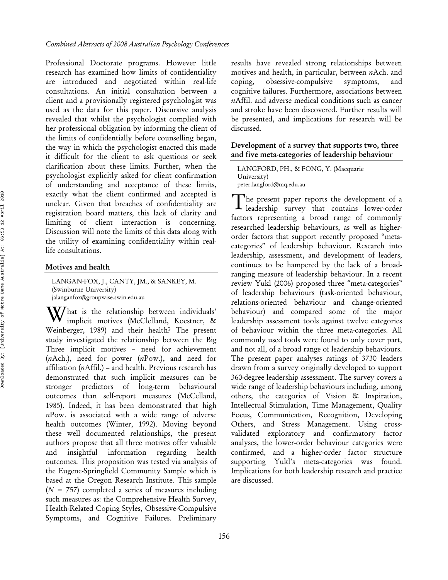Professional Doctorate programs. However little research has examined how limits of confidentiality are introduced and negotiated within real-life consultations. An initial consultation between a client and a provisionally registered psychologist was used as the data for this paper. Discursive analysis revealed that whilst the psychologist complied with her professional obligation by informing the client of the limits of confidentially before counselling began, the way in which the psychologist enacted this made it difficult for the client to ask questions or seek clarification about these limits. Further, when the psychologist explicitly asked for client confirmation of understanding and acceptance of these limits, exactly what the client confirmed and accepted is unclear. Given that breaches of confidentiality are registration board matters, this lack of clarity and limiting of client interaction is concerning. Discussion will note the limits of this data along with the utility of examining confidentiality within reallife consultations.

#### **Motives and health**

LANGAN-FOX, J., CANTY, JM., & SANKEY, M. (Swinburne University) jalanganfox@groupwise.swin.edu.au

What is the relationship between individuals' implicit motives (McClelland, Koestner, & implicit motives (McClelland, Koestner, & Weinberger, 1989) and their health? The present study investigated the relationship between the Big Three implicit motives – need for achievement (*n*Ach.), need for power (*n*Pow.), and need for affiliation (*n*Affil.) – and health. Previous research has demonstrated that such implicit measures can be stronger predictors of long-term behavioural outcomes than self-report measures (McCelland, 1985). Indeed, it has been demonstrated that high *n*Pow. is associated with a wide range of adverse health outcomes (Winter, 1992). Moving beyond these well documented relationships, the present authors propose that all three motives offer valuable and insightful information regarding health outcomes. This proposition was tested via analysis of the Eugene-Springfield Community Sample which is based at the Oregon Research Institute. This sample (*N* = 757) completed a series of measures including such measures as: the Comprehensive Health Survey, Health-Related Coping Styles, Obsessive-Compulsive Symptoms, and Cognitive Failures. Preliminary

results have revealed strong relationships between motives and health, in particular, between *n*Ach. and coping, obsessive-compulsive symptoms, and cognitive failures. Furthermore, associations between *n*Affil. and adverse medical conditions such as cancer and stroke have been discovered. Further results will be presented, and implications for research will be discussed.

#### **Development of a survey that supports two, three and five meta-categories of leadership behaviour**

LANGFORD, PH., & FONG, Y. (Macquarie University) peter.langford@mq.edu.au

The present paper reports the development of a The present paper reports the development of a leadership survey that contains lower-order factors representing a broad range of commonly researched leadership behaviours, as well as higherorder factors that support recently proposed "metacategories" of leadership behaviour. Research into leadership, assessment, and development of leaders, continues to be hampered by the lack of a broadranging measure of leadership behaviour. In a recent review Yukl (2006) proposed three "meta-categories" of leadership behaviours (task-oriented behaviour, relations-oriented behaviour and change-oriented behaviour) and compared some of the major leadership assessment tools against twelve categories of behaviour within the three meta-categories. All commonly used tools were found to only cover part, and not all, of a broad range of leadership behaviours. The present paper analyses ratings of 3730 leaders drawn from a survey originally developed to support 360-degree leadership assessment. The survey covers a wide range of leadership behaviours including, among others, the categories of Vision & Inspiration, Intellectual Stimulation, Time Management, Quality Focus, Communication, Recognition, Developing Others, and Stress Management. Using crossvalidated exploratory and confirmatory factor analyses, the lower-order behaviour categories were confirmed, and a higher-order factor structure supporting Yukl's meta-categories was found. Implications for both leadership research and practice are discussed.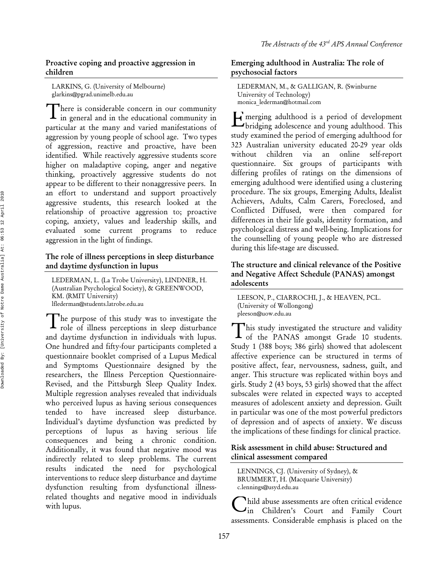### **Proactive coping and proactive aggression in children**

LARKINS, G. (University of Melbourne) glarkins@pgrad.unimelb.edu.au

There is considerable concern in our community<br>in general and in the educational community in in general and in the educational community in particular at the many and varied manifestations of aggression by young people of school age. Two types of aggression, reactive and proactive, have been identified. While reactively aggressive students score higher on maladaptive coping, anger and negative thinking, proactively aggressive students do not appear to be different to their nonaggressive peers. In an effort to understand and support proactively aggressive students, this research looked at the relationship of proactive aggression to; proactive coping, anxiety, values and leadership skills, and evaluated some current programs to reduce aggression in the light of findings.

# **The role of illness perceptions in sleep disturbance and daytime dysfunction in lupus**

LEDERMAN, L. (La Trobe University), LINDNER, H. (Australian Psychological Society), & GREENWOOD, KM. (RMIT University) lflederman@students.latrobe.edu.au

he purpose of this study was to investigate the role of illness perceptions in sleep disturbance and daytime dysfunction in individuals with lupus. One hundred and fifty-four participants completed a questionnaire booklet comprised of a Lupus Medical and Symptoms Questionnaire designed by the researchers, the Illness Perception Questionnaire-Revised, and the Pittsburgh Sleep Quality Index. Multiple regression analyses revealed that individuals who perceived lupus as having serious consequences tended to have increased sleep disturbance. Individual's daytime dysfunction was predicted by perceptions of lupus as having serious life consequences and being a chronic condition. Additionally, it was found that negative mood was indirectly related to sleep problems. The current results indicated the need for psychological interventions to reduce sleep disturbance and daytime dysfunction resulting from dysfunctional illnessrelated thoughts and negative mood in individuals with lupus. T

#### **Emerging adulthood in Australia: The role of psychosocial factors**

LEDERMAN, M., & GALLIGAN, R. (Swinburne University of Technology) monica\_lederman@hotmail.com

merging adulthood is a period of development E merging adulthood is a period of development<br>bridging adolescence and young adulthood. This study examined the period of emerging adulthood for 323 Australian university educated 20-29 year olds without children via an online self-report questionnaire. Six groups of participants with differing profiles of ratings on the dimensions of emerging adulthood were identified using a clustering procedure. The six groups, Emerging Adults, Idealist Achievers, Adults, Calm Carers, Foreclosed, and Conflicted Diffused, were then compared for differences in their life goals, identity formation, and psychological distress and well-being. Implications for the counselling of young people who are distressed during this life-stage are discussed.

# **The structure and clinical relevance of the Positive and Negative Affect Schedule (PANAS) amongst adolescents**

LEESON, P., CIARROCHI, J., & HEAVEN, PCL. (University of Wollongong) pleeson@uow.edu.au

his study investigated the structure and validity of the PANAS amongst Grade 10 students. Study 1 (388 boys; 386 girls) showed that adolescent affective experience can be structured in terms of positive affect, fear, nervousness, sadness, guilt, and anger. This structure was replicated within boys and girls. Study 2 (43 boys, 53 girls) showed that the affect subscales were related in expected ways to accepted measures of adolescent anxiety and depression. Guilt in particular was one of the most powerful predictors of depression and of aspects of anxiety. We discuss the implications of these findings for clinical practice. T

# **Risk assessment in child abuse: Structured and clinical assessment compared**

LENNINGS, CJ. (University of Sydney), & BRUMMERT, H. (Macquarie University) c.lennings@usyd.edu.au

hild abuse assessments are often critical evidence Child abuse assessments are often critical evidence<br>
in Children's Court and Family Court assessments. Considerable emphasis is placed on the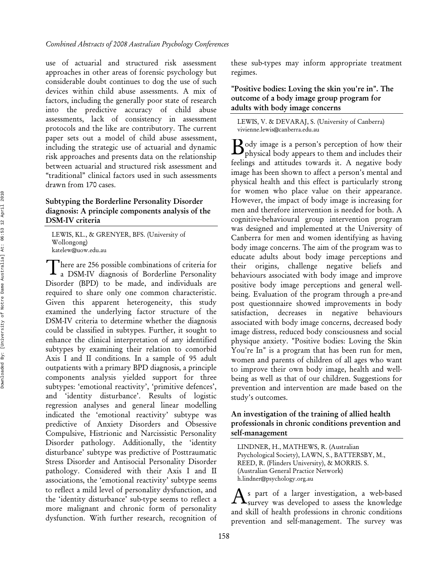use of actuarial and structured risk assessment approaches in other areas of forensic psychology but considerable doubt continues to dog the use of such devices within child abuse assessments. A mix of factors, including the generally poor state of research into the predictive accuracy of child abuse assessments, lack of consistency in assessment protocols and the like are contributory. The current paper sets out a model of child abuse assessment, including the strategic use of actuarial and dynamic risk approaches and presents data on the relationship between actuarial and structured risk assessment and "traditional" clinical factors used in such assessments drawn from 170 cases.

# **Subtyping the Borderline Personality Disorder diagnosis: A principle components analysis of the DSM-IV criteria**

LEWIS, KL., & GRENYER, BFS. (University of Wollongong) katelew@uow.edu.au

here are 256 possible combinations of criteria for a DSM-IV diagnosis of Borderline Personality Disorder (BPD) to be made, and individuals are required to share only one common characteristic. Given this apparent heterogeneity, this study examined the underlying factor structure of the DSM-IV criteria to determine whether the diagnosis could be classified in subtypes. Further, it sought to enhance the clinical interpretation of any identified subtypes by examining their relation to comorbid Axis I and II conditions. In a sample of 95 adult outpatients with a primary BPD diagnosis, a principle components analysis yielded support for three subtypes: 'emotional reactivity', 'primitive defences', and 'identity disturbance'. Results of logistic regression analyses and general linear modelling indicated the 'emotional reactivity' subtype was predictive of Anxiety Disorders and Obsessive Compulsive, Histrionic and Narcissistic Personality Disorder pathology. Additionally, the 'identity disturbance' subtype was predictive of Posttraumatic Stress Disorder and Antisocial Personality Disorder pathology. Considered with their Axis I and II associations, the 'emotional reactivity' subtype seems to reflect a mild level of personality dysfunction, and the 'identity disturbance' sub-type seems to reflect a more malignant and chronic form of personality dysfunction. With further research, recognition of T

these sub-types may inform appropriate treatment regimes.

# **"Positive bodies: Loving the skin you're in". The outcome of a body image group program for adults with body image concerns**

LEWIS, V. & DEVARAJ, S. (University of Canberra) vivienne.lewis@canberra.edu.au

ody image is a person's perception of how their Body image is a person's perception of how their<br>physical body appears to them and includes their feelings and attitudes towards it. A negative body image has been shown to affect a person's mental and physical health and this effect is particularly strong for women who place value on their appearance. However, the impact of body image is increasing for men and therefore intervention is needed for both. A cognitive-behavioural group intervention program was designed and implemented at the University of Canberra for men and women identifying as having body image concerns. The aim of the program was to educate adults about body image perceptions and their origins, challenge negative beliefs and behaviours associated with body image and improve positive body image perceptions and general wellbeing. Evaluation of the program through a pre-and post questionnaire showed improvements in body satisfaction, decreases in negative behaviours associated with body image concerns, decreased body image distress, reduced body consciousness and social physique anxiety. "Positive bodies: Loving the Skin You're In" is a program that has been run for men, women and parents of children of all ages who want to improve their own body image, health and wellbeing as well as that of our children. Suggestions for prevention and intervention are made based on the study's outcomes.

# **An investigation of the training of allied health professionals in chronic conditions prevention and self-management**

LINDNER, H., MATHEWS, R. (Australian Psychological Society), LAWN, S., BATTERSBY, M., REED, R. (Flinders University), & MORRIS. S. (Australian General Practice Network) h.lindner@psychology.org.au

s part of a larger investigation, a web-based  $A<sub>s</sub>$  part of a larger investigation, a web-based survey was developed to assess the knowledge and skill of health professions in chronic conditions prevention and self-management. The survey was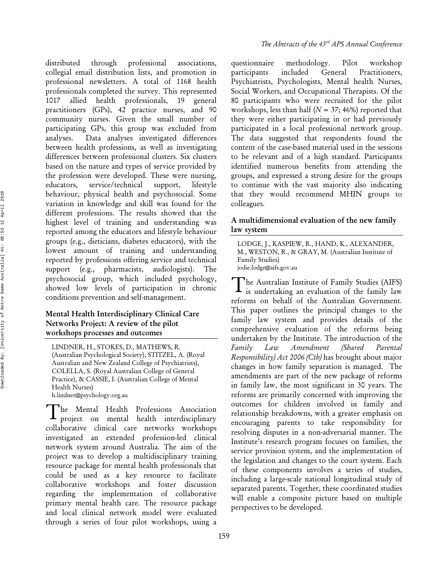distributed through professional associations, collegial email distribution lists, and promotion in professional newsletters. A total of 1168 health professionals completed the survey. This represented 1017 allied health professionals, 19 general practitioners (GPs), 42 practice nurses, and 90 community nurses. Given the small number of participating GPs, this group was excluded from analyses. Data analyses investigated differences between health professions, as well as investigating differences between professional clusters. Six clusters based on the nature and types of service provided by the profession were developed. These were nursing, educators, service/technical support, lifestyle behaviour, physical health and psychosocial. Some variation in knowledge and skill was found for the different professions. The results showed that the highest level of training and understanding was reported among the educators and lifestyle behaviour groups (e.g., dieticians, diabetes educators), with the lowest amount of training and understanding reported by professions offering service and technical support (e.g., pharmacists, audiologists). The psychosocial group, which included psychology, showed low levels of participation in chronic conditions prevention and self-management.

# **Mental Health Interdisciplinary Clinical Care Networks Project: A review of the pilot workshops processes and outcomes**

LINDNER, H., STOKES, D., MATHEWS, R. (Australian Psychological Society), STITZEL, A. (Royal Australian and New Zealand College of Psychiatrists), COLELLA, S. (Royal Australian College of General Practice), & CASSIE, I. (Australian College of Mental Health Nurses)

h.lindner@psychology.org.au

The Mental Health Professions Association<br>project on mental health interdisciplinary project on mental health interdisciplinary collaborative clinical care networks workshops investigated an extended profession-led clinical network system around Australia. The aim of the project was to develop a multidisciplinary training resource package for mental health professionals that could be used as a key resource to facilitate collaborative workshops and foster discussion regarding the implementation of collaborative primary mental health care. The resource package and local clinical network model were evaluated through a series of four pilot workshops, using a

questionnaire methodology. Pilot workshop participants included General Practitioners, Psychiatrists, Psychologists, Mental health Nurses, Social Workers, and Occupational Therapists. Of the 80 participants who were recruited for the pilot workshops, less than half ( $N = 37$ ; 46%) reported that they were either participating in or had previously participated in a local professional network group. The data suggested that respondents found the content of the case-based material used in the sessions to be relevant and of a high standard. Participants identified numerous benefits from attending the groups, and expressed a strong desire for the groups to continue with the vast majority also indicating that they would recommend MHIN groups to colleagues.

## **A multidimensional evaluation of the new family law system**

LODGE, J., KASPIEW, R., HAND, K., ALEXANDER, M., WESTON, R., & GRAY, M. (Australian Institute of Family Studies) jodie.lodge@aifs.gov.au

The Australian Institute of Family Studies (AIFS) The Australian Institute of Family Studies (AIFS)<br>is undertaking an evaluation of the family law reforms on behalf of the Australian Government. This paper outlines the principal changes to the family law system and provides details of the comprehensive evaluation of the reforms being undertaken by the Institute. The introduction of the *Family Law Amendment (Shared Parental Responsibility) Act 2006 (Cth)* has brought about major changes in how family separation is managed. The amendments are part of the new package of reforms in family law, the most significant in 30 years. The reforms are primarily concerned with improving the outcomes for children involved in family and relationship breakdowns, with a greater emphasis on encouraging parents to take responsibility for resolving disputes in a non-adversarial manner. The Institute's research program focuses on families, the service provision system, and the implementation of the legislation and changes to the court system. Each of these components involves a series of studies, including a large-scale national longitudinal study of separated parents. Together, these coordinated studies will enable a composite picture based on multiple perspectives to be developed.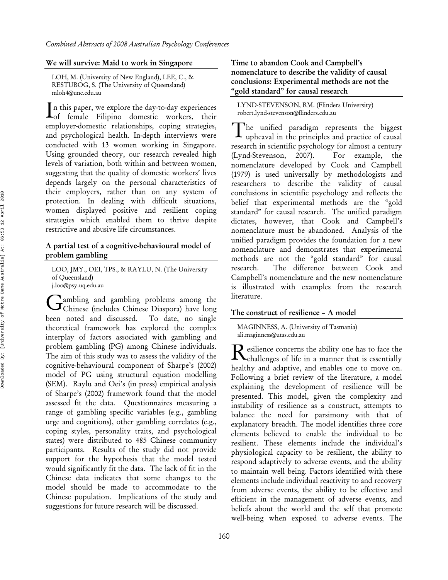#### **We will survive: Maid to work in Singapore**

LOH, M. (University of New England), LEE, C., & RESTUBOG, S. (The University of Queensland) mloh4@une.edu.au

n this paper, we explore the day-to-day experiences In this paper, we explore the day-to-day experiences<br>of female Filipino domestic workers, their employer-domestic relationships, coping strategies, and psychological health. In-depth interviews were conducted with 13 women working in Singapore. Using grounded theory, our research revealed high levels of variation, both within and between women, suggesting that the quality of domestic workers' lives depends largely on the personal characteristics of their employers, rather than on any system of protection. In dealing with difficult situations, women displayed positive and resilient coping strategies which enabled them to thrive despite restrictive and abusive life circumstances.

# **A partial test of a cognitive-behavioural model of problem gambling**

LOO, JMY., OEI, TPS., & RAYLU, N. (The University of Queensland) j.loo@psy.uq.edu.au

ambling and gambling problems among the Gambling and gambling problems among the Chinese (includes Chinese Diaspora) have long been noted and discussed. To date, no single theoretical framework has explored the complex interplay of factors associated with gambling and problem gambling (PG) among Chinese individuals. The aim of this study was to assess the validity of the cognitive-behavioural component of Sharpe's (2002) model of PG using structural equation modelling (SEM). Raylu and Oei's (in press) empirical analysis of Sharpe's (2002) framework found that the model assessed fit the data. Questionnaires measuring a range of gambling specific variables (e.g., gambling urge and cognitions), other gambling correlates (e.g., coping styles, personality traits, and psychological states) were distributed to 485 Chinese community participants. Results of the study did not provide support for the hypothesis that the model tested would significantly fit the data. The lack of fit in the Chinese data indicates that some changes to the model should be made to accommodate to the Chinese population. Implications of the study and suggestions for future research will be discussed.

**Time to abandon Cook and Campbell's nomenclature to describe the validity of causal conclusions: Experimental methods are not the "gold standard" for causal research** 

LYND-STEVENSON, RM. (Flinders University) robert.lynd-stevenson@flinders.edu.au

The unified paradigm represents the biggest upheaval in the principles and practice of causal upheaval in the principles and practice of causal research in scientific psychology for almost a century (Lynd-Stevenson, 2007). For example, the nomenclature developed by Cook and Campbell (1979) is used universally by methodologists and researchers to describe the validity of causal conclusions in scientific psychology and reflects the belief that experimental methods are the "gold standard" for causal research. The unified paradigm dictates, however, that Cook and Campbell's nomenclature must be abandoned. Analysis of the unified paradigm provides the foundation for a new nomenclature and demonstrates that experimental methods are not the "gold standard" for causal research. The difference between Cook and Campbell's nomenclature and the new nomenclature is illustrated with examples from the research literature.

#### **The construct of resilience – A model**

MAGINNESS, A. (University of Tasmania) ali.maginness@utas.edu.au

solience concerns the ability one has to face the Resilience concerns the ability one has to face the challenges of life in a manner that is essentially healthy and adaptive, and enables one to move on. Following a brief review of the literature, a model explaining the development of resilience will be presented. This model, given the complexity and instability of resilience as a construct, attempts to balance the need for parsimony with that of explanatory breadth. The model identifies three core elements believed to enable the individual to be resilient. These elements include the individual's physiological capacity to be resilient, the ability to respond adaptively to adverse events, and the ability to maintain well being. Factors identified with these elements include individual reactivity to and recovery from adverse events, the ability to be effective and efficient in the management of adverse events, and beliefs about the world and the self that promote well-being when exposed to adverse events. The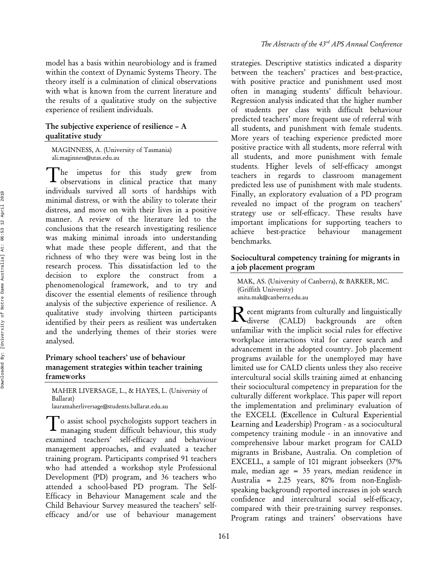model has a basis within neurobiology and is framed within the context of Dynamic Systems Theory. The theory itself is a culmination of clinical observations with what is known from the current literature and the results of a qualitative study on the subjective experience of resilient individuals.

# **The subjective experience of resilience – A qualitative study**

MAGINNESS, A. (University of Tasmania) ali.maginness@utas.edu.au

he impetus for this study grew from The impetus for this study grew from<br>observations in clinical practice that many individuals survived all sorts of hardships with minimal distress, or with the ability to tolerate their distress, and move on with their lives in a positive manner. A review of the literature led to the conclusions that the research investigating resilience was making minimal inroads into understanding what made these people different, and that the richness of who they were was being lost in the research process. This dissatisfaction led to the decision to explore the construct from phenomenological framework, and to try and discover the essential elements of resilience through analysis of the subjective experience of resilience. A qualitative study involving thirteen participants identified by their peers as resilient was undertaken and the underlying themes of their stories were analysed.

# **Primary school teachers' use of behaviour management strategies within teacher training frameworks**

MAHER LIVERSAGE, L., & HAYES, L. (University of Ballarat) lauramaherliversage@students.ballarat.edu.au

o assist school psychologists support teachers in To assist school psychologists support teachers in managing student difficult behaviour, this study examined teachers' self-efficacy and behaviour management approaches, and evaluated a teacher training program. Participants comprised 91 teachers who had attended a workshop style Professional Development (PD) program, and 36 teachers who attended a school-based PD program. The Self-Efficacy in Behaviour Management scale and the Child Behaviour Survey measured the teachers' selfefficacy and/or use of behaviour management

strategies. Descriptive statistics indicated a disparity between the teachers' practices and best-practice, with positive practice and punishment used most often in managing students' difficult behaviour. Regression analysis indicated that the higher number of students per class with difficult behaviour predicted teachers' more frequent use of referral with all students, and punishment with female students. More years of teaching experience predicted more positive practice with all students, more referral with all students, and more punishment with female students. Higher levels of self-efficacy amongst teachers in regards to classroom management predicted less use of punishment with male students. Finally, an exploratory evaluation of a PD program revealed no impact of the program on teachers' strategy use or self-efficacy. These results have important implications for supporting teachers to achieve best-practice behaviour management benchmarks.

## **Sociocultural competency training for migrants in a job placement program**

MAK, AS. (University of Canberra), & BARKER, MC. (Griffith University) anita.mak@canberra.edu.au

ecent migrants from culturally and linguistically Recent migrants from culturally and linguistically<br>diverse (CALD) backgrounds are often unfamiliar with the implicit social rules for effective workplace interactions vital for career search and advancement in the adopted country. Job placement programs available for the unemployed may have limited use for CALD clients unless they also receive intercultural social skills training aimed at enhancing their sociocultural competency in preparation for the culturally different workplace. This paper will report the implementation and preliminary evaluation of the EXCELL (**Ex**cellence in **C**ultural **E**xperiential **L**earning and **L**eadership) Program - as a sociocultural competency training module - in an innovative and comprehensive labour market program for CALD migrants in Brisbane, Australia. On completion of EXCELL, a sample of 101 migrant jobseekers (37% male, median age = 35 years, median residence in Australia = 2.25 years, 80% from non-Englishspeaking background) reported increases in job search confidence and intercultural social self-efficacy, compared with their pre-training survey responses. Program ratings and trainers' observations have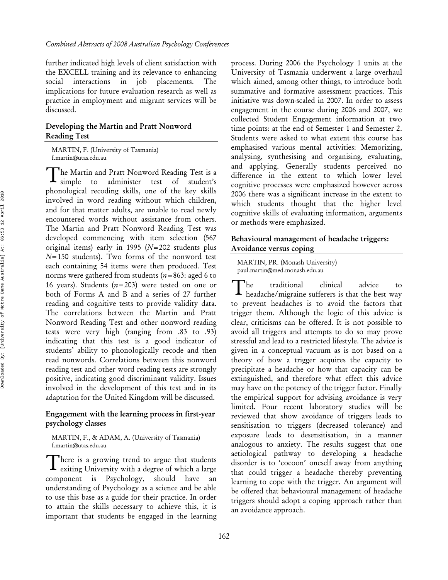further indicated high levels of client satisfaction with the EXCELL training and its relevance to enhancing social interactions in job placements. The implications for future evaluation research as well as practice in employment and migrant services will be discussed.

### **Developing the Martin and Pratt Nonword Reading Test**

MARTIN, F. (University of Tasmania) f.martin@utas.edu.au

he Martin and Pratt Nonword Reading Test is a The Martin and Pratt Nonword Reading Test is a<br>simple to administer test of student's phonological recoding skills, one of the key skills involved in word reading without which children, and for that matter adults, are unable to read newly encountered words without assistance from others. The Martin and Pratt Nonword Reading Test was developed commencing with item selection (567 original items) early in 1995 (*N*=202 students plus *N*=150 students). Two forms of the nonword test each containing 54 items were then produced. Test norms were gathered from students (*n*=863: aged 6 to 16 years). Students (*n*=203) were tested on one or both of Forms A and B and a series of 27 further reading and cognitive tests to provide validity data. The correlations between the Martin and Pratt Nonword Reading Test and other nonword reading tests were very high (ranging from .83 to .93) indicating that this test is a good indicator of students' ability to phonologically recode and then read nonwords. Correlations between this nonword reading test and other word reading tests are strongly positive, indicating good discriminant validity. Issues involved in the development of this test and in its adaptation for the United Kingdom will be discussed.

## **Engagement with the learning process in first-year psychology classes**

MARTIN, F., & ADAM, A. (University of Tasmania) f.martin@utas.edu.au

here is a growing trend to argue that students There is a growing trend to argue that students<br>exiting University with a degree of which a large component is Psychology, should have an understanding of Psychology as a science and be able to use this base as a guide for their practice. In order to attain the skills necessary to achieve this, it is important that students be engaged in the learning

process. During 2006 the Psychology 1 units at the University of Tasmania underwent a large overhaul which aimed, among other things, to introduce both summative and formative assessment practices. This initiative was down-scaled in 2007. In order to assess engagement in the course during 2006 and 2007, we collected Student Engagement information at two time points: at the end of Semester 1 and Semester 2. Students were asked to what extent this course has emphasised various mental activities: Memorizing, analysing, synthesising and organising, evaluating, and applying. Generally students perceived no difference in the extent to which lower level cognitive processes were emphasized however across 2006 there was a significant increase in the extent to which students thought that the higher level cognitive skills of evaluating information, arguments or methods were emphasized.

## **Behavioural management of headache triggers: Avoidance versus coping**

MARTIN, PR. (Monash University) paul.martin@med.monash.edu.au

he traditional clinical advice to headache/migraine sufferers is that the best way to prevent headaches is to avoid the factors that trigger them. Although the logic of this advice is clear, criticisms can be offered. It is not possible to avoid all triggers and attempts to do so may prove stressful and lead to a restricted lifestyle. The advice is given in a conceptual vacuum as is not based on a theory of how a trigger acquires the capacity to precipitate a headache or how that capacity can be extinguished, and therefore what effect this advice may have on the potency of the trigger factor. Finally the empirical support for advising avoidance is very limited. Four recent laboratory studies will be reviewed that show avoidance of triggers leads to sensitisation to triggers (decreased tolerance) and exposure leads to desensitisation, in a manner analogous to anxiety. The results suggest that one aetiological pathway to developing a headache disorder is to 'cocoon' oneself away from anything that could trigger a headache thereby preventing learning to cope with the trigger. An argument will be offered that behavioural management of headache triggers should adopt a coping approach rather than an avoidance approach. The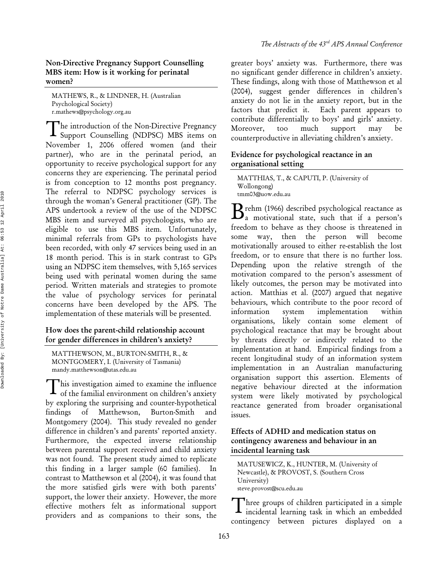#### **Non-Directive Pregnancy Support Counselling MBS item: How is it working for perinatal women?**

MATHEWS, R., & LINDNER, H. (Australian Psychological Society) r.mathews@psychology.org.au

The introduction of the Non-Directive Pregnancy The introduction of the Non-Directive Pregnancy<br>Support Counselling (NDPSC) MBS items on November 1, 2006 offered women (and their partner), who are in the perinatal period, an opportunity to receive psychological support for any concerns they are experiencing. The perinatal period is from conception to 12 months post pregnancy. The referral to NDPSC psychology services is through the woman's General practitioner (GP). The APS undertook a review of the use of the NDPSC MBS item and surveyed all psychologists, who are eligible to use this MBS item. Unfortunately, minimal referrals from GPs to psychologists have been recorded, with only 47 services being used in an 18 month period. This is in stark contrast to GPs using an NDPSC item themselves, with 5,165 services being used with perinatal women during the same period. Written materials and strategies to promote the value of psychology services for perinatal concerns have been developed by the APS. The implementation of these materials will be presented.

#### **How does the parent-child relationship account for gender differences in children's anxiety?**

MATTHEWSON, M., BURTON-SMITH, R., & MONTGOMERY, I. (University of Tasmania) mandy.matthewson@utas.edu.au

his investigation aimed to examine the influence This investigation aimed to examine the influence of the familial environment on children's anxiety by exploring the surprising and counter-hypothetical findings of Matthewson, Burton-Smith and Montgomery (2004). This study revealed no gender difference in children's and parents' reported anxiety. Furthermore, the expected inverse relationship between parental support received and child anxiety was not found. The present study aimed to replicate this finding in a larger sample (60 families). In contrast to Matthewson et al (2004), it was found that the more satisfied girls were with both parents' support, the lower their anxiety. However, the more effective mothers felt as informational support providers and as companions to their sons, the

greater boys' anxiety was. Furthermore, there was no significant gender difference in children's anxiety. These findings, along with those of Matthewson et al (2004), suggest gender differences in children's anxiety do not lie in the anxiety report, but in the factors that predict it. Each parent appears to contribute differentially to boys' and girls' anxiety. Moreover, too much support may be counterproductive in alleviating children's anxiety.

## **Evidence for psychological reactance in an organisational setting**

MATTHIAS, T., & CAPUTI, P. (University of Wollongong) tmm03@uow.edu.au

rehm (1966) described psychological reactance as  $\mathbf{B}_{\text{a}}$  motivational state, such that if a person's freedom to behave as they choose is threatened in some way, then the person will become motivationally aroused to either re-establish the lost freedom, or to ensure that there is no further loss. Depending upon the relative strength of the motivation compared to the person's assessment of likely outcomes, the person may be motivated into action. Matthias et al. (2007) argued that negative behaviours, which contribute to the poor record of information system implementation within organisations, likely contain some element of psychological reactance that may be brought about by threats directly or indirectly related to the implementation at hand. Empirical findings from a recent longitudinal study of an information system implementation in an Australian manufacturing organisation support this assertion. Elements of negative behaviour directed at the information system were likely motivated by psychological reactance generated from broader organisational issues.

# **Effects of ADHD and medication status on contingency awareness and behaviour in an incidental learning task**

MATUSEWICZ, K., HUNTER, M. (University of Newcastle), & PROVOST, S. (Southern Cross University) steve.provost@scu.edu.au

Three groups of children participated in a simple incidental learning task in which an embedded incidental learning task in which an embedded contingency between pictures displayed on a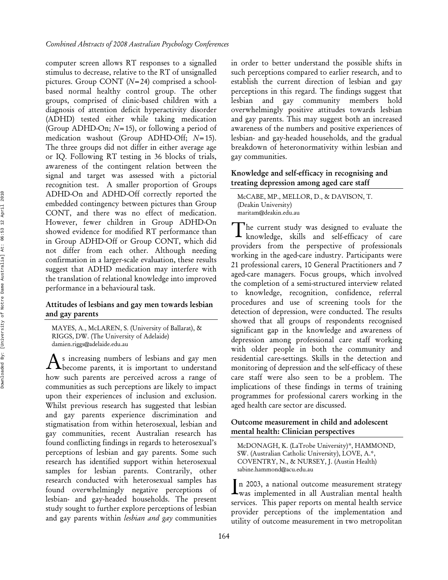computer screen allows RT responses to a signalled stimulus to decrease, relative to the RT of unsignalled pictures. Group CONT (*N*=24) comprised a schoolbased normal healthy control group. The other groups, comprised of clinic-based children with a diagnosis of attention deficit hyperactivity disorder (ADHD) tested either while taking medication (Group ADHD-On; *N*=15), or following a period of medication washout (Group ADHD-Off; *N*=15). The three groups did not differ in either average age or IQ. Following RT testing in 36 blocks of trials, awareness of the contingent relation between the signal and target was assessed with a pictorial recognition test. A smaller proportion of Groups ADHD-On and ADHD-Off correctly reported the embedded contingency between pictures than Group CONT, and there was no effect of medication. However, fewer children in Group ADHD-On showed evidence for modified RT performance than in Group ADHD-Off or Group CONT, which did not differ from each other. Although needing confirmation in a larger-scale evaluation, these results suggest that ADHD medication may interfere with the translation of relational knowledge into improved performance in a behavioural task.

# **Attitudes of lesbians and gay men towards lesbian and gay parents**

MAYES, A., McLAREN, S. (University of Ballarat), & RIGGS, DW. (The University of Adelaide) damien.riggs@adelaide.edu.au

s increasing numbers of lesbians and gay men As increasing numbers of lesbians and gay men<br>become parents, it is important to understand how such parents are perceived across a range of communities as such perceptions are likely to impact upon their experiences of inclusion and exclusion. Whilst previous research has suggested that lesbian and gay parents experience discrimination and stigmatisation from within heterosexual, lesbian and gay communities, recent Australian research has found conflicting findings in regards to heterosexual's perceptions of lesbian and gay parents. Some such research has identified support within heterosexual samples for lesbian parents. Contrarily, other research conducted with heterosexual samples has found overwhelmingly negative perceptions of lesbian- and gay-headed households. The present study sought to further explore perceptions of lesbian and gay parents within *lesbian and gay* communities

in order to better understand the possible shifts in such perceptions compared to earlier research, and to establish the current direction of lesbian and gay perceptions in this regard. The findings suggest that lesbian and gay community members hold overwhelmingly positive attitudes towards lesbian and gay parents. This may suggest both an increased awareness of the numbers and positive experiences of lesbian- and gay-headed households, and the gradual breakdown of heteronormativity within lesbian and gay communities.

# **Knowledge and self-efficacy in recognising and treating depression among aged care staff**

McCABE, MP., MELLOR, D., & DAVISON, T. (Deakin University) maritam@deakin.edu.au

he current study was designed to evaluate the The current study was designed to evaluate the<br>knowledge, skills and self-efficacy of care providers from the perspective of professionals working in the aged-care industry. Participants were 21 professional carers, 10 General Practitioners and 7 aged-care managers. Focus groups, which involved the completion of a semi-structured interview related to knowledge, recognition, confidence, referral procedures and use of screening tools for the detection of depression, were conducted. The results showed that all groups of respondents recognised significant gap in the knowledge and awareness of depression among professional care staff working with older people in both the community and residential care-settings. Skills in the detection and monitoring of depression and the self-efficacy of these care staff were also seen to be a problem. The implications of these findings in terms of training programmes for professional carers working in the aged health care sector are discussed.

# **Outcome measurement in child and adolescent mental health: Clinician perspectives**

McDONAGH, K. (LaTrobe University)\*, HAMMOND, SW. (Australian Catholic University), LOVE, A.\*, COVENTRY, N., & NURSEY, J. (Austin Health) sabine.hammond@acu.edu.au

n 2003, a national outcome measurement strategy  $\int$ n 2003, a national outcome measurement strategy was implemented in all Australian mental health services. This paper reports on mental health service provider perceptions of the implementation and utility of outcome measurement in two metropolitan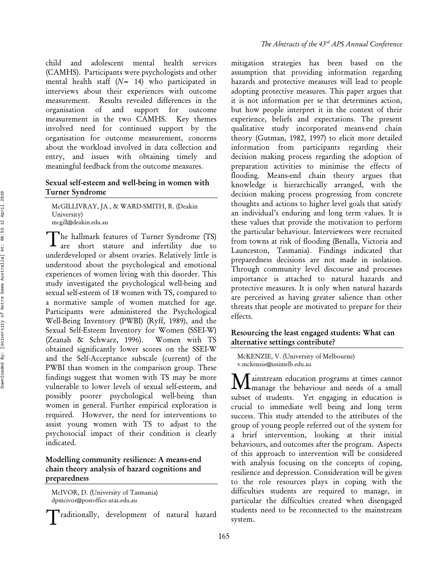child and adolescent mental health services (CAMHS). Participants were psychologists and other mental health staff (*N*= 14) who participated in interviews about their experiences with outcome measurement. Results revealed differences in the organisation of and support for outcome measurement in the two CAMHS. Key themes involved need for continued support by the organisation for outcome measurement, concerns about the workload involved in data collection and entry, and issues with obtaining timely and meaningful feedback from the outcome measures.

#### **Sexual self-esteem and well-being in women with Turner Syndrome**

McGILLIVRAY, JA., & WARD-SMITH, R. (Deakin University) mcgill@deakin.edu.au

The hallmark features of Turner Syndrome (TS)<br>are short stature and infertility due to are short stature and infertility due to underdeveloped or absent ovaries. Relatively little is understood about the psychological and emotional experiences of women living with this disorder. This study investigated the psychological well-being and sexual self-esteem of 18 women with TS, compared to a normative sample of women matched for age. Participants were administered the Psychological Well-Being Inventory (PWBI) (Ryff, 1989), and the Sexual Self-Esteem Inventory for Women (SSEI-W) (Zeanah & Schwarz, 1996). Women with TS obtained significantly lower scores on the SSEI-W and the Self-Acceptance subscale (current) of the PWBI than women in the comparison group. These findings suggest that women with TS may be more vulnerable to lower levels of sexual self-esteem, and possibly poorer psychological well-being than women in general. Further empirical exploration is required. However, the need for interventions to assist young women with TS to adjust to the psychosocial impact of their condition is clearly indicated.

# **Modelling community resilience: A means-end chain theory analysis of hazard cognitions and preparedness**

McIVOR, D. (University of Tasmania) dpmcivor@postoffice.utas.edu.au

raditionally, development of natural hazard T

mitigation strategies has been based on the assumption that providing information regarding hazards and protective measures will lead to people adopting protective measures. This paper argues that it is not information per se that determines action, but how people interpret it in the context of their experience, beliefs and expectations. The present qualitative study incorporated means-end chain theory (Gutman, 1982, 1997) to elicit more detailed information from participants regarding their decision making process regarding the adoption of preparation activities to minimise the effects of flooding. Means-end chain theory argues that knowledge is hierarchically arranged, with the decision making process progressing from concrete thoughts and actions to higher level goals that satisfy an individual's enduring and long term values. It is these values that provide the motivation to perform the particular behaviour. Interviewees were recruited from towns at risk of flooding (Benalla, Victoria and Launceston, Tasmania). Findings indicated that preparedness decisions are not made in isolation. Through community level discourse and processes importance is attached to natural hazards and protective measures. It is only when natural hazards are perceived as having greater salience than other threats that people are motivated to prepare for their effects.

#### **Resourcing the least engaged students: What can alternative settings contribute?**

McKENZIE, V. (University of Melbourne) v.mckenzie@unimelb.edu.au

ainstream education programs at times cannot  $\mathbf M$ ainstream education programs at times cannot manage the behaviour and needs of a small subset of students. Yet engaging in education is crucial to immediate well being and long term success. This study attended to the attributes of the group of young people referred out of the system for a brief intervention, looking at their initial behaviours, and outcomes after the program. Aspects of this approach to intervention will be considered with analysis focusing on the concepts of coping, resilience and depression. Consideration will be given to the role resources plays in coping with the difficulties students are required to manage, in particular the difficulties created when disengaged students need to be reconnected to the mainstream system.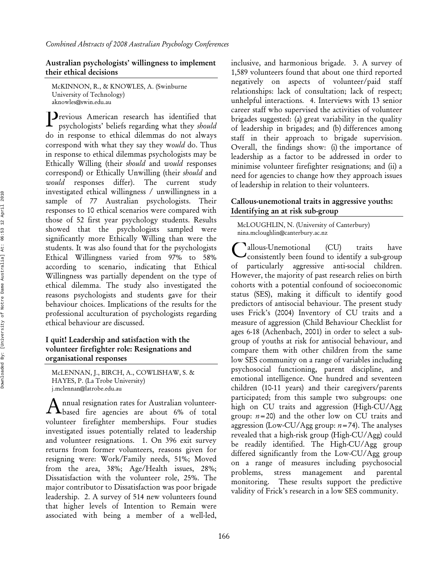### **Australian psychologists' willingness to implement their ethical decisions**

McKINNON, R., & KNOWLES, A. (Swinburne University of Technology) aknowles@swin.edu.au

Previous American research has identified that<br>psychologists' beliefs regarding what they should psychologists' beliefs regarding what they *should* do in response to ethical dilemmas do not always correspond with what they say they w*ould* do. Thus in response to ethical dilemmas psychologists may be Ethically Willing (their *should* and *would* responses correspond) or Ethically Unwilling (their *should* and *would* responses differ). The current study investigated ethical willingness / unwillingness in a sample of 77 Australian psychologists. Their responses to 10 ethical scenarios were compared with those of 52 first year psychology students. Results showed that the psychologists sampled were significantly more Ethically Willing than were the students. It was also found that for the psychologists Ethical Willingness varied from 97% to 58% according to scenario, indicating that Ethical Willingness was partially dependent on the type of ethical dilemma. The study also investigated the reasons psychologists and students gave for their behaviour choices. Implications of the results for the professional acculturation of psychologists regarding ethical behaviour are discussed.

# **I quit! Leadership and satisfaction with the volunteer firefighter role: Resignations and organisational responses**

McLENNAN, J., BIRCH, A., COWLISHAW, S. & HAYES, P. (La Trobe University) j.mclennan@latrobe.edu.au

nnual resignation rates for Australian volunteer-Annual resignation rates for Australian volunteer-<br>Abased fire agencies are about 6% of total volunteer firefighter memberships. Four studies investigated issues potentially related to leadership and volunteer resignations. 1. On 396 exit survey returns from former volunteers, reasons given for resigning were: Work/Family needs, 51%; Moved from the area, 38%; Age/Health issues, 28%; Dissatisfaction with the volunteer role, 25%. The major contributor to Dissatisfaction was poor brigade leadership. 2. A survey of 514 new volunteers found that higher levels of Intention to Remain were associated with being a member of a well-led,

inclusive, and harmonious brigade. 3. A survey of 1,589 volunteers found that about one third reported negatively on aspects of volunteer/paid staff relationships: lack of consultation; lack of respect; unhelpful interactions. 4. Interviews with 13 senior career staff who supervised the activities of volunteer brigades suggested: (a) great variability in the quality of leadership in brigades; and (b) differences among staff in their approach to brigade supervision. Overall, the findings show: (i) the importance of leadership as a factor to be addressed in order to minimise volunteer firefighter resignations; and (ii) a need for agencies to change how they approach issues of leadership in relation to their volunteers.

# **Callous-unemotional traits in aggressive youths: Identifying an at risk sub-group**

McLOUGHLIN, N. (University of Canterbury) nina.mcloughlin@canterbury.ac.nz

allous-Unemotional (CU) traits have **C**allous-Unemotional (CU) traits have<br>consistently been found to identify a sub-group of particularly aggressive anti-social children. However, the majority of past research relies on birth cohorts with a potential confound of socioeconomic status (SES), making it difficult to identify good predictors of antisocial behaviour. The present study uses Frick's (2004) Inventory of CU traits and a measure of aggression (Child Behaviour Checklist for ages 6-18 (Achenbach, 2001) in order to select a subgroup of youths at risk for antisocial behaviour, and compare them with other children from the same low SES community on a range of variables including psychosocial functioning, parent discipline, and emotional intelligence. One hundred and seventeen children (10-11 years) and their caregivers/parents participated; from this sample two subgroups: one high on CU traits and aggression (High-CU/Agg group: *n*=20) and the other low on CU traits and aggression (Low-CU/Agg group: *n*=74). The analyses revealed that a high-risk group (High-CU/Agg) could be readily identified. The High-CU/Agg group differed significantly from the Low-CU/Agg group on a range of measures including psychosocial problems, stress management and parental monitoring. These results support the predictive validity of Frick's research in a low SES community.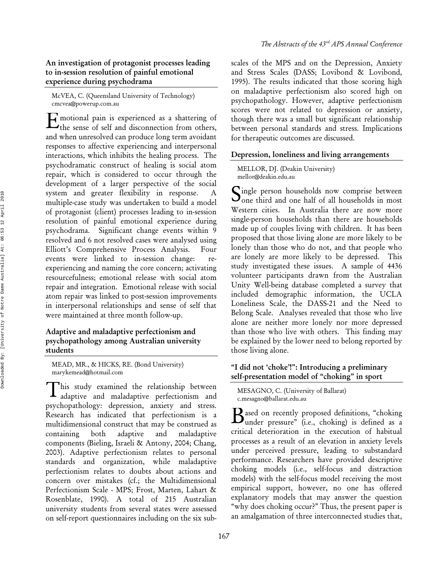# **An investigation of protagonist processes leading to in-session resolution of painful emotional experience during psychodrama**

McVEA, C. (Queensland University of Technology) cmcvea@powerup.com.au

motional pain is experienced as a shattering of  $E_{\text{the sense of self and disconnection from others,}}$ and when unresolved can produce long term avoidant responses to affective experiencing and interpersonal interactions, which inhibits the healing process. The psychodramatic construct of healing is social atom repair, which is considered to occur through the development of a larger perspective of the social system and greater flexibility in response. A multiple-case study was undertaken to build a model of protagonist (client) processes leading to in-session resolution of painful emotional experience during psychodrama. Significant change events within 9 resolved and 6 not resolved cases were analysed using Elliott's Comprehensive Process Analysis. Four events were linked to in-session change: reexperiencing and naming the core concern; activating resourcefulness; emotional release with social atom repair and integration. Emotional release with social atom repair was linked to post-session improvements in interpersonal relationships and sense of self that were maintained at three month follow-up.

# **Adaptive and maladaptive perfectionism and psychopathology among Australian university students**

MEAD, MR., & HICKS, RE. (Bond University) marykemead@hotmail.com

This study examined the relationship between<br>adaptive and maladaptive perfectionism and adaptive and maladaptive perfectionism and psychopathology: depression, anxiety and stress. Research has indicated that perfectionism is a multidimensional construct that may be construed as containing both adaptive and maladaptive components (Bieling, Israeli & Antony, 2004; Chang, 2003). Adaptive perfectionism relates to personal standards and organization, while maladaptive perfectionism relates to doubts about actions and concern over mistakes (cf.; the Multidimensional Perfectionism Scale - MPS; Frost, Marten, Lahart & Rosenblate, 1990). A total of 215 Australian university students from several states were assessed on self-report questionnaires including on the six subscales of the MPS and on the Depression, Anxiety and Stress Scales (DASS; Lovibond & Lovibond, 1995). The results indicated that those scoring high on maladaptive perfectionism also scored high on psychopathology. However, adaptive perfectionism scores were not related to depression or anxiety, though there was a small but significant relationship between personal standards and stress. Implications for therapeutic outcomes are discussed.

#### **Depression, loneliness and living arrangements**

MELLOR, DJ. (Deakin University) mellor@deakin.edu.au

ingle person households now comprise between  $\mathbf S$ ingle person households now comprise between one third and one half of all households in most Western cities. In Australia there are now more single-person households than there are households made up of couples living with children. It has been proposed that those living alone are more likely to be lonely than those who do not, and that people who are lonely are more likely to be depressed. This study investigated these issues. A sample of 4436 volunteer participants drawn from the Australian Unity Well-being database completed a survey that included demographic information, the UCLA Loneliness Scale, the DASS-21 and the Need to Belong Scale. Analyses revealed that those who live alone are neither more lonely nor more depressed than those who live with others. This finding may be explained by the lower need to belong reported by those living alone.

## **"I did not 'choke'!": Introducing a preliminary self-presentation model of "choking" in sport**

MESAGNO, C. (University of Ballarat) c.mesagno@ballarat.edu.au

ased on recently proposed definitions, "choking Based on recently proposed definitions, "choking" under pressure" (i.e., choking) is defined as a critical deterioration in the execution of habitual processes as a result of an elevation in anxiety levels under perceived pressure, leading to substandard performance. Researchers have provided descriptive choking models (i.e., self-focus and distraction models) with the self-focus model receiving the most empirical support, however, no one has offered explanatory models that may answer the question "why does choking occur?" Thus, the present paper is an amalgamation of three interconnected studies that,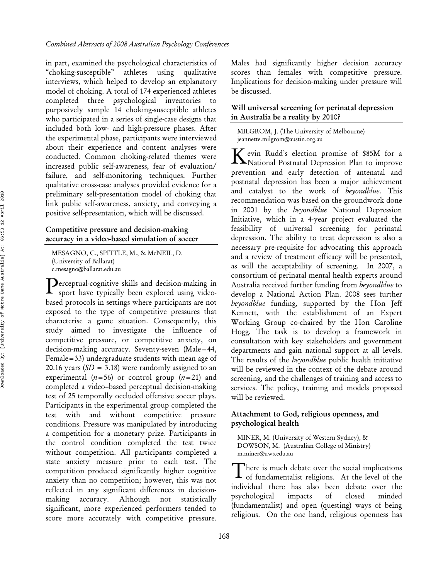in part, examined the psychological characteristics of "choking-susceptible" athletes using qualitative interviews, which helped to develop an explanatory model of choking. A total of 174 experienced athletes completed three psychological inventories to purposively sample 14 choking-susceptible athletes who participated in a series of single-case designs that included both low- and high-pressure phases. After the experimental phase, participants were interviewed about their experience and content analyses were conducted. Common choking-related themes were increased public self-awareness, fear of evaluation/ failure, and self-monitoring techniques. Further qualitative cross-case analyses provided evidence for a preliminary self-presentation model of choking that link public self-awareness, anxiety, and conveying a positive self-presentation, which will be discussed.

#### **Competitive pressure and decision-making accuracy in a video-based simulation of soccer**

MESAGNO, C., SPITTLE, M., & McNEIL, D. (University of Ballarat) c.mesagno@ballarat.edu.au

Perceptual-cognitive skills and decision-making in sport have typically been explored using videosport have typically been explored using videobased protocols in settings where participants are not exposed to the type of competitive pressures that characterise a game situation. Consequently, this study aimed to investigate the influence of competitive pressure, or competitive anxiety, on decision-making accuracy. Seventy-seven (Male=44, Female=33) undergraduate students with mean age of 20.16 years  $(SD = 3.18)$  were randomly assigned to an experimental (*n*=56) or control group (*n*=21) and completed a video–based perceptual decision-making test of 25 temporally occluded offensive soccer plays. Participants in the experimental group completed the test with and without competitive pressure conditions. Pressure was manipulated by introducing a competition for a monetary prize. Participants in the control condition completed the test twice without competition. All participants completed a state anxiety measure prior to each test. The competition produced significantly higher cognitive anxiety than no competition; however, this was not reflected in any significant differences in decisionmaking accuracy. Although not statistically significant, more experienced performers tended to score more accurately with competitive pressure.

Males had significantly higher decision accuracy scores than females with competitive pressure. Implications for decision-making under pressure will be discussed.

# **Will universal screening for perinatal depression in Australia be a reality by 2010?**

MILGROM, J. (The University of Melbourne) jeannette.milgrom@austin.org.au

evin Rudd's election promise of \$85M for a K evin Rudd's election promise of \$85M for a<br>National Postnatal Depression Plan to improve prevention and early detection of antenatal and postnatal depression has been a major achievement and catalyst to the work of *beyondblue*. This recommendation was based on the groundwork done in 2001 by the *beyondblue* National Depression Initiative, which in a 4-year project evaluated the feasibility of universal screening for perinatal depression. The ability to treat depression is also a necessary pre-requisite for advocating this approach and a review of treatment efficacy will be presented, as will the acceptability of screening. In 2007, a consortium of perinatal mental health experts around Australia received further funding from *beyondblue* to develop a National Action Plan. 2008 sees further *beyondblue* funding, supported by the Hon Jeff Kennett, with the establishment of an Expert Working Group co-chaired by the Hon Caroline Hogg. The task is to develop a framework in consultation with key stakeholders and government departments and gain national support at all levels. The results of the *beyondblue* public health initiative will be reviewed in the context of the debate around screening, and the challenges of training and access to services. The policy, training and models proposed will be reviewed.

## **Attachment to God, religious openness, and psychological health**

MINER, M. (University of Western Sydney), & DOWSON, M. (Australian College of Ministry) m.miner@uws.edu.au

here is much debate over the social implications There is much debate over the social implications<br>of fundamentalist religions. At the level of the individual there has also been debate over the psychological impacts of closed minded (fundamentalist) and open (questing) ways of being religious. On the one hand, religious openness has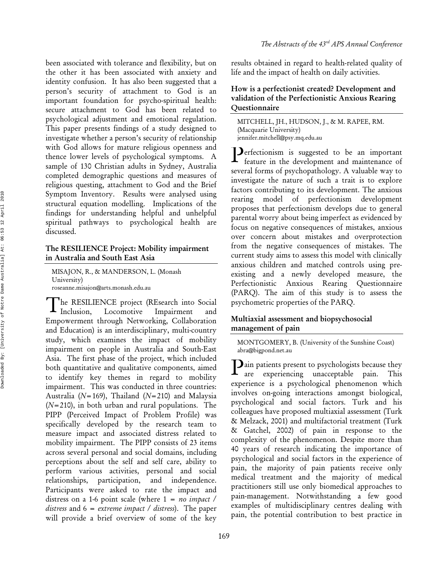been associated with tolerance and flexibility, but on the other it has been associated with anxiety and identity confusion. It has also been suggested that a person's security of attachment to God is an important foundation for psycho-spiritual health: secure attachment to God has been related to psychological adjustment and emotional regulation. This paper presents findings of a study designed to investigate whether a person's security of relationship with God allows for mature religious openness and thence lower levels of psychological symptoms. A sample of 130 Christian adults in Sydney, Australia completed demographic questions and measures of religious questing, attachment to God and the Brief Symptom Inventory. Results were analysed using structural equation modelling. Implications of the findings for understanding helpful and unhelpful spiritual pathways to psychological health are discussed.

#### **The RESILIENCE Project: Mobility impairment in Australia and South East Asia**

MISAJON, R., & MANDERSON, L. (Monash University) roseanne.misajon@arts.monash.edu.au

he RESILIENCE project (REsearch into Social Locomotive Impairment and Empowerment through Networking, Collaboration and Education) is an interdisciplinary, multi-country study, which examines the impact of mobility impairment on people in Australia and South-East Asia. The first phase of the project, which included both quantitative and qualitative components, aimed to identify key themes in regard to mobility impairment. This was conducted in three countries: Australia (*N*=169), Thailand (*N*=210) and Malaysia (*N*=210), in both urban and rural populations. The PIPP (Perceived Impact of Problem Profile) was specifically developed by the research team to measure impact and associated distress related to mobility impairment. The PIPP consists of 23 items across several personal and social domains, including perceptions about the self and self care, ability to perform various activities, personal and social relationships, participation, and independence. Participants were asked to rate the impact and distress on a 1-6 point scale (where 1 = *no impact* / *distress* and 6 = *extreme impact* / *distress*). The paper will provide a brief overview of some of the key  $\mathbf{I}$  Inclusion,

results obtained in regard to health-related quality of life and the impact of health on daily activities.

## **How is a perfectionist created? Development and validation of the Perfectionistic Anxious Rearing Questionnaire**

MITCHELL, JH., HUDSON, J., & M. RAPEE, RM. (Macquarie University) jennifer.mitchell@psy.mq.edu.au

Perfectionism is suggested to be an important feature in the development and maintenance of feature in the development and maintenance of several forms of psychopathology. A valuable way to investigate the nature of such a trait is to explore factors contributing to its development. The anxious rearing model of perfectionism development proposes that perfectionism develops due to general parental worry about being imperfect as evidenced by focus on negative consequences of mistakes, anxious over concern about mistakes and overprotection from the negative consequences of mistakes. The current study aims to assess this model with clinically anxious children and matched controls using preexisting and a newly developed measure, the Perfectionistic Anxious Rearing Questionnaire (PARQ). The aim of this study is to assess the psychometric properties of the PARQ.

## **Multiaxial assessment and biopsychosocial management of pain**

MONTGOMERY, B. (University of the Sunshine Coast) abra@bigpond.net.au

**P**ain patients present to psychologists because they are experiencing unacceptable pain. This are experiencing unacceptable pain. This experience is a psychological phenomenon which involves on-going interactions amongst biological, psychological and social factors. Turk and his colleagues have proposed multiaxial assessment (Turk & Melzack, 2001) and multifactorial treatment (Turk & Gatchel, 2002) of pain in response to the complexity of the phenomenon. Despite more than 40 years of research indicating the importance of psychological and social factors in the experience of pain, the majority of pain patients receive only medical treatment and the majority of medical practitioners still use only biomedical approaches to pain-management. Notwithstanding a few good examples of multidisciplinary centres dealing with pain, the potential contribution to best practice in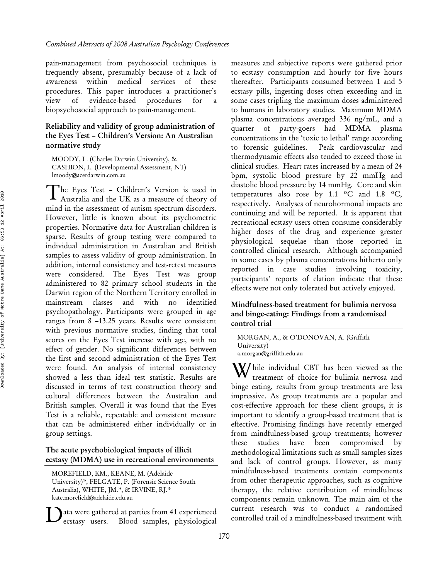pain-management from psychosocial techniques is frequently absent, presumably because of a lack of awareness within medical services of these procedures. This paper introduces a practitioner's view of evidence-based procedures for biopsychosocial approach to pain-management.

# **Reliability and validity of group administration of the Eyes Test – Children's Version: An Australian normative study**

MOODY, L. (Charles Darwin University), & CASHION, L. (Developmental Assessment, NT) lmoody@acerdarwin.com.au

he Eyes Test – Children's Version is used in The Eyes Test - Children's Version is used in<br>Australia and the UK as a measure of theory of mind in the assessment of autism spectrum disorders. However, little is known about its psychometric properties. Normative data for Australian children is sparse. Results of group testing were compared to individual administration in Australian and British samples to assess validity of group administration. In addition, internal consistency and test-retest measures were considered. The Eyes Test was group administered to 82 primary school students in the Darwin region of the Northern Territory enrolled in mainstream classes and with no identified psychopathology. Participants were grouped in age ranges from 8 –13.25 years. Results were consistent with previous normative studies, finding that total scores on the Eyes Test increase with age, with no effect of gender. No significant differences between the first and second administration of the Eyes Test were found. An analysis of internal consistency showed a less than ideal test statistic. Results are discussed in terms of test construction theory and cultural differences between the Australian and British samples. Overall it was found that the Eyes Test is a reliable, repeatable and consistent measure that can be administered either individually or in group settings.

#### **The acute psychobiological impacts of illicit ecstasy (MDMA) use in recreational environments**

MOREFIELD, KM., KEANE, M. (Adelaide University)\*, FELGATE, P. (Forensic Science South Australia), WHITE, JM.\*, & IRVINE, RJ.\* kate.morefield@adelaide.edu.au

ata were gathered at parties from 41 experienced ecstasy users. Blood samples, physiological D

measures and subjective reports were gathered prior to ecstasy consumption and hourly for five hours thereafter. Participants consumed between 1 and 5 ecstasy pills, ingesting doses often exceeding and in some cases tripling the maximum doses administered to humans in laboratory studies. Maximum MDMA plasma concentrations averaged 336 ng/mL, and a quarter of party-goers had MDMA plasma concentrations in the 'toxic to lethal' range according to forensic guidelines. Peak cardiovascular and thermodynamic effects also tended to exceed those in clinical studies. Heart rates increased by a mean of 24 bpm, systolic blood pressure by 22 mmHg and diastolic blood pressure by 14 mmHg. Core and skin temperatures also rose by 1.1  $\,^{\circ}$ C and 1.8  $\,^{\circ}$ C, respectively. Analyses of neurohormonal impacts are continuing and will be reported. It is apparent that recreational ecstasy users often consume considerably higher doses of the drug and experience greater physiological sequelae than those reported in controlled clinical research. Although accompanied in some cases by plasma concentrations hitherto only reported in case studies involving toxicity, participants' reports of elation indicate that these effects were not only tolerated but actively enjoyed.

# **Mindfulness-based treatment for bulimia nervosa and binge-eating: Findings from a randomised control trial**

MORGAN, A., & O'DONOVAN, A. (Griffith University) a.morgan@griffith.edu.au

While individual CBT has been viewed as the treatment of choice for bulimia nervosa and treatment of choice for bulimia nervosa and binge eating, results from group treatments are less impressive. As group treatments are a popular and cost-effective approach for these client groups, it is important to identify a group-based treatment that is effective. Promising findings have recently emerged from mindfulness-based group treatments; however these studies have been compromised by methodological limitations such as small samples sizes and lack of control groups. However, as many mindfulness-based treatments contain components from other therapeutic approaches, such as cognitive therapy, the relative contribution of mindfulness components remain unknown. The main aim of the current research was to conduct a randomised controlled trail of a mindfulness-based treatment with

06:53 12 April 2010

Australia] At:

Dame Notre  $\overline{a}$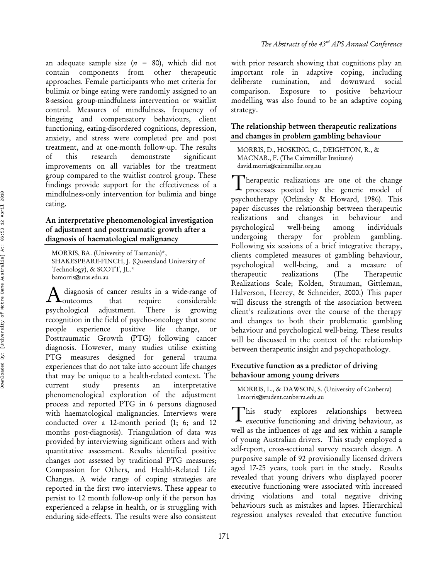an adequate sample size (*n* = 80), which did not contain components from other therapeutic approaches. Female participants who met criteria for bulimia or binge eating were randomly assigned to an 8-session group-mindfulness intervention or waitlist control. Measures of mindfulness, frequency of bingeing and compensatory behaviours, client functioning, eating-disordered cognitions, depression, anxiety, and stress were completed pre and post treatment, and at one-month follow-up. The results of this research demonstrate significant improvements on all variables for the treatment group compared to the waitlist control group. These findings provide support for the effectiveness of a mindfulness-only intervention for bulimia and binge eating.

## **An interpretative phenomenological investigation of adjustment and posttraumatic growth after a diagnosis of haematological malignancy**

MORRIS, BA. (University of Tasmania)\*, SHAKESPEARE-FINCH, J. (Queensland University of Technology), & SCOTT, JL.\* bamorris@utas.edu.au

 diagnosis of cancer results in a wide-range of that require considerable psychological adjustment. There is growing recognition in the field of psycho-oncology that some people experience positive life change, Posttraumatic Growth (PTG) following cancer diagnosis. However, many studies utilise existing PTG measures designed for general trauma experiences that do not take into account life changes that may be unique to a health-related context. The current study presents an interpretative phenomenological exploration of the adjustment process and reported PTG in 6 persons diagnosed with haematological malignancies. Interviews were conducted over a 12-month period (1; 6; and 12 months post-diagnosis). Triangulation of data was provided by interviewing significant others and with quantitative assessment. Results identified positive changes not assessed by traditional PTG measures; Compassion for Others, and Health-Related Life Changes. A wide range of coping strategies are reported in the first two interviews. These appear to persist to 12 month follow-up only if the person has experienced a relapse in health, or is struggling with enduring side-effects. The results were also consistent  $\Gamma_{\text{outcomes}}$ 

with prior research showing that cognitions play an important role in adaptive coping, including deliberate rumination, and downward social comparison. Exposure to positive behaviour modelling was also found to be an adaptive coping strategy.

#### **The relationship between therapeutic realizations and changes in problem gambling behaviour**

MORRIS, D., HOSKING, G., DEIGHTON, R., & MACNAB., F. (The Cairnmillar Institute) david.morris@cairnmillar.org.au

herapeutic realizations are one of the change processes posited by the generic model of psychotherapy (Orlinsky & Howard, 1986). This paper discusses the relationship between therapeutic realizations and changes in behaviour and psychological well-being among individuals undergoing therapy for problem gambling. Following six sessions of a brief integrative therapy, clients completed measures of gambling behaviour, psychological well-being, and a measure of therapeutic realizations (The Therapeutic Realizations Scale; Kolden, Strauman, Gittleman, Halverson, Heerey, & Schneider, 2000.) This paper will discuss the strength of the association between client's realizations over the course of the therapy and changes to both their problematic gambling behaviour and psychological well-being. These results will be discussed in the context of the relationship between therapeutic insight and psychopathology. T

# **Executive function as a predictor of driving behaviour among young drivers**

MORRIS, L., & DAWSON, S. (University of Canberra) l.morris@student.canberra.edu.au

his study explores relationships between executive functioning and driving behaviour, as well as the influences of age and sex within a sample of young Australian drivers. This study employed a self-report, cross-sectional survey research design. A purposive sample of 92 provisionally licensed drivers aged 17-25 years, took part in the study. Results revealed that young drivers who displayed poorer executive functioning were associated with increased driving violations and total negative driving behaviours such as mistakes and lapses. Hierarchical regression analyses revealed that executive function  $\mathbf{I}$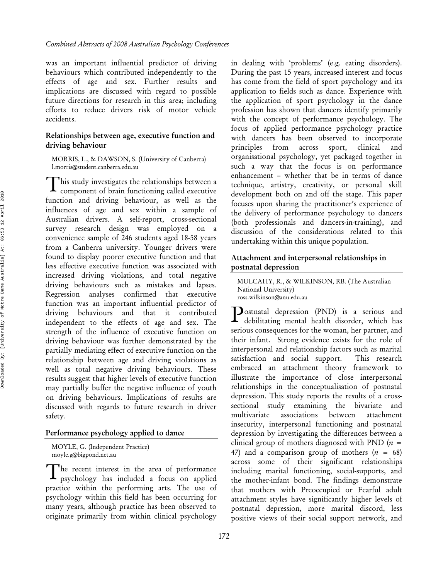was an important influential predictor of driving behaviours which contributed independently to the effects of age and sex. Further results and implications are discussed with regard to possible future directions for research in this area; including efforts to reduce drivers risk of motor vehicle accidents.

## **Relationships between age, executive function and driving behaviour**

MORRIS, L., & DAWSON, S. (University of Canberra) l.morris@student.canberra.edu.au

his study investigates the relationships between a component of brain functioning called executive function and driving behaviour, as well as the influences of age and sex within a sample of Australian drivers. A self-report, cross-sectional survey research design was employed on a convenience sample of 246 students aged 18-58 years from a Canberra university. Younger drivers were found to display poorer executive function and that less effective executive function was associated with increased driving violations, and total negative driving behaviours such as mistakes and lapses. Regression analyses confirmed that executive function was an important influential predictor of driving behaviours and that it contributed independent to the effects of age and sex. The strength of the influence of executive function on driving behaviour was further demonstrated by the partially mediating effect of executive function on the relationship between age and driving violations as well as total negative driving behaviours. These results suggest that higher levels of executive function may partially buffer the negative influence of youth on driving behaviours. Implications of results are discussed with regards to future research in driver safety. T

#### **Performance psychology applied to dance**

MOYLE, G. (Independent Practice) moyle.g@bigpond.net.au

The recent interest in the area of performance<br>psychology has included a focus on applied psychology has included a focus on applied practice within the performing arts. The use of psychology within this field has been occurring for many years, although practice has been observed to originate primarily from within clinical psychology

in dealing with 'problems' (e.g. eating disorders). During the past 15 years, increased interest and focus has come from the field of sport psychology and its application to fields such as dance. Experience with the application of sport psychology in the dance profession has shown that dancers identify primarily with the concept of performance psychology. The focus of applied performance psychology practice with dancers has been observed to incorporate principles from across sport, clinical and organisational psychology, yet packaged together in such a way that the focus is on performance enhancement – whether that be in terms of dance technique, artistry, creativity, or personal skill development both on and off the stage. This paper focuses upon sharing the practitioner's experience of the delivery of performance psychology to dancers (both professionals and dancers-in-training), and discussion of the considerations related to this undertaking within this unique population.

#### **Attachment and interpersonal relationships in postnatal depression**

MULCAHY, R., & WILKINSON, RB. (The Australian National University) ross.wilkinson@anu.edu.au

**P**ostnatal depression (PND) is a serious and debilitating mental health disorder, which has debilitating mental health disorder, which has serious consequences for the woman, her partner, and their infant. Strong evidence exists for the role of interpersonal and relationship factors such as marital satisfaction and social support. This research embraced an attachment theory framework to illustrate the importance of close interpersonal relationships in the conceptualisation of postnatal depression. This study reports the results of a crosssectional study examining the bivariate and multivariate associations between attachment insecurity, interpersonal functioning and postnatal depression by investigating the differences between a clinical group of mothers diagnosed with PND (*n* = 47) and a comparison group of mothers (*n* = 68) across some of their significant relationships including marital functioning, social-supports, and the mother-infant bond. The findings demonstrate that mothers with Preoccupied or Fearful adult attachment styles have significantly higher levels of postnatal depression, more marital discord, less positive views of their social support network, and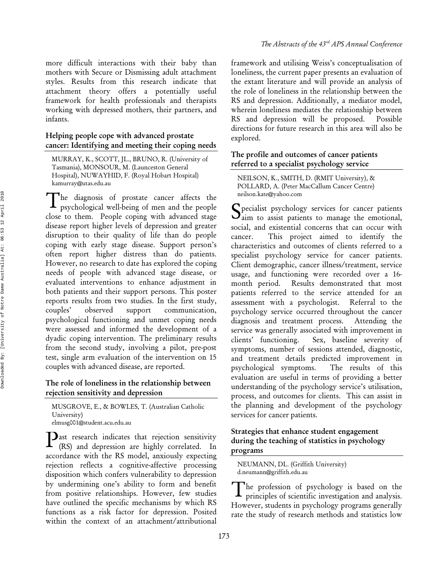Downloaded By: [University of Notre

more difficult interactions with their baby than mothers with Secure or Dismissing adult attachment styles. Results from this research indicate that attachment theory offers a potentially useful framework for health professionals and therapists working with depressed mothers, their partners, and infants.

# **Helping people cope with advanced prostate cancer: Identifying and meeting their coping needs**

MURRAY, K., SCOTT, JL., BRUNO, R. (University of Tasmania), MONSOUR, M. (Launceston General Hospital), NUWAYHID, F. (Royal Hobart Hospital) kamurray@utas.edu.au

he diagnosis of prostate cancer affects the The diagnosis of prostate cancer affects the psychological well-being of men and the people close to them. People coping with advanced stage disease report higher levels of depression and greater disruption to their quality of life than do people coping with early stage disease. Support person's often report higher distress than do patients. However, no research to date has explored the coping needs of people with advanced stage disease, or evaluated interventions to enhance adjustment in both patients and their support persons. This poster reports results from two studies. In the first study, couples' observed support communication, psychological functioning and unmet coping needs were assessed and informed the development of a dyadic coping intervention. The preliminary results from the second study, involving a pilot, pre-post test, single arm evaluation of the intervention on 15 couples with advanced disease, are reported.

# **The role of loneliness in the relationship between rejection sensitivity and depression**

MUSGROVE, E., & BOWLES, T. (Australian Catholic University) elmusg001@student.acu.edu.au

 $\mathbf{P}_{\text{(RS)}}$  and depression are highly correlated. In (RS) and depression are highly correlated. In accordance with the RS model, anxiously expecting rejection reflects a cognitive-affective processing disposition which confers vulnerability to depression by undermining one's ability to form and benefit from positive relationships. However, few studies have outlined the specific mechanisms by which RS functions as a risk factor for depression. Posited within the context of an attachment/attributional

framework and utilising Weiss's conceptualisation of loneliness, the current paper presents an evaluation of the extant literature and will provide an analysis of the role of loneliness in the relationship between the RS and depression. Additionally, a mediator model, wherein loneliness mediates the relationship between RS and depression will be proposed. Possible directions for future research in this area will also be explored.

# **The profile and outcomes of cancer patients referred to a specialist psychology service**

NEILSON, K., SMITH, D. (RMIT University), & POLLARD, A. (Peter MacCallum Cancer Centre) neilson.kate@yahoo.com

Specialist psychology services for cancer patients aim to assist patients to manage the emotional,  $J_{\text{aim}}$  to assist patients to manage the emotional, social, and existential concerns that can occur with cancer. This project aimed to identify the characteristics and outcomes of clients referred to a specialist psychology service for cancer patients. Client demographic, cancer illness/treatment, service usage, and functioning were recorded over a 16 month period. Results demonstrated that most patients referred to the service attended for an assessment with a psychologist. Referral to the psychology service occurred throughout the cancer diagnosis and treatment process. Attending the service was generally associated with improvement in clients' functioning. Sex, baseline severity of symptoms, number of sessions attended, diagnostic, and treatment details predicted improvement in psychological symptoms. The results of this evaluation are useful in terms of providing a better understanding of the psychology service's utilisation, process, and outcomes for clients. This can assist in the planning and development of the psychology services for cancer patients.

# **Strategies that enhance student engagement during the teaching of statistics in psychology programs**

NEUMANN, DL. (Griffith University) d.neumann@griffith.edu.au

The profession of psychology is based on the principles of scientific investigation and analysis. principles of scientific investigation and analysis. However, students in psychology programs generally rate the study of research methods and statistics low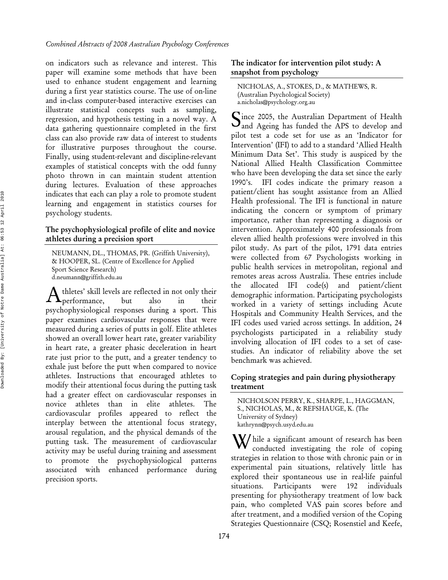on indicators such as relevance and interest. This paper will examine some methods that have been used to enhance student engagement and learning during a first year statistics course. The use of on-line and in-class computer-based interactive exercises can illustrate statistical concepts such as sampling, regression, and hypothesis testing in a novel way. A data gathering questionnaire completed in the first class can also provide raw data of interest to students for illustrative purposes throughout the course. Finally, using student-relevant and discipline-relevant examples of statistical concepts with the odd funny photo thrown in can maintain student attention during lectures. Evaluation of these approaches indicates that each can play a role to promote student learning and engagement in statistics courses for psychology students.

# **The psychophysiological profile of elite and novice athletes during a precision sport**

NEUMANN, DL., THOMAS, PR. (Griffith University), & HOOPER, SL. (Centre of Excellence for Applied Sport Science Research) d.neumann@griffith.edu.au

thletes' skill levels are reflected in not only their  $A_{\text{performance,}}^{\text{thletes' skill levels are reflected in not only their}}$ psychophysiological responses during a sport. This paper examines cardiovascular responses that were measured during a series of putts in golf. Elite athletes showed an overall lower heart rate, greater variability in heart rate, a greater phasic deceleration in heart rate just prior to the putt, and a greater tendency to exhale just before the putt when compared to novice athletes. Instructions that encouraged athletes to modify their attentional focus during the putting task had a greater effect on cardiovascular responses in novice athletes than in elite athletes. The cardiovascular profiles appeared to reflect the interplay between the attentional focus strategy, arousal regulation, and the physical demands of the putting task. The measurement of cardiovascular activity may be useful during training and assessment to promote the psychophysiological patterns associated with enhanced performance during precision sports.

## **The indicator for intervention pilot study: A snapshot from psychology**

NICHOLAS, A., STOKES, D., & MATHEWS, R. (Australian Psychological Society) a.nicholas@psychology.org.au

ince 2005, the Australian Department of Health Since 2005, the Australian Department of Health<br>and Ageing has funded the APS to develop and pilot test a code set for use as an 'Indicator for Intervention' (IFI) to add to a standard 'Allied Health Minimum Data Set'. This study is auspiced by the National Allied Health Classification Committee who have been developing the data set since the early 1990's. IFI codes indicate the primary reason a patient/client has sought assistance from an Allied Health professional. The IFI is functional in nature indicating the concern or symptom of primary importance, rather than representing a diagnosis or intervention. Approximately 400 professionals from eleven allied health professions were involved in this pilot study. As part of the pilot, 1791 data entries were collected from 67 Psychologists working in public health services in metropolitan, regional and remotes areas across Australia. These entries include the allocated IFI code(s) and patient/client demographic information. Participating psychologists worked in a variety of settings including Acute Hospitals and Community Health Services, and the IFI codes used varied across settings. In addition, 24 psychologists participated in a reliability study involving allocation of IFI codes to a set of casestudies. An indicator of reliability above the set benchmark was achieved.

# **Coping strategies and pain during physiotherapy treatment**

NICHOLSON PERRY, K., SHARPE, L., HAGGMAN, S., NICHOLAS, M., & REFSHAUGE, K. (The University of Sydney) kathrynn@psych.usyd.edu.au

While a significant amount of research has been<br>conducted investigating the role of coping conducted investigating the role of coping strategies in relation to those with chronic pain or in experimental pain situations, relatively little has explored their spontaneous use in real-life painful situations. Participants were 192 individuals presenting for physiotherapy treatment of low back pain, who completed VAS pain scores before and after treatment, and a modified version of the Coping Strategies Questionnaire (CSQ; Rosenstiel and Keefe,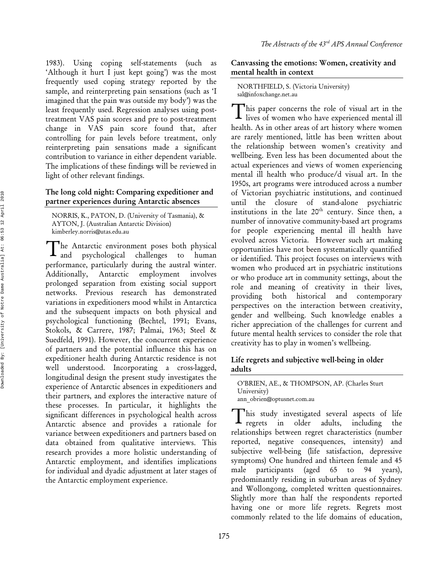1983). Using coping self-statements (such as 'Although it hurt I just kept going') was the most frequently used coping strategy reported by the sample, and reinterpreting pain sensations (such as 'I imagined that the pain was outside my body') was the least frequently used. Regression analyses using posttreatment VAS pain scores and pre to post-treatment change in VAS pain score found that, after controlling for pain levels before treatment, only reinterpreting pain sensations made a significant contribution to variance in either dependent variable. The implications of these findings will be reviewed in light of other relevant findings.

## **The long cold night: Comparing expeditioner and partner experiences during Antarctic absences**

NORRIS, K., PATON, D. (University of Tasmania), & AYTON, J. (Australian Antarctic Division) kimberley.norris@utas.edu.au

he Antarctic environment poses both physical The Antarctic environment poses both physical<br>and psychological challenges to human performance, particularly during the austral winter. Additionally, Antarctic employment involves prolonged separation from existing social support networks. Previous research has demonstrated variations in expeditioners mood whilst in Antarctica and the subsequent impacts on both physical and psychological functioning (Bechtel, 1991; Evans, Stokols, & Carrere, 1987; Palmai, 1963; Steel & Suedfeld, 1991). However, the concurrent experience of partners and the potential influence this has on expeditioner health during Antarctic residence is not well understood. Incorporating a cross-lagged, longitudinal design the present study investigates the experience of Antarctic absences in expeditioners and their partners, and explores the interactive nature of these processes. In particular, it highlights the significant differences in psychological health across Antarctic absence and provides a rationale for variance between expeditioners and partners based on data obtained from qualitative interviews. This research provides a more holistic understanding of Antarctic employment, and identifies implications for individual and dyadic adjustment at later stages of the Antarctic employment experience.

#### **Canvassing the emotions: Women, creativity and mental health in context**

NORTHFIELD, S. (Victoria University) sal@infoxchange.net.au

his paper concerns the role of visual art in the This paper concerns the role of visual art in the lives of women who have experienced mental ill health. As in other areas of art history where women are rarely mentioned, little has been written about the relationship between women's creativity and wellbeing. Even less has been documented about the actual experiences and views of women experiencing mental ill health who produce/d visual art. In the 1950s, art programs were introduced across a number of Victorian psychiatric institutions, and continued until the closure of stand-alone psychiatric institutions in the late  $20<sup>th</sup>$  century. Since then, a number of innovative community-based art programs for people experiencing mental ill health have evolved across Victoria. However such art making opportunities have not been systematically quantified or identified. This project focuses on interviews with women who produced art in psychiatric institutions or who produce art in community settings, about the role and meaning of creativity in their lives, providing both historical and contemporary perspectives on the interaction between creativity, gender and wellbeing. Such knowledge enables a richer appreciation of the challenges for current and future mental health services to consider the role that creativity has to play in women's wellbeing.

#### **Life regrets and subjective well-being in older adults**

O'BRIEN, AE., & THOMPSON, AP. (Charles Sturt University) ann\_obrien@optusnet.com.au

his study investigated several aspects of life This study investigated several aspects of life<br>regrets in older adults, including the relationships between regret characteristics (number reported, negative consequences, intensity) and subjective well-being (life satisfaction, depressive symptoms) One hundred and thirteen female and 45 male participants (aged 65 to 94 years), predominantly residing in suburban areas of Sydney and Wollongong, completed written questionnaires. Slightly more than half the respondents reported having one or more life regrets. Regrets most commonly related to the life domains of education,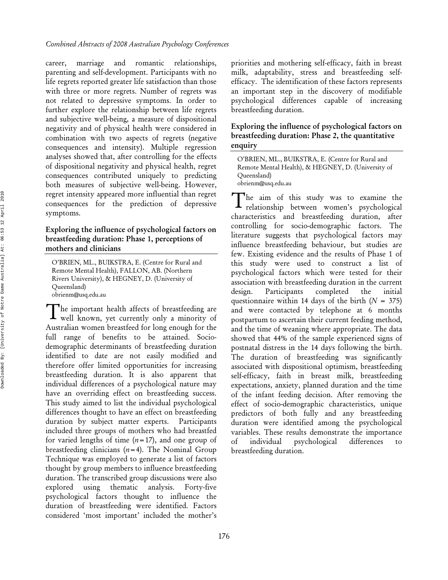career, marriage and romantic relationships, parenting and self-development. Participants with no life regrets reported greater life satisfaction than those with three or more regrets. Number of regrets was not related to depressive symptoms. In order to further explore the relationship between life regrets and subjective well-being, a measure of dispositional negativity and of physical health were considered in combination with two aspects of regrets (negative consequences and intensity). Multiple regression analyses showed that, after controlling for the effects of dispositional negativity and physical health, regret consequences contributed uniquely to predicting both measures of subjective well-being. However, regret intensity appeared more influential than regret consequences for the prediction of depressive symptoms.

#### **Exploring the influence of psychological factors on breastfeeding duration: Phase 1, perceptions of mothers and clinicians**

O'BRIEN, ML., BUIKSTRA, E. (Centre for Rural and Remote Mental Health), FALLON, AB. (Northern Rivers University), & HEGNEY, D. (University of Queensland) obrienm@usq.edu.au

he important health affects of breastfeeding are The important health affects of breastfeeding are well known, yet currently only a minority of Australian women breastfeed for long enough for the full range of benefits to be attained. Sociodemographic determinants of breastfeeding duration identified to date are not easily modified and therefore offer limited opportunities for increasing breastfeeding duration. It is also apparent that individual differences of a psychological nature may have an overriding effect on breastfeeding success. This study aimed to list the individual psychological differences thought to have an effect on breastfeeding duration by subject matter experts. Participants included three groups of mothers who had breastfed for varied lengths of time (*n*=17), and one group of breastfeeding clinicians (*n*=4). The Nominal Group Technique was employed to generate a list of factors thought by group members to influence breastfeeding duration. The transcribed group discussions were also explored using thematic analysis. Forty-five psychological factors thought to influence the duration of breastfeeding were identified. Factors considered 'most important' included the mother's

priorities and mothering self-efficacy, faith in breast milk, adaptability, stress and breastfeeding selfefficacy. The identification of these factors represents an important step in the discovery of modifiable psychological differences capable of increasing breastfeeding duration.

# **Exploring the influence of psychological factors on breastfeeding duration: Phase 2, the quantitative enquiry**

O'BRIEN, ML., BUIKSTRA, E. (Centre for Rural and Remote Mental Health), & HEGNEY, D. (University of Queensland) obrienm@usq.edu.au

The aim of this study was to examine the relationship between women's psychological relationship between women's psychological characteristics and breastfeeding duration, after controlling for socio-demographic factors. The literature suggests that psychological factors may influence breastfeeding behaviour, but studies are few. Existing evidence and the results of Phase 1 of this study were used to construct a list of psychological factors which were tested for their association with breastfeeding duration in the current design. Participants completed the initial questionnaire within 14 days of the birth  $(N = 375)$ and were contacted by telephone at 6 months postpartum to ascertain their current feeding method, and the time of weaning where appropriate. The data showed that 44% of the sample experienced signs of postnatal distress in the 14 days following the birth. The duration of breastfeeding was significantly associated with dispositional optimism, breastfeeding self-efficacy, faith in breast milk, breastfeeding expectations, anxiety, planned duration and the time of the infant feeding decision. After removing the effect of socio-demographic characteristics, unique predictors of both fully and any breastfeeding duration were identified among the psychological variables. These results demonstrate the importance of individual psychological differences to breastfeeding duration.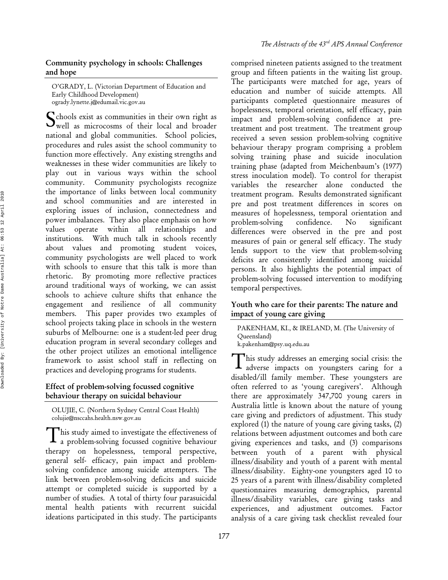### **Community psychology in schools: Challenges and hope**

O'GRADY, L. (Victorian Department of Education and Early Childhood Development) ogrady.lynette.j@edumail.vic.gov.au

chools exist as communities in their own right as  $S_{\text{well}}$  as microcosms of their local and broader national and global communities. School policies, procedures and rules assist the school community to function more effectively. Any existing strengths and weaknesses in these wider communities are likely to play out in various ways within the school community. Community psychologists recognize the importance of links between local community and school communities and are interested in exploring issues of inclusion, connectedness and power imbalances. They also place emphasis on how values operate within all relationships and institutions. With much talk in schools recently about values and promoting student voices, community psychologists are well placed to work with schools to ensure that this talk is more than rhetoric. By promoting more reflective practices around traditional ways of working, we can assist schools to achieve culture shifts that enhance the engagement and resilience of all community members. This paper provides two examples of school projects taking place in schools in the western suburbs of Melbourne: one is a student-led peer drug education program in several secondary colleges and the other project utilizes an emotional intelligence framework to assist school staff in reflecting on practices and developing programs for students.

### **Effect of problem-solving focussed cognitive behaviour therapy on suicidal behaviour**

OLUJIE, C. (Northern Sydney Central Coast Health) colujie@nsccahs.health.nsw.gov.au

his study aimed to investigate the effectiveness of This study aimed to investigate the effectiveness of<br>a problem-solving focussed cognitive behaviour therapy on hopelessness, temporal perspective, general self- efficacy, pain impact and problemsolving confidence among suicide attempters. The link between problem-solving deficits and suicide attempt or completed suicide is supported by a number of studies. A total of thirty four parasuicidal mental health patients with recurrent suicidal ideations participated in this study. The participants

comprised nineteen patients assigned to the treatment group and fifteen patients in the waiting list group. The participants were matched for age, years of education and number of suicide attempts. All participants completed questionnaire measures of hopelessness, temporal orientation, self efficacy, pain impact and problem-solving confidence at pretreatment and post treatment. The treatment group received a seven session problem-solving cognitive behaviour therapy program comprising a problem solving training phase and suicide inoculation training phase (adapted from Meichenbaum's (1977) stress inoculation model). To control for therapist variables the researcher alone conducted the treatment program. Results demonstrated significant pre and post treatment differences in scores on measures of hopelessness, temporal orientation and problem-solving confidence. No significant differences were observed in the pre and post measures of pain or general self efficacy. The study lends support to the view that problem-solving deficits are consistently identified among suicidal persons. It also highlights the potential impact of problem-solving focussed intervention to modifying temporal perspectives.

# **Youth who care for their parents: The nature and impact of young care giving**

PAKENHAM, KI., & IRELAND, M. (The University of Queensland) k.pakenham@psy.uq.edu.au

his study addresses an emerging social crisis: the adverse impacts on youngsters caring for a disabled/ill family member. These youngsters are often referred to as 'young caregivers'. Although there are approximately 347,700 young carers in Australia little is known about the nature of young care giving and predictors of adjustment. This study explored (1) the nature of young care giving tasks, (2) relations between adjustment outcomes and both care giving experiences and tasks, and (3) comparisons between youth of a parent with physical illness/disability and youth of a parent with mental illness/disability. Eighty-one youngsters aged 10 to 25 years of a parent with illness/disability completed questionnaires measuring demographics, parental illness/disability variables, care giving tasks and experiences, and adjustment outcomes. Factor analysis of a care giving task checklist revealed four  $\mathbf{I}$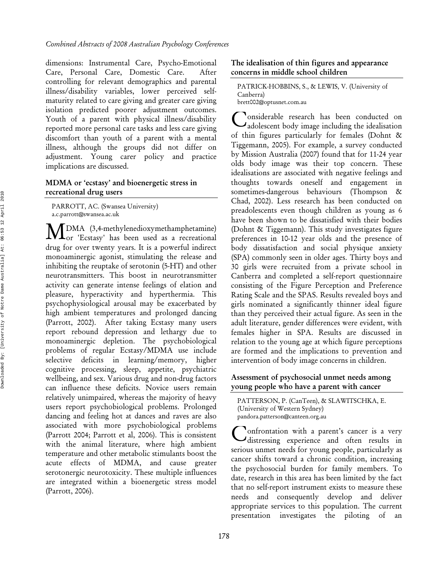dimensions: Instrumental Care, Psycho-Emotional Care, Personal Care, Domestic Care. After controlling for relevant demographics and parental illness/disability variables, lower perceived selfmaturity related to care giving and greater care giving isolation predicted poorer adjustment outcomes. Youth of a parent with physical illness/disability reported more personal care tasks and less care giving discomfort than youth of a parent with a mental illness, although the groups did not differ on adjustment. Young carer policy and practice implications are discussed.

# **MDMA or 'ecstasy' and bioenergetic stress in recreational drug users**

PARROTT, AC. (Swansea University) a.c.parrott@swansea.ac.uk

DMA (3,4-methylenedioxymethamphetamine) MDMA (3,4-methylenedioxymethamphetamine)<br>or 'Ecstasy' has been used as a recreational drug for over twenty years. It is a powerful indirect monoaminergic agonist, stimulating the release and inhibiting the reuptake of serotonin (5-HT) and other neurotransmitters. This boost in neurotransmitter activity can generate intense feelings of elation and pleasure, hyperactivity and hyperthermia. This psychophysiological arousal may be exacerbated by high ambient temperatures and prolonged dancing (Parrott, 2002). After taking Ecstasy many users report rebound depression and lethargy due to monoaminergic depletion. The psychobiological problems of regular Ecstasy/MDMA use include selective deficits in learning/memory, higher cognitive processing, sleep, appetite, psychiatric wellbeing, and sex. Various drug and non-drug factors can influence these deficits. Novice users remain relatively unimpaired, whereas the majority of heavy users report psychobiological problems. Prolonged dancing and feeling hot at dances and raves are also associated with more psychobiological problems (Parrott 2004; Parrott et al, 2006). This is consistent with the animal literature, where high ambient temperature and other metabolic stimulants boost the acute effects of MDMA, and cause greater serotonergic neurotoxicity. These multiple influences are integrated within a bioenergetic stress model (Parrott, 2006).

**The idealisation of thin figures and appearance concerns in middle school children** 

PATRICK-HOBBINS, S., & LEWIS, V. (University of Canberra) brett002@optusnet.com.au

onsiderable research has been conducted on Considerable research has been conducted on<br>
adolescent body image including the idealisation of thin figures particularly for females (Dohnt & Tiggemann, 2005). For example, a survey conducted by Mission Australia (2007) found that for 11-24 year olds body image was their top concern. These idealisations are associated with negative feelings and thoughts towards oneself and engagement in sometimes-dangerous behaviours (Thompson & Chad, 2002). Less research has been conducted on preadolescents even though children as young as 6 have been shown to be dissatisfied with their bodies (Dohnt & Tiggemann). This study investigates figure preferences in 10-12 year olds and the presence of body dissatisfaction and social physique anxiety (SPA) commonly seen in older ages. Thirty boys and 30 girls were recruited from a private school in Canberra and completed a self-report questionnaire consisting of the Figure Perception and Preference Rating Scale and the SPAS. Results revealed boys and girls nominated a significantly thinner ideal figure than they perceived their actual figure. As seen in the adult literature, gender differences were evident, with females higher in SPA. Results are discussed in relation to the young age at which figure perceptions are formed and the implications to prevention and intervention of body image concerns in children.

# **Assessment of psychosocial unmet needs among young people who have a parent with cancer**

PATTERSON, P. (CanTeen), & SLAWITSCHKA, E. (University of Western Sydney) pandora.patterson@canteen.org.au

Confrontation with a parent's cancer is a very<br>distressing experience and often results in distressing experience and often results in serious unmet needs for young people, particularly as cancer shifts toward a chronic condition, increasing the psychosocial burden for family members. To date, research in this area has been limited by the fact that no self-report instrument exists to measure these needs and consequently develop and deliver appropriate services to this population. The current presentation investigates the piloting of an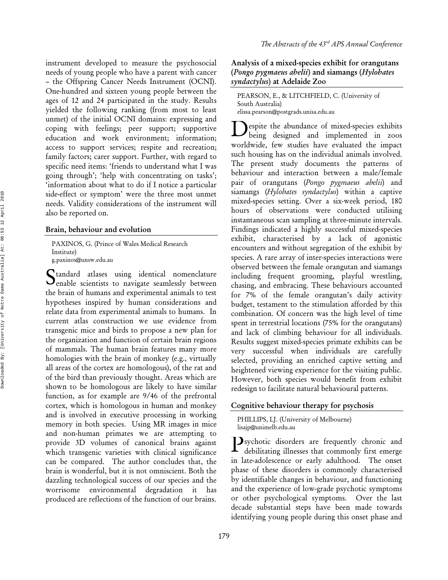instrument developed to measure the psychosocial needs of young people who have a parent with cancer – the Offspring Cancer Needs Instrument (OCNI). One-hundred and sixteen young people between the ages of 12 and 24 participated in the study. Results yielded the following ranking (from most to least unmet) of the initial OCNI domains: expressing and coping with feelings; peer support; supportive education and work environment; information; access to support services; respite and recreation; family factors; carer support. Further, with regard to specific need items: 'friends to understand what I was going through'; 'help with concentrating on tasks'; 'information about what to do if I notice a particular side-effect or symptom' were the three most unmet needs. Validity considerations of the instrument will also be reported on.

#### **Brain, behaviour and evolution**

PAXINOS, G. (Prince of Wales Medical Research Institute) g.paxinos@unsw.edu.au

tandard atlases using identical nomenclature Standard atlases using identical nomenclature<br>enable scientists to navigate seamlessly between the brain of humans and experimental animals to test hypotheses inspired by human considerations and relate data from experimental animals to humans. In current atlas construction we use evidence from transgenic mice and birds to propose a new plan for the organization and function of certain brain regions of mammals. The human brain features many more homologies with the brain of monkey (e.g., virtually all areas of the cortex are homologous), of the rat and of the bird than previously thought. Areas which are shown to be homologous are likely to have similar function, as for example are 9/46 of the prefrontal cortex, which is homologous in human and monkey and is involved in executive processing in working memory in both species. Using MR images in mice and non-human primates we are attempting to provide 3D volumes of canonical brains against which transgenic varieties with clinical significance can be compared. The author concludes that, the brain is wonderful, but it is not omniscient. Both the dazzling technological success of our species and the worrisome environmental degradation it has produced are reflections of the function of our brains.

**Analysis of a mixed-species exhibit for orangutans (***Pongo pygmaeus abelii***) and siamangs (***Hylobates syndactylus***) at Adelaide Zoo** 

PEARSON, E., & LITCHFIELD, C. (University of South Australia) elissa.pearson@postgrads.unisa.edu.au

espite the abundance of mixed-species exhibits being designed and implemented in zoos D worldwide, few studies have evaluated the impact such housing has on the individual animals involved. The present study documents the patterns of behaviour and interaction between a male/female pair of orangutans (*Pongo pygmaeus abelii*) and siamangs (*Hylobates syndactylus*) within a captive mixed-species setting. Over a six-week period, 180 hours of observations were conducted utilising instantaneous scan sampling at three-minute intervals. Findings indicated a highly successful mixed-species exhibit, characterised by a lack of agonistic encounters and without segregation of the exhibit by species. A rare array of inter-species interactions were observed between the female orangutan and siamangs including frequent grooming, playful wrestling, chasing, and embracing. These behaviours accounted for 7% of the female orangutan's daily activity budget, testament to the stimulation afforded by this combination. Of concern was the high level of time spent in terrestrial locations (75% for the orangutans) and lack of climbing behaviour for all individuals. Results suggest mixed-species primate exhibits can be very successful when individuals are carefully selected, providing an enriched captive setting and heightened viewing experience for the visiting public. However, both species would benefit from exhibit redesign to facilitate natural behavioural patterns.

#### **Cognitive behaviour therapy for psychosis**

PHILLIPS, LJ. (University of Melbourne) lisajp@unimelb.edu.au

Sychotic disorders are frequently chronic and debilitating illnesses that commonly first emerge P in late-adolescence or early adulthood. The onset phase of these disorders is commonly characterised by identifiable changes in behaviour, and functioning and the experience of low-grade psychotic symptoms or other psychological symptoms. Over the last decade substantial steps have been made towards identifying young people during this onset phase and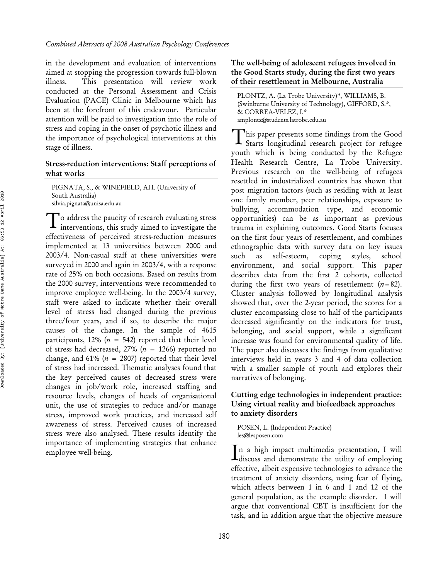in the development and evaluation of interventions aimed at stopping the progression towards full-blown illness. This presentation will review work conducted at the Personal Assessment and Crisis Evaluation (PACE) Clinic in Melbourne which has been at the forefront of this endeavour. Particular attention will be paid to investigation into the role of stress and coping in the onset of psychotic illness and the importance of psychological interventions at this stage of illness.

## **Stress-reduction interventions: Staff perceptions of what works**

PIGNATA, S., & WINEFIELD, AH. (University of South Australia) silvia.pignata@unisa.edu.au

o address the paucity of research evaluating stress To address the paucity of research evaluating stress interventions, this study aimed to investigate the effectiveness of perceived stress-reduction measures implemented at 13 universities between 2000 and 2003/4. Non-casual staff at these universities were surveyed in 2000 and again in 2003/4, with a response rate of 25% on both occasions. Based on results from the 2000 survey, interventions were recommended to improve employee well-being. In the 2003/4 survey, staff were asked to indicate whether their overall level of stress had changed during the previous three/four years, and if so, to describe the major causes of the change. In the sample of 4615 participants,  $12\%$  ( $n = 542$ ) reported that their level of stress had decreased, 27% (*n* = 1266) reported no change, and 61%  $(n = 2807)$  reported that their level of stress had increased. Thematic analyses found that the key perceived causes of decreased stress were changes in job/work role, increased staffing and resource levels, changes of heads of organisational unit, the use of strategies to reduce and/or manage stress, improved work practices, and increased self awareness of stress. Perceived causes of increased stress were also analysed. These results identify the importance of implementing strategies that enhance employee well-being.

**The well-being of adolescent refugees involved in the Good Starts study, during the first two years of their resettlement in Melbourne, Australia** 

PLONTZ, A. (La Trobe University)\*, WILLIAMS, B. (Swinburne University of Technology), GIFFORD, S.\*, & CORREA-VELEZ, I.\* amplontz@students.latrobe.edu.au

his paper presents some findings from the Good Starts longitudinal research project for refugee youth which is being conducted by the Refugee Health Research Centre, La Trobe University. Previous research on the well-being of refugees resettled in industrialized countries has shown that post migration factors (such as residing with at least one family member, peer relationships, exposure to bullying, accommodation type, and economic opportunities) can be as important as previous trauma in explaining outcomes. Good Starts focuses on the first four years of resettlement, and combines ethnographic data with survey data on key issues such as self-esteem, coping styles, school environment, and social support. This paper describes data from the first 2 cohorts, collected during the first two years of resettlement (*n*=82). Cluster analysis followed by longitudinal analysis showed that, over the 2-year period, the scores for a cluster encompassing close to half of the participants decreased significantly on the indicators for trust, belonging, and social support, while a significant increase was found for environmental quality of life. The paper also discusses the findings from qualitative interviews held in years 3 and 4 of data collection with a smaller sample of youth and explores their narratives of belonging.  $\mathbf 1$ 

# **Cutting edge technologies in independent practice: Using virtual reality and biofeedback approaches to anxiety disorders**

POSEN, L. (Independent Practice) les@lesposen.com

n a high impact multimedia presentation, I will In a high impact multimedia presentation, I will<br>discuss and demonstrate the utility of employing effective, albeit expensive technologies to advance the treatment of anxiety disorders, using fear of flying, which affects between 1 in 6 and 1 and 12 of the general population, as the example disorder. I will argue that conventional CBT is insufficient for the task, and in addition argue that the objective measure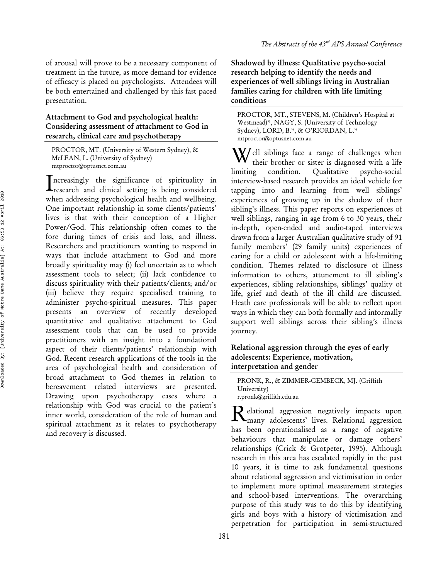of arousal will prove to be a necessary component of treatment in the future, as more demand for evidence of efficacy is placed on psychologists. Attendees will be both entertained and challenged by this fast paced presentation.

# **Attachment to God and psychological health: Considering assessment of attachment to God in research, clinical care and psychotherapy**

PROCTOR, MT. (University of Western Sydney), & McLEAN, L. (University of Sydney) mtproctor@optusnet.com.au

ncreasingly the significance of spirituality in Increasingly the significance of spirituality in research and clinical setting is being considered when addressing psychological health and wellbeing. One important relationship in some clients/patients' lives is that with their conception of a Higher Power/God. This relationship often comes to the fore during times of crisis and loss, and illness. Researchers and practitioners wanting to respond in ways that include attachment to God and more broadly spirituality may (i) feel uncertain as to which assessment tools to select; (ii) lack confidence to discuss spirituality with their patients/clients; and/or (iii) believe they require specialised training to administer psycho-spiritual measures. This paper presents an overview of recently developed quantitative and qualitative attachment to God assessment tools that can be used to provide practitioners with an insight into a foundational aspect of their clients/patients' relationship with God. Recent research applications of the tools in the area of psychological health and consideration of broad attachment to God themes in relation to bereavement related interviews are presented. Drawing upon psychotherapy cases where a relationship with God was crucial to the patient's inner world, consideration of the role of human and spiritual attachment as it relates to psychotherapy and recovery is discussed.

**Shadowed by illness: Qualitative psycho-social research helping to identify the needs and experiences of well siblings living in Australian families caring for children with life limiting conditions** 

PROCTOR, MT., STEVENS, M. (Children's Hospital at Westmead)\*, NAGY, S. (University of Technology Sydney), LORD, B.\*, & O'RIORDAN, L.\* mtproctor@optusnet.com.au

Well siblings face a range of challenges when<br>their brother or sister is diagnosed with a life their brother or sister is diagnosed with a life limiting condition. Qualitative psycho-social interview-based research provides an ideal vehicle for tapping into and learning from well siblings' experiences of growing up in the shadow of their sibling's illness. This paper reports on experiences of well siblings, ranging in age from 6 to 30 years, their in-depth, open-ended and audio-taped interviews drawn from a larger Australian qualitative study of 91 family members' (29 family units) experiences of caring for a child or adolescent with a life-limiting condition. Themes related to disclosure of illness information to others, attunement to ill sibling's experiences, sibling relationships, siblings' quality of life, grief and death of the ill child are discussed. Heath care professionals will be able to reflect upon ways in which they can both formally and informally support well siblings across their sibling's illness journey.

## **Relational aggression through the eyes of early adolescents: Experience, motivation, interpretation and gender**

PRONK, R., & ZIMMER-GEMBECK, MJ. (Griffith University) r.pronk@griffith.edu.au

elational aggression negatively impacts upon Relational aggression negatively impacts upon<br>many adolescents' lives. Relational aggression has been operationalised as a range of negative behaviours that manipulate or damage others' relationships (Crick & Grotpeter, 1995). Although research in this area has escalated rapidly in the past 10 years, it is time to ask fundamental questions about relational aggression and victimisation in order to implement more optimal measurement strategies and school-based interventions. The overarching purpose of this study was to do this by identifying girls and boys with a history of victimisation and perpetration for participation in semi-structured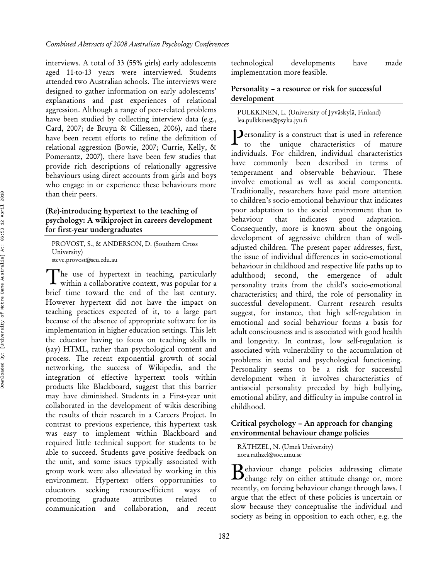interviews. A total of 33 (55% girls) early adolescents aged 11-to-13 years were interviewed. Students attended two Australian schools. The interviews were designed to gather information on early adolescents' explanations and past experiences of relational aggression. Although a range of peer-related problems have been studied by collecting interview data (e.g., Card, 2007; de Bruyn & Cillessen, 2006), and there have been recent efforts to refine the definition of relational aggression (Bowie, 2007; Currie, Kelly, & Pomerantz, 2007), there have been few studies that provide rich descriptions of relationally aggressive behaviours using direct accounts from girls and boys who engage in or experience these behaviours more than their peers.

# **(Re)-introducing hypertext to the teaching of psychology: A wikiproject in careers development for first-year undergraduates**

PROVOST, S., & ANDERSON, D. (Southern Cross University) steve.provost@scu.edu.au

he use of hypertext in teaching, particularly The use of hypertext in teaching, particularly within a collaborative context, was popular for a brief time toward the end of the last century. However hypertext did not have the impact on teaching practices expected of it, to a large part because of the absence of appropriate software for its implementation in higher education settings. This left the educator having to focus on teaching skills in (say) HTML, rather than psychological content and process. The recent exponential growth of social networking, the success of Wikipedia, and the integration of effective hypertext tools within products like Blackboard, suggest that this barrier may have diminished. Students in a First-year unit collaborated in the development of wikis describing the results of their research in a Careers Project. In contrast to previous experience, this hypertext task was easy to implement within Blackboard and required little technical support for students to be able to succeed. Students gave positive feedback on the unit, and some issues typically associated with group work were also alleviated by working in this environment. Hypertext offers opportunities to educators seeking resource-efficient ways of promoting graduate attributes related to communication and collaboration, and recent

technological developments have made implementation more feasible.

### **Personality – a resource or risk for successful development**

PULKKINEN, L. (University of Jyväskylä, Finland) lea.pulkkinen@psyka.jyu.fi

ersonality is a construct that is used in reference Personality is a construct that is used in reference<br>to the unique characteristics of mature individuals. For children, individual characteristics have commonly been described in terms of temperament and observable behaviour. These involve emotional as well as social components. Traditionally, researchers have paid more attention to children's socio-emotional behaviour that indicates poor adaptation to the social environment than to behaviour that indicates good adaptation. Consequently, more is known about the ongoing development of aggressive children than of welladjusted children. The present paper addresses, first, the issue of individual differences in socio-emotional behaviour in childhood and respective life paths up to adulthood; second, the emergence of adult personality traits from the child's socio-emotional characteristics; and third, the role of personality in successful development. Current research results suggest, for instance, that high self-regulation in emotional and social behaviour forms a basis for adult consciousness and is associated with good health and longevity. In contrast, low self-regulation is associated with vulnerability to the accumulation of problems in social and psychological functioning. Personality seems to be a risk for successful development when it involves characteristics of antisocial personality preceded by high bullying, emotional ability, and difficulty in impulse control in childhood.

# **Critical psychology – An approach for changing environmental behaviour change policies**

RÄTHZEL, N. (Umeå University) nora.rathzel@soc.umu.se

ehaviour change policies addressing climate  $\mathbf{B}$ ehaviour change policies addressing climate change or, more recently, on forcing behaviour change through laws. I argue that the effect of these policies is uncertain or slow because they conceptualise the individual and society as being in opposition to each other, e.g. the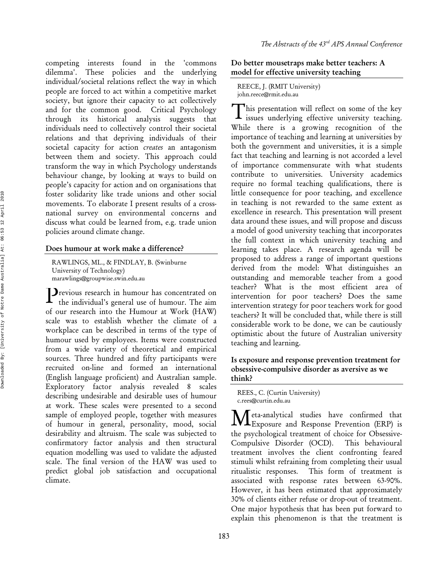competing interests found in the 'commons dilemma'. These policies and the underlying individual/societal relations reflect the way in which people are forced to act within a competitive market society, but ignore their capacity to act collectively and for the common good. Critical Psychology through its historical analysis suggests that individuals need to collectively control their societal relations and that depriving individuals of their societal capacity for action *creates* an antagonism between them and society. This approach could transform the way in which Psychology understands behaviour change, by looking at ways to build on people's capacity for action and on organisations that foster solidarity like trade unions and other social movements. To elaborate I present results of a crossnational survey on environmental concerns and discuss what could be learned from, e.g. trade union policies around climate change.

#### **Does humour at work make a difference?**

RAWLINGS, ML., & FINDLAY, B. (Swinburne University of Technology) marawlings@groupwise.swin.edu.au

Previous research in humour has concentrated on<br>the individual's general use of humour. The aim the individual's general use of humour. The aim of our research into the Humour at Work (HAW) scale was to establish whether the climate of a workplace can be described in terms of the type of humour used by employees. Items were constructed from a wide variety of theoretical and empirical sources. Three hundred and fifty participants were recruited on-line and formed an international (English language proficient) and Australian sample. Exploratory factor analysis revealed 8 scales describing undesirable and desirable uses of humour at work. These scales were presented to a second sample of employed people, together with measures of humour in general, personality, mood, social desirability and altruism. The scale was subjected to confirmatory factor analysis and then structural equation modelling was used to validate the adjusted scale. The final version of the HAW was used to predict global job satisfaction and occupational climate.

## **Do better mousetraps make better teachers: A model for effective university teaching**

REECE, J. (RMIT University) john.reece@rmit.edu.au

his presentation will reflect on some of the key This presentation will reflect on some of the key issues underlying effective university teaching. While there is a growing recognition of the importance of teaching and learning at universities by both the government and universities, it is a simple fact that teaching and learning is not accorded a level of importance commensurate with what students contribute to universities. University academics require no formal teaching qualifications, there is little consequence for poor teaching, and excellence in teaching is not rewarded to the same extent as excellence in research. This presentation will present data around these issues, and will propose and discuss a model of good university teaching that incorporates the full context in which university teaching and learning takes place. A research agenda will be proposed to address a range of important questions derived from the model: What distinguishes an outstanding and memorable teacher from a good teacher? What is the most efficient area of intervention for poor teachers? Does the same intervention strategy for poor teachers work for good teachers? It will be concluded that, while there is still considerable work to be done, we can be cautiously optimistic about the future of Australian university teaching and learning.

# **Is exposure and response prevention treatment for obsessive-compulsive disorder as aversive as we think?**

REES., C. (Curtin University) c.rees@curtin.edu.au

eta-analytical studies have confirmed that **M** eta-analytical studies have confirmed that Exposure and Response Prevention (ERP) is the psychological treatment of choice for Obsessive-Compulsive Disorder (OCD). This behavioural treatment involves the client confronting feared stimuli whilst refraining from completing their usual ritualistic responses. This form of treatment is associated with response rates between 63-90%. However, it has been estimated that approximately 30% of clients either refuse or drop-out of treatment. One major hypothesis that has been put forward to explain this phenomenon is that the treatment is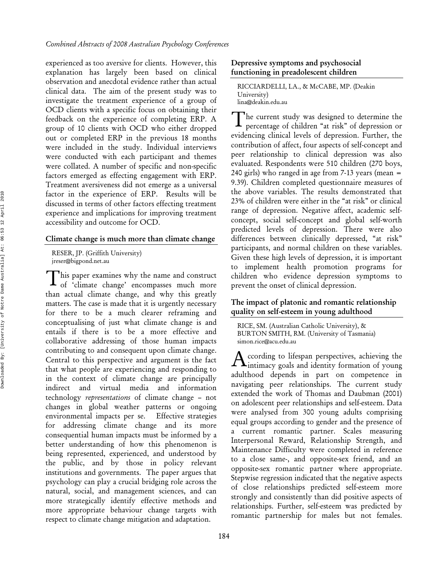experienced as too aversive for clients. However, this explanation has largely been based on clinical observation and anecdotal evidence rather than actual clinical data. The aim of the present study was to investigate the treatment experience of a group of OCD clients with a specific focus on obtaining their feedback on the experience of completing ERP. A group of 10 clients with OCD who either dropped out or completed ERP in the previous 18 months were included in the study. Individual interviews were conducted with each participant and themes were collated. A number of specific and non-specific factors emerged as effecting engagement with ERP. Treatment aversiveness did not emerge as a universal factor in the experience of ERP. Results will be discussed in terms of other factors effecting treatment experience and implications for improving treatment accessibility and outcome for OCD.

#### **Climate change is much more than climate change**

RESER, JP. (Griffith University) jreser@bigpond.net.au

This paper examines why the name and construct This paper examines why the name and construct<br>of 'climate change' encompasses much more than actual climate change, and why this greatly matters. The case is made that it is urgently necessary for there to be a much clearer reframing and conceptualising of just what climate change is and entails if there is to be a more effective and collaborative addressing of those human impacts contributing to and consequent upon climate change. Central to this perspective and argument is the fact that what people are experiencing and responding to in the context of climate change are principally indirect and virtual media and information technology *representations* of climate change – not changes in global weather patterns or ongoing environmental impacts per se. Effective strategies for addressing climate change and its more consequential human impacts must be informed by a better understanding of how this phenomenon is being represented, experienced, and understood by the public, and by those in policy relevant institutions and governments. The paper argues that psychology can play a crucial bridging role across the natural, social, and management sciences, and can more strategically identify effective methods and more appropriate behaviour change targets with respect to climate change mitigation and adaptation.

#### **Depressive symptoms and psychosocial functioning in preadolescent children**

RICCIARDELLI, LA., & McCABE, MP. (Deakin University) lina@deakin.edu.au

The current study was designed to determine the percentage of children "at risk" of depression or percentage of children "at risk" of depression or evidencing clinical levels of depression. Further, the contribution of affect, four aspects of self-concept and peer relationship to clinical depression was also evaluated. Respondents were 510 children (270 boys, 240 girls) who ranged in age from 7-13 years (mean = 9.39). Children completed questionnaire measures of the above variables. The results demonstrated that 23% of children were either in the "at risk" or clinical range of depression. Negative affect, academic selfconcept, social self-concept and global self-worth predicted levels of depression. There were also differences between clinically depressed, "at risk" participants, and normal children on these variables. Given these high levels of depression, it is important to implement health promotion programs for children who evidence depression symptoms to prevent the onset of clinical depression.

### **The impact of platonic and romantic relationship quality on self-esteem in young adulthood**

RICE, SM. (Australian Catholic University), & BURTON SMITH, RM. (University of Tasmania) simon.rice@acu.edu.au

ccording to lifespan perspectives, achieving the A ccording to lifespan perspectives, achieving the intimacy goals and identity formation of young adulthood depends in part on competence in navigating peer relationships. The current study extended the work of Thomas and Daubman (2001) on adolescent peer relationships and self-esteem. Data were analysed from 300 young adults comprising equal groups according to gender and the presence of a current romantic partner. Scales measuring Interpersonal Reward, Relationship Strength, and Maintenance Difficulty were completed in reference to a close same-, and opposite-sex friend, and an opposite-sex romantic partner where appropriate. Stepwise regression indicated that the negative aspects of close relationships predicted self-esteem more strongly and consistently than did positive aspects of relationships. Further, self-esteem was predicted by romantic partnership for males but not females.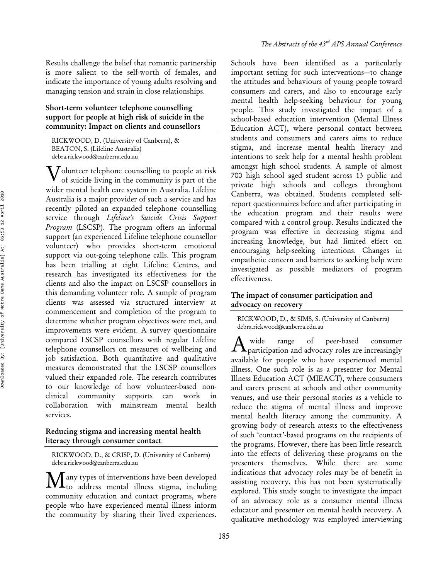Results challenge the belief that romantic partnership is more salient to the self-worth of females, and indicate the importance of young adults resolving and managing tension and strain in close relationships.

# **Short-term volunteer telephone counselling support for people at high risk of suicide in the community: Impact on clients and counsellors**

RICKWOOD, D. (University of Canberra), & BEATON, S. (Lifeline Australia) debra.rickwood@canberra.edu.au

 $\rm V$ olunteer telephone counselling to people at risk of suicide living in the community is part of the of suicide living in the community is part of the wider mental health care system in Australia. Lifeline Australia is a major provider of such a service and has recently piloted an expanded telephone counselling service through *Lifeline's Suicide Crisis Support Program* (LSCSP). The program offers an informal support (an experienced Lifeline telephone counsellor volunteer) who provides short-term emotional support via out-going telephone calls. This program has been trialling at eight Lifeline Centres, and research has investigated its effectiveness for the clients and also the impact on LSCSP counsellors in this demanding volunteer role. A sample of program clients was assessed via structured interview at commencement and completion of the program to determine whether program objectives were met, and improvements were evident. A survey questionnaire compared LSCSP counsellors with regular Lifeline telephone counsellors on measures of wellbeing and job satisfaction. Both quantitative and qualitative measures demonstrated that the LSCSP counsellors valued their expanded role. The research contributes to our knowledge of how volunteer-based nonclinical community supports can work in collaboration with mainstream mental health services.

### **Reducing stigma and increasing mental health literacy through consumer contact**

RICKWOOD, D., & CRISP, D. (University of Canberra) debra.rickwood@canberra.edu.au

any types of interventions have been developed  $\mathbf{M}$ any types of interventions have been developed to address mental illness stigma, including community education and contact programs, where people who have experienced mental illness inform the community by sharing their lived experiences.

Schools have been identified as a particularly important setting for such interventions—to change the attitudes and behaviours of young people toward consumers and carers, and also to encourage early mental health help-seeking behaviour for young people. This study investigated the impact of a school-based education intervention (Mental Illness Education ACT), where personal contact between students and consumers and carers aims to reduce stigma, and increase mental health literacy and intentions to seek help for a mental health problem amongst high school students. A sample of almost 700 high school aged student across 13 public and private high schools and colleges throughout Canberra, was obtained. Students completed selfreport questionnaires before and after participating in the education program and their results were compared with a control group. Results indicated the program was effective in decreasing stigma and increasing knowledge, but had limited effect on encouraging help-seeking intentions. Changes in empathetic concern and barriers to seeking help were investigated as possible mediators of program effectiveness.

### **The impact of consumer participation and advocacy on recovery**

RICKWOOD, D., & SIMS, S. (University of Canberra) debra.rickwood@canberra.edu.au

 wide range of peer-based consumer  $\mathbf{A}$  wide range of peer-based consumer<br>participation and advocacy roles are increasingly available for people who have experienced mental illness. One such role is as a presenter for Mental Illness Education ACT (MIEACT), where consumers and carers present at schools and other community venues, and use their personal stories as a vehicle to reduce the stigma of mental illness and improve mental health literacy among the community. A growing body of research attests to the effectiveness of such 'contact'-based programs on the recipients of the programs. However, there has been little research into the effects of delivering these programs on the presenters themselves. While there are some indications that advocacy roles may be of benefit in assisting recovery, this has not been systematically explored. This study sought to investigate the impact of an advocacy role as a consumer mental illness educator and presenter on mental health recovery. A qualitative methodology was employed interviewing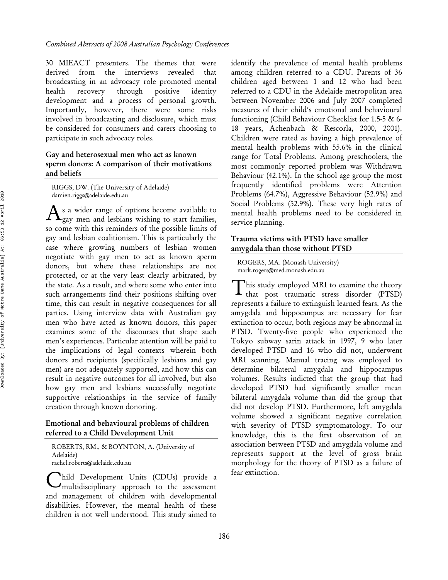30 MIEACT presenters. The themes that were derived from the interviews revealed that broadcasting in an advocacy role promoted mental health recovery through positive identity development and a process of personal growth. Importantly, however, there were some risks involved in broadcasting and disclosure, which must be considered for consumers and carers choosing to participate in such advocacy roles.

# **Gay and heterosexual men who act as known sperm donors: A comparison of their motivations and beliefs**

RIGGS, DW. (The University of Adelaide) damien.riggs@adelaide.edu.au

s a wider range of options become available to  $\mathbf{A}_\text{say}$  men and lesbians wishing to start families, so come with this reminders of the possible limits of gay and lesbian coalitionism. This is particularly the case where growing numbers of lesbian women negotiate with gay men to act as known sperm donors, but where these relationships are not protected, or at the very least clearly arbitrated, by the state. As a result, and where some who enter into such arrangements find their positions shifting over time, this can result in negative consequences for all parties. Using interview data with Australian gay men who have acted as known donors, this paper examines some of the discourses that shape such men's experiences. Particular attention will be paid to the implications of legal contexts wherein both donors and recipients (specifically lesbians and gay men) are not adequately supported, and how this can result in negative outcomes for all involved, but also how gay men and lesbians successfully negotiate supportive relationships in the service of family creation through known donoring.

#### **Emotional and behavioural problems of children referred to a Child Development Unit**

ROBERTS, RM., & BOYNTON, A. (University of Adelaide) rachel.roberts@adelaide.edu.au

hild Development Units (CDUs) provide a Child Development Units (CDUs) provide a multidisciplinary approach to the assessment and management of children with developmental disabilities. However, the mental health of these children is not well understood. This study aimed to

identify the prevalence of mental health problems among children referred to a CDU. Parents of 36 children aged between 1 and 12 who had been referred to a CDU in the Adelaide metropolitan area between November 2006 and July 2007 completed measures of their child's emotional and behavioural functioning (Child Behaviour Checklist for 1.5-5 & 6- 18 years, Achenbach & Rescorla, 2000, 2001). Children were rated as having a high prevalence of mental health problems with 55.6% in the clinical range for Total Problems. Among preschoolers, the most commonly reported problem was Withdrawn Behaviour (42.1%). In the school age group the most frequently identified problems were Attention Problems (64.7%), Aggressive Behaviour (52.9%) and Social Problems (52.9%). These very high rates of mental health problems need to be considered in service planning.

# **Trauma victims with PTSD have smaller amygdala than those without PTSD**

ROGERS, MA. (Monash University) mark.rogers@med.monash.edu.au

This study employed MRI to examine the theory<br>that post traumatic stress disorder (PTSD) that post traumatic stress disorder (PTSD) represents a failure to extinguish learned fears. As the amygdala and hippocampus are necessary for fear extinction to occur, both regions may be abnormal in PTSD. Twenty-five people who experienced the Tokyo subway sarin attack in 1997, 9 who later developed PTSD and 16 who did not, underwent MRI scanning. Manual tracing was employed to determine bilateral amygdala and hippocampus volumes. Results indicted that the group that had developed PTSD had significantly smaller mean bilateral amygdala volume than did the group that did not develop PTSD. Furthermore, left amygdala volume showed a significant negative correlation with severity of PTSD symptomatology. To our knowledge, this is the first observation of an association between PTSD and amygdala volume and represents support at the level of gross brain morphology for the theory of PTSD as a failure of fear extinction.

Downloaded By: [University of Notre Dame Australia] At: 06:53 12 April 2010

[University

Downloaded By:

Dame Notre  $\sigma_{\rm C}$ 

April 2010

06:53 12

At:

Australia]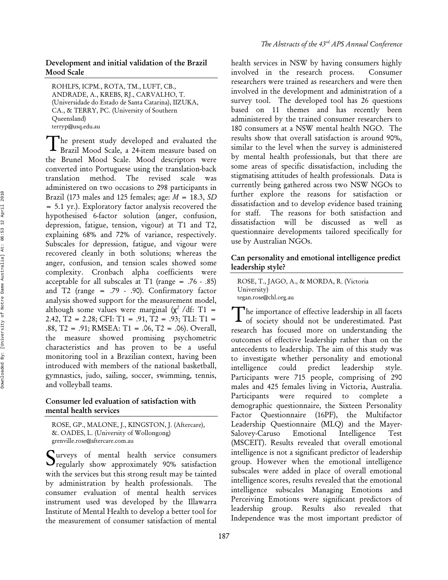## **Development and initial validation of the Brazil Mood Scale**

ROHLFS, ICPM., ROTA, TM., LUFT, CB., ANDRADE, A., KREBS, RJ., CARVALHO, T. (Universidade do Estado de Santa Catarina), IIZUKA, CA., & TERRY, PC. (University of Southern Queensland) terryp@usq.edu.au

The present study developed and evaluated the Brazil Mood Scale, a 24-item measure based on Brazil Mood Scale, a 24-item measure based on the Brunel Mood Scale. Mood descriptors were converted into Portuguese using the translation-back translation method. The revised scale was administered on two occasions to 298 participants in Brazil (173 males and 125 females; age: *M* = 18.3, *SD* = 5.1 yr.). Exploratory factor analysis recovered the hypothesised 6-factor solution (anger, confusion, depression, fatigue, tension, vigour) at T1 and T2, explaining 68% and 72% of variance, respectively. Subscales for depression, fatigue, and vigour were recovered cleanly in both solutions; whereas the anger, confusion, and tension scales showed some complexity. Cronbach alpha coefficients were acceptable for all subscales at T1 (range = .76 - .85) and T2 (range = .79 - .90). Confirmatory factor analysis showed support for the measurement model, although some values were marginal  $(x^2 / df: T1 =$ 2.42, T2 = 2.28; CFI: T1 = .91, T2 = .93; TLI: T1 = .88, T2 = .91; RMSEA: T1 = .06, T2 = .06). Overall, the measure showed promising psychometric characteristics and has proven to be a useful monitoring tool in a Brazilian context, having been introduced with members of the national basketball, gymnastics, judo, sailing, soccer, swimming, tennis, and volleyball teams.

# **Consumer led evaluation of satisfaction with mental health services**

ROSE, GP., MALONE, J., KINGSTON, J. (Aftercare), &. OADES, L. (University of Wollongong) grenville.rose@aftercare.com.au

urveys of mental health service consumers  $S_{\text{regularly} \text{show approximately 90\% satisfaction}}$ with the services but this strong result may be tainted by administration by health professionals. The consumer evaluation of mental health services instrument used was developed by the Illawarra Institute of Mental Health to develop a better tool for the measurement of consumer satisfaction of mental

health services in NSW by having consumers highly involved in the research process. Consumer researchers were trained as researchers and were then involved in the development and administration of a survey tool. The developed tool has 26 questions based on 11 themes and has recently been administered by the trained consumer researchers to 180 consumers at a NSW mental health NGO. The results show that overall satisfaction is around 90%, similar to the level when the survey is administered by mental health professionals, but that there are some areas of specific dissatisfaction, including the stigmatising attitudes of health professionals. Data is currently being gathered across two NSW NGOs to further explore the reasons for satisfaction or dissatisfaction and to develop evidence based training for staff. The reasons for both satisfaction and dissatisfaction will be discussed as well as questionnaire developments tailored specifically for use by Australian NGOs.

## **Can personality and emotional intelligence predict leadership style?**

ROSE, T., JAGO, A., & MORDA, R. (Victoria University) tegan.rose@chl.org.au

he importance of effective leadership in all facets of society should not be underestimated. Past research has focused more on understanding the outcomes of effective leadership rather than on the antecedents to leadership. The aim of this study was to investigate whether personality and emotional intelligence could predict leadership style. Participants were 715 people, comprising of 290 males and 425 females living in Victoria, Australia. Participants were required to complete a demographic questionnaire, the Sixteen Personality Factor Questionnaire (16PF), the Multifactor Leadership Questionnaire (MLQ) and the Mayer-Salovey-Caruso Emotional Intelligence Test (MSCEIT). Results revealed that overall emotional intelligence is not a significant predictor of leadership group. However when the emotional intelligence subscales were added in place of overall emotional intelligence scores, results revealed that the emotional intelligence subscales Managing Emotions and Perceiving Emotions were significant predictors of leadership group. Results also revealed that Independence was the most important predictor of  $\mathbf 1$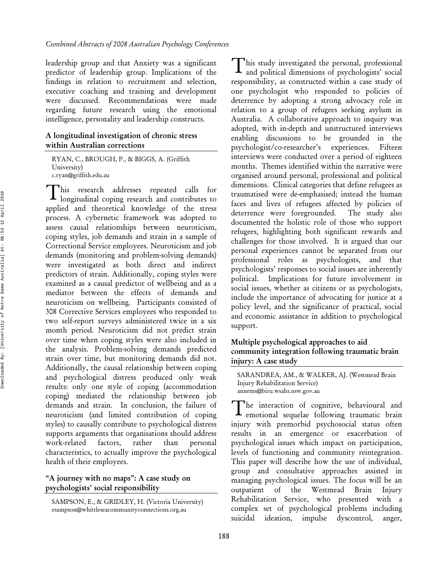leadership group and that Anxiety was a significant predictor of leadership group. Implications of the findings in relation to recruitment and selection, executive coaching and training and development were discussed. Recommendations were made regarding future research using the emotional intelligence, personality and leadership constructs.

#### **A longitudinal investigation of chronic stress within Australian corrections**

RYAN, C., BROUGH, P., & BIGGS, A. (Griffith University) c.ryan@griffith.edu.au

his research addresses repeated calls for This research addresses repeated calls for longitudinal coping research and contributes to applied and theoretical knowledge of the stress process. A cybernetic framework was adopted to assess causal relationships between neuroticism, coping styles, job demands and strain in a sample of Correctional Service employees. Neuroticism and job demands (monitoring and problem-solving demands) were investigated as both direct and indirect predictors of strain. Additionally, coping styles were examined as a causal predictor of wellbeing and as a mediator between the effects of demands and neuroticism on wellbeing. Participants consisted of 308 Corrective Services employees who responded to two self-report surveys administered twice in a six month period. Neuroticism did not predict strain over time when coping styles were also included in the analysis. Problem-solving demands predicted strain over time, but monitoring demands did not. Additionally, the causal relationship between coping and psychological distress produced only weak results: only one style of coping (accommodation coping) mediated the relationship between job demands and strain. In conclusion, the failure of neuroticism (and limited contribution of coping styles) to causally contribute to psychological distress supports arguments that organisations should address work-related factors, rather than personal characteristics, to actually improve the psychological health of their employees.

## **"A journey with no maps": A case study on psychologists' social responsibility**

his study investigated the personal, professional This study investigated the personal, professional and political dimensions of psychologists' social responsibility, as constructed within a case study of one psychologist who responded to policies of deterrence by adopting a strong advocacy role in relation to a group of refugees seeking asylum in Australia. A collaborative approach to inquiry was adopted, with in-depth and unstructured interviews enabling discussions to be grounded in the psychologist/co-researcher's experiences. Fifteen interviews were conducted over a period of eighteen months. Themes identified within the narrative were organised around personal, professional and political dimensions. Clinical categories that define refugees as traumatised were de-emphasised; instead the human faces and lives of refugees affected by policies of deterrence were foregrounded. The study also documented the holistic role of those who support refugees, highlighting both significant rewards and challenges for those involved. It is argued that our personal experiences cannot be separated from our professional roles as psychologists, and that psychologists' responses to social issues are inherently political. Implications for future involvement in social issues, whether as citizens or as psychologists, include the importance of advocating for justice at a policy level, and the significance of practical, social and economic assistance in addition to psychological support.

# **Multiple psychological approaches to aid community integration following traumatic brain injury: A case study**

SARANDREA, AM., & WALKER, AJ. (Westmead Brain Injury Rehabilitation Service) annems@biru.wsahs.nsw.gov.au

he interaction of cognitive, behavioural and emotional sequelae following traumatic brain injury with premorbid psychosocial status often results in an emergence or exacerbation of psychological issues which impact on participation, levels of functioning and community reintegration. This paper will describe how the use of individual, group and consultative approaches assisted in managing psychological issues. The focus will be an outpatient of the Westmead Brain Injury Rehabilitation Service, who presented with a complex set of psychological problems including suicidal ideation, impulse dyscontrol, anger,  $\mathbf{I}$ 

SAMPSON, E., & GRIDLEY, H. (Victoria University) esampson@whittleseacommunityconnections.org.au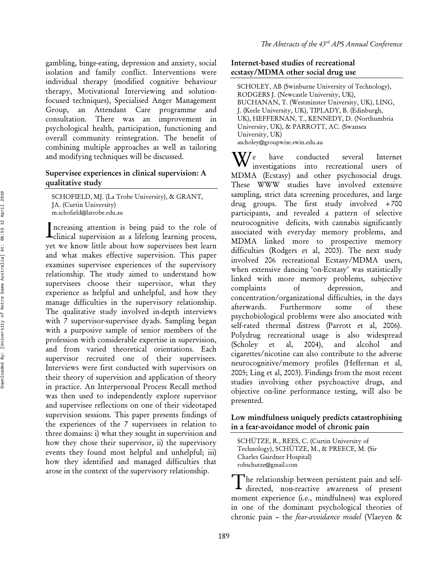gambling, binge-eating, depression and anxiety, social isolation and family conflict. Interventions were individual therapy (modified cognitive behaviour therapy, Motivational Interviewing and solutionfocused techniques), Specialised Anger Management Group, an Attendant Care programme and consultation. There was an improvement in psychological health, participation, functioning and overall community reintegration. The benefit of combining multiple approaches as well as tailoring and modifying techniques will be discussed.

## **Supervisee experiences in clinical supervision: A qualitative study**

SCHOFIELD, MJ. (La Trobe University), & GRANT, JA. (Curtin University) m.schofield@latrobe.edu.au

ncreasing attention is being paid to the role of Increasing attention is being paid to the role of clinical supervision as a lifelong learning process, yet we know little about how supervisees best learn and what makes effective supervision. This paper examines supervisee experiences of the supervisory relationship. The study aimed to understand how supervisees choose their supervisor, what they experience as helpful and unhelpful, and how they manage difficulties in the supervisory relationship. The qualitative study involved in-depth interviews with 7 supervisor-supervisee dyads. Sampling began with a purposive sample of senior members of the profession with considerable expertise in supervision, and from varied theoretical orientations. Each supervisor recruited one of their supervisees. Interviews were first conducted with supervisors on their theory of supervision and application of theory in practice. An Interpersonal Process Recall method was then used to independently explore supervisor and supervisee reflections on one of their videotaped supervision sessions. This paper presents findings of the experiences of the 7 supervisees in relation to three domains: i) what they sought in supervision and how they chose their supervisor, ii) the supervisory events they found most helpful and unhelpful; iii) how they identified and managed difficulties that arose in the context of the supervisory relationship.

### **Internet-based studies of recreational ecstasy/MDMA other social drug use**

SCHOLEY, AB (Swinburne University of Technology), RODGERS J. (Newcastle University, UK), BUCHANAN, T. (Westminster University, UK), LING, J. (Keele University, UK), TIPLADY, B. (Edinburgh, UK), HEFFERNAN, T., KENNEDY, D. (Northumbria University, UK), & PARROTT, AC. (Swansea University, UK) ascholey@groupwise.swin.edu.au

have conducted several Internet investigations into recreational users of MDMA (Ecstasy) and other psychosocial drugs. These WWW studies have involved extensive sampling, strict data screening procedures, and large drug groups. The first study involved +700 participants, and revealed a pattern of selective neurocognitive deficits, with cannabis significantly associated with everyday memory problems, and MDMA linked more to prospective memory difficulties (Rodgers et al, 2003). The next study involved 206 recreational Ecstasy/MDMA users, when extensive dancing 'on-Ecstasy' was statistically linked with more memory problems, subjective complaints of depression, and concentration/organizational difficulties, in the days afterwards. Furthermore some of these psychobiological problems were also associated with self-rated thermal distress (Parrott et al, 2006). Polydrug recreational usage is also widespread (Scholey et al, 2004), and alcohol and cigarettes/nicotine can also contribute to the adverse neurocognitive/memory profiles (Heffernan et al, 2005; Ling et al, 2003). Findings from the most recent studies involving other psychoactive drugs, and objective on-line performance testing, will also be presented.  $\bigvee$ e

#### **Low mindfulness uniquely predicts catastrophising in a fear-avoidance model of chronic pain**

SCHÜTZE, R., REES, C. (Curtin University of Technology), SCHÜTZE, M., & PREECE, M. (Sir Charles Gairdner Hospital) robschutze@gmail.com

he relationship between persistent pain and self-The relationship between persistent pain and self-<br>directed, non-reactive awareness of present moment experience (i.e., mindfulness) was explored in one of the dominant psychological theories of chronic pain – the *fear-avoidance model* (Vlaeyen &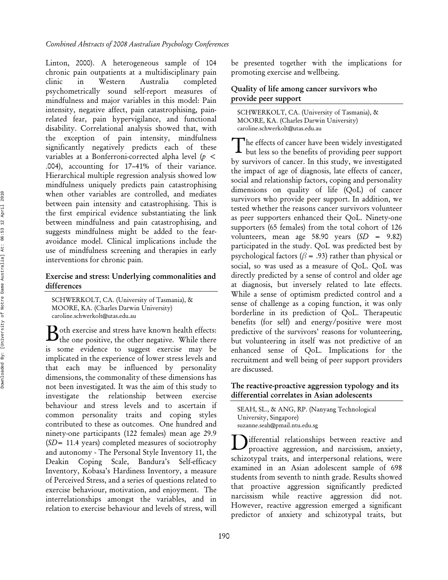Linton, 2000). A heterogeneous sample of 104 chronic pain outpatients at a multidisciplinary pain clinic in Western Australia completed psychometrically sound self-report measures of mindfulness and major variables in this model: Pain intensity, negative affect, pain catastrophising, painrelated fear, pain hypervigilance, and functional disability. Correlational analysis showed that, with the exception of pain intensity, mindfulness significantly negatively predicts each of these variables at a Bonferroni-corrected alpha level (*p* < .004), accounting for 17–41% of their variance. Hierarchical multiple regression analysis showed low mindfulness uniquely predicts pain catastrophising when other variables are controlled, and mediates between pain intensity and catastrophising. This is the first empirical evidence substantiating the link between mindfulness and pain catastrophising, and suggests mindfulness might be added to the fearavoidance model. Clinical implications include the use of mindfulness screening and therapies in early interventions for chronic pain.

# **Exercise and stress: Underlying commonalities and differences**

SCHWERKOLT, CA. (University of Tasmania), & MOORE, KA. (Charles Darwin University) caroline.schwerkolt@utas.edu.au

oth exercise and stress have known health effects:  $\mathbf B$  oth exercise and stress have known health effects:<br>the one positive, the other negative. While there is some evidence to suggest exercise may be implicated in the experience of lower stress levels and that each may be influenced by personality dimensions, the commonality of these dimensions has not been investigated. It was the aim of this study to investigate the relationship between exercise behaviour and stress levels and to ascertain if common personality traits and coping styles contributed to these as outcomes. One hundred and ninety-one participants (122 females) mean age 29.9 (*SD*= 11.4 years) completed measures of sociotrophy and autonomy - The Personal Style Inventory 11, the Deakin Coping Scale, Bandura's Self-efficacy Inventory, Kobasa's Hardiness Inventory, a measure of Perceived Stress, and a series of questions related to exercise behaviour, motivation, and enjoyment. The interrelationships amongst the variables, and in relation to exercise behaviour and levels of stress, will

be presented together with the implications for promoting exercise and wellbeing.

### **Quality of life among cancer survivors who provide peer support**

SCHWERKOLT, CA. (University of Tasmania), & MOORE, KA. (Charles Darwin University) caroline.schwerkolt@utas.edu.au

he effects of cancer have been widely investigated The effects of cancer have been widely investigated<br>but less so the benefits of providing peer support by survivors of cancer. In this study, we investigated the impact of age of diagnosis, late effects of cancer, social and relationship factors, coping and personality dimensions on quality of life (QoL) of cancer survivors who provide peer support. In addition, we tested whether the reasons cancer survivors volunteer as peer supporters enhanced their QoL. Ninety-one supporters (65 females) from the total cohort of 126 volunteers, mean age 58.90 years (*SD* = 9.82) participated in the study. QoL was predicted best by psychological factors ( $\beta$  = .93) rather than physical or social, so was used as a measure of QoL. QoL was directly predicted by a sense of control and older age at diagnosis, but inversely related to late effects. While a sense of optimism predicted control and a sense of challenge as a coping function, it was only borderline in its prediction of QoL. Therapeutic benefits (for self) and energy/positive were most predictive of the survivors' reasons for volunteering, but volunteering in itself was not predictive of an enhanced sense of QoL. Implications for the recruitment and well being of peer support providers are discussed.

### **The reactive-proactive aggression typology and its differential correlates in Asian adolescents**

SEAH, SL., & ANG, RP. (Nanyang Technological University, Singapore) suzanne.seah@pmail.ntu.edu.sg

**D**ifferential relationships between reactive and proactive aggression, and narcissism, anxiety, proactive aggression, and narcissism, anxiety, schizotypal traits, and interpersonal relations, were examined in an Asian adolescent sample of 698 students from seventh to ninth grade. Results showed that proactive aggression significantly predicted narcissism while reactive aggression did not. However, reactive aggression emerged a significant predictor of anxiety and schizotypal traits, but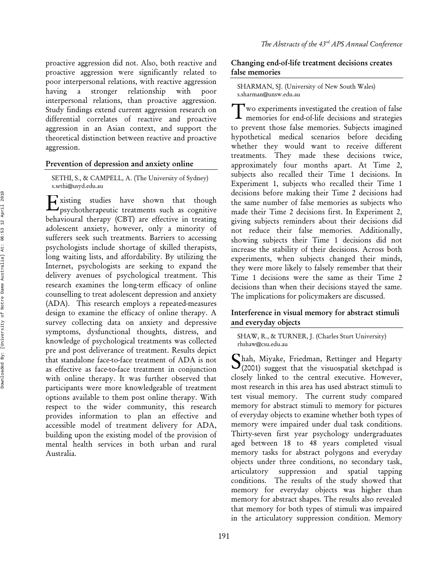proactive aggression did not. Also, both reactive and proactive aggression were significantly related to poor interpersonal relations, with reactive aggression having a stronger relationship with poor interpersonal relations, than proactive aggression. Study findings extend current aggression research on differential correlates of reactive and proactive aggression in an Asian context, and support the theoretical distinction between reactive and proactive aggression.

#### **Prevention of depression and anxiety online**

SETHI, S., & CAMPELL, A. (The University of Sydney) s.sethi@usyd.edu.au

xisting studies have shown that though Existing studies have shown that though<br>psychotherapeutic treatments such as cognitive behavioural therapy (CBT) are effective in treating adolescent anxiety, however, only a minority of sufferers seek such treatments. Barriers to accessing psychologists include shortage of skilled therapists, long waiting lists, and affordability. By utilizing the Internet, psychologists are seeking to expand the delivery avenues of psychological treatment. This research examines the long-term efficacy of online counselling to treat adolescent depression and anxiety (ADA). This research employs a repeated-measures design to examine the efficacy of online therapy. A survey collecting data on anxiety and depressive symptoms, dysfunctional thoughts, distress, and knowledge of psychological treatments was collected pre and post deliverance of treatment. Results depict that standalone face-to-face treatment of ADA is not as effective as face-to-face treatment in conjunction with online therapy. It was further observed that participants were more knowledgeable of treatment options available to them post online therapy. With respect to the wider community, this research provides information to plan an effective and accessible model of treatment delivery for ADA, building upon the existing model of the provision of mental health services in both urban and rural Australia.

#### **Changing end-of-life treatment decisions creates false memories**

SHARMAN, SJ. (University of New South Wales) s.sharman@unsw.edu.au

Two experiments investigated the creation of false<br>memories for end-of-life decisions and strategies memories for end-of-life decisions and strategies to prevent those false memories. Subjects imagined hypothetical medical scenarios before deciding whether they would want to receive different treatments. They made these decisions twice, approximately four months apart. At Time 2, subjects also recalled their Time 1 decisions. In Experiment 1, subjects who recalled their Time 1 decisions before making their Time 2 decisions had the same number of false memories as subjects who made their Time 2 decisions first. In Experiment 2, giving subjects reminders about their decisions did not reduce their false memories. Additionally, showing subjects their Time 1 decisions did not increase the stability of their decisions. Across both experiments, when subjects changed their minds, they were more likely to falsely remember that their Time 1 decisions were the same as their Time 2 decisions than when their decisions stayed the same. The implications for policymakers are discussed.

### **Interference in visual memory for abstract stimuli and everyday objects**

SHAW, R., & TURNER, J. (Charles Sturt University) rhshaw@csu.edu.au

hah, Miyake, Friedman, Rettinger and Hegarty  $\mathbf{S}$ hah, Miyake, Friedman, Rettinger and Hegarty<br>(2001) suggest that the visuospatial sketchpad is closely linked to the central executive. However, most research in this area has used abstract stimuli to test visual memory. The current study compared memory for abstract stimuli to memory for pictures of everyday objects to examine whether both types of memory were impaired under dual task conditions. Thirty-seven first year psychology undergraduates aged between 18 to 48 years completed visual memory tasks for abstract polygons and everyday objects under three conditions, no secondary task, articulatory suppression and spatial tapping conditions. The results of the study showed that memory for everyday objects was higher than memory for abstract shapes. The results also revealed that memory for both types of stimuli was impaired in the articulatory suppression condition. Memory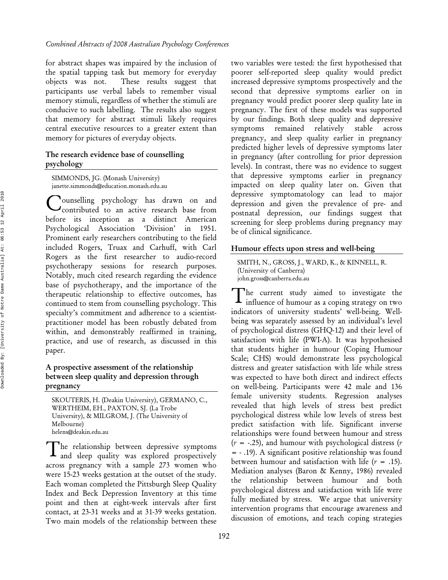for abstract shapes was impaired by the inclusion of the spatial tapping task but memory for everyday objects was not. These results suggest that participants use verbal labels to remember visual memory stimuli, regardless of whether the stimuli are conducive to such labelling. The results also suggest that memory for abstract stimuli likely requires central executive resources to a greater extent than memory for pictures of everyday objects.

# **The research evidence base of counselling psychology**

SIMMONDS, JG. (Monash University) janette.simmonds@education.monash.edu.au

ounselling psychology has drawn on and Counselling psychology has drawn on and<br>contributed to an active research base from before its inception as a distinct American Psychological Association 'Division' in 1951. Prominent early researchers contributing to the field included Rogers, Truax and Carhuff, with Carl Rogers as the first researcher to audio-record psychotherapy sessions for research purposes. Notably, much cited research regarding the evidence base of psychotherapy, and the importance of the therapeutic relationship to effective outcomes, has continued to stem from counselling psychology. This specialty's commitment and adherence to a scientistpractitioner model has been robustly debated from within, and demonstrably reaffirmed in training, practice, and use of research, as discussed in this paper.

# **A prospective assessment of the relationship between sleep quality and depression through pregnancy**

SKOUTERIS, H. (Deakin University), GERMANO, C., WERTHEIM, EH., PAXTON, SJ. (La Trobe University), & MILGROM, J. (The University of Melbourne) helens@deakin.edu.au

he relationship between depressive symptoms The relationship between depressive symptoms<br>and sleep quality was explored prospectively across pregnancy with a sample 273 women who were 15-23 weeks gestation at the outset of the study. Each woman completed the Pittsburgh Sleep Quality Index and Beck Depression Inventory at this time point and then at eight-week intervals after first contact, at 23-31 weeks and at 31-39 weeks gestation. Two main models of the relationship between these

two variables were tested: the first hypothesised that poorer self-reported sleep quality would predict increased depressive symptoms prospectively and the second that depressive symptoms earlier on in pregnancy would predict poorer sleep quality late in pregnancy. The first of these models was supported by our findings. Both sleep quality and depressive symptoms remained relatively stable across pregnancy, and sleep quality earlier in pregnancy predicted higher levels of depressive symptoms later in pregnancy (after controlling for prior depression levels). In contrast, there was no evidence to suggest that depressive symptoms earlier in pregnancy impacted on sleep quality later on. Given that depressive symptomatology can lead to major depression and given the prevalence of pre- and postnatal depression, our findings suggest that screening for sleep problems during pregnancy may be of clinical significance.

#### **Humour effects upon stress and well-being**

SMITH, N., GROSS, J., WARD, K., & KINNELL, R. (University of Canberra) john.gross@canberra.edu.au

The current study aimed to investigate the influence of humour as a coping strategy on two I influence of humour as a coping strategy on two indicators of university students' well-being. Wellbeing was separately assessed by an individual's level of psychological distress (GHQ-12) and their level of satisfaction with life (PWI-A). It was hypothesised that students higher in humour (Coping Humour Scale; CHS) would demonstrate less psychological distress and greater satisfaction with life while stress was expected to have both direct and indirect effects on well-being. Participants were 42 male and 136 female university students. Regression analyses revealed that high levels of stress best predict psychological distress while low levels of stress best predict satisfaction with life. Significant inverse relationships were found between humour and stress (*r* = -.25), and humour with psychological distress (*r* = - .19). A significant positive relationship was found between humour and satisfaction with life (*r* = .15). Mediation analyses (Baron & Kenny, 1986) revealed the relationship between humour and both psychological distress and satisfaction with life were fully mediated by stress. We argue that university intervention programs that encourage awareness and discussion of emotions, and teach coping strategies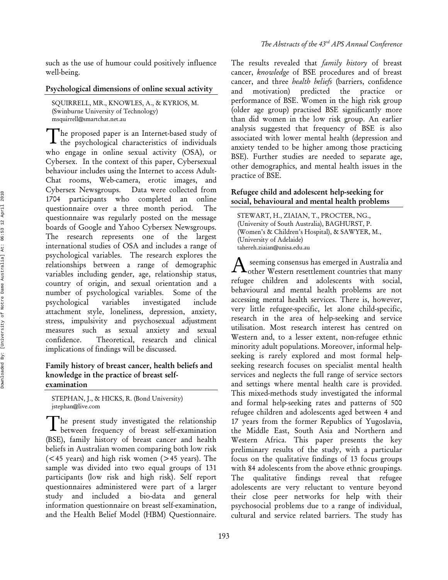such as the use of humour could positively influence well-being.

#### **Psychological dimensions of online sexual activity**

SQUIRRELL, MR., KNOWLES, A., & KYRIOS, M. (Swinburne University of Technology) msquirrell@smartchat.net.au

The proposed paper is an Internet-based study of the psychological characteristics of individuals the psychological characteristics of individuals who engage in online sexual activity (OSA), or Cybersex. In the context of this paper, Cybersexual behaviour includes using the Internet to access Adult-Chat rooms, Web-camera, erotic images, and Cybersex Newsgroups. Data were collected from 1704 participants who completed an online questionnaire over a three month period. The questionnaire was regularly posted on the message boards of Google and Yahoo Cybersex Newsgroups. The research represents one of the largest international studies of OSA and includes a range of psychological variables. The research explores the relationships between a range of demographic variables including gender, age, relationship status, country of origin, and sexual orientation and a number of psychological variables. Some of the psychological variables investigated include attachment style, loneliness, depression, anxiety, stress, impulsivity and psychosexual adjustment measures such as sexual anxiety and sexual confidence. Theoretical, research and clinical implications of findings will be discussed.

# **Family history of breast cancer, health beliefs and knowledge in the practice of breast selfexamination**

STEPHAN, J., & HICKS, R. (Bond University) jstephan@live.com

he present study investigated the relationship The present study investigated the relationship<br>between frequency of breast self-examination (BSE), family history of breast cancer and health beliefs in Australian women comparing both low risk  $(<$  45 years) and high risk women ( $>$  45 years). The sample was divided into two equal groups of 131 participants (low risk and high risk). Self report questionnaires administered were part of a larger study and included a bio-data and general information questionnaire on breast self-examination, and the Health Belief Model (HBM) Questionnaire.

The results revealed that *family history* of breast cancer, *knowledge* of BSE procedures and of breast cancer, and three *health beliefs* (barriers, confidence and motivation) predicted the practice or performance of BSE. Women in the high risk group (older age group) practised BSE significantly more than did women in the low risk group. An earlier analysis suggested that frequency of BSE is also associated with lower mental health (depression and anxiety tended to be higher among those practicing BSE). Further studies are needed to separate age, other demographics, and mental health issues in the practice of BSE.

# **Refugee child and adolescent help-seeking for social, behavioural and mental health problems**

STEWART, H., ZIAIAN, T., PROCTER, NG., (University of South Australia), BAGHURST, P. (Women's & Children's Hospital), & SAWYER, M., (University of Adelaide) tahereh.ziaian@unisa.edu.au

 seeming consensus has emerged in Australia and  $\bigwedge$  seeming consensus has emerged in Australia and other Western resettlement countries that many refugee children and adolescents with social, behavioural and mental health problems are not accessing mental health services. There is, however, very little refugee-specific, let alone child-specific, research in the area of help-seeking and service utilisation. Most research interest has centred on Western and, to a lesser extent, non-refugee ethnic minority adult populations. Moreover, informal helpseeking is rarely explored and most formal helpseeking research focuses on specialist mental health services and neglects the full range of service sectors and settings where mental health care is provided. This mixed-methods study investigated the informal and formal help-seeking rates and patterns of 500 refugee children and adolescents aged between 4 and 17 years from the former Republics of Yugoslavia, the Middle East, South Asia and Northern and Western Africa. This paper presents the key preliminary results of the study, with a particular focus on the qualitative findings of 13 focus groups with 84 adolescents from the above ethnic groupings. The qualitative findings reveal that refugee adolescents are very reluctant to venture beyond their close peer networks for help with their psychosocial problems due to a range of individual, cultural and service related barriers. The study has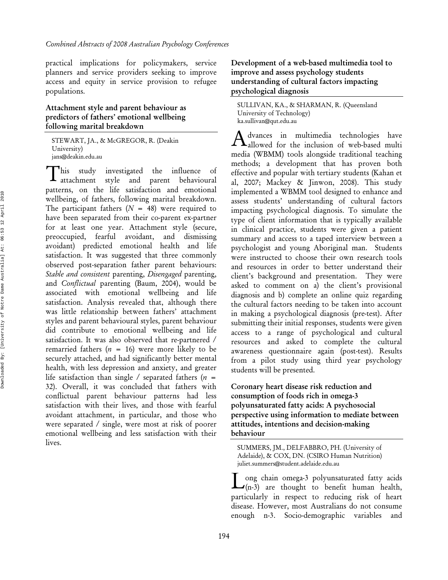practical implications for policymakers, service planners and service providers seeking to improve access and equity in service provision to refugee populations.

# **Attachment style and parent behaviour as predictors of fathers' emotional wellbeing following marital breakdown**

STEWART, JA., & McGREGOR, R. (Deakin University) jans@deakin.edu.au

his study investigated the influence of attachment style and parent behavioural patterns, on the life satisfaction and emotional wellbeing, of fathers, following marital breakdown. The participant fathers  $(N = 48)$  were required to have been separated from their co-parent ex-partner for at least one year. Attachment style (secure, preoccupied, fearful avoidant, and dismissing avoidant) predicted emotional health and life satisfaction. It was suggested that three commonly observed post-separation father parent behaviours: *Stable and consistent* parenting, *Disengaged* parenting, and *Conflictual* parenting (Baum, 2004), would be associated with emotional wellbeing and life satisfaction. Analysis revealed that, although there was little relationship between fathers' attachment styles and parent behavioural styles, parent behaviour did contribute to emotional wellbeing and life satisfaction. It was also observed that re-partnered / remarried fathers ( $n = 16$ ) were more likely to be securely attached, and had significantly better mental health, with less depression and anxiety, and greater life satisfaction than single / separated fathers  $(n =$ 32). Overall, it was concluded that fathers with conflictual parent behaviour patterns had less satisfaction with their lives, and those with fearful avoidant attachment, in particular, and those who were separated / single, were most at risk of poorer emotional wellbeing and less satisfaction with their lives. T

**Development of a web-based multimedia tool to improve and assess psychology students understanding of cultural factors impacting psychological diagnosis** 

SULLIVAN, KA., & SHARMAN, R. (Queensland University of Technology) ka.sullivan@qut.edu.au

dvances in multimedia technologies have A dvances in multimedia technologies have<br>allowed for the inclusion of web-based multi media (WBMM) tools alongside traditional teaching methods; a development that has proven both effective and popular with tertiary students (Kahan et al, 2007; Mackey & Jinwon, 2008). This study implemented a WBMM tool designed to enhance and assess students' understanding of cultural factors impacting psychological diagnosis. To simulate the type of client information that is typically available in clinical practice, students were given a patient summary and access to a taped interview between a psychologist and young Aboriginal man. Students were instructed to choose their own research tools and resources in order to better understand their client's background and presentation. They were asked to comment on a) the client's provisional diagnosis and b) complete an online quiz regarding the cultural factors needing to be taken into account in making a psychological diagnosis (pre-test). After submitting their initial responses, students were given access to a range of psychological and cultural resources and asked to complete the cultural awareness questionnaire again (post-test). Results from a pilot study using third year psychology students will be presented.

**Coronary heart disease risk reduction and consumption of foods rich in omega-3 polyunsaturated fatty acids: A psychosocial perspective using information to mediate between attitudes, intentions and decision-making behaviour** 

SUMMERS, JM., DELFABBRO, PH. (University of Adelaide), & COX, DN. (CSIRO Human Nutrition) juliet.summers@student.adelaide.edu.au

ong chain omega-3 polyunsaturated fatty acids  $\sum_{(n-3)}$  ong chain omega-3 polyunsaturated fatty acids<br>(n-3) are thought to benefit human health, particularly in respect to reducing risk of heart disease. However, most Australians do not consume enough n-3. Socio-demographic variables and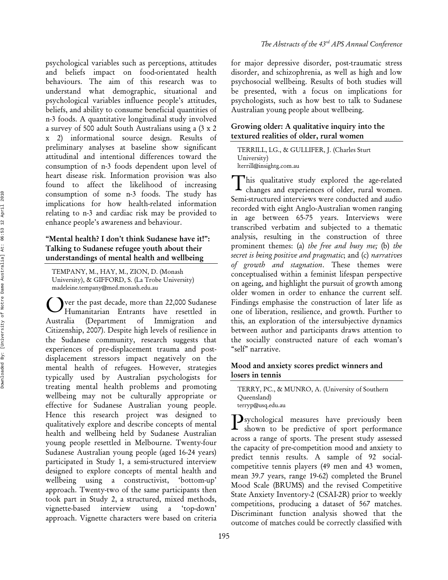psychological variables such as perceptions, attitudes and beliefs impact on food-orientated health behaviours. The aim of this research was to understand what demographic, situational and psychological variables influence people's attitudes, beliefs, and ability to consume beneficial quantities of n-3 foods. A quantitative longitudinal study involved a survey of 500 adult South Australians using a (3 x 2 x 2) informational source design. Results of preliminary analyses at baseline show significant attitudinal and intentional differences toward the consumption of n-3 foods dependent upon level of heart disease risk. Information provision was also found to affect the likelihood of increasing consumption of some n-3 foods. The study has implications for how health-related information relating to n-3 and cardiac risk may be provided to enhance people's awareness and behaviour.

# **"Mental health? I don't think Sudanese have it!": Talking to Sudanese refugee youth about their understandings of mental health and wellbeing**

TEMPANY, M., HAY, M., ZION, D. (Monash University), & GIFFORD, S. (La Trobe University) madeleine.tempany@med.monash.edu.au

ver the past decade, more than 22,000 Sudanese Over the past decade, more than 22,000 Sudanese<br>Humanitarian Entrants have resettled in Australia (Department of Immigration and Citizenship, 2007). Despite high levels of resilience in the Sudanese community, research suggests that experiences of pre-displacement trauma and postdisplacement stressors impact negatively on the mental health of refugees. However, strategies typically used by Australian psychologists for treating mental health problems and promoting wellbeing may not be culturally appropriate or effective for Sudanese Australian young people. Hence this research project was designed to qualitatively explore and describe concepts of mental health and wellbeing held by Sudanese Australian young people resettled in Melbourne. Twenty-four Sudanese Australian young people (aged 16-24 years) participated in Study 1, a semi-structured interview designed to explore concepts of mental health and wellbeing using a constructivist, 'bottom-up' approach. Twenty-two of the same participants then took part in Study 2, a structured, mixed methods, vignette-based interview using a 'top-down' approach. Vignette characters were based on criteria

for major depressive disorder, post-traumatic stress disorder, and schizophrenia, as well as high and low psychosocial wellbeing. Results of both studies will be presented, with a focus on implications for psychologists, such as how best to talk to Sudanese Australian young people about wellbeing.

#### **Growing older: A qualitative inquiry into the textured realities of older, rural women**

TERRILL, LG., & GULLIFER, J. (Charles Sturt University) lterrill@insightg.com.au

his qualitative study explored the age-related changes and experiences of older, rural women. Semi-structured interviews were conducted and audio recorded with eight Anglo-Australian women ranging in age between 65-75 years. Interviews were transcribed verbatim and subjected to a thematic analysis, resulting in the construction of three prominent themes: (a) *the free and busy me;* (b) *the secret is being positive and pragmatic*; and (c) *narratives of growth and stagnation*. These themes were conceptualised within a feminist lifespan perspective on ageing, and highlight the pursuit of growth among older women in order to enhance the current self. Findings emphasise the construction of later life as one of liberation, resilience, and growth. Further to this, an exploration of the intersubjective dynamics between author and participants draws attention to the socially constructed nature of each woman's "self" narrative.  $\mathbf 1$ 

### **Mood and anxiety scores predict winners and losers in tennis**

TERRY, PC., & MUNRO, A. (University of Southern Queensland) terryp@usq.edu.au

sychological measures have previously been Psychological measures have previously been<br>shown to be predictive of sport performance across a range of sports. The present study assessed the capacity of pre-competition mood and anxiety to predict tennis results. A sample of 92 socialcompetitive tennis players (49 men and 43 women, mean 39.7 years, range 19-62) completed the Brunel Mood Scale (BRUMS) and the revised Competitive State Anxiety Inventory-2 (CSAI-2R) prior to weekly competitions, producing a dataset of 567 matches. Discriminant function analysis showed that the outcome of matches could be correctly classified with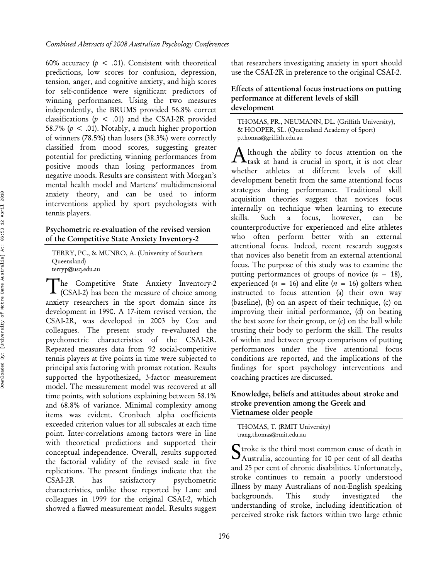60% accuracy ( $p < .01$ ). Consistent with theoretical predictions, low scores for confusion, depression, tension, anger, and cognitive anxiety, and high scores for self-confidence were significant predictors of winning performances. Using the two measures independently, the BRUMS provided 56.8% correct classifications  $(p \lt .01)$  and the CSAI-2R provided 58.7%  $(p < .01)$ . Notably, a much higher proportion of winners (78.5%) than losers (38.3%) were correctly classified from mood scores, suggesting greater potential for predicting winning performances from positive moods than losing performances from negative moods. Results are consistent with Morgan's mental health model and Martens' multidimensional anxiety theory, and can be used to inform interventions applied by sport psychologists with tennis players.

### **Psychometric re-evaluation of the revised version of the Competitive State Anxiety Inventory-2**

TERRY, PC., & MUNRO, A. (University of Southern Queensland) terryp@usq.edu.au

The Competitive State Anxiety Inventory-2 (CSAI-2) has been the measure of choice among (CSAI-2) has been the measure of choice among anxiety researchers in the sport domain since its development in 1990. A 17-item revised version, the CSAI-2R, was developed in 2003 by Cox and colleagues. The present study re-evaluated the psychometric characteristics of the CSAI-2R. Repeated measures data from 92 social-competitive tennis players at five points in time were subjected to principal axis factoring with promax rotation. Results supported the hypothesized, 3-factor measurement model. The measurement model was recovered at all time points, with solutions explaining between 58.1% and 68.8% of variance. Minimal complexity among items was evident. Cronbach alpha coefficients exceeded criterion values for all subscales at each time point. Inter-correlations among factors were in line with theoretical predictions and supported their conceptual independence. Overall, results supported the factorial validity of the revised scale in five replications. The present findings indicate that the CSAI-2R has satisfactory psychometric characteristics, unlike those reported by Lane and colleagues in 1999 for the original CSAI-2, which showed a flawed measurement model. Results suggest

that researchers investigating anxiety in sport should use the CSAI-2R in preference to the original CSAI-2.

## **Effects of attentional focus instructions on putting performance at different levels of skill development**

THOMAS, PR., NEUMANN, DL. (Griffith University), & HOOPER, SL. (Queensland Academy of Sport) p.thomas@griffith.edu.au

lthough the ability to focus attention on the  $A$  though the ability to focus attention on the task at hand is crucial in sport, it is not clear whether athletes at different levels of skill development benefit from the same attentional focus strategies during performance. Traditional skill acquisition theories suggest that novices focus internally on technique when learning to execute skills. Such a focus, however, can be counterproductive for experienced and elite athletes who often perform better with an external attentional focus. Indeed, recent research suggests that novices also benefit from an external attentional focus. The purpose of this study was to examine the putting performances of groups of novice  $(n = 18)$ , experienced ( $n = 16$ ) and elite ( $n = 16$ ) golfers when instructed to focus attention (a) their own way (baseline), (b) on an aspect of their technique, (c) on improving their initial performance, (d) on beating the best score for their group, or (e) on the ball while trusting their body to perform the skill. The results of within and between group comparisons of putting performances under the five attentional focus conditions are reported, and the implications of the findings for sport psychology interventions and coaching practices are discussed.

## **Knowledge, beliefs and attitudes about stroke and stroke prevention among the Greek and Vietnamese older people**

THOMAS, T. (RMIT University) trang.thomas@rmit.edu.au

troke is the third most common cause of death in Stroke is the third most common cause of death in<br>Australia, accounting for 10 per cent of all deaths and 25 per cent of chronic disabilities. Unfortunately, stroke continues to remain a poorly understood illness by many Australians of non-English speaking backgrounds. This study investigated the understanding of stroke, including identification of perceived stroke risk factors within two large ethnic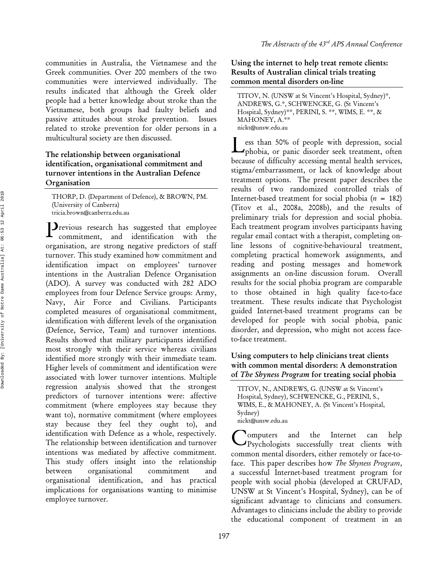communities in Australia, the Vietnamese and the Greek communities. Over 200 members of the two communities were interviewed individually. The results indicated that although the Greek older people had a better knowledge about stroke than the Vietnamese, both groups had faulty beliefs and passive attitudes about stroke prevention. Issues related to stroke prevention for older persons in a multicultural society are then discussed.

# **The relationship between organisational identification, organisational commitment and turnover intentions in the Australian Defence Organisation**

THORP, D. (Department of Defence), & BROWN, PM. (University of Canberra) tricia.brown@canberra.edu.au

Previous research has suggested that employee<br>commitment, and identification with the commitment, and identification with the organisation, are strong negative predictors of staff turnover. This study examined how commitment and identification impact on employees' turnover intentions in the Australian Defence Organisation (ADO). A survey was conducted with 282 ADO employees from four Defence Service groups: Army, Navy, Air Force and Civilians. Participants completed measures of organisational commitment, identification with different levels of the organisation (Defence, Service, Team) and turnover intentions. Results showed that military participants identified most strongly with their service whereas civilians identified more strongly with their immediate team. Higher levels of commitment and identification were associated with lower turnover intentions. Multiple regression analysis showed that the strongest predictors of turnover intentions were: affective commitment (where employees stay because they want to), normative commitment (where employees stay because they feel they ought to), and identification with Defence as a whole, respectively. The relationship between identification and turnover intentions was mediated by affective commitment. This study offers insight into the relationship between organisational commitment and organisational identification, and has practical implications for organisations wanting to minimise employee turnover.

**Using the internet to help treat remote clients: Results of Australian clinical trials treating common mental disorders on-line** 

TITOV, N. (UNSW at St Vincent's Hospital, Sydney)\*, ANDREWS, G.\*, SCHWENCKE, G. (St Vincent's Hospital, Sydney)\*\*, PERINI, S. \*\*, WIMS, E. \*\*, & MAHONEY, A.\*\* nickt@unsw.edu.au

ess than 50% of people with depression, social Less than 50% of people with depression, social<br>phobia, or panic disorder seek treatment, often because of difficulty accessing mental health services, stigma/embarrassment, or lack of knowledge about treatment options. The present paper describes the results of two randomized controlled trials of Internet-based treatment for social phobia (*n* = 182) (Titov et al., 2008a, 2008b), and the results of preliminary trials for depression and social phobia. Each treatment program involves participants having regular email contact with a therapist, completing online lessons of cognitive-behavioural treatment, completing practical homework assignments, and reading and posting messages and homework assignments an on-line discussion forum. Overall results for the social phobia program are comparable to those obtained in high quality face-to-face treatment. These results indicate that Psychologist guided Internet-based treatment programs can be developed for people with social phobia, panic disorder, and depression, who might not access faceto-face treatment.

# **Using computers to help clinicians treat clients with common mental disorders: A demonstration of** *The Shyness Program* **for treating social phobia**

TITOV, N., ANDREWS, G. (UNSW at St Vincent's Hospital, Sydney), SCHWENCKE, G., PERINI, S., WIMS, E., & MAHONEY, A. (St Vincent's Hospital, Sydney) nickt@unsw.edu.au

omputers and the Internet can help Computers and the Internet can help<br>Psychologists successfully treat clients with common mental disorders, either remotely or face-toface. This paper describes how *The Shyness Program*, a successful Internet-based treatment program for people with social phobia (developed at CRUFAD, UNSW at St Vincent's Hospital, Sydney), can be of significant advantage to clinicians and consumers. Advantages to clinicians include the ability to provide the educational component of treatment in an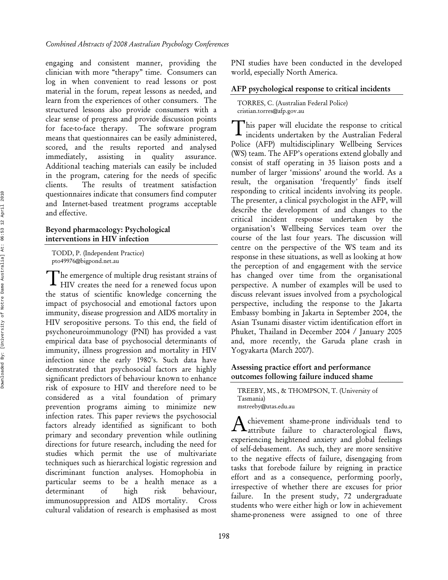engaging and consistent manner, providing the clinician with more "therapy" time. Consumers can log in when convenient to read lessons or post material in the forum, repeat lessons as needed, and learn from the experiences of other consumers. The structured lessons also provide consumers with a clear sense of progress and provide discussion points for face-to-face therapy. The software program means that questionnaires can be easily administered, scored, and the results reported and analysed immediately, assisting in quality assurance. Additional teaching materials can easily be included in the program, catering for the needs of specific clients. The results of treatment satisfaction questionnaires indicate that consumers find computer and Internet-based treatment programs acceptable and effective.

### **Beyond pharmacology: Psychological interventions in HIV infection**

TODD, P. (Independent Practice) pto49976@bigpond.net.au

he emergence of multiple drug resistant strains of The emergence of multiple drug resistant strains of HIV creates the need for a renewed focus upon the status of scientific knowledge concerning the impact of psychosocial and emotional factors upon immunity, disease progression and AIDS mortality in HIV seropositive persons. To this end, the field of psychoneuroimmunology (PNI) has provided a vast empirical data base of psychosocial determinants of immunity, illness progression and mortality in HIV infection since the early 1980's. Such data have demonstrated that psychosocial factors are highly significant predictors of behaviour known to enhance risk of exposure to HIV and therefore need to be considered as a vital foundation of primary prevention programs aiming to minimize new infection rates. This paper reviews the psychosocial factors already identified as significant to both primary and secondary prevention while outlining directions for future research, including the need for studies which permit the use of multivariate techniques such as hierarchical logistic regression and discriminant function analyses. Homophobia in particular seems to be a health menace as a determinant of high risk behaviour, immunosuppression and AIDS mortality. Cross cultural validation of research is emphasised as most

PNI studies have been conducted in the developed world, especially North America.

#### **AFP psychological response to critical incidents**

TORRES, C. (Australian Federal Police) cristian.torres@afp.gov.au

his paper will elucidate the response to critical incidents undertaken by the Australian Federal Police (AFP) multidisciplinary Wellbeing Services (WS) team. The AFP's operations extend globally and consist of staff operating in 35 liaison posts and a number of larger 'missions' around the world. As a result, the organisation 'frequently' finds itself responding to critical incidents involving its people. The presenter, a clinical psychologist in the AFP, will describe the development of and changes to the critical incident response undertaken by the organisation's Wellbeing Services team over the course of the last four years. The discussion will centre on the perspective of the WS team and its response in these situations, as well as looking at how the perception of and engagement with the service has changed over time from the organisational perspective. A number of examples will be used to discuss relevant issues involved from a psychological perspective, including the response to the Jakarta Embassy bombing in Jakarta in September 2004, the Asian Tsunami disaster victim identification effort in Phuket, Thailand in December 2004 / January 2005 and, more recently, the Garuda plane crash in Yogyakarta (March 2007). T

### **Assessing practice effort and performance outcomes following failure induced shame**

TREEBY, MS., & THOMPSON, T. (University of Tasmania) mstreeby@utas.edu.au

chievement shame-prone individuals tend to  $\Lambda$  chievement shame-prone individuals tend to  $\Lambda$  attribute failure to characterological flaws, experiencing heightened anxiety and global feelings of self-debasement. As such, they are more sensitive to the negative effects of failure, disengaging from tasks that forebode failure by reigning in practice effort and as a consequence, performing poorly, irrespective of whether there are excuses for prior failure. In the present study, 72 undergraduate students who were either high or low in achievement shame-proneness were assigned to one of three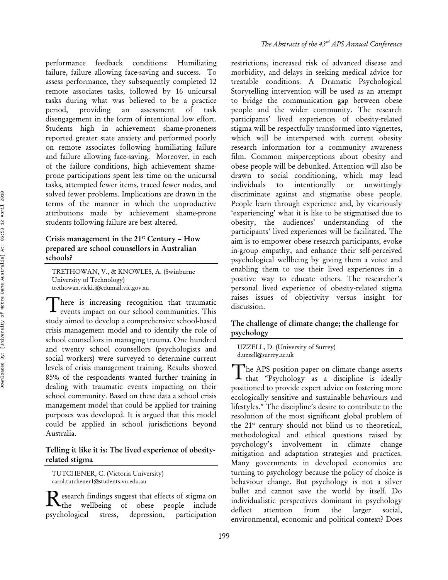performance feedback conditions: Humiliating failure, failure allowing face-saving and success. To assess performance, they subsequently completed 12 remote associates tasks, followed by 16 unicursal tasks during what was believed to be a practice period, providing an assessment of task disengagement in the form of intentional low effort. Students high in achievement shame-proneness reported greater state anxiety and performed poorly on remote associates following humiliating failure and failure allowing face-saving. Moreover, in each of the failure conditions, high achievement shameprone participations spent less time on the unicursal tasks, attempted fewer items, traced fewer nodes, and solved fewer problems. Implications are drawn in the terms of the manner in which the unproductive attributions made by achievement shame-prone students following failure are best altered.

# **Crisis management in the 21st Century – How prepared are school counsellors in Australian schools?**

TRETHOWAN, V., & KNOWLES, A. (Swinburne University of Technology) trethowan.vicki.j@edumail.vic.gov.au

here is increasing recognition that traumatic events impact on our school communities. This study aimed to develop a comprehensive school-based crisis management model and to identify the role of school counsellors in managing trauma. One hundred and twenty school counsellors (psychologists and social workers) were surveyed to determine current levels of crisis management training. Results showed 85% of the respondents wanted further training in dealing with traumatic events impacting on their school community. Based on these data a school crisis management model that could be applied for training purposes was developed. It is argued that this model could be applied in school jurisdictions beyond Australia. T

# **Telling it like it is: The lived experience of obesityrelated stigma**

TUTCHENER, C. (Victoria University) carol.tutchener1@students.vu.edu.au

esearch findings suggest that effects of stigma on Research findings suggest that effects of stigma on<br>the wellbeing of obese people include psychological stress, depression, participation

restrictions, increased risk of advanced disease and morbidity, and delays in seeking medical advice for treatable conditions. A Dramatic Psychological Storytelling intervention will be used as an attempt to bridge the communication gap between obese people and the wider community. The research participants' lived experiences of obesity-related stigma will be respectfully transformed into vignettes, which will be interspersed with current obesity research information for a community awareness film. Common misperceptions about obesity and obese people will be debunked. Attention will also be drawn to social conditioning, which may lead individuals to intentionally or unwittingly discriminate against and stigmatise obese people. People learn through experience and, by vicariously 'experiencing' what it is like to be stigmatised due to obesity, the audiences' understanding of the participants' lived experiences will be facilitated. The aim is to empower obese research participants, evoke in-group empathy, and enhance their self-perceived psychological wellbeing by giving them a voice and enabling them to use their lived experiences in a positive way to educate others. The researcher's personal lived experience of obesity-related stigma raises issues of objectivity versus insight for discussion.

# **The challenge of climate change; the challenge for psychology**

UZZELL, D. (University of Surrey) d.uzzell@surrey.ac.uk

The APS position paper on climate change asserts<br>that "Psychology as a discipline is ideally I that "Psychology as a discipline is ideally positioned to provide expert advice on fostering more ecologically sensitive and sustainable behaviours and lifestyles." The discipline's desire to contribute to the resolution of the most significant global problem of the 21st century should not blind us to theoretical, methodological and ethical questions raised by psychology's involvement in climate change mitigation and adaptation strategies and practices. Many governments in developed economies are turning to psychology because the policy of choice is behaviour change. But psychology is not a silver bullet and cannot save the world by itself. Do individualistic perspectives dominant in psychology deflect attention from the larger social, environmental, economic and political context? Does

Downloaded By: [University of Notre Dame Australia] At: 06:53 12 April 2010

of Notre

Downloaded By: [University

Dame Australia] At: 06:53 12 April 2010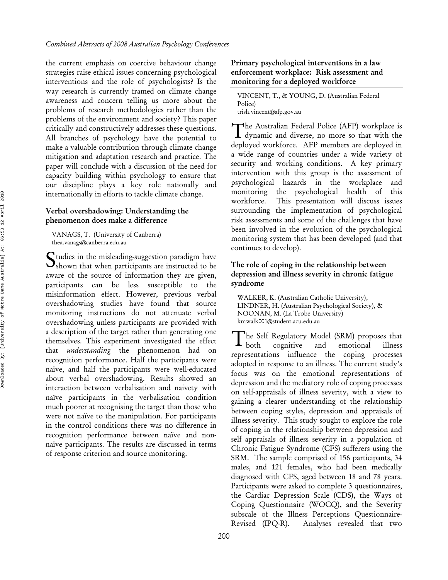the current emphasis on coercive behaviour change strategies raise ethical issues concerning psychological interventions and the role of psychologists? Is the way research is currently framed on climate change awareness and concern telling us more about the problems of research methodologies rather than the problems of the environment and society? This paper critically and constructively addresses these questions. All branches of psychology have the potential to make a valuable contribution through climate change mitigation and adaptation research and practice. The paper will conclude with a discussion of the need for capacity building within psychology to ensure that our discipline plays a key role nationally and internationally in efforts to tackle climate change.

# **Verbal overshadowing: Understanding the phenomenon does make a difference**

VANAGS, T. (University of Canberra) thea.vanags@canberra.edu.au

tudies in the misleading-suggestion paradigm have  $S_{\text{shown that when participants are instructed to be}$ aware of the source of information they are given, participants can be less susceptible to the misinformation effect. However, previous verbal overshadowing studies have found that source monitoring instructions do not attenuate verbal overshadowing unless participants are provided with a description of the target rather than generating one themselves. This experiment investigated the effect that *understanding* the phenomenon had on recognition performance. Half the participants were naïve, and half the participants were well-educated about verbal overshadowing. Results showed an interaction between verbalisation and naivety with naïve participants in the verbalisation condition much poorer at recognising the target than those who were not naïve to the manipulation. For participants in the control conditions there was no difference in recognition performance between naïve and nonnaïve participants. The results are discussed in terms of response criterion and source monitoring.

**Primary psychological interventions in a law enforcement workplace: Risk assessment and monitoring for a deployed workforce** 

VINCENT, T., & YOUNG, D. (Australian Federal Police) trish.vincent@afp.gov.au

The Australian Federal Police (AFP) workplace is The Australian Federal Police (AFP) workplace is<br>dynamic and diverse, no more so that with the deployed workforce. AFP members are deployed in a wide range of countries under a wide variety of security and working conditions. A key primary intervention with this group is the assessment of psychological hazards in the workplace and monitoring the psychological health of this workforce. This presentation will discuss issues surrounding the implementation of psychological risk assessments and some of the challenges that have been involved in the evolution of the psychological monitoring system that has been developed (and that continues to develop).

# **The role of coping in the relationship between depression and illness severity in chronic fatigue syndrome**

WALKER, K. (Australian Catholic University), LINDNER, H. (Australian Psychological Society), & NOONAN, M. (La Trobe University) kmwalk001@student.acu.edu.au

he Self Regulatory Model (SRM) proposes that cognitive and emotional illness representations influence the coping processes adopted in response to an illness. The current study's focus was on the emotional representations of depression and the mediatory role of coping processes on self-appraisals of illness severity, with a view to gaining a clearer understanding of the relationship between coping styles, depression and appraisals of illness severity. This study sought to explore the role of coping in the relationship between depression and self appraisals of illness severity in a population of Chronic Fatigue Syndrome (CFS) sufferers using the SRM. The sample comprised of 156 participants, 34 males, and 121 females, who had been medically diagnosed with CFS, aged between 18 and 78 years. Participants were asked to complete 3 questionnaires, the Cardiac Depression Scale (CDS), the Ways of Coping Questionnaire (WOCQ), and the Severity subscale of the Illness Perceptions Questionnaire-Revised (IPQ-R). Analyses revealed that two  $\mathbf{1}_{\text{both}}$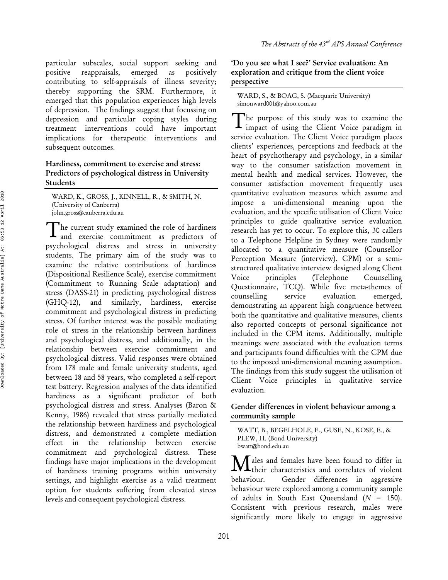particular subscales, social support seeking and positive reappraisals, emerged as positively contributing to self-appraisals of illness severity; thereby supporting the SRM. Furthermore, it emerged that this population experiences high levels of depression. The findings suggest that focussing on depression and particular coping styles during treatment interventions could have important implications for therapeutic interventions and subsequent outcomes.

# **Hardiness, commitment to exercise and stress: Predictors of psychological distress in University Students**

WARD, K., GROSS, J., KINNELL, R., & SMITH, N. (University of Canberra) john.gross@canberra.edu.au

The current study examined the role of hardiness<br>and exercise commitment as predictors of and exercise commitment as predictors of psychological distress and stress in university students. The primary aim of the study was to examine the relative contributions of hardiness (Dispositional Resilience Scale), exercise commitment (Commitment to Running Scale adaptation) and stress (DASS-21) in predicting psychological distress (GHQ-12), and similarly, hardiness, exercise commitment and psychological distress in predicting stress. Of further interest was the possible mediating role of stress in the relationship between hardiness and psychological distress, and additionally, in the relationship between exercise commitment and psychological distress. Valid responses were obtained from 178 male and female university students, aged between 18 and 58 years, who completed a self-report test battery. Regression analyses of the data identified hardiness as a significant predictor of both psychological distress and stress. Analyses (Baron & Kenny, 1986) revealed that stress partially mediated the relationship between hardiness and psychological distress, and demonstrated a complete mediation effect in the relationship between exercise commitment and psychological distress. These findings have major implications in the development of hardiness training programs within university settings, and highlight exercise as a valid treatment option for students suffering from elevated stress levels and consequent psychological distress.

**'Do you see what I see?' Service evaluation: An exploration and critique from the client voice perspective** 

WARD, S., & BOAG, S. (Macquarie University) simonward001@yahoo.com.au

he purpose of this study was to examine the impact of using the Client Voice paradigm in service evaluation. The Client Voice paradigm places clients' experiences, perceptions and feedback at the heart of psychotherapy and psychology, in a similar way to the consumer satisfaction movement in mental health and medical services. However, the consumer satisfaction movement frequently uses quantitative evaluation measures which assume and impose a uni-dimensional meaning upon the evaluation, and the specific utilisation of Client Voice principles to guide qualitative service evaluation research has yet to occur. To explore this, 30 callers to a Telephone Helpline in Sydney were randomly allocated to a quantitative measure (Counsellor Perception Measure (interview), CPM) or a semistructured qualitative interview designed along Client Voice principles (Telephone Counselling Questionnaire, TCQ). While five meta-themes of counselling service evaluation emerged, demonstrating an apparent high congruence between both the quantitative and qualitative measures, clients also reported concepts of personal significance not included in the CPM items. Additionally, multiple meanings were associated with the evaluation terms and participants found difficulties with the CPM due to the imposed uni-dimensional meaning assumption. The findings from this study suggest the utilisation of Client Voice principles in qualitative service evaluation.  $\mathbf 1$ 

# **Gender differences in violent behaviour among a community sample**

WATT, B., BEGELHOLE, E., GUSE, N., KOSE, E., & PLEW, H. (Bond University) bwatt@bond.edu.au

Males and females have been found to differ in V<sup>I</sup> their characteristics and correlates of violent behaviour. Gender differences in aggressive behaviour were explored among a community sample of adults in South East Queensland (*N* = 150). Consistent with previous research, males were significantly more likely to engage in aggressive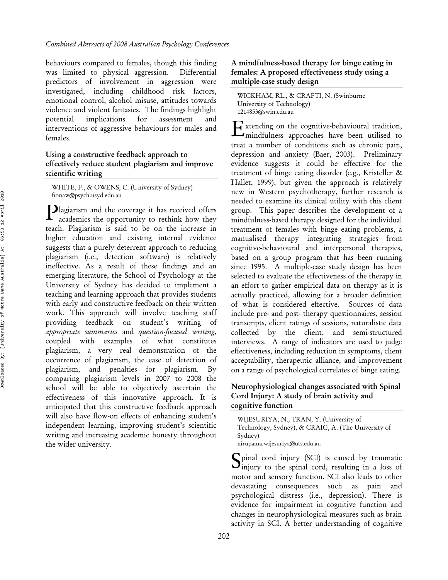behaviours compared to females, though this finding was limited to physical aggression. Differential predictors of involvement in aggression were investigated, including childhood risk factors, emotional control, alcohol misuse, attitudes towards violence and violent fantasies. The findings highlight potential implications for assessment and interventions of aggressive behaviours for males and females.

# **Using a constructive feedback approach to effectively reduce student plagiarism and improve scientific writing**

WHITE, F., & OWENS, C. (University of Sydney) fionaw@psych.usyd.edu.au

**P**lagiarism and the coverage it has received offers academics the opportunity to rethink how they academics the opportunity to rethink how they teach. Plagiarism is said to be on the increase in higher education and existing internal evidence suggests that a purely deterrent approach to reducing plagiarism (i.e., detection software) is relatively ineffective. As a result of these findings and an emerging literature, the School of Psychology at the University of Sydney has decided to implement a teaching and learning approach that provides students with early and constructive feedback on their written work. This approach will involve teaching staff providing feedback on student's writing of *appropriate summaries* and *question-focused writing*, coupled with examples of what constitutes plagiarism, a very real demonstration of the occurrence of plagiarism, the ease of detection of plagiarism, and penalties for plagiarism. By comparing plagiarism levels in 2007 to 2008 the school will be able to objectively ascertain the effectiveness of this innovative approach. It is anticipated that this constructive feedback approach will also have flow-on effects of enhancing student's independent learning, improving student's scientific writing and increasing academic honesty throughout the wider university.

**A mindfulness-based therapy for binge eating in females: A proposed effectiveness study using a multiple-case study design** 

WICKHAM, RL., & CRAFTI, N. (Swinburne University of Technology) 1214853@swin.edu.au

xtending on the cognitive-behavioural tradition, Extending on the cognitive-behavioural tradition,<br>mindfulness approaches have been utilised to treat a number of conditions such as chronic pain, depression and anxiety (Baer, 2003). Preliminary evidence suggests it could be effective for the treatment of binge eating disorder (e.g., Kristeller & Hallet, 1999), but given the approach is relatively new in Western psychotherapy, further research is needed to examine its clinical utility with this client group. This paper describes the development of a mindfulness-based therapy designed for the individual treatment of females with binge eating problems, a manualised therapy integrating strategies from cognitive-behavioural and interpersonal therapies, based on a group program that has been running since 1995. A multiple-case study design has been selected to evaluate the effectiveness of the therapy in an effort to gather empirical data on therapy as it is actually practiced, allowing for a broader definition of what is considered effective. Sources of data include pre- and post- therapy questionnaires, session transcripts, client ratings of sessions, naturalistic data collected by the client, and semi-structured interviews. A range of indicators are used to judge effectiveness, including reduction in symptoms, client acceptability, therapeutic alliance, and improvement on a range of psychological correlates of binge eating.

## **Neurophysiological changes associated with Spinal Cord Injury: A study of brain activity and cognitive function**

WIJESURIYA, N., TRAN, Y. (University of Technology, Sydney), & CRAIG, A. (The University of Sydney) nirupama.wijesuriya@uts.edu.au

pinal cord injury (SCI) is caused by traumatic Spinal cord injury (SCI) is caused by traumatic<br>Sinjury to the spinal cord, resulting in a loss of motor and sensory function. SCI also leads to other devastating consequences such as pain and psychological distress (i.e., depression). There is evidence for impairment in cognitive function and changes in neurophysiological measures such as brain activity in SCI. A better understanding of cognitive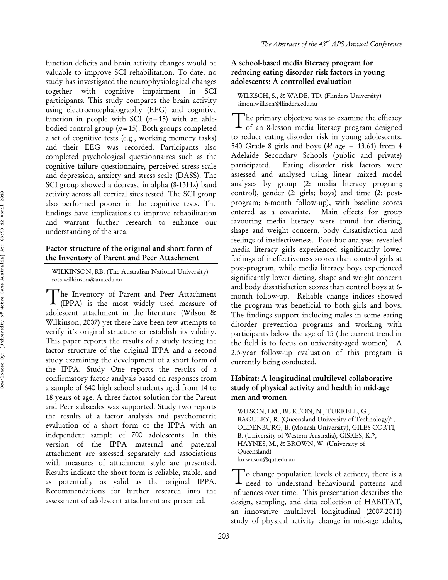function deficits and brain activity changes would be valuable to improve SCI rehabilitation. To date, no study has investigated the neurophysiological changes together with cognitive impairment in SCI participants. This study compares the brain activity using electroencephalography (EEG) and cognitive function in people with SCI (*n*=15) with an ablebodied control group (*n*=15). Both groups completed a set of cognitive tests (e.g., working memory tasks) and their EEG was recorded. Participants also completed psychological questionnaires such as the cognitive failure questionnaire, perceived stress scale and depression, anxiety and stress scale (DASS). The SCI group showed a decrease in alpha (8-13Hz) band activity across all cortical sites tested. The SCI group also performed poorer in the cognitive tests. The findings have implications to improve rehabilitation and warrant further research to enhance our understanding of the area.

## **Factor structure of the original and short form of the Inventory of Parent and Peer Attachment**

WILKINSON, RB. (The Australian National University) ross.wilkinson@anu.edu.au

he Inventory of Parent and Peer Attachment The Inventory of Parent and Peer Attachment (IPPA) is the most widely used measure of adolescent attachment in the literature (Wilson & Wilkinson, 2007) yet there have been few attempts to verify it's original structure or establish its validity. This paper reports the results of a study testing the factor structure of the original IPPA and a second study examining the development of a short form of the IPPA. Study One reports the results of a confirmatory factor analysis based on responses from a sample of 640 high school students aged from 14 to 18 years of age. A three factor solution for the Parent and Peer subscales was supported. Study two reports the results of a factor analysis and psychometric evaluation of a short form of the IPPA with an independent sample of 700 adolescents. In this version of the IPPA maternal and paternal attachment are assessed separately and associations with measures of attachment style are presented. Results indicate the short form is reliable, stable, and as potentially as valid as the original IPPA. Recommendations for further research into the assessment of adolescent attachment are presented.

### **A school-based media literacy program for reducing eating disorder risk factors in young adolescents: A controlled evaluation**

WILKSCH, S., & WADE, TD. (Flinders University) simon.wilksch@flinders.edu.au

he primary objective was to examine the efficacy of an 8-lesson media literacy program designed to reduce eating disorder risk in young adolescents. 540 Grade 8 girls and boys (*M* age = 13.61) from 4 Adelaide Secondary Schools (public and private) participated. Eating disorder risk factors were assessed and analysed using linear mixed model analyses by group (2: media literacy program; control), gender (2: girls; boys) and time (2: postprogram; 6-month follow-up), with baseline scores entered as a covariate. Main effects for group favouring media literacy were found for dieting, shape and weight concern, body dissatisfaction and feelings of ineffectiveness. Post-hoc analyses revealed media literacy girls experienced significantly lower feelings of ineffectiveness scores than control girls at post-program, while media literacy boys experienced significantly lower dieting, shape and weight concern and body dissatisfaction scores than control boys at 6 month follow-up. Reliable change indices showed the program was beneficial to both girls and boys. The findings support including males in some eating disorder prevention programs and working with participants below the age of 15 (the current trend in the field is to focus on university-aged women). A 2.5-year follow-up evaluation of this program is currently being conducted.  $\mathbf 1$ 

## **Habitat: A longitudinal multilevel collaborative study of physical activity and health in mid-age men and women**

WILSON, LM., BURTON, N., TURRELL, G., BAGULEY, R. (Queensland University of Technology)\*, OLDENBURG, B. (Monash University), GILES-CORTI, B. (University of Western Australia), GISKES, K.\*, HAYNES, M., & BROWN, W. (University of Queensland) lm.wilson@qut.edu.au

o change population levels of activity, there is a need to understand behavioural patterns and influences over time. This presentation describes the design, sampling, and data collection of HABITAT, an innovative multilevel longitudinal (2007-2011) study of physical activity change in mid-age adults, T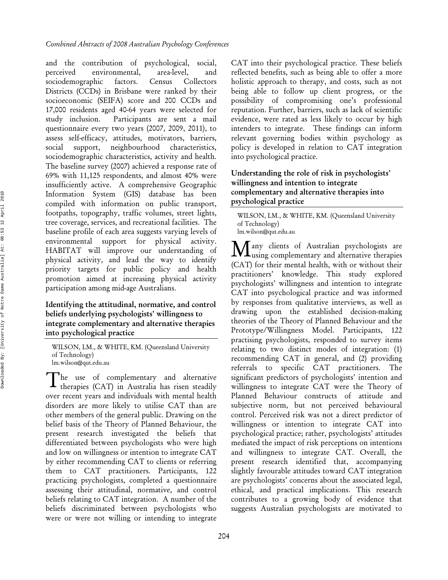and the contribution of psychological, social, perceived environmental, area-level, and sociodemographic factors. Census Collectors Districts (CCDs) in Brisbane were ranked by their socioeconomic (SEIFA) score and 200 CCDs and 17,000 residents aged 40-64 years were selected for study inclusion. Participants are sent a mail questionnaire every two years (2007, 2009, 2011), to assess self-efficacy, attitudes, motivators, barriers, social support, neighbourhood characteristics, sociodemographic characteristics, activity and health. The baseline survey (2007) achieved a response rate of 69% with 11,125 respondents, and almost 40% were insufficiently active. A comprehensive Geographic Information System (GIS) database has been compiled with information on public transport, footpaths, topography, traffic volumes, street lights, tree coverage, services, and recreational facilities. The baseline profile of each area suggests varying levels of environmental support for physical activity. HABITAT will improve our understanding of physical activity, and lead the way to identify priority targets for public policy and health promotion aimed at increasing physical activity participation among mid-age Australians.

# **Identifying the attitudinal, normative, and control beliefs underlying psychologists' willingness to integrate complementary and alternative therapies into psychological practice**

WILSON, LM., & WHITE, KM. (Queensland University of Technology) lm.wilson@qut.edu.au

he use of complementary and alternative The use of complementary and alternative<br>therapies (CAT) in Australia has risen steadily over recent years and individuals with mental health disorders are more likely to utilise CAT than are other members of the general public. Drawing on the belief basis of the Theory of Planned Behaviour, the present research investigated the beliefs that differentiated between psychologists who were high and low on willingness or intention to integrate CAT by either recommending CAT to clients or referring them to CAT practitioners. Participants, 122 practicing psychologists, completed a questionnaire assessing their attitudinal, normative, and control beliefs relating to CAT integration. A number of the beliefs discriminated between psychologists who were or were not willing or intending to integrate

CAT into their psychological practice. These beliefs reflected benefits, such as being able to offer a more holistic approach to therapy, and costs, such as not being able to follow up client progress, or the possibility of compromising one's professional reputation. Further, barriers, such as lack of scientific evidence, were rated as less likely to occur by high intenders to integrate. These findings can inform relevant governing bodies within psychology as policy is developed in relation to CAT integration into psychological practice.

# **Understanding the role of risk in psychologists' willingness and intention to integrate complementary and alternative therapies into psychological practice**

WILSON, LM., & WHITE, KM. (Queensland University of Technology) lm.wilson@qut.edu.au

any clients of Australian psychologists are Many clients of Australian psychologists are<br>using complementary and alternative therapies (CAT) for their mental health, with or without their practitioners' knowledge. This study explored psychologists' willingness and intention to integrate CAT into psychological practice and was informed by responses from qualitative interviews, as well as drawing upon the established decision-making theories of the Theory of Planned Behaviour and the Prototype/Willingness Model. Participants, 122 practising psychologists, responded to survey items relating to two distinct modes of integration: (1) recommending CAT in general, and (2) providing referrals to specific CAT practitioners. The significant predictors of psychologists' intention and willingness to integrate CAT were the Theory of Planned Behaviour constructs of attitude and subjective norm, but not perceived behavioural control. Perceived risk was not a direct predictor of willingness or intention to integrate CAT into psychological practice; rather, psychologists' attitudes mediated the impact of risk perceptions on intentions and willingness to integrate CAT. Overall, the present research identified that, accompanying slightly favourable attitudes toward CAT integration are psychologists' concerns about the associated legal, ethical, and practical implications. This research contributes to a growing body of evidence that suggests Australian psychologists are motivated to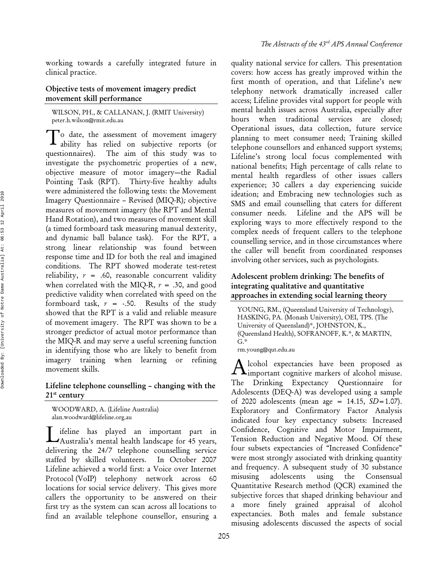working towards a carefully integrated future in clinical practice.

### **Objective tests of movement imagery predict movement skill performance**

WILSON, PH., & CALLANAN, J. (RMIT University) peter.h.wilson@rmit.edu.au

To date, the assessment of movement imagery<br>ability has relied on subjective reports (or ability has relied on subjective reports (or questionnaires). The aim of this study was to investigate the psychometric properties of a new, objective measure of motor imagery—the Radial Pointing Task (RPT). Thirty-five healthy adults were administered the following tests: the Movement Imagery Questionnaire – Revised (MIQ-R)*;* objective measures of movement imagery (the RPT and Mental Hand Rotation), and two measures of movement skill (a timed formboard task measuring manual dexterity, and dynamic ball balance task). For the RPT, a strong linear relationship was found between response time and ID for both the real and imagined conditions. The RPT showed moderate test-retest reliability,  $r = .60$ , reasonable concurrent validity when correlated with the MIQ-R, *r* = .30, and good predictive validity when correlated with speed on the formboard task,  $r = -.50$ . Results of the study showed that the RPT is a valid and reliable measure of movement imagery. The RPT was shown to be a stronger predictor of actual motor performance than the MIQ-R and may serve a useful screening function in identifying those who are likely to benefit from imagery training when learning or refining movement skills.

# **Lifeline telephone counselling – changing with the 21st century**

WOODWARD, A. (Lifeline Australia) alan.woodward@lifeline.org.au

ifeline has played an important part in Lifeline has played an important part in<br>Australia's mental health landscape for 45 years, delivering the 24/7 telephone counselling service staffed by skilled volunteers. In October 2007 Lifeline achieved a world first: a Voice over Internet Protocol (VoIP) telephony network across 60 locations for social service delivery. This gives more callers the opportunity to be answered on their first try as the system can scan across all locations to find an available telephone counsellor, ensuring a

quality national service for callers. This presentation covers: how access has greatly improved within the first month of operation, and that Lifeline's new telephony network dramatically increased caller access; Lifeline provides vital support for people with mental health issues across Australia, especially after hours when traditional services are closed; Operational issues, data collection, future service planning to meet consumer need; Training skilled telephone counsellors and enhanced support systems; Lifeline's strong local focus complemented with national benefits; High percentage of calls relate to mental health regardless of other issues callers experience; 30 callers a day experiencing suicide ideation; and Embracing new technologies such as SMS and email counselling that caters for different consumer needs. Lifeline and the APS will be exploring ways to more effectively respond to the complex needs of frequent callers to the telephone counselling service, and in those circumstances where the caller will benefit from coordinated responses involving other services, such as psychologists.

# **Adolescent problem drinking: The benefits of integrating qualitative and quantitative approaches in extending social learning theory**

YOUNG, RM., (Queensland University of Technology), HASKING, PA. (Monash University), OEI, TPS. (The University of Queensland)\*, JOHNSTON, K., (Queensland Health), SOFRANOFF, K.\*, & MARTIN,  $G.*$ 

rm.young@qut.edu.au

lcohol expectancies have been proposed as A lcohol expectancies have been proposed as<br>important cognitive markers of alcohol misuse. The Drinking Expectancy Questionnaire for Adolescents (DEQ-A) was developed using a sample of 2020 adolescents (mean age = 14.15, *SD*=1.07). Exploratory and Confirmatory Factor Analysis indicated four key expectancy subsets: Increased Confidence, Cognitive and Motor Impairment, Tension Reduction and Negative Mood. Of these four subsets expectancies of "Increased Confidence" were most strongly associated with drinking quantity and frequency. A subsequent study of 30 substance misusing adolescents using the Consensual Quantitative Research method (QCR) examined the subjective forces that shaped drinking behaviour and a more finely grained appraisal of alcohol expectancies. Both males and female substance misusing adolescents discussed the aspects of social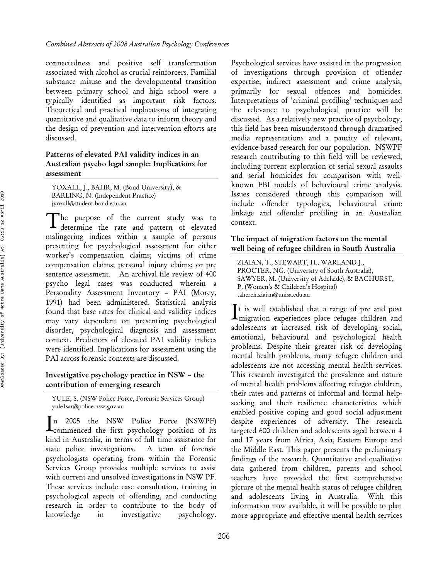connectedness and positive self transformation associated with alcohol as crucial reinforcers. Familial substance misuse and the developmental transition between primary school and high school were a typically identified as important risk factors. Theoretical and practical implications of integrating quantitative and qualitative data to inform theory and the design of prevention and intervention efforts are discussed.

# **Patterns of elevated PAI validity indices in an Australian psycho legal sample: Implications for assessment**

YOXALL, J., BAHR, M. (Bond University), & BARLING, N. (Independent Practice) jyoxall@student.bond.edu.au

he purpose of the current study was to The purpose of the current study was to determine the rate and pattern of elevated malingering indices within a sample of persons presenting for psychological assessment for either worker's compensation claims; victims of crime compensation claims; personal injury claims; or pre sentence assessment. An archival file review of 400 psycho legal cases was conducted wherein a Personality Assessment Inventory – PAI (Morey, 1991) had been administered. Statistical analysis found that base rates for clinical and validity indices may vary dependent on presenting psychological disorder, psychological diagnosis and assessment context. Predictors of elevated PAI validity indices were identified. Implications for assessment using the PAI across forensic contexts are discussed.

### **Investigative psychology practice in NSW – the contribution of emerging research**

YULE, S. (NSW Police Force, Forensic Services Group) yule1sar@police.nsw.gov.au

n 2005 the NSW Police Force (NSWPF) In 2005 the NSW Police Force (NSWPF)<br>commenced the first psychology position of its kind in Australia, in terms of full time assistance for state police investigations. A team of forensic psychologists operating from within the Forensic Services Group provides multiple services to assist with current and unsolved investigations in NSW PF. These services include case consultation, training in psychological aspects of offending, and conducting research in order to contribute to the body of knowledge in investigative psychology.

Psychological services have assisted in the progression of investigations through provision of offender expertise, indirect assessment and crime analysis, primarily for sexual offences and homicides. Interpretations of 'criminal profiling' techniques and the relevance to psychological practice will be discussed. As a relatively new practice of psychology, this field has been misunderstood through dramatised media representations and a paucity of relevant, evidence-based research for our population. NSWPF research contributing to this field will be reviewed, including current exploration of serial sexual assaults and serial homicides for comparison with wellknown FBI models of behavioural crime analysis. Issues considered through this comparison will include offender typologies, behavioural crime linkage and offender profiling in an Australian context.

# **The impact of migration factors on the mental well being of refugee children in South Australia**

ZIAIAN, T., STEWART, H., WARLAND J., PROCTER, NG. (University of South Australia), SAWYER, M. (University of Adelaide), & BAGHURST, P. (Women's & Children's Hospital) tahereh.ziaian@unisa.edu.au

t is well established that a range of pre and post It is well established that a range of pre and post<br>migration experiences place refugee children and adolescents at increased risk of developing social, emotional, behavioural and psychological health problems. Despite their greater risk of developing mental health problems, many refugee children and adolescents are not accessing mental health services. This research investigated the prevalence and nature of mental health problems affecting refugee children, their rates and patterns of informal and formal helpseeking and their resilience characteristics which enabled positive coping and good social adjustment despite experiences of adversity. The research targeted 600 children and adolescents aged between 4 and 17 years from Africa, Asia, Eastern Europe and the Middle East. This paper presents the preliminary findings of the research. Quantitative and qualitative data gathered from children, parents and school teachers have provided the first comprehensive picture of the mental health status of refugee children and adolescents living in Australia. With this information now available, it will be possible to plan more appropriate and effective mental health services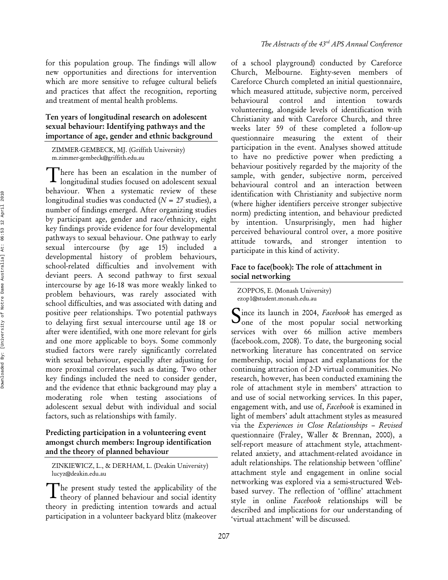for this population group. The findings will allow new opportunities and directions for intervention which are more sensitive to refugee cultural beliefs and practices that affect the recognition, reporting and treatment of mental health problems.

# **Ten years of longitudinal research on adolescent sexual behaviour: Identifying pathways and the importance of age, gender and ethnic background**

ZIMMER-GEMBECK, MJ. (Griffith University) m.zimmer-gembeck@griffith.edu.au

here has been an escalation in the number of There has been an escalation in the number of longitudinal studies focused on adolescent sexual behaviour. When a systematic review of these longitudinal studies was conducted (*N* = 27 studies), a number of findings emerged. After organizing studies by participant age, gender and race/ethnicity, eight key findings provide evidence for four developmental pathways to sexual behaviour. One pathway to early sexual intercourse (by age 15) included developmental history of problem behaviours, school-related difficulties and involvement with deviant peers. A second pathway to first sexual intercourse by age 16-18 was more weakly linked to problem behaviours, was rarely associated with school difficulties, and was associated with dating and positive peer relationships. Two potential pathways to delaying first sexual intercourse until age 18 or after were identified, with one more relevant for girls and one more applicable to boys. Some commonly studied factors were rarely significantly correlated with sexual behaviour, especially after adjusting for more proximal correlates such as dating. Two other key findings included the need to consider gender, and the evidence that ethnic background may play a moderating role when testing associations of adolescent sexual debut with individual and social factors, such as relationships with family.

# **Predicting participation in a volunteering event amongst church members: Ingroup identification and the theory of planned behaviour**

ZINKIEWICZ, L., & DERHAM, L. (Deakin University) lucyz@deakin.edu.au

he present study tested the applicability of the The present study tested the applicability of the theory of planned behaviour and social identity theory in predicting intention towards and actual participation in a volunteer backyard blitz (makeover

of a school playground) conducted by Careforce Church, Melbourne. Eighty-seven members of Careforce Church completed an initial questionnaire, which measured attitude, subjective norm, perceived behavioural control and intention towards volunteering, alongside levels of identification with Christianity and with Careforce Church, and three weeks later 59 of these completed a follow-up questionnaire measuring the extent of their participation in the event. Analyses showed attitude to have no predictive power when predicting a behaviour positively regarded by the majority of the sample, with gender, subjective norm, perceived behavioural control and an interaction between identification with Christianity and subjective norm (where higher identifiers perceive stronger subjective norm) predicting intention, and behaviour predicted by intention. Unsurprisingly, men had higher perceived behavioural control over, a more positive attitude towards, and stronger intention participate in this kind of activity.

# **Face to face(book): The role of attachment in social networking**

ZOPPOS, E. (Monash University) ezop1@student.monash.edu.au

ince its launch in 2004, *Facebook* has emerged as Since its launch in 2004, *Facebook* has emerged as<br>Oone of the most popular social networking services with over 66 million active members (facebook.com, 2008). To date, the burgeoning social networking literature has concentrated on service membership, social impact and explanations for the continuing attraction of 2-D virtual communities. No research, however, has been conducted examining the role of attachment style in members' attraction to and use of social networking services. In this paper, engagement with, and use of, *Facebook* is examined in light of members' adult attachment styles as measured via the *Experiences in Close Relationships – Revised* questionnaire (Fraley, Waller & Brennan, 2000), a self-report measure of attachment style, attachmentrelated anxiety, and attachment-related avoidance in adult relationships. The relationship between 'offline' attachment style and engagement in online social networking was explored via a semi-structured Webbased survey. The reflection of 'offline' attachment style in online *Facebook* relationships will be described and implications for our understanding of 'virtual attachment' will be discussed.